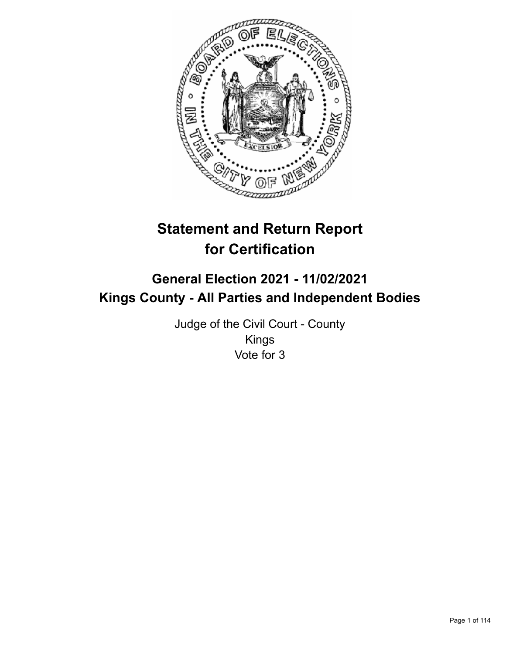

# **Statement and Return Report for Certification**

## **General Election 2021 - 11/02/2021 Kings County - All Parties and Independent Bodies**

Judge of the Civil Court - County Kings Vote for 3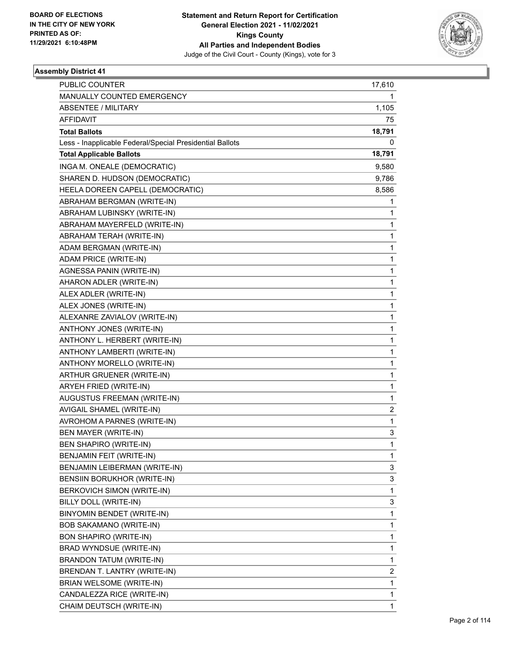

| PUBLIC COUNTER                                           | 17,610         |
|----------------------------------------------------------|----------------|
| MANUALLY COUNTED EMERGENCY                               | 1              |
| <b>ABSENTEE / MILITARY</b>                               | 1,105          |
| AFFIDAVIT                                                | 75             |
| <b>Total Ballots</b>                                     | 18,791         |
| Less - Inapplicable Federal/Special Presidential Ballots | 0              |
| <b>Total Applicable Ballots</b>                          | 18,791         |
| INGA M. ONEALE (DEMOCRATIC)                              | 9,580          |
| SHAREN D. HUDSON (DEMOCRATIC)                            | 9,786          |
| HEELA DOREEN CAPELL (DEMOCRATIC)                         | 8,586          |
| ABRAHAM BERGMAN (WRITE-IN)                               | 1              |
| ABRAHAM LUBINSKY (WRITE-IN)                              | 1              |
| ABRAHAM MAYERFELD (WRITE-IN)                             | 1              |
| ABRAHAM TERAH (WRITE-IN)                                 | 1              |
| ADAM BERGMAN (WRITE-IN)                                  | $\mathbf{1}$   |
| ADAM PRICE (WRITE-IN)                                    | $\mathbf{1}$   |
| AGNESSA PANIN (WRITE-IN)                                 | 1              |
| AHARON ADLER (WRITE-IN)                                  | $\mathbf{1}$   |
| ALEX ADLER (WRITE-IN)                                    | $\mathbf{1}$   |
| ALEX JONES (WRITE-IN)                                    | 1              |
| ALEXANRE ZAVIALOV (WRITE-IN)                             | $\mathbf{1}$   |
| ANTHONY JONES (WRITE-IN)                                 | $\mathbf{1}$   |
| ANTHONY L. HERBERT (WRITE-IN)                            | 1              |
| ANTHONY LAMBERTI (WRITE-IN)                              | $\mathbf{1}$   |
| ANTHONY MORELLO (WRITE-IN)                               | $\mathbf{1}$   |
| ARTHUR GRUENER (WRITE-IN)                                | 1              |
| ARYEH FRIED (WRITE-IN)                                   | $\mathbf{1}$   |
| AUGUSTUS FREEMAN (WRITE-IN)                              | $\mathbf{1}$   |
| AVIGAIL SHAMEL (WRITE-IN)                                | $\overline{2}$ |
| AVROHOM A PARNES (WRITE-IN)                              | $\mathbf{1}$   |
| <b>BEN MAYER (WRITE-IN)</b>                              | 3              |
| BEN SHAPIRO (WRITE-IN)                                   | $\mathbf{1}$   |
| BENJAMIN FEIT (WRITE-IN)                                 | 1              |
| BENJAMIN LEIBERMAN (WRITE-IN)                            | 3              |
| BENSIIN BORUKHOR (WRITE-IN)                              | 3              |
| BERKOVICH SIMON (WRITE-IN)                               | $\mathbf{1}$   |
| BILLY DOLL (WRITE-IN)                                    | 3              |
| BINYOMIN BENDET (WRITE-IN)                               | 1              |
| BOB SAKAMANO (WRITE-IN)                                  | $\mathbf{1}$   |
| <b>BON SHAPIRO (WRITE-IN)</b>                            | $\mathbf{1}$   |
| BRAD WYNDSUE (WRITE-IN)                                  | $\mathbf{1}$   |
| <b>BRANDON TATUM (WRITE-IN)</b>                          | $\mathbf{1}$   |
| BRENDAN T. LANTRY (WRITE-IN)                             | 2              |
| BRIAN WELSOME (WRITE-IN)                                 | 1              |
| CANDALEZZA RICE (WRITE-IN)                               | 1              |
| CHAIM DEUTSCH (WRITE-IN)                                 | $\mathbf{1}$   |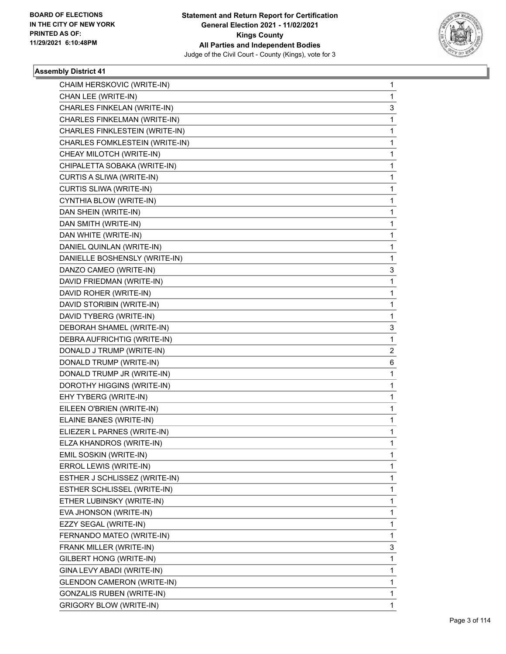

| CHAIM HERSKOVIC (WRITE-IN)        | 1              |
|-----------------------------------|----------------|
| CHAN LEE (WRITE-IN)               | 1              |
| CHARLES FINKELAN (WRITE-IN)       | 3              |
| CHARLES FINKELMAN (WRITE-IN)      | 1              |
| CHARLES FINKLESTEIN (WRITE-IN)    | 1              |
| CHARLES FOMKLESTEIN (WRITE-IN)    | 1              |
| CHEAY MILOTCH (WRITE-IN)          | 1              |
| CHIPALETTA SOBAKA (WRITE-IN)      | 1              |
| CURTIS A SLIWA (WRITE-IN)         | 1              |
| CURTIS SLIWA (WRITE-IN)           | 1              |
| CYNTHIA BLOW (WRITE-IN)           | 1              |
| DAN SHEIN (WRITE-IN)              | 1              |
| DAN SMITH (WRITE-IN)              | 1              |
| DAN WHITE (WRITE-IN)              | 1              |
| DANIEL QUINLAN (WRITE-IN)         | 1              |
| DANIELLE BOSHENSLY (WRITE-IN)     | 1              |
| DANZO CAMEO (WRITE-IN)            | 3              |
| DAVID FRIEDMAN (WRITE-IN)         | 1              |
| DAVID ROHER (WRITE-IN)            | 1              |
| DAVID STORIBIN (WRITE-IN)         | 1              |
| DAVID TYBERG (WRITE-IN)           | 1              |
| DEBORAH SHAMEL (WRITE-IN)         | 3              |
| DEBRA AUFRICHTIG (WRITE-IN)       | 1              |
| DONALD J TRUMP (WRITE-IN)         | $\overline{2}$ |
| DONALD TRUMP (WRITE-IN)           | 6              |
| DONALD TRUMP JR (WRITE-IN)        | 1              |
| DOROTHY HIGGINS (WRITE-IN)        | 1              |
| EHY TYBERG (WRITE-IN)             | 1              |
| EILEEN O'BRIEN (WRITE-IN)         | 1              |
| ELAINE BANES (WRITE-IN)           | 1              |
| ELIEZER L PARNES (WRITE-IN)       | 1              |
| ELZA KHANDROS (WRITE-IN)          | 1              |
| EMIL SOSKIN (WRITE-IN)            | 1              |
| ERROL LEWIS (WRITE-IN)            | 1              |
| ESTHER J SCHLISSEZ (WRITE-IN)     | 1              |
| ESTHER SCHLISSEL (WRITE-IN)       | 1              |
| ETHER LUBINSKY (WRITE-IN)         | 1              |
| EVA JHONSON (WRITE-IN)            | 1              |
| EZZY SEGAL (WRITE-IN)             | 1              |
| FERNANDO MATEO (WRITE-IN)         | 1              |
| FRANK MILLER (WRITE-IN)           | 3              |
| GILBERT HONG (WRITE-IN)           | 1              |
| GINA LEVY ABADI (WRITE-IN)        | 1              |
| <b>GLENDON CAMERON (WRITE-IN)</b> | 1              |
| <b>GONZALIS RUBEN (WRITE-IN)</b>  | 1              |
| <b>GRIGORY BLOW (WRITE-IN)</b>    | 1              |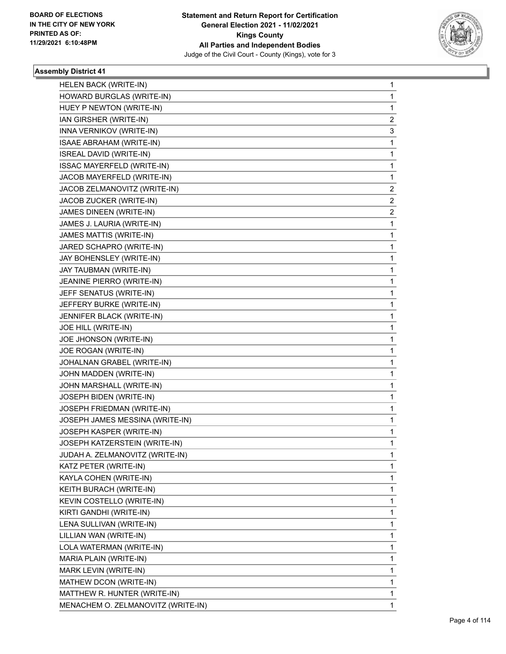

| HELEN BACK (WRITE-IN)              | 1 |
|------------------------------------|---|
| HOWARD BURGLAS (WRITE-IN)          | 1 |
| HUEY P NEWTON (WRITE-IN)           | 1 |
| IAN GIRSHER (WRITE-IN)             | 2 |
| INNA VERNIKOV (WRITE-IN)           | 3 |
| ISAAE ABRAHAM (WRITE-IN)           | 1 |
| ISREAL DAVID (WRITE-IN)            | 1 |
| ISSAC MAYERFELD (WRITE-IN)         | 1 |
| JACOB MAYERFELD (WRITE-IN)         | 1 |
| JACOB ZELMANOVITZ (WRITE-IN)       | 2 |
| JACOB ZUCKER (WRITE-IN)            | 2 |
| JAMES DINEEN (WRITE-IN)            | 2 |
| JAMES J. LAURIA (WRITE-IN)         | 1 |
| JAMES MATTIS (WRITE-IN)            | 1 |
| JARED SCHAPRO (WRITE-IN)           | 1 |
| JAY BOHENSLEY (WRITE-IN)           | 1 |
| JAY TAUBMAN (WRITE-IN)             | 1 |
| JEANINE PIERRO (WRITE-IN)          | 1 |
| JEFF SENATUS (WRITE-IN)            | 1 |
| JEFFERY BURKE (WRITE-IN)           | 1 |
| JENNIFER BLACK (WRITE-IN)          | 1 |
| JOE HILL (WRITE-IN)                | 1 |
| JOE JHONSON (WRITE-IN)             | 1 |
| JOE ROGAN (WRITE-IN)               | 1 |
| JOHALNAN GRABEL (WRITE-IN)         | 1 |
| JOHN MADDEN (WRITE-IN)             | 1 |
| JOHN MARSHALL (WRITE-IN)           | 1 |
| JOSEPH BIDEN (WRITE-IN)            | 1 |
| JOSEPH FRIEDMAN (WRITE-IN)         | 1 |
| JOSEPH JAMES MESSINA (WRITE-IN)    | 1 |
| JOSEPH KASPER (WRITE-IN)           | 1 |
| JOSEPH KATZERSTEIN (WRITE-IN)      | 1 |
| JUDAH A. ZELMANOVITZ (WRITE-IN)    | 1 |
| KATZ PETER (WRITE-IN)              | 1 |
| KAYLA COHEN (WRITE-IN)             | 1 |
| KEITH BURACH (WRITE-IN)            | 1 |
| KEVIN COSTELLO (WRITE-IN)          | 1 |
| KIRTI GANDHI (WRITE-IN)            | 1 |
| LENA SULLIVAN (WRITE-IN)           | 1 |
| LILLIAN WAN (WRITE-IN)             | 1 |
| LOLA WATERMAN (WRITE-IN)           | 1 |
| MARIA PLAIN (WRITE-IN)             | 1 |
| MARK LEVIN (WRITE-IN)              | 1 |
| MATHEW DCON (WRITE-IN)             | 1 |
| MATTHEW R. HUNTER (WRITE-IN)       | 1 |
| MENACHEM O. ZELMANOVITZ (WRITE-IN) | 1 |
|                                    |   |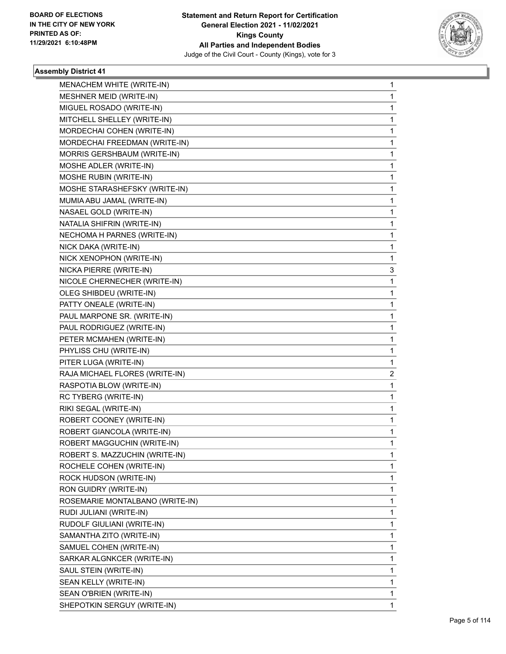

| <b>MENACHEM WHITE (WRITE-IN)</b> | 1 |
|----------------------------------|---|
| MESHNER MEID (WRITE-IN)          | 1 |
| MIGUEL ROSADO (WRITE-IN)         | 1 |
| MITCHELL SHELLEY (WRITE-IN)      | 1 |
| MORDECHAI COHEN (WRITE-IN)       | 1 |
| MORDECHAI FREEDMAN (WRITE-IN)    | 1 |
| MORRIS GERSHBAUM (WRITE-IN)      | 1 |
| MOSHE ADLER (WRITE-IN)           | 1 |
| MOSHE RUBIN (WRITE-IN)           | 1 |
| MOSHE STARASHEFSKY (WRITE-IN)    | 1 |
| MUMIA ABU JAMAL (WRITE-IN)       | 1 |
| NASAEL GOLD (WRITE-IN)           | 1 |
| NATALIA SHIFRIN (WRITE-IN)       | 1 |
| NECHOMA H PARNES (WRITE-IN)      | 1 |
| NICK DAKA (WRITE-IN)             | 1 |
| NICK XENOPHON (WRITE-IN)         | 1 |
| NICKA PIERRE (WRITE-IN)          | 3 |
| NICOLE CHERNECHER (WRITE-IN)     | 1 |
| OLEG SHIBDEU (WRITE-IN)          | 1 |
| PATTY ONEALE (WRITE-IN)          | 1 |
| PAUL MARPONE SR. (WRITE-IN)      | 1 |
| PAUL RODRIGUEZ (WRITE-IN)        | 1 |
| PETER MCMAHEN (WRITE-IN)         | 1 |
| PHYLISS CHU (WRITE-IN)           | 1 |
| PITER LUGA (WRITE-IN)            | 1 |
| RAJA MICHAEL FLORES (WRITE-IN)   | 2 |
| RASPOTIA BLOW (WRITE-IN)         | 1 |
| RC TYBERG (WRITE-IN)             | 1 |
| RIKI SEGAL (WRITE-IN)            | 1 |
| ROBERT COONEY (WRITE-IN)         | 1 |
| ROBERT GIANCOLA (WRITE-IN)       | 1 |
| ROBERT MAGGUCHIN (WRITE-IN)      | 1 |
| ROBERT S. MAZZUCHIN (WRITE-IN)   | 1 |
| ROCHELE COHEN (WRITE-IN)         | 1 |
| ROCK HUDSON (WRITE-IN)           | 1 |
| RON GUIDRY (WRITE-IN)            | 1 |
| ROSEMARIE MONTALBANO (WRITE-IN)  | 1 |
| RUDI JULIANI (WRITE-IN)          | 1 |
| RUDOLF GIULIANI (WRITE-IN)       | 1 |
| SAMANTHA ZITO (WRITE-IN)         | 1 |
| SAMUEL COHEN (WRITE-IN)          | 1 |
| SARKAR ALGNKCER (WRITE-IN)       | 1 |
| SAUL STEIN (WRITE-IN)            | 1 |
| SEAN KELLY (WRITE-IN)            | 1 |
| SEAN O'BRIEN (WRITE-IN)          | 1 |
| SHEPOTKIN SERGUY (WRITE-IN)      | 1 |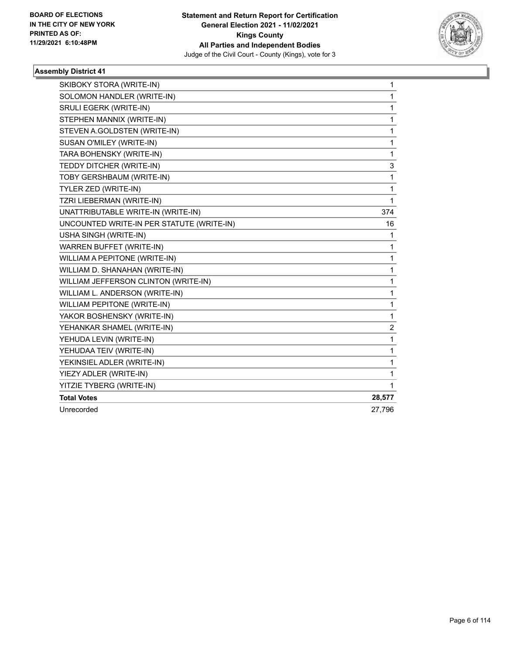

| SKIBOKY STORA (WRITE-IN)                  | $\mathbf{1}$            |
|-------------------------------------------|-------------------------|
| SOLOMON HANDLER (WRITE-IN)                | $\mathbf{1}$            |
| SRULI EGERK (WRITE-IN)                    | $\mathbf{1}$            |
| STEPHEN MANNIX (WRITE-IN)                 | 1                       |
| STEVEN A.GOLDSTEN (WRITE-IN)              | $\mathbf{1}$            |
| SUSAN O'MILEY (WRITE-IN)                  | 1                       |
| TARA BOHENSKY (WRITE-IN)                  | 1                       |
| TEDDY DITCHER (WRITE-IN)                  | 3                       |
| TOBY GERSHBAUM (WRITE-IN)                 | 1                       |
| TYLER ZED (WRITE-IN)                      | 1                       |
| TZRI LIEBERMAN (WRITE-IN)                 | 1                       |
| UNATTRIBUTABLE WRITE-IN (WRITE-IN)        | 374                     |
| UNCOUNTED WRITE-IN PER STATUTE (WRITE-IN) | 16                      |
| USHA SINGH (WRITE-IN)                     | 1                       |
| WARREN BUFFET (WRITE-IN)                  | 1                       |
| WILLIAM A PEPITONE (WRITE-IN)             | $\mathbf{1}$            |
| WILLIAM D. SHANAHAN (WRITE-IN)            | 1                       |
| WILLIAM JEFFERSON CLINTON (WRITE-IN)      | 1                       |
| WILLIAM L. ANDERSON (WRITE-IN)            | 1                       |
| WILLIAM PEPITONE (WRITE-IN)               | $\mathbf{1}$            |
| YAKOR BOSHENSKY (WRITE-IN)                | $\mathbf{1}$            |
| YEHANKAR SHAMEL (WRITE-IN)                | $\overline{\mathbf{c}}$ |
| YEHUDA LEVIN (WRITE-IN)                   | $\mathbf 1$             |
| YEHUDAA TEIV (WRITE-IN)                   | 1                       |
| YEKINSIEL ADLER (WRITE-IN)                | 1                       |
| YIEZY ADLER (WRITE-IN)                    | 1                       |
| YITZIE TYBERG (WRITE-IN)                  | 1                       |
| <b>Total Votes</b>                        | 28,577                  |
| Unrecorded                                | 27,796                  |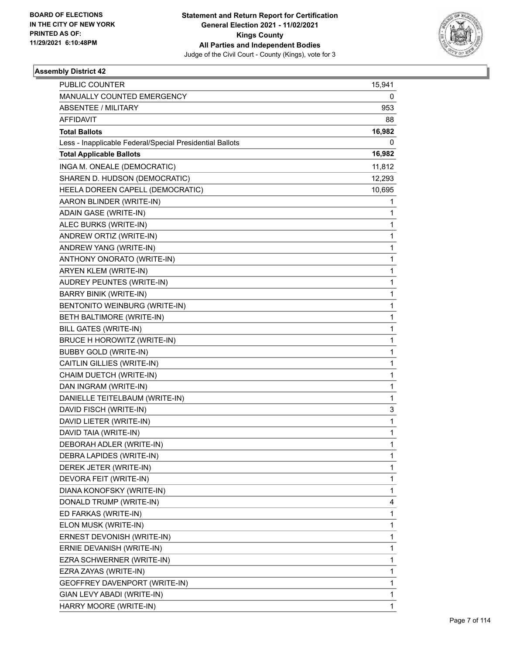

| <b>PUBLIC COUNTER</b>                                    | 15,941 |
|----------------------------------------------------------|--------|
| MANUALLY COUNTED EMERGENCY                               | 0      |
| <b>ABSENTEE / MILITARY</b>                               | 953    |
| AFFIDAVIT                                                | 88     |
| <b>Total Ballots</b>                                     | 16,982 |
| Less - Inapplicable Federal/Special Presidential Ballots | 0      |
| <b>Total Applicable Ballots</b>                          | 16,982 |
| INGA M. ONEALE (DEMOCRATIC)                              | 11,812 |
| SHAREN D. HUDSON (DEMOCRATIC)                            | 12,293 |
| HEELA DOREEN CAPELL (DEMOCRATIC)                         | 10,695 |
| AARON BLINDER (WRITE-IN)                                 | 1      |
| <b>ADAIN GASE (WRITE-IN)</b>                             | 1      |
| ALEC BURKS (WRITE-IN)                                    | 1      |
| ANDREW ORTIZ (WRITE-IN)                                  | 1      |
| ANDREW YANG (WRITE-IN)                                   | 1      |
| ANTHONY ONORATO (WRITE-IN)                               | 1      |
| ARYEN KLEM (WRITE-IN)                                    | 1      |
| AUDREY PEUNTES (WRITE-IN)                                | 1      |
| <b>BARRY BINIK (WRITE-IN)</b>                            | 1      |
| BENTONITO WEINBURG (WRITE-IN)                            | 1      |
| BETH BALTIMORE (WRITE-IN)                                | 1      |
| BILL GATES (WRITE-IN)                                    | 1      |
| BRUCE H HOROWITZ (WRITE-IN)                              | 1      |
| <b>BUBBY GOLD (WRITE-IN)</b>                             | 1      |
| CAITLIN GILLIES (WRITE-IN)                               | 1      |
| CHAIM DUETCH (WRITE-IN)                                  | 1      |
| DAN INGRAM (WRITE-IN)                                    | 1      |
| DANIELLE TEITELBAUM (WRITE-IN)                           | 1      |
| DAVID FISCH (WRITE-IN)                                   | 3      |
| DAVID LIETER (WRITE-IN)                                  | 1      |
| DAVID TAIA (WRITE-IN)                                    | 1      |
| DEBORAH ADLER (WRITE-IN)                                 | 1      |
| DEBRA LAPIDES (WRITE-IN)                                 | 1      |
| DEREK JETER (WRITE-IN)                                   | 1      |
| DEVORA FEIT (WRITE-IN)                                   | 1      |
| DIANA KONOFSKY (WRITE-IN)                                | 1      |
| DONALD TRUMP (WRITE-IN)                                  | 4      |
| ED FARKAS (WRITE-IN)                                     | 1      |
| ELON MUSK (WRITE-IN)                                     | 1      |
| ERNEST DEVONISH (WRITE-IN)                               | 1      |
| ERNIE DEVANISH (WRITE-IN)                                | 1      |
| EZRA SCHWERNER (WRITE-IN)                                | 1      |
| EZRA ZAYAS (WRITE-IN)                                    | 1      |
| GEOFFREY DAVENPORT (WRITE-IN)                            | 1      |
| GIAN LEVY ABADI (WRITE-IN)                               | 1      |
| HARRY MOORE (WRITE-IN)                                   | 1      |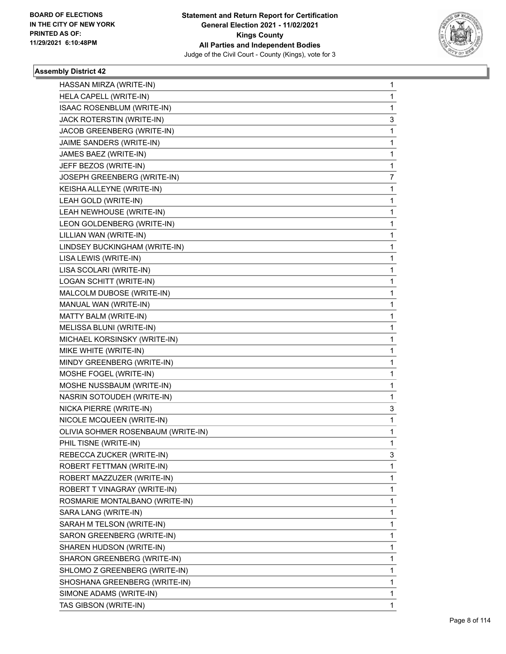

| HASSAN MIRZA (WRITE-IN)            | 1 |
|------------------------------------|---|
| HELA CAPELL (WRITE-IN)             | 1 |
| ISAAC ROSENBLUM (WRITE-IN)         | 1 |
| JACK ROTERSTIN (WRITE-IN)          | 3 |
| JACOB GREENBERG (WRITE-IN)         | 1 |
| JAIME SANDERS (WRITE-IN)           | 1 |
| JAMES BAEZ (WRITE-IN)              | 1 |
| JEFF BEZOS (WRITE-IN)              | 1 |
| JOSEPH GREENBERG (WRITE-IN)        | 7 |
| KEISHA ALLEYNE (WRITE-IN)          | 1 |
| LEAH GOLD (WRITE-IN)               | 1 |
| LEAH NEWHOUSE (WRITE-IN)           | 1 |
| LEON GOLDENBERG (WRITE-IN)         | 1 |
| LILLIAN WAN (WRITE-IN)             | 1 |
| LINDSEY BUCKINGHAM (WRITE-IN)      | 1 |
| LISA LEWIS (WRITE-IN)              | 1 |
| LISA SCOLARI (WRITE-IN)            | 1 |
| LOGAN SCHITT (WRITE-IN)            | 1 |
| MALCOLM DUBOSE (WRITE-IN)          | 1 |
| MANUAL WAN (WRITE-IN)              | 1 |
| MATTY BALM (WRITE-IN)              | 1 |
| MELISSA BLUNI (WRITE-IN)           | 1 |
| MICHAEL KORSINSKY (WRITE-IN)       | 1 |
| MIKE WHITE (WRITE-IN)              | 1 |
| MINDY GREENBERG (WRITE-IN)         | 1 |
| MOSHE FOGEL (WRITE-IN)             | 1 |
| MOSHE NUSSBAUM (WRITE-IN)          | 1 |
| NASRIN SOTOUDEH (WRITE-IN)         | 1 |
| NICKA PIERRE (WRITE-IN)            | 3 |
| NICOLE MCQUEEN (WRITE-IN)          | 1 |
| OLIVIA SOHMER ROSENBAUM (WRITE-IN) | 1 |
| PHIL TISNE (WRITE-IN)              | 1 |
| REBECCA ZUCKER (WRITE-IN)          | 3 |
| ROBERT FETTMAN (WRITE-IN)          | 1 |
| ROBERT MAZZUZER (WRITE-IN)         | 1 |
| ROBERT T VINAGRAY (WRITE-IN)       | 1 |
| ROSMARIE MONTALBANO (WRITE-IN)     | 1 |
| SARA LANG (WRITE-IN)               | 1 |
| SARAH M TELSON (WRITE-IN)          | 1 |
| SARON GREENBERG (WRITE-IN)         | 1 |
| SHAREN HUDSON (WRITE-IN)           | 1 |
| SHARON GREENBERG (WRITE-IN)        | 1 |
| SHLOMO Z GREENBERG (WRITE-IN)      | 1 |
| SHOSHANA GREENBERG (WRITE-IN)      | 1 |
| SIMONE ADAMS (WRITE-IN)            | 1 |
| TAS GIBSON (WRITE-IN)              | 1 |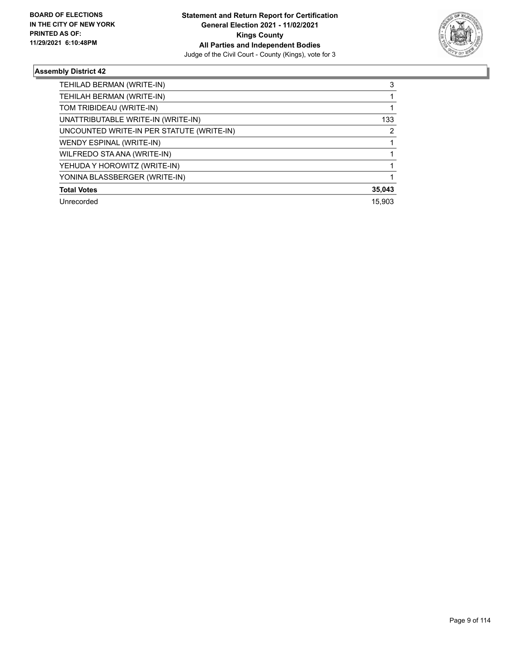

| TEHILAD BERMAN (WRITE-IN)                 | 3      |
|-------------------------------------------|--------|
| TEHILAH BERMAN (WRITE-IN)                 |        |
| TOM TRIBIDEAU (WRITE-IN)                  |        |
| UNATTRIBUTABLE WRITE-IN (WRITE-IN)        | 133    |
| UNCOUNTED WRITE-IN PER STATUTE (WRITE-IN) | 2      |
| WENDY ESPINAL (WRITE-IN)                  |        |
| WILFREDO STA ANA (WRITE-IN)               |        |
| YEHUDA Y HOROWITZ (WRITE-IN)              |        |
| YONINA BLASSBERGER (WRITE-IN)             |        |
| <b>Total Votes</b>                        | 35,043 |
| Unrecorded                                | 15.903 |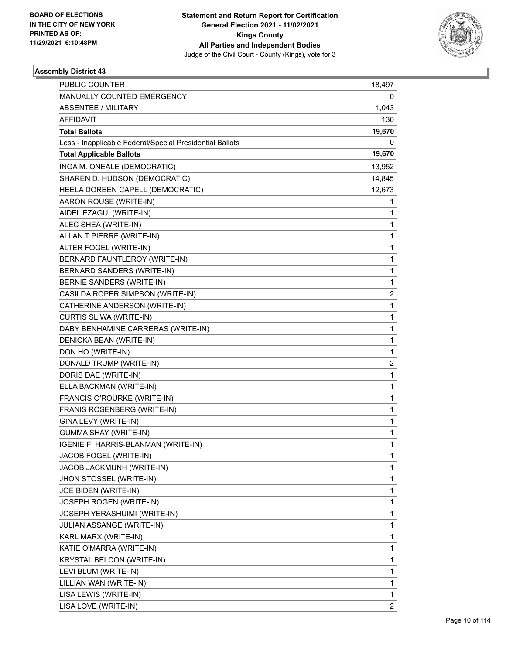

| <b>PUBLIC COUNTER</b>                                    | 18,497                  |
|----------------------------------------------------------|-------------------------|
| MANUALLY COUNTED EMERGENCY                               | 0                       |
| <b>ABSENTEE / MILITARY</b>                               | 1,043                   |
| AFFIDAVIT                                                | 130                     |
| <b>Total Ballots</b>                                     | 19,670                  |
| Less - Inapplicable Federal/Special Presidential Ballots | 0                       |
| <b>Total Applicable Ballots</b>                          | 19,670                  |
| INGA M. ONEALE (DEMOCRATIC)                              | 13,952                  |
| SHAREN D. HUDSON (DEMOCRATIC)                            | 14,845                  |
| HEELA DOREEN CAPELL (DEMOCRATIC)                         | 12,673                  |
| AARON ROUSE (WRITE-IN)                                   | 1                       |
| AIDEL EZAGUI (WRITE-IN)                                  | 1                       |
| ALEC SHEA (WRITE-IN)                                     | 1                       |
| ALLAN T PIERRE (WRITE-IN)                                | 1                       |
| ALTER FOGEL (WRITE-IN)                                   | 1                       |
| BERNARD FAUNTLEROY (WRITE-IN)                            | 1                       |
| BERNARD SANDERS (WRITE-IN)                               | 1                       |
| <b>BERNIE SANDERS (WRITE-IN)</b>                         | 1                       |
| CASILDA ROPER SIMPSON (WRITE-IN)                         | 2                       |
| CATHERINE ANDERSON (WRITE-IN)                            | 1                       |
| CURTIS SLIWA (WRITE-IN)                                  | 1                       |
| DABY BENHAMINE CARRERAS (WRITE-IN)                       | 1                       |
| DENICKA BEAN (WRITE-IN)                                  | 1                       |
| DON HO (WRITE-IN)                                        | 1                       |
| DONALD TRUMP (WRITE-IN)                                  | 2                       |
| DORIS DAE (WRITE-IN)                                     | 1                       |
| ELLA BACKMAN (WRITE-IN)                                  | 1                       |
| FRANCIS O'ROURKE (WRITE-IN)                              | 1                       |
| FRANIS ROSENBERG (WRITE-IN)                              | 1                       |
| GINA LEVY (WRITE-IN)                                     | $\mathbf{1}$            |
| <b>GUMMA SHAY (WRITE-IN)</b>                             | 1                       |
| IGENIE F. HARRIS-BLANMAN (WRITE-IN)                      | 1                       |
| JACOB FOGEL (WRITE-IN)                                   | 1                       |
| JACOB JACKMUNH (WRITE-IN)                                | 1                       |
| JHON STOSSEL (WRITE-IN)                                  | 1                       |
| JOE BIDEN (WRITE-IN)                                     | 1                       |
| JOSEPH ROGEN (WRITE-IN)                                  | 1                       |
| JOSEPH YERASHUIMI (WRITE-IN)                             | 1                       |
| JULIAN ASSANGE (WRITE-IN)                                | 1                       |
| KARL MARX (WRITE-IN)                                     | 1                       |
| KATIE O'MARRA (WRITE-IN)                                 | 1                       |
| KRYSTAL BELCON (WRITE-IN)                                | 1                       |
| LEVI BLUM (WRITE-IN)                                     | 1                       |
| LILLIAN WAN (WRITE-IN)                                   | 1                       |
| LISA LEWIS (WRITE-IN)                                    | 1                       |
| LISA LOVE (WRITE-IN)                                     | $\overline{\mathbf{c}}$ |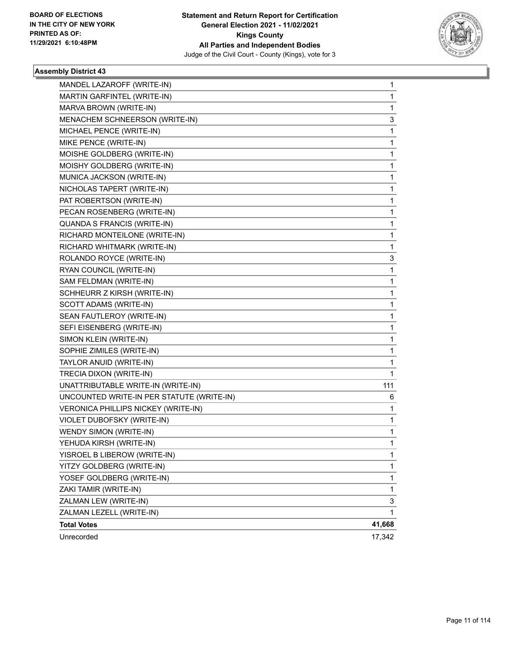

| MANDEL LAZAROFF (WRITE-IN)                | 1      |
|-------------------------------------------|--------|
| MARTIN GARFINTEL (WRITE-IN)               | 1      |
| MARVA BROWN (WRITE-IN)                    | 1      |
| MENACHEM SCHNEERSON (WRITE-IN)            | 3      |
| MICHAEL PENCE (WRITE-IN)                  | 1      |
| MIKE PENCE (WRITE-IN)                     | 1      |
| MOISHE GOLDBERG (WRITE-IN)                | 1      |
| MOISHY GOLDBERG (WRITE-IN)                | 1      |
| MUNICA JACKSON (WRITE-IN)                 | 1      |
| NICHOLAS TAPERT (WRITE-IN)                | 1      |
| PAT ROBERTSON (WRITE-IN)                  | 1      |
| PECAN ROSENBERG (WRITE-IN)                | 1      |
| QUANDA S FRANCIS (WRITE-IN)               | 1      |
| RICHARD MONTEILONE (WRITE-IN)             | 1      |
| RICHARD WHITMARK (WRITE-IN)               | 1      |
| ROLANDO ROYCE (WRITE-IN)                  | 3      |
| RYAN COUNCIL (WRITE-IN)                   | 1      |
| SAM FELDMAN (WRITE-IN)                    | 1      |
| SCHHEURR Z KIRSH (WRITE-IN)               | 1      |
| SCOTT ADAMS (WRITE-IN)                    | 1      |
| SEAN FAUTLEROY (WRITE-IN)                 | 1      |
| SEFI EISENBERG (WRITE-IN)                 | 1      |
| SIMON KLEIN (WRITE-IN)                    | 1      |
| SOPHIE ZIMILES (WRITE-IN)                 | 1      |
| TAYLOR ANUID (WRITE-IN)                   | 1      |
| TRECIA DIXON (WRITE-IN)                   | 1      |
| UNATTRIBUTABLE WRITE-IN (WRITE-IN)        | 111    |
| UNCOUNTED WRITE-IN PER STATUTE (WRITE-IN) | 6      |
| VERONICA PHILLIPS NICKEY (WRITE-IN)       | 1      |
| VIOLET DUBOFSKY (WRITE-IN)                | 1      |
| <b>WENDY SIMON (WRITE-IN)</b>             | 1      |
| YEHUDA KIRSH (WRITE-IN)                   | 1      |
| YISROEL B LIBEROW (WRITE-IN)              | 1      |
| YITZY GOLDBERG (WRITE-IN)                 | 1      |
| YOSEF GOLDBERG (WRITE-IN)                 | 1      |
| ZAKI TAMIR (WRITE-IN)                     | 1      |
| ZALMAN LEW (WRITE-IN)                     | 3      |
| ZALMAN LEZELL (WRITE-IN)                  | 1      |
| <b>Total Votes</b>                        | 41,668 |
| Unrecorded                                | 17,342 |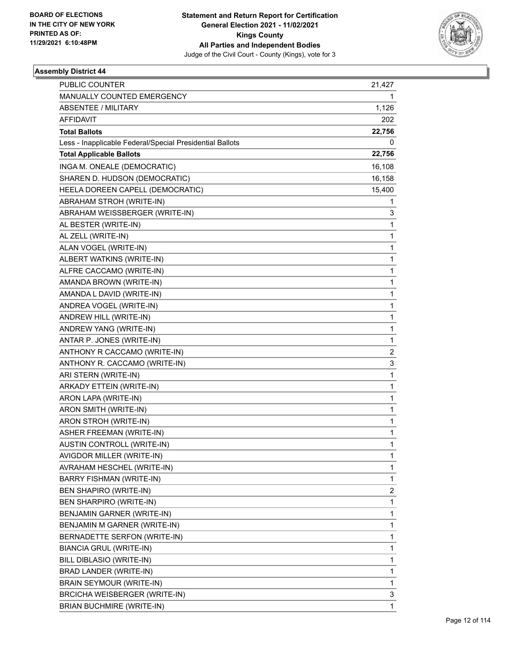

| <b>PUBLIC COUNTER</b>                                    | 21,427 |
|----------------------------------------------------------|--------|
| MANUALLY COUNTED EMERGENCY                               | 1      |
| ABSENTEE / MILITARY                                      | 1,126  |
| <b>AFFIDAVIT</b>                                         | 202    |
| <b>Total Ballots</b>                                     | 22,756 |
| Less - Inapplicable Federal/Special Presidential Ballots | 0      |
| <b>Total Applicable Ballots</b>                          | 22,756 |
| INGA M. ONEALE (DEMOCRATIC)                              | 16,108 |
| SHAREN D. HUDSON (DEMOCRATIC)                            | 16,158 |
| HEELA DOREEN CAPELL (DEMOCRATIC)                         | 15,400 |
| ABRAHAM STROH (WRITE-IN)                                 | 1      |
| ABRAHAM WEISSBERGER (WRITE-IN)                           | 3      |
| AL BESTER (WRITE-IN)                                     | 1      |
| AL ZELL (WRITE-IN)                                       | 1      |
| ALAN VOGEL (WRITE-IN)                                    | 1      |
| ALBERT WATKINS (WRITE-IN)                                | 1      |
| ALFRE CACCAMO (WRITE-IN)                                 | 1      |
| AMANDA BROWN (WRITE-IN)                                  | 1      |
| AMANDA L DAVID (WRITE-IN)                                | 1      |
| ANDREA VOGEL (WRITE-IN)                                  | 1      |
| ANDREW HILL (WRITE-IN)                                   | 1      |
| ANDREW YANG (WRITE-IN)                                   | 1      |
| ANTAR P. JONES (WRITE-IN)                                | 1      |
| ANTHONY R CACCAMO (WRITE-IN)                             | 2      |
| ANTHONY R. CACCAMO (WRITE-IN)                            | 3      |
| ARI STERN (WRITE-IN)                                     | 1      |
| ARKADY ETTEIN (WRITE-IN)                                 | 1      |
| ARON LAPA (WRITE-IN)                                     | 1      |
| ARON SMITH (WRITE-IN)                                    | 1      |
| ARON STROH (WRITE-IN)                                    | 1      |
| ASHER FREEMAN (WRITE-IN)                                 | 1      |
| AUSTIN CONTROLL (WRITE-IN)                               | 1      |
| AVIGDOR MILLER (WRITE-IN)                                | 1      |
| AVRAHAM HESCHEL (WRITE-IN)                               | 1      |
| BARRY FISHMAN (WRITE-IN)                                 | 1      |
| BEN SHAPIRO (WRITE-IN)                                   | 2      |
| BEN SHARPIRO (WRITE-IN)                                  | 1      |
| BENJAMIN GARNER (WRITE-IN)                               | 1      |
| BENJAMIN M GARNER (WRITE-IN)                             | 1      |
| BERNADETTE SERFON (WRITE-IN)                             | 1      |
| <b>BIANCIA GRUL (WRITE-IN)</b>                           | 1      |
| BILL DIBLASIO (WRITE-IN)                                 | 1      |
| BRAD LANDER (WRITE-IN)                                   | 1      |
| BRAIN SEYMOUR (WRITE-IN)                                 | 1      |
| <b>BRCICHA WEISBERGER (WRITE-IN)</b>                     | 3      |
| <b>BRIAN BUCHMIRE (WRITE-IN)</b>                         | 1      |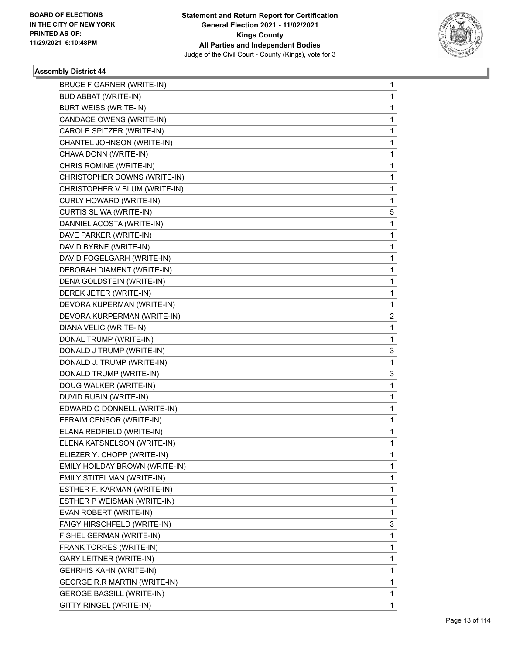

| <b>BRUCE F GARNER (WRITE-IN)</b> | 1            |
|----------------------------------|--------------|
| <b>BUD ABBAT (WRITE-IN)</b>      | $\mathbf{1}$ |
| <b>BURT WEISS (WRITE-IN)</b>     | 1            |
| CANDACE OWENS (WRITE-IN)         | 1            |
| CAROLE SPITZER (WRITE-IN)        | 1            |
| CHANTEL JOHNSON (WRITE-IN)       | 1            |
| CHAVA DONN (WRITE-IN)            | 1            |
| CHRIS ROMINE (WRITE-IN)          | 1            |
| CHRISTOPHER DOWNS (WRITE-IN)     | 1            |
| CHRISTOPHER V BLUM (WRITE-IN)    | 1            |
| CURLY HOWARD (WRITE-IN)          | 1            |
| CURTIS SLIWA (WRITE-IN)          | 5            |
| DANNIEL ACOSTA (WRITE-IN)        | 1            |
| DAVE PARKER (WRITE-IN)           | 1            |
| DAVID BYRNE (WRITE-IN)           | 1            |
| DAVID FOGELGARH (WRITE-IN)       | 1            |
| DEBORAH DIAMENT (WRITE-IN)       | 1            |
| DENA GOLDSTEIN (WRITE-IN)        | 1            |
| DEREK JETER (WRITE-IN)           | 1            |
| DEVORA KUPERMAN (WRITE-IN)       | 1            |
| DEVORA KURPERMAN (WRITE-IN)      | 2            |
| DIANA VELIC (WRITE-IN)           | 1            |
| DONAL TRUMP (WRITE-IN)           | 1            |
| DONALD J TRUMP (WRITE-IN)        | 3            |
| DONALD J. TRUMP (WRITE-IN)       | 1            |
| DONALD TRUMP (WRITE-IN)          | 3            |
| DOUG WALKER (WRITE-IN)           | 1            |
| DUVID RUBIN (WRITE-IN)           | 1            |
| EDWARD O DONNELL (WRITE-IN)      | 1            |
| EFRAIM CENSOR (WRITE-IN)         | 1            |
| ELANA REDFIELD (WRITE-IN)        | 1            |
| ELENA KATSNELSON (WRITE-IN)      | $\mathbf{1}$ |
| ELIEZER Y. CHOPP (WRITE-IN)      | 1            |
| EMILY HOILDAY BROWN (WRITE-IN)   | 1            |
| EMILY STITELMAN (WRITE-IN)       | 1            |
| ESTHER F. KARMAN (WRITE-IN)      | 1            |
| ESTHER P WEISMAN (WRITE-IN)      | 1            |
| EVAN ROBERT (WRITE-IN)           | 1            |
| FAIGY HIRSCHFELD (WRITE-IN)      | 3            |
| FISHEL GERMAN (WRITE-IN)         | 1            |
| FRANK TORRES (WRITE-IN)          | 1            |
| GARY LEITNER (WRITE-IN)          | 1            |
| <b>GEHRHIS KAHN (WRITE-IN)</b>   | 1            |
| GEORGE R.R MARTIN (WRITE-IN)     | 1            |
| GEROGE BASSILL (WRITE-IN)        | 1            |
| GITTY RINGEL (WRITE-IN)          | 1            |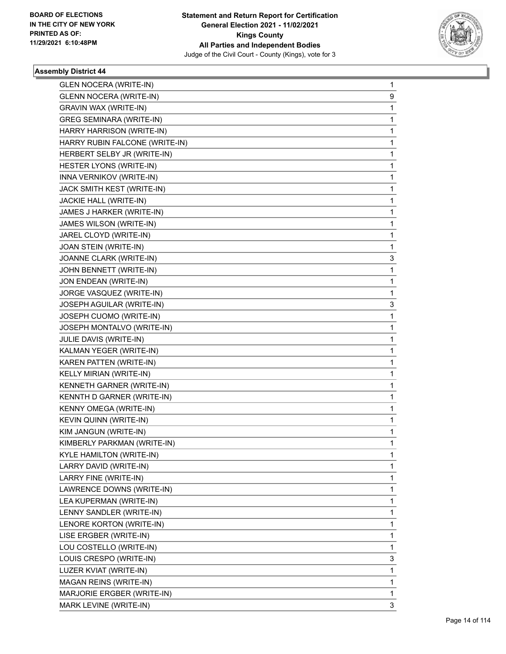

| <b>GLEN NOCERA (WRITE-IN)</b>   | $\mathbf{1}$ |
|---------------------------------|--------------|
| <b>GLENN NOCERA (WRITE-IN)</b>  | 9            |
| GRAVIN WAX (WRITE-IN)           | 1            |
| <b>GREG SEMINARA (WRITE-IN)</b> | $\mathbf{1}$ |
| HARRY HARRISON (WRITE-IN)       | $\mathbf{1}$ |
| HARRY RUBIN FALCONE (WRITE-IN)  | 1            |
| HERBERT SELBY JR (WRITE-IN)     | $\mathbf{1}$ |
| HESTER LYONS (WRITE-IN)         | $\mathbf{1}$ |
| INNA VERNIKOV (WRITE-IN)        | 1            |
| JACK SMITH KEST (WRITE-IN)      | $\mathbf{1}$ |
| JACKIE HALL (WRITE-IN)          | $\mathbf{1}$ |
| JAMES J HARKER (WRITE-IN)       | 1            |
| JAMES WILSON (WRITE-IN)         | $\mathbf{1}$ |
| JAREL CLOYD (WRITE-IN)          | $\mathbf{1}$ |
| JOAN STEIN (WRITE-IN)           | 1            |
| JOANNE CLARK (WRITE-IN)         | 3            |
| JOHN BENNETT (WRITE-IN)         | 1            |
| JON ENDEAN (WRITE-IN)           | 1            |
| JORGE VASQUEZ (WRITE-IN)        | 1            |
| JOSEPH AGUILAR (WRITE-IN)       | 3            |
| JOSEPH CUOMO (WRITE-IN)         | 1            |
| JOSEPH MONTALVO (WRITE-IN)      | $\mathbf{1}$ |
| JULIE DAVIS (WRITE-IN)          | $\mathbf{1}$ |
| KALMAN YEGER (WRITE-IN)         | 1            |
| KAREN PATTEN (WRITE-IN)         | $\mathbf{1}$ |
| KELLY MIRIAN (WRITE-IN)         | $\mathbf{1}$ |
| KENNETH GARNER (WRITE-IN)       | 1            |
| KENNTH D GARNER (WRITE-IN)      | $\mathbf{1}$ |
| KENNY OMEGA (WRITE-IN)          | $\mathbf{1}$ |
| KEVIN QUINN (WRITE-IN)          | 1            |
| KIM JANGUN (WRITE-IN)           | $\mathbf 1$  |
| KIMBERLY PARKMAN (WRITE-IN)     | $\mathbf 1$  |
| KYLE HAMILTON (WRITE-IN)        | 1            |
| LARRY DAVID (WRITE-IN)          | 1            |
| LARRY FINE (WRITE-IN)           | 1            |
| LAWRENCE DOWNS (WRITE-IN)       | 1            |
| LEA KUPERMAN (WRITE-IN)         | 1            |
| LENNY SANDLER (WRITE-IN)        | 1            |
| LENORE KORTON (WRITE-IN)        | 1            |
| LISE ERGBER (WRITE-IN)          | 1            |
| LOU COSTELLO (WRITE-IN)         | $\mathbf{1}$ |
| LOUIS CRESPO (WRITE-IN)         | 3            |
| LUZER KVIAT (WRITE-IN)          | 1            |
| MAGAN REINS (WRITE-IN)          | 1            |
| MARJORIE ERGBER (WRITE-IN)      | 1            |
| MARK LEVINE (WRITE-IN)          | 3            |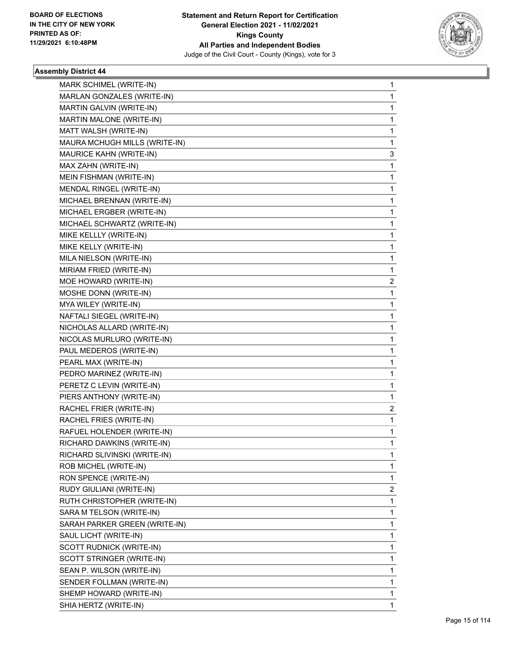

| MARK SCHIMEL (WRITE-IN)       | 1            |
|-------------------------------|--------------|
| MARLAN GONZALES (WRITE-IN)    | 1            |
| MARTIN GALVIN (WRITE-IN)      | 1            |
| MARTIN MALONE (WRITE-IN)      | 1            |
| MATT WALSH (WRITE-IN)         | 1            |
| MAURA MCHUGH MILLS (WRITE-IN) | 1            |
| MAURICE KAHN (WRITE-IN)       | 3            |
| MAX ZAHN (WRITE-IN)           | 1            |
| MEIN FISHMAN (WRITE-IN)       | 1            |
| MENDAL RINGEL (WRITE-IN)      | 1            |
| MICHAEL BRENNAN (WRITE-IN)    | 1            |
| MICHAEL ERGBER (WRITE-IN)     | 1            |
| MICHAEL SCHWARTZ (WRITE-IN)   | 1            |
| MIKE KELLLY (WRITE-IN)        | 1            |
| MIKE KELLY (WRITE-IN)         | 1            |
| MILA NIELSON (WRITE-IN)       | 1            |
| MIRIAM FRIED (WRITE-IN)       | 1            |
| MOE HOWARD (WRITE-IN)         | 2            |
| MOSHE DONN (WRITE-IN)         | 1            |
| MYA WILEY (WRITE-IN)          | 1            |
| NAFTALI SIEGEL (WRITE-IN)     | 1            |
| NICHOLAS ALLARD (WRITE-IN)    | 1            |
| NICOLAS MURLURO (WRITE-IN)    | 1            |
| PAUL MEDEROS (WRITE-IN)       | 1            |
| PEARL MAX (WRITE-IN)          | 1            |
| PEDRO MARINEZ (WRITE-IN)      | 1            |
| PERETZ C LEVIN (WRITE-IN)     | 1            |
| PIERS ANTHONY (WRITE-IN)      | 1            |
| RACHEL FRIER (WRITE-IN)       | 2            |
| RACHEL FRIES (WRITE-IN)       | $\mathbf{1}$ |
| RAFUEL HOLENDER (WRITE-IN)    | 1            |
| RICHARD DAWKINS (WRITE-IN)    | 1            |
| RICHARD SLIVINSKI (WRITE-IN)  | 1            |
| ROB MICHEL (WRITE-IN)         | 1            |
| RON SPENCE (WRITE-IN)         | 1            |
| RUDY GIULIANI (WRITE-IN)      | 2            |
| RUTH CHRISTOPHER (WRITE-IN)   | 1            |
| SARA M TELSON (WRITE-IN)      | 1            |
| SARAH PARKER GREEN (WRITE-IN) | 1            |
| SAUL LICHT (WRITE-IN)         | 1            |
| SCOTT RUDNICK (WRITE-IN)      | 1            |
| SCOTT STRINGER (WRITE-IN)     | 1            |
| SEAN P. WILSON (WRITE-IN)     | 1            |
| SENDER FOLLMAN (WRITE-IN)     | 1            |
| SHEMP HOWARD (WRITE-IN)       | 1            |
| SHIA HERTZ (WRITE-IN)         | 1            |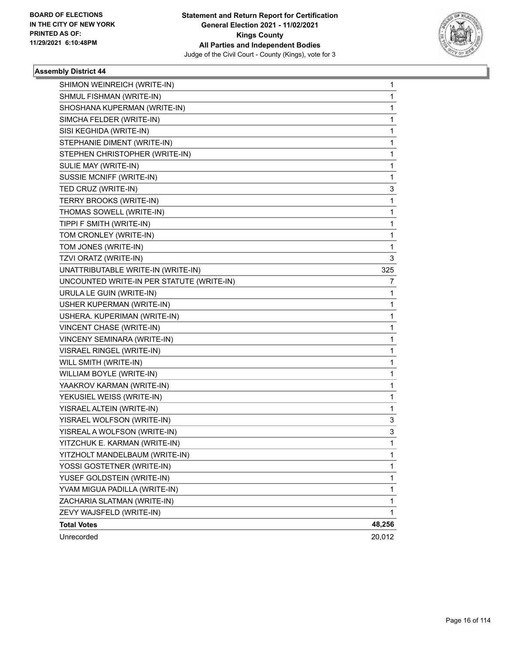

| SHIMON WEINREICH (WRITE-IN)               | 1            |
|-------------------------------------------|--------------|
| SHMUL FISHMAN (WRITE-IN)                  | 1            |
| SHOSHANA KUPERMAN (WRITE-IN)              | $\mathbf{1}$ |
| SIMCHA FELDER (WRITE-IN)                  | 1            |
| SISI KEGHIDA (WRITE-IN)                   | 1            |
| STEPHANIE DIMENT (WRITE-IN)               | 1            |
| STEPHEN CHRISTOPHER (WRITE-IN)            | 1            |
| SULIE MAY (WRITE-IN)                      | 1            |
| SUSSIE MCNIFF (WRITE-IN)                  | 1            |
| TED CRUZ (WRITE-IN)                       | 3            |
| TERRY BROOKS (WRITE-IN)                   | 1            |
| THOMAS SOWELL (WRITE-IN)                  | 1            |
| TIPPI F SMITH (WRITE-IN)                  | 1            |
| TOM CRONLEY (WRITE-IN)                    | 1            |
| TOM JONES (WRITE-IN)                      | 1            |
| TZVI ORATZ (WRITE-IN)                     | 3            |
| UNATTRIBUTABLE WRITE-IN (WRITE-IN)        | 325          |
| UNCOUNTED WRITE-IN PER STATUTE (WRITE-IN) | 7            |
| URULA LE GUIN (WRITE-IN)                  | 1            |
| USHER KUPERMAN (WRITE-IN)                 | 1            |
| USHERA. KUPERIMAN (WRITE-IN)              | $\mathbf{1}$ |
| VINCENT CHASE (WRITE-IN)                  | 1            |
| VINCENY SEMINARA (WRITE-IN)               | 1            |
| VISRAEL RINGEL (WRITE-IN)                 | 1            |
| WILL SMITH (WRITE-IN)                     | 1            |
| WILLIAM BOYLE (WRITE-IN)                  | 1            |
| YAAKROV KARMAN (WRITE-IN)                 | $\mathbf 1$  |
| YEKUSIEL WEISS (WRITE-IN)                 | 1            |
| YISRAEL ALTEIN (WRITE-IN)                 | 1            |
| YISRAEL WOLFSON (WRITE-IN)                | 3            |
| YISREAL A WOLFSON (WRITE-IN)              | 3            |
| YITZCHUK E. KARMAN (WRITE-IN)             | 1            |
| YITZHOLT MANDELBAUM (WRITE-IN)            | 1            |
| YOSSI GOSTETNER (WRITE-IN)                | 1            |
| YUSEF GOLDSTEIN (WRITE-IN)                | 1            |
| YVAM MIGUA PADILLA (WRITE-IN)             | 1            |
| ZACHARIA SLATMAN (WRITE-IN)               | 1            |
| ZEVY WAJSFELD (WRITE-IN)                  | $\mathbf{1}$ |
| <b>Total Votes</b>                        | 48,256       |
| Unrecorded                                | 20,012       |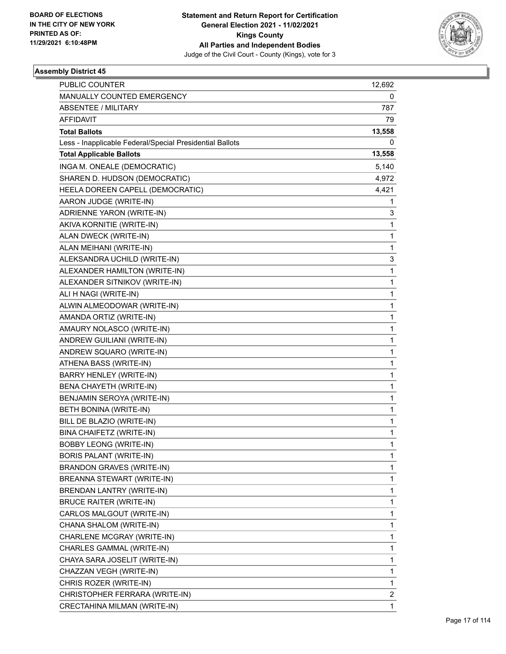

| PUBLIC COUNTER                                           | 12,692 |
|----------------------------------------------------------|--------|
| MANUALLY COUNTED EMERGENCY                               | 0      |
| <b>ABSENTEE / MILITARY</b>                               | 787.   |
| AFFIDAVIT                                                | 79     |
| <b>Total Ballots</b>                                     | 13,558 |
| Less - Inapplicable Federal/Special Presidential Ballots | 0      |
| <b>Total Applicable Ballots</b>                          | 13,558 |
| INGA M. ONEALE (DEMOCRATIC)                              | 5,140  |
| SHAREN D. HUDSON (DEMOCRATIC)                            | 4,972  |
| HEELA DOREEN CAPELL (DEMOCRATIC)                         | 4,421  |
| AARON JUDGE (WRITE-IN)                                   | 1      |
| ADRIENNE YARON (WRITE-IN)                                | 3      |
| AKIVA KORNITIE (WRITE-IN)                                | 1      |
| ALAN DWECK (WRITE-IN)                                    | 1      |
| ALAN MEIHANI (WRITE-IN)                                  | 1      |
| ALEKSANDRA UCHILD (WRITE-IN)                             | 3      |
| ALEXANDER HAMILTON (WRITE-IN)                            | 1      |
| ALEXANDER SITNIKOV (WRITE-IN)                            | 1      |
| ALI H NAGI (WRITE-IN)                                    | 1      |
| ALWIN ALMEODOWAR (WRITE-IN)                              | 1      |
| AMANDA ORTIZ (WRITE-IN)                                  | 1      |
| AMAURY NOLASCO (WRITE-IN)                                | 1      |
| ANDREW GUILIANI (WRITE-IN)                               | 1      |
| ANDREW SQUARO (WRITE-IN)                                 | 1      |
| ATHENA BASS (WRITE-IN)                                   | 1      |
| BARRY HENLEY (WRITE-IN)                                  | 1      |
| BENA CHAYETH (WRITE-IN)                                  | 1      |
| BENJAMIN SEROYA (WRITE-IN)                               | 1      |
| BETH BONINA (WRITE-IN)                                   | 1      |
| BILL DE BLAZIO (WRITE-IN)                                | 1      |
| BINA CHAIFETZ (WRITE-IN)                                 | 1      |
| <b>BOBBY LEONG (WRITE-IN)</b>                            | 1      |
| BORIS PALANT (WRITE-IN)                                  | 1      |
| <b>BRANDON GRAVES (WRITE-IN)</b>                         | 1      |
| BREANNA STEWART (WRITE-IN)                               | 1      |
| BRENDAN LANTRY (WRITE-IN)                                | 1      |
| <b>BRUCE RAITER (WRITE-IN)</b>                           | 1      |
| CARLOS MALGOUT (WRITE-IN)                                | 1      |
| CHANA SHALOM (WRITE-IN)                                  | 1      |
| CHARLENE MCGRAY (WRITE-IN)                               | 1      |
| CHARLES GAMMAL (WRITE-IN)                                | 1      |
| CHAYA SARA JOSELIT (WRITE-IN)                            | 1      |
| CHAZZAN VEGH (WRITE-IN)                                  | 1      |
| CHRIS ROZER (WRITE-IN)                                   | 1      |
| CHRISTOPHER FERRARA (WRITE-IN)                           | 2      |
| CRECTAHINA MILMAN (WRITE-IN)                             | 1      |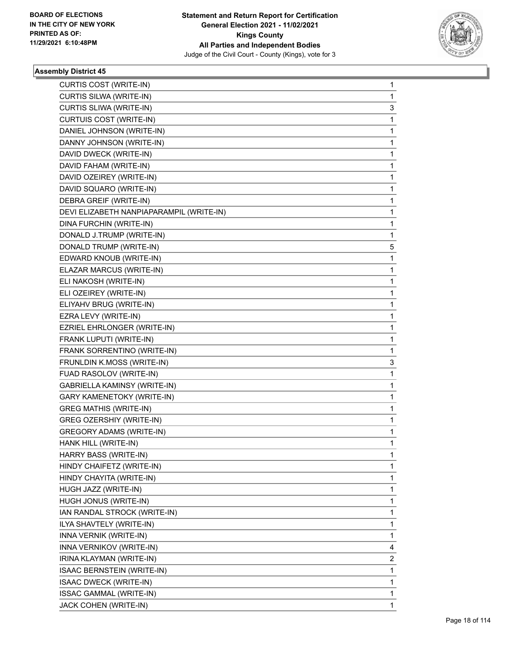

| CURTIS COST (WRITE-IN)                   | 1           |
|------------------------------------------|-------------|
| CURTIS SILWA (WRITE-IN)                  | 1           |
| CURTIS SLIWA (WRITE-IN)                  | 3           |
| CURTUIS COST (WRITE-IN)                  | 1           |
| DANIEL JOHNSON (WRITE-IN)                | 1           |
| DANNY JOHNSON (WRITE-IN)                 | 1           |
| DAVID DWECK (WRITE-IN)                   | 1           |
| DAVID FAHAM (WRITE-IN)                   | 1           |
| DAVID OZEIREY (WRITE-IN)                 | $\mathbf 1$ |
| DAVID SQUARO (WRITE-IN)                  | 1           |
| DEBRA GREIF (WRITE-IN)                   | 1           |
| DEVI ELIZABETH NANPIAPARAMPIL (WRITE-IN) | 1           |
| DINA FURCHIN (WRITE-IN)                  | 1           |
| DONALD J.TRUMP (WRITE-IN)                | 1           |
| DONALD TRUMP (WRITE-IN)                  | 5           |
| EDWARD KNOUB (WRITE-IN)                  | 1           |
| ELAZAR MARCUS (WRITE-IN)                 | 1           |
| ELI NAKOSH (WRITE-IN)                    | 1           |
| ELI OZEIREY (WRITE-IN)                   | 1           |
| ELIYAHV BRUG (WRITE-IN)                  | 1           |
| EZRA LEVY (WRITE-IN)                     | $\mathbf 1$ |
| EZRIEL EHRLONGER (WRITE-IN)              | 1           |
| FRANK LUPUTI (WRITE-IN)                  | 1           |
| FRANK SORRENTINO (WRITE-IN)              | 1           |
| FRUNLDIN K.MOSS (WRITE-IN)               | 3           |
| FUAD RASOLOV (WRITE-IN)                  | 1           |
| GABRIELLA KAMINSY (WRITE-IN)             | $\mathbf 1$ |
| GARY KAMENETOKY (WRITE-IN)               | 1           |
| <b>GREG MATHIS (WRITE-IN)</b>            | 1           |
| GREG OZERSHIY (WRITE-IN)                 | $\mathbf 1$ |
| <b>GREGORY ADAMS (WRITE-IN)</b>          | 1           |
| HANK HILL (WRITE-IN)                     | 1           |
| <b>HARRY BASS (WRITE-IN)</b>             | 1           |
| HINDY CHAIFETZ (WRITE-IN)                | 1           |
| HINDY CHAYITA (WRITE-IN)                 | 1           |
| HUGH JAZZ (WRITE-IN)                     | 1           |
| HUGH JONUS (WRITE-IN)                    | 1           |
| IAN RANDAL STROCK (WRITE-IN)             | 1           |
| ILYA SHAVTELY (WRITE-IN)                 | 1           |
| INNA VERNIK (WRITE-IN)                   | 1           |
| INNA VERNIKOV (WRITE-IN)                 | 4           |
| IRINA KLAYMAN (WRITE-IN)                 | 2           |
| ISAAC BERNSTEIN (WRITE-IN)               | 1           |
| ISAAC DWECK (WRITE-IN)                   | 1           |
| ISSAC GAMMAL (WRITE-IN)                  | 1           |
| JACK COHEN (WRITE-IN)                    | 1           |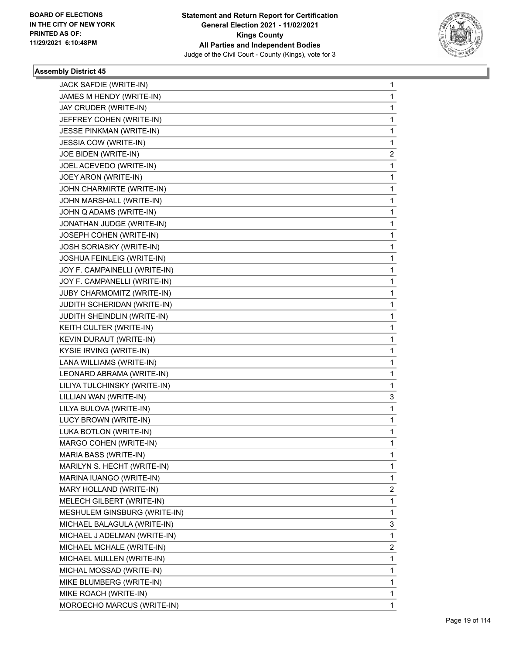

| JACK SAFDIE (WRITE-IN)          | 1 |
|---------------------------------|---|
| JAMES M HENDY (WRITE-IN)        | 1 |
| JAY CRUDER (WRITE-IN)           | 1 |
| JEFFREY COHEN (WRITE-IN)        | 1 |
| <b>JESSE PINKMAN (WRITE-IN)</b> | 1 |
| <b>JESSIA COW (WRITE-IN)</b>    | 1 |
| JOE BIDEN (WRITE-IN)            | 2 |
| JOEL ACEVEDO (WRITE-IN)         | 1 |
| JOEY ARON (WRITE-IN)            | 1 |
| JOHN CHARMIRTE (WRITE-IN)       | 1 |
| JOHN MARSHALL (WRITE-IN)        | 1 |
| JOHN Q ADAMS (WRITE-IN)         | 1 |
| JONATHAN JUDGE (WRITE-IN)       | 1 |
| JOSEPH COHEN (WRITE-IN)         | 1 |
| <b>JOSH SORIASKY (WRITE-IN)</b> | 1 |
| JOSHUA FEINLEIG (WRITE-IN)      | 1 |
| JOY F. CAMPAINELLI (WRITE-IN)   | 1 |
| JOY F. CAMPANELLI (WRITE-IN)    | 1 |
| JUBY CHARMOMITZ (WRITE-IN)      | 1 |
| JUDITH SCHERIDAN (WRITE-IN)     | 1 |
| JUDITH SHEINDLIN (WRITE-IN)     | 1 |
| KEITH CULTER (WRITE-IN)         | 1 |
| KEVIN DURAUT (WRITE-IN)         | 1 |
| KYSIE IRVING (WRITE-IN)         | 1 |
| LANA WILLIAMS (WRITE-IN)        | 1 |
| LEONARD ABRAMA (WRITE-IN)       | 1 |
| LILIYA TULCHINSKY (WRITE-IN)    | 1 |
| LILLIAN WAN (WRITE-IN)          | 3 |
| LILYA BULOVA (WRITE-IN)         | 1 |
| LUCY BROWN (WRITE-IN)           | 1 |
| LUKA BOTLON (WRITE-IN)          | 1 |
| MARGO COHEN (WRITE-IN)          | 1 |
| MARIA BASS (WRITE-IN)           | 1 |
| MARILYN S. HECHT (WRITE-IN)     | 1 |
| MARINA IUANGO (WRITE-IN)        | 1 |
| MARY HOLLAND (WRITE-IN)         | 2 |
| MELECH GILBERT (WRITE-IN)       | 1 |
| MESHULEM GINSBURG (WRITE-IN)    | 1 |
| MICHAEL BALAGULA (WRITE-IN)     | 3 |
| MICHAEL J ADELMAN (WRITE-IN)    | 1 |
| MICHAEL MCHALE (WRITE-IN)       | 2 |
| MICHAEL MULLEN (WRITE-IN)       | 1 |
| MICHAL MOSSAD (WRITE-IN)        | 1 |
| MIKE BLUMBERG (WRITE-IN)        | 1 |
| MIKE ROACH (WRITE-IN)           | 1 |
| MOROECHO MARCUS (WRITE-IN)      | 1 |
|                                 |   |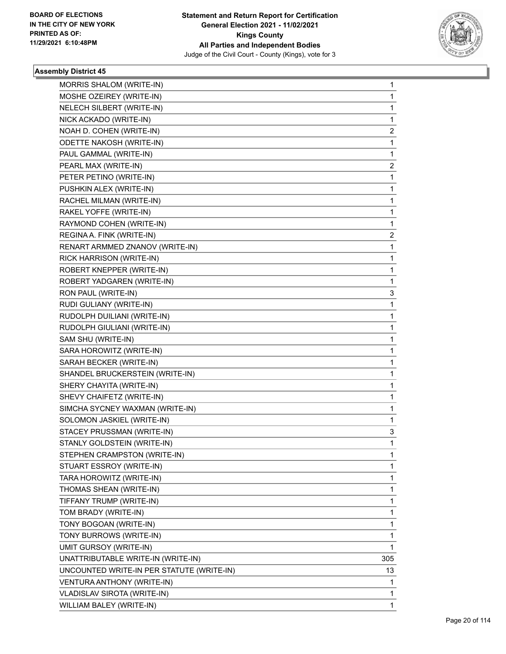

| MORRIS SHALOM (WRITE-IN)                  | 1   |
|-------------------------------------------|-----|
| MOSHE OZEIREY (WRITE-IN)                  | 1   |
| NELECH SILBERT (WRITE-IN)                 | 1   |
| NICK ACKADO (WRITE-IN)                    | 1   |
| NOAH D. COHEN (WRITE-IN)                  | 2   |
| <b>ODETTE NAKOSH (WRITE-IN)</b>           | 1   |
| PAUL GAMMAL (WRITE-IN)                    | 1   |
| PEARL MAX (WRITE-IN)                      | 2   |
| PETER PETINO (WRITE-IN)                   | 1   |
| PUSHKIN ALEX (WRITE-IN)                   | 1   |
| RACHEL MILMAN (WRITE-IN)                  | 1   |
| RAKEL YOFFE (WRITE-IN)                    | 1   |
| RAYMOND COHEN (WRITE-IN)                  | 1   |
| REGINA A. FINK (WRITE-IN)                 | 2   |
| RENART ARMMED ZNANOV (WRITE-IN)           | 1   |
| RICK HARRISON (WRITE-IN)                  | 1   |
| ROBERT KNEPPER (WRITE-IN)                 | 1   |
| ROBERT YADGAREN (WRITE-IN)                | 1   |
| RON PAUL (WRITE-IN)                       | 3   |
| RUDI GULIANY (WRITE-IN)                   | 1   |
| RUDOLPH DUILIANI (WRITE-IN)               | 1   |
| RUDOLPH GIULIANI (WRITE-IN)               | 1   |
| SAM SHU (WRITE-IN)                        | 1   |
| SARA HOROWITZ (WRITE-IN)                  | 1   |
| SARAH BECKER (WRITE-IN)                   | 1   |
| SHANDEL BRUCKERSTEIN (WRITE-IN)           | 1   |
| SHERY CHAYITA (WRITE-IN)                  | 1   |
| SHEVY CHAIFETZ (WRITE-IN)                 | 1   |
| SIMCHA SYCNEY WAXMAN (WRITE-IN)           | 1   |
| SOLOMON JASKIEL (WRITE-IN)                | 1   |
| STACEY PRUSSMAN (WRITE-IN)                | 3   |
| STANLY GOLDSTEIN (WRITE-IN)               | 1   |
| STEPHEN CRAMPSTON (WRITE-IN)              | 1   |
| STUART ESSROY (WRITE-IN)                  | 1   |
| TARA HOROWITZ (WRITE-IN)                  | 1   |
| THOMAS SHEAN (WRITE-IN)                   | 1   |
| TIFFANY TRUMP (WRITE-IN)                  | 1   |
| TOM BRADY (WRITE-IN)                      | 1   |
| TONY BOGOAN (WRITE-IN)                    | 1   |
| TONY BURROWS (WRITE-IN)                   | 1   |
| UMIT GURSOY (WRITE-IN)                    | 1   |
| UNATTRIBUTABLE WRITE-IN (WRITE-IN)        | 305 |
| UNCOUNTED WRITE-IN PER STATUTE (WRITE-IN) | 13  |
| VENTURA ANTHONY (WRITE-IN)                | 1   |
| VLADISLAV SIROTA (WRITE-IN)               | 1   |
| WILLIAM BALEY (WRITE-IN)                  | 1   |
|                                           |     |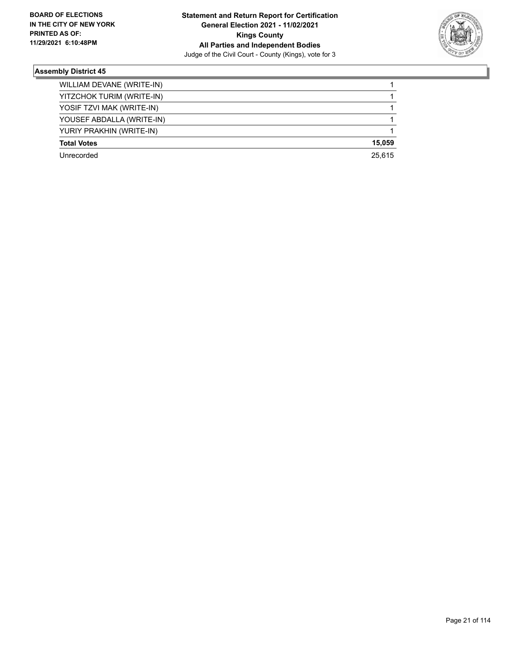

| WILLIAM DEVANE (WRITE-IN) |        |
|---------------------------|--------|
| YITZCHOK TURIM (WRITE-IN) |        |
| YOSIF TZVI MAK (WRITE-IN) |        |
| YOUSEF ABDALLA (WRITE-IN) |        |
| YURIY PRAKHIN (WRITE-IN)  |        |
| <b>Total Votes</b>        | 15,059 |
| Unrecorded                | 25.615 |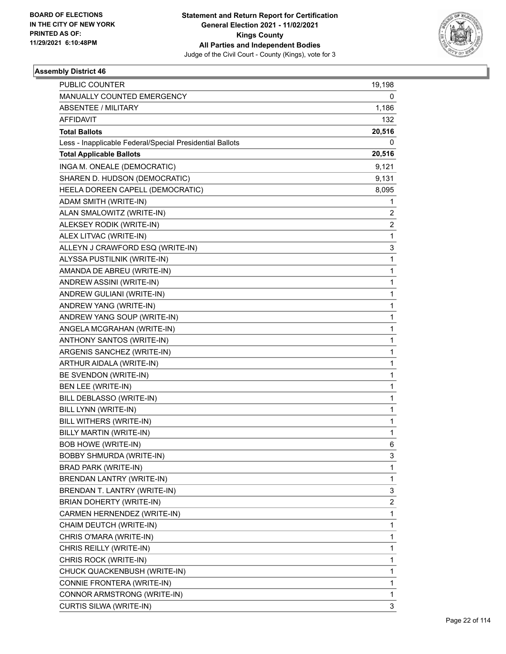

| <b>PUBLIC COUNTER</b>                                    | 19,198 |
|----------------------------------------------------------|--------|
| MANUALLY COUNTED EMERGENCY                               | 0      |
| <b>ABSENTEE / MILITARY</b>                               | 1,186  |
| AFFIDAVIT                                                | 132    |
| <b>Total Ballots</b>                                     | 20,516 |
| Less - Inapplicable Federal/Special Presidential Ballots | 0      |
| <b>Total Applicable Ballots</b>                          | 20,516 |
| INGA M. ONEALE (DEMOCRATIC)                              | 9,121  |
| SHAREN D. HUDSON (DEMOCRATIC)                            | 9,131  |
| HEELA DOREEN CAPELL (DEMOCRATIC)                         | 8,095  |
| ADAM SMITH (WRITE-IN)                                    | 1      |
| ALAN SMALOWITZ (WRITE-IN)                                | 2      |
| ALEKSEY RODIK (WRITE-IN)                                 | 2      |
| ALEX LITVAC (WRITE-IN)                                   | 1      |
| ALLEYN J CRAWFORD ESQ (WRITE-IN)                         | 3      |
| ALYSSA PUSTILNIK (WRITE-IN)                              | 1      |
| AMANDA DE ABREU (WRITE-IN)                               | 1      |
| ANDREW ASSINI (WRITE-IN)                                 | 1      |
| ANDREW GULIANI (WRITE-IN)                                | 1      |
| ANDREW YANG (WRITE-IN)                                   | 1      |
| ANDREW YANG SOUP (WRITE-IN)                              | 1      |
| ANGELA MCGRAHAN (WRITE-IN)                               | 1      |
| ANTHONY SANTOS (WRITE-IN)                                | 1      |
| ARGENIS SANCHEZ (WRITE-IN)                               | 1      |
| ARTHUR AIDALA (WRITE-IN)                                 | 1      |
| BE SVENDON (WRITE-IN)                                    | 1      |
| BEN LEE (WRITE-IN)                                       | 1      |
| BILL DEBLASSO (WRITE-IN)                                 | 1      |
| BILL LYNN (WRITE-IN)                                     | 1      |
| BILL WITHERS (WRITE-IN)                                  | 1      |
| BILLY MARTIN (WRITE-IN)                                  | 1      |
| <b>BOB HOWE (WRITE-IN)</b>                               | 6      |
| BOBBY SHMURDA (WRITE-IN)                                 | 3      |
| BRAD PARK (WRITE-IN)                                     | 1      |
| BRENDAN LANTRY (WRITE-IN)                                | 1      |
| BRENDAN T. LANTRY (WRITE-IN)                             | 3      |
| BRIAN DOHERTY (WRITE-IN)                                 | 2      |
| CARMEN HERNENDEZ (WRITE-IN)                              | 1      |
| CHAIM DEUTCH (WRITE-IN)                                  | 1      |
| CHRIS O'MARA (WRITE-IN)                                  | 1      |
| CHRIS REILLY (WRITE-IN)                                  | 1      |
| CHRIS ROCK (WRITE-IN)                                    | 1      |
| CHUCK QUACKENBUSH (WRITE-IN)                             | 1      |
| CONNIE FRONTERA (WRITE-IN)                               | 1      |
| CONNOR ARMSTRONG (WRITE-IN)                              | 1      |
| CURTIS SILWA (WRITE-IN)                                  | 3      |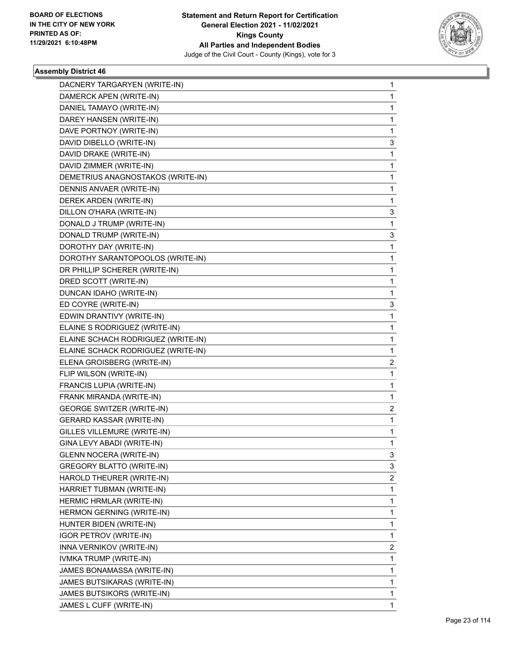

| DACNERY TARGARYEN (WRITE-IN)       | 1 |
|------------------------------------|---|
| DAMERCK APEN (WRITE-IN)            | 1 |
| DANIEL TAMAYO (WRITE-IN)           | 1 |
| DAREY HANSEN (WRITE-IN)            | 1 |
| DAVE PORTNOY (WRITE-IN)            | 1 |
| DAVID DIBELLO (WRITE-IN)           | 3 |
| DAVID DRAKE (WRITE-IN)             | 1 |
| DAVID ZIMMER (WRITE-IN)            | 1 |
| DEMETRIUS ANAGNOSTAKOS (WRITE-IN)  | 1 |
| DENNIS ANVAER (WRITE-IN)           | 1 |
| DEREK ARDEN (WRITE-IN)             | 1 |
| DILLON O'HARA (WRITE-IN)           | 3 |
| DONALD J TRUMP (WRITE-IN)          | 1 |
| DONALD TRUMP (WRITE-IN)            | 3 |
| DOROTHY DAY (WRITE-IN)             | 1 |
| DOROTHY SARANTOPOOLOS (WRITE-IN)   | 1 |
| DR PHILLIP SCHERER (WRITE-IN)      | 1 |
| DRED SCOTT (WRITE-IN)              | 1 |
| DUNCAN IDAHO (WRITE-IN)            | 1 |
| ED COYRE (WRITE-IN)                | 3 |
| EDWIN DRANTIVY (WRITE-IN)          | 1 |
| ELAINE S RODRIGUEZ (WRITE-IN)      | 1 |
| ELAINE SCHACH RODRIGUEZ (WRITE-IN) | 1 |
| ELAINE SCHACK RODRIGUEZ (WRITE-IN) | 1 |
| ELENA GROISBERG (WRITE-IN)         | 2 |
| FLIP WILSON (WRITE-IN)             | 1 |
| FRANCIS LUPIA (WRITE-IN)           | 1 |
| FRANK MIRANDA (WRITE-IN)           | 1 |
| <b>GEORGE SWITZER (WRITE-IN)</b>   | 2 |
| <b>GERARD KASSAR (WRITE-IN)</b>    | 1 |
| GILLES VILLEMURE (WRITE-IN)        | 1 |
| GINA LEVY ABADI (WRITE-IN)         | 1 |
| GLENN NOCERA (WRITE-IN)            | 3 |
| <b>GREGORY BLATTO (WRITE-IN)</b>   | 3 |
| HAROLD THEURER (WRITE-IN)          | 2 |
| HARRIET TUBMAN (WRITE-IN)          | 1 |
| HERMIC HRMLAR (WRITE-IN)           | 1 |
| HERMON GERNING (WRITE-IN)          | 1 |
| HUNTER BIDEN (WRITE-IN)            | 1 |
| <b>IGOR PETROV (WRITE-IN)</b>      | 1 |
| INNA VERNIKOV (WRITE-IN)           | 2 |
| IVMKA TRUMP (WRITE-IN)             | 1 |
| JAMES BONAMASSA (WRITE-IN)         | 1 |
| JAMES BUTSIKARAS (WRITE-IN)        | 1 |
| JAMES BUTSIKORS (WRITE-IN)         | 1 |
| JAMES L CUFF (WRITE-IN)            | 1 |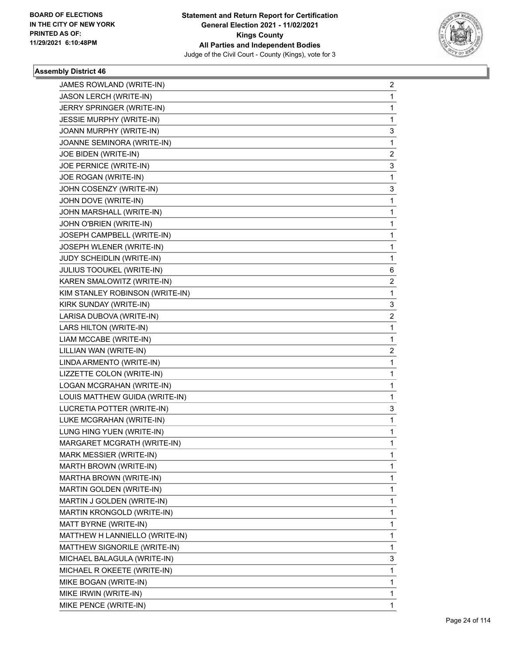

| JAMES ROWLAND (WRITE-IN)        | 2<br>1       |
|---------------------------------|--------------|
| JASON LERCH (WRITE-IN)          | 1            |
| JERRY SPRINGER (WRITE-IN)       |              |
| <b>JESSIE MURPHY (WRITE-IN)</b> | 1            |
| JOANN MURPHY (WRITE-IN)         | 3            |
| JOANNE SEMINORA (WRITE-IN)      | 1            |
| JOE BIDEN (WRITE-IN)            | 2            |
| JOE PERNICE (WRITE-IN)          | 3            |
| JOE ROGAN (WRITE-IN)            | 1            |
| JOHN COSENZY (WRITE-IN)         | 3            |
| JOHN DOVE (WRITE-IN)            | 1            |
| JOHN MARSHALL (WRITE-IN)        | 1            |
| JOHN O'BRIEN (WRITE-IN)         | 1            |
| JOSEPH CAMPBELL (WRITE-IN)      | 1            |
| JOSEPH WLENER (WRITE-IN)        | 1            |
| JUDY SCHEIDLIN (WRITE-IN)       | 1            |
| JULIUS TOOUKEL (WRITE-IN)       | 6            |
| KAREN SMALOWITZ (WRITE-IN)      | 2            |
| KIM STANLEY ROBINSON (WRITE-IN) | 1            |
| KIRK SUNDAY (WRITE-IN)          | 3            |
| LARISA DUBOVA (WRITE-IN)        | 2            |
| LARS HILTON (WRITE-IN)          | 1            |
| LIAM MCCABE (WRITE-IN)          | 1            |
| LILLIAN WAN (WRITE-IN)          | 2            |
| LINDA ARMENTO (WRITE-IN)        | 1            |
| LIZZETTE COLON (WRITE-IN)       | 1            |
| LOGAN MCGRAHAN (WRITE-IN)       | 1            |
| LOUIS MATTHEW GUIDA (WRITE-IN)  | 1            |
| LUCRETIA POTTER (WRITE-IN)      | 3            |
| LUKE MCGRAHAN (WRITE-IN)        | 1            |
| LUNG HING YUEN (WRITE-IN)       | 1            |
| MARGARET MCGRATH (WRITE-IN)     | $\mathbf{1}$ |
| MARK MESSIER (WRITE-IN)         | 1            |
| MARTH BROWN (WRITE-IN)          | 1            |
| MARTHA BROWN (WRITE-IN)         | 1            |
| MARTIN GOLDEN (WRITE-IN)        | 1            |
| MARTIN J GOLDEN (WRITE-IN)      | 1            |
| MARTIN KRONGOLD (WRITE-IN)      | 1            |
| MATT BYRNE (WRITE-IN)           | 1            |
| MATTHEW H LANNIELLO (WRITE-IN)  | 1            |
| MATTHEW SIGNORILE (WRITE-IN)    | 1            |
| MICHAEL BALAGULA (WRITE-IN)     | 3            |
| MICHAEL R OKEETE (WRITE-IN)     | 1            |
| MIKE BOGAN (WRITE-IN)           | 1            |
| MIKE IRWIN (WRITE-IN)           | 1            |
| MIKE PENCE (WRITE-IN)           | 1            |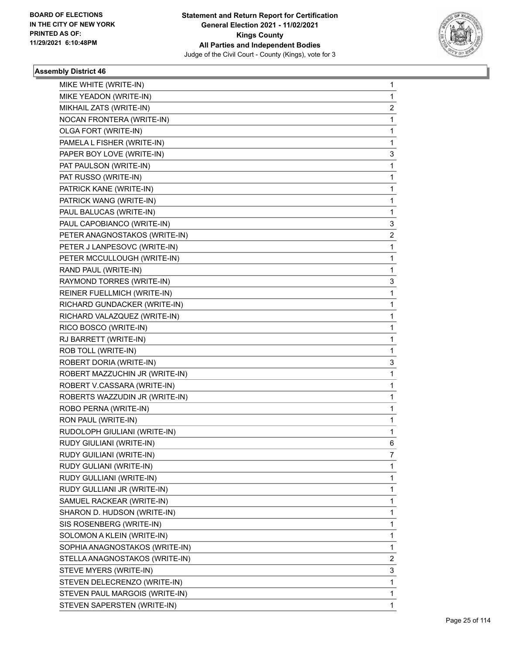

| MIKE WHITE (WRITE-IN)          | 1 |
|--------------------------------|---|
| MIKE YEADON (WRITE-IN)         | 1 |
| MIKHAIL ZATS (WRITE-IN)        | 2 |
| NOCAN FRONTERA (WRITE-IN)      | 1 |
| OLGA FORT (WRITE-IN)           | 1 |
| PAMELA L FISHER (WRITE-IN)     | 1 |
| PAPER BOY LOVE (WRITE-IN)      | 3 |
| PAT PAULSON (WRITE-IN)         | 1 |
| PAT RUSSO (WRITE-IN)           | 1 |
| PATRICK KANE (WRITE-IN)        | 1 |
| PATRICK WANG (WRITE-IN)        | 1 |
| PAUL BALUCAS (WRITE-IN)        | 1 |
| PAUL CAPOBIANCO (WRITE-IN)     | 3 |
| PETER ANAGNOSTAKOS (WRITE-IN)  | 2 |
| PETER J LANPESOVC (WRITE-IN)   | 1 |
| PETER MCCULLOUGH (WRITE-IN)    | 1 |
| RAND PAUL (WRITE-IN)           | 1 |
| RAYMOND TORRES (WRITE-IN)      | 3 |
| REINER FUELLMICH (WRITE-IN)    | 1 |
| RICHARD GUNDACKER (WRITE-IN)   | 1 |
| RICHARD VALAZQUEZ (WRITE-IN)   | 1 |
| RICO BOSCO (WRITE-IN)          | 1 |
| RJ BARRETT (WRITE-IN)          | 1 |
| ROB TOLL (WRITE-IN)            | 1 |
| ROBERT DORIA (WRITE-IN)        | 3 |
| ROBERT MAZZUCHIN JR (WRITE-IN) | 1 |
| ROBERT V.CASSARA (WRITE-IN)    | 1 |
| ROBERTS WAZZUDIN JR (WRITE-IN) | 1 |
| ROBO PERNA (WRITE-IN)          | 1 |
| RON PAUL (WRITE-IN)            | 1 |
| RUDOLOPH GIULIANI (WRITE-IN)   | 1 |
| RUDY GIULIANI (WRITE-IN)       | 6 |
| RUDY GUILIANI (WRITE-IN)       | 7 |
| RUDY GULIANI (WRITE-IN)        | 1 |
| RUDY GULLIANI (WRITE-IN)       | 1 |
| RUDY GULLIANI JR (WRITE-IN)    | 1 |
| SAMUEL RACKEAR (WRITE-IN)      | 1 |
| SHARON D. HUDSON (WRITE-IN)    | 1 |
| SIS ROSENBERG (WRITE-IN)       | 1 |
| SOLOMON A KLEIN (WRITE-IN)     | 1 |
| SOPHIA ANAGNOSTAKOS (WRITE-IN) | 1 |
| STELLA ANAGNOSTAKOS (WRITE-IN) | 2 |
| STEVE MYERS (WRITE-IN)         | 3 |
| STEVEN DELECRENZO (WRITE-IN)   | 1 |
| STEVEN PAUL MARGOIS (WRITE-IN) | 1 |
| STEVEN SAPERSTEN (WRITE-IN)    | 1 |
|                                |   |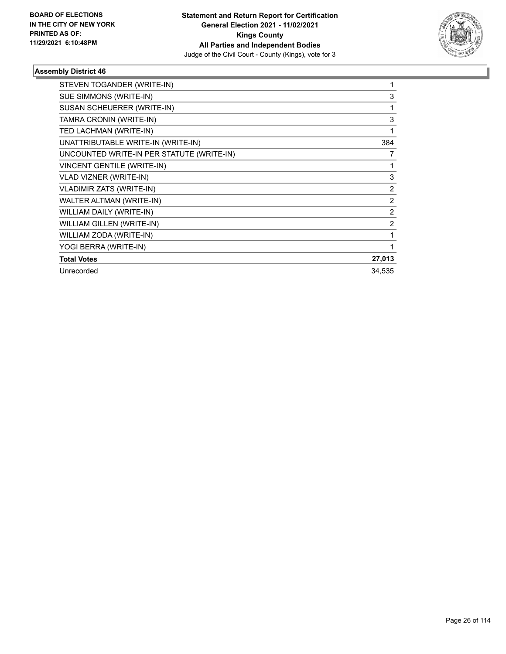

| STEVEN TOGANDER (WRITE-IN)                |                |
|-------------------------------------------|----------------|
| SUE SIMMONS (WRITE-IN)                    | 3              |
| SUSAN SCHEUERER (WRITE-IN)                | 1              |
| TAMRA CRONIN (WRITE-IN)                   | 3              |
| TED LACHMAN (WRITE-IN)                    | 1              |
| UNATTRIBUTABLE WRITE-IN (WRITE-IN)        | 384            |
| UNCOUNTED WRITE-IN PER STATUTE (WRITE-IN) | 7              |
| <b>VINCENT GENTILE (WRITE-IN)</b>         | 1              |
| VLAD VIZNER (WRITE-IN)                    | 3              |
| <b>VLADIMIR ZATS (WRITE-IN)</b>           | $\overline{2}$ |
| WALTER ALTMAN (WRITE-IN)                  | $\overline{2}$ |
| WILLIAM DAILY (WRITE-IN)                  | $\overline{2}$ |
| WILLIAM GILLEN (WRITE-IN)                 | $\overline{2}$ |
| WILLIAM ZODA (WRITE-IN)                   | 1              |
| YOGI BERRA (WRITE-IN)                     | 1              |
| <b>Total Votes</b>                        | 27,013         |
| Unrecorded                                | 34,535         |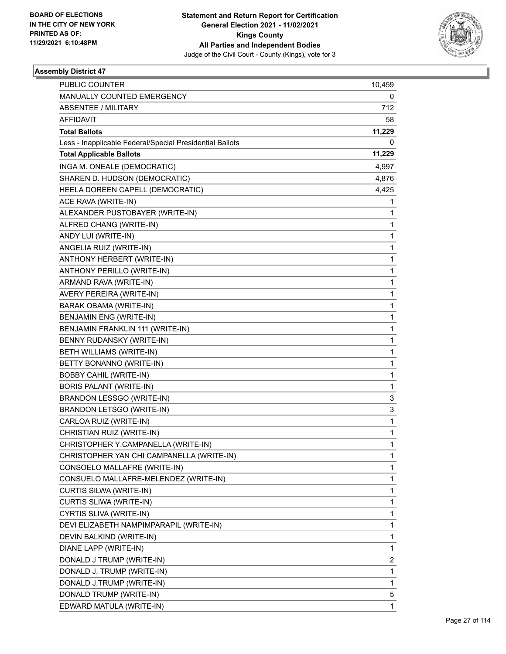

| PUBLIC COUNTER                                           | 10,459 |
|----------------------------------------------------------|--------|
| MANUALLY COUNTED EMERGENCY                               | 0      |
| ABSENTEE / MILITARY                                      | 712    |
| AFFIDAVIT                                                | 58     |
| <b>Total Ballots</b>                                     | 11,229 |
| Less - Inapplicable Federal/Special Presidential Ballots | 0      |
| <b>Total Applicable Ballots</b>                          | 11,229 |
| INGA M. ONEALE (DEMOCRATIC)                              | 4,997  |
| SHAREN D. HUDSON (DEMOCRATIC)                            | 4,876  |
| HEELA DOREEN CAPELL (DEMOCRATIC)                         | 4,425  |
| ACE RAVA (WRITE-IN)                                      | 1      |
| ALEXANDER PUSTOBAYER (WRITE-IN)                          | 1      |
| ALFRED CHANG (WRITE-IN)                                  | 1      |
| ANDY LUI (WRITE-IN)                                      | 1      |
| ANGELIA RUIZ (WRITE-IN)                                  | 1      |
| ANTHONY HERBERT (WRITE-IN)                               | 1      |
| ANTHONY PERILLO (WRITE-IN)                               | 1      |
| ARMAND RAVA (WRITE-IN)                                   | 1      |
| AVERY PEREIRA (WRITE-IN)                                 | 1      |
| BARAK OBAMA (WRITE-IN)                                   | 1      |
| <b>BENJAMIN ENG (WRITE-IN)</b>                           | 1      |
| BENJAMIN FRANKLIN 111 (WRITE-IN)                         | 1      |
| BENNY RUDANSKY (WRITE-IN)                                | 1      |
| BETH WILLIAMS (WRITE-IN)                                 | 1      |
| BETTY BONANNO (WRITE-IN)                                 | 1      |
| <b>BOBBY CAHIL (WRITE-IN)</b>                            | 1      |
| <b>BORIS PALANT (WRITE-IN)</b>                           | 1      |
| BRANDON LESSGO (WRITE-IN)                                | 3      |
| <b>BRANDON LETSGO (WRITE-IN)</b>                         | 3      |
| CARLOA RUIZ (WRITE-IN)                                   | 1      |
| CHRISTIAN RUIZ (WRITE-IN)                                | 1      |
| CHRISTOPHER Y.CAMPANELLA (WRITE-IN)                      | 1      |
| CHRISTOPHER YAN CHI CAMPANELLA (WRITE-IN)                | 1      |
| CONSOELO MALLAFRE (WRITE-IN)                             | 1      |
| CONSUELO MALLAFRE-MELENDEZ (WRITE-IN)                    | 1      |
| <b>CURTIS SILWA (WRITE-IN)</b>                           | 1      |
| CURTIS SLIWA (WRITE-IN)                                  | 1      |
| CYRTIS SLIVA (WRITE-IN)                                  | 1      |
| DEVI ELIZABETH NAMPIMPARAPIL (WRITE-IN)                  | 1      |
| DEVIN BALKIND (WRITE-IN)                                 | 1      |
| DIANE LAPP (WRITE-IN)                                    | 1      |
| DONALD J TRUMP (WRITE-IN)                                | 2      |
| DONALD J. TRUMP (WRITE-IN)                               | 1      |
| DONALD J.TRUMP (WRITE-IN)                                | 1      |
| DONALD TRUMP (WRITE-IN)                                  | 5      |
| EDWARD MATULA (WRITE-IN)                                 | 1      |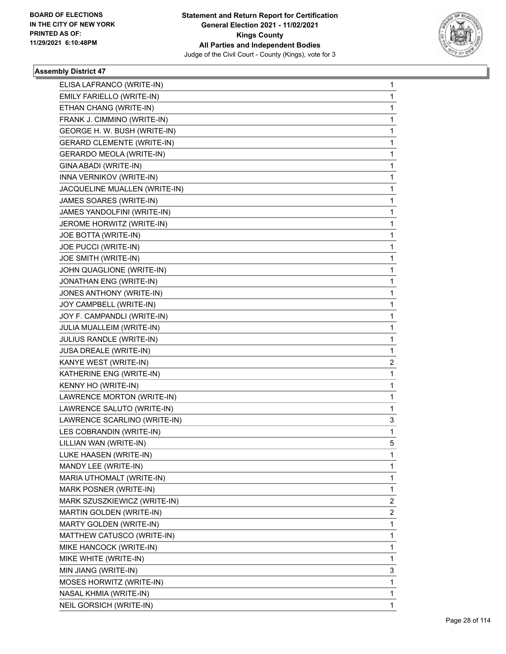

| ELISA LAFRANCO (WRITE-IN)         | 1 |
|-----------------------------------|---|
| EMILY FARIELLO (WRITE-IN)         | 1 |
| ETHAN CHANG (WRITE-IN)            | 1 |
| FRANK J. CIMMINO (WRITE-IN)       | 1 |
| GEORGE H. W. BUSH (WRITE-IN)      | 1 |
| <b>GERARD CLEMENTE (WRITE-IN)</b> | 1 |
| <b>GERARDO MEOLA (WRITE-IN)</b>   | 1 |
| GINA ABADI (WRITE-IN)             | 1 |
| INNA VERNIKOV (WRITE-IN)          | 1 |
| JACQUELINE MUALLEN (WRITE-IN)     | 1 |
| JAMES SOARES (WRITE-IN)           | 1 |
| JAMES YANDOLFINI (WRITE-IN)       | 1 |
| JEROME HORWITZ (WRITE-IN)         | 1 |
| JOE BOTTA (WRITE-IN)              | 1 |
| JOE PUCCI (WRITE-IN)              | 1 |
| JOE SMITH (WRITE-IN)              | 1 |
| JOHN QUAGLIONE (WRITE-IN)         | 1 |
| JONATHAN ENG (WRITE-IN)           | 1 |
| JONES ANTHONY (WRITE-IN)          | 1 |
| JOY CAMPBELL (WRITE-IN)           | 1 |
| JOY F. CAMPANDLI (WRITE-IN)       | 1 |
| JULIA MUALLEIM (WRITE-IN)         | 1 |
| JULIUS RANDLE (WRITE-IN)          | 1 |
| JUSA DREALE (WRITE-IN)            | 1 |
| KANYE WEST (WRITE-IN)             | 2 |
| KATHERINE ENG (WRITE-IN)          | 1 |
| KENNY HO (WRITE-IN)               | 1 |
| LAWRENCE MORTON (WRITE-IN)        | 1 |
| LAWRENCE SALUTO (WRITE-IN)        | 1 |
| LAWRENCE SCARLINO (WRITE-IN)      | 3 |
| LES COBRANDIN (WRITE-IN)          | 1 |
| LILLIAN WAN (WRITE-IN)            | 5 |
| LUKE HAASEN (WRITE-IN)            | 1 |
| MANDY LEE (WRITE-IN)              | 1 |
| MARIA UTHOMALT (WRITE-IN)         | 1 |
| MARK POSNER (WRITE-IN)            | 1 |
| MARK SZUSZKIEWICZ (WRITE-IN)      | 2 |
| MARTIN GOLDEN (WRITE-IN)          | 2 |
| MARTY GOLDEN (WRITE-IN)           | 1 |
| MATTHEW CATUSCO (WRITE-IN)        | 1 |
| MIKE HANCOCK (WRITE-IN)           | 1 |
| MIKE WHITE (WRITE-IN)             | 1 |
| MIN JIANG (WRITE-IN)              | 3 |
| MOSES HORWITZ (WRITE-IN)          | 1 |
| NASAL KHMIA (WRITE-IN)            | 1 |
| NEIL GORSICH (WRITE-IN)           | 1 |
|                                   |   |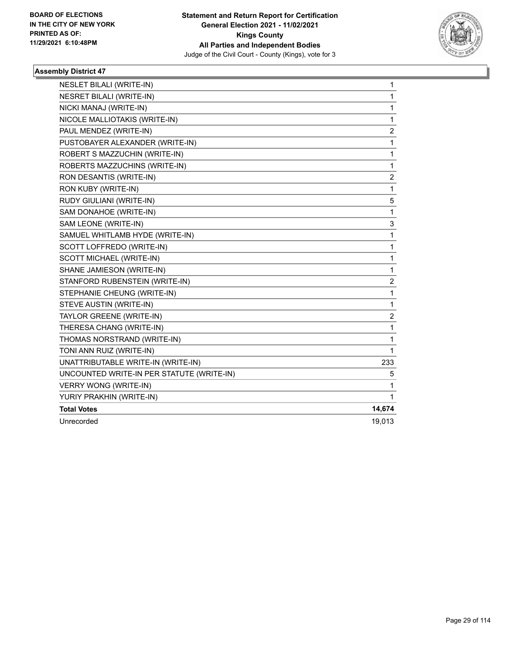

| <b>NESLET BILALI (WRITE-IN)</b>           | 1                       |
|-------------------------------------------|-------------------------|
| <b>NESRET BILALI (WRITE-IN)</b>           | $\mathbf{1}$            |
| NICKI MANAJ (WRITE-IN)                    | $\mathbf{1}$            |
| NICOLE MALLIOTAKIS (WRITE-IN)             | 1                       |
| PAUL MENDEZ (WRITE-IN)                    | 2                       |
| PUSTOBAYER ALEXANDER (WRITE-IN)           | $\mathbf 1$             |
| ROBERT S MAZZUCHIN (WRITE-IN)             | 1                       |
| ROBERTS MAZZUCHINS (WRITE-IN)             | 1                       |
| RON DESANTIS (WRITE-IN)                   | $\overline{2}$          |
| RON KUBY (WRITE-IN)                       | $\mathbf{1}$            |
| RUDY GIULIANI (WRITE-IN)                  | 5                       |
| SAM DONAHOE (WRITE-IN)                    | 1                       |
| SAM LEONE (WRITE-IN)                      | 3                       |
| SAMUEL WHITLAMB HYDE (WRITE-IN)           | 1                       |
| SCOTT LOFFREDO (WRITE-IN)                 | $\mathbf{1}$            |
| SCOTT MICHAEL (WRITE-IN)                  | 1                       |
| SHANE JAMIESON (WRITE-IN)                 | 1                       |
| STANFORD RUBENSTEIN (WRITE-IN)            | $\overline{\mathbf{c}}$ |
| STEPHANIE CHEUNG (WRITE-IN)               | $\mathbf{1}$            |
| STEVE AUSTIN (WRITE-IN)                   | 1                       |
| TAYLOR GREENE (WRITE-IN)                  | $\overline{c}$          |
| THERESA CHANG (WRITE-IN)                  | 1                       |
| THOMAS NORSTRAND (WRITE-IN)               | 1                       |
| TONI ANN RUIZ (WRITE-IN)                  | 1                       |
| UNATTRIBUTABLE WRITE-IN (WRITE-IN)        | 233                     |
| UNCOUNTED WRITE-IN PER STATUTE (WRITE-IN) | 5                       |
| <b>VERRY WONG (WRITE-IN)</b>              | $\mathbf{1}$            |
| YURIY PRAKHIN (WRITE-IN)                  | $\mathbf{1}$            |
| <b>Total Votes</b>                        | 14,674                  |
| Unrecorded                                | 19,013                  |
|                                           |                         |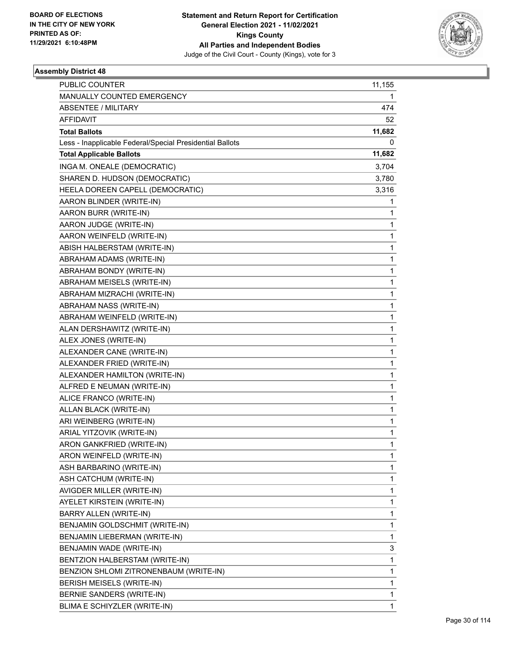

| <b>PUBLIC COUNTER</b>                                    | 11,155       |
|----------------------------------------------------------|--------------|
| MANUALLY COUNTED EMERGENCY                               | 1            |
| <b>ABSENTEE / MILITARY</b>                               | 474          |
| AFFIDAVIT                                                | 52           |
| <b>Total Ballots</b>                                     | 11,682       |
| Less - Inapplicable Federal/Special Presidential Ballots | 0            |
| <b>Total Applicable Ballots</b>                          | 11,682       |
| INGA M. ONEALE (DEMOCRATIC)                              | 3,704        |
| SHAREN D. HUDSON (DEMOCRATIC)                            | 3,780        |
| HEELA DOREEN CAPELL (DEMOCRATIC)                         | 3,316        |
| AARON BLINDER (WRITE-IN)                                 | 1            |
| AARON BURR (WRITE-IN)                                    | 1            |
| AARON JUDGE (WRITE-IN)                                   | 1            |
| AARON WEINFELD (WRITE-IN)                                | 1            |
| ABISH HALBERSTAM (WRITE-IN)                              | 1            |
| ABRAHAM ADAMS (WRITE-IN)                                 | 1            |
| ABRAHAM BONDY (WRITE-IN)                                 | 1            |
| ABRAHAM MEISELS (WRITE-IN)                               | 1            |
| ABRAHAM MIZRACHI (WRITE-IN)                              | 1            |
| ABRAHAM NASS (WRITE-IN)                                  | 1            |
| ABRAHAM WEINFELD (WRITE-IN)                              | 1            |
| ALAN DERSHAWITZ (WRITE-IN)                               | 1            |
| ALEX JONES (WRITE-IN)                                    | 1            |
| ALEXANDER CANE (WRITE-IN)                                | 1            |
| ALEXANDER FRIED (WRITE-IN)                               | 1            |
| ALEXANDER HAMILTON (WRITE-IN)                            | 1            |
| ALFRED E NEUMAN (WRITE-IN)                               | 1            |
| ALICE FRANCO (WRITE-IN)                                  | 1            |
| ALLAN BLACK (WRITE-IN)                                   | 1            |
| ARI WEINBERG (WRITE-IN)                                  | 1            |
| ARIAL YITZOVIK (WRITE-IN)                                | 1            |
| ARON GANKFRIED (WRITE-IN)                                | 1            |
| ARON WEINFELD (WRITE-IN)                                 | 1            |
| ASH BARBARINO (WRITE-IN)                                 | 1            |
| ASH CATCHUM (WRITE-IN)                                   | 1            |
| AVIGDER MILLER (WRITE-IN)                                | 1            |
| AYELET KIRSTEIN (WRITE-IN)                               | 1            |
| BARRY ALLEN (WRITE-IN)                                   | 1            |
| BENJAMIN GOLDSCHMIT (WRITE-IN)                           | 1            |
| BENJAMIN LIEBERMAN (WRITE-IN)                            | 1            |
| BENJAMIN WADE (WRITE-IN)                                 | 3            |
| BENTZION HALBERSTAM (WRITE-IN)                           | $\mathbf{1}$ |
| BENZION SHLOMI ZITRONENBAUM (WRITE-IN)                   | 1            |
| BERISH MEISELS (WRITE-IN)                                | 1            |
| BERNIE SANDERS (WRITE-IN)                                | 1            |
| BLIMA E SCHIYZLER (WRITE-IN)                             | 1            |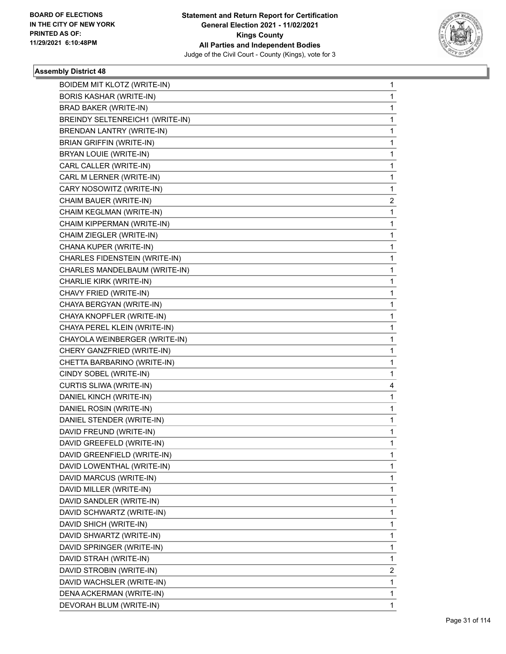

| <b>BOIDEM MIT KLOTZ (WRITE-IN)</b> | $\mathbf{1}$ |
|------------------------------------|--------------|
| <b>BORIS KASHAR (WRITE-IN)</b>     | $\mathbf{1}$ |
| BRAD BAKER (WRITE-IN)              | 1            |
| BREINDY SELTENREICH1 (WRITE-IN)    | 1            |
| <b>BRENDAN LANTRY (WRITE-IN)</b>   | 1            |
| <b>BRIAN GRIFFIN (WRITE-IN)</b>    | 1            |
| BRYAN LOUIE (WRITE-IN)             | 1            |
| CARL CALLER (WRITE-IN)             | 1            |
| CARL M LERNER (WRITE-IN)           | 1            |
| CARY NOSOWITZ (WRITE-IN)           | 1            |
| CHAIM BAUER (WRITE-IN)             | 2            |
| CHAIM KEGLMAN (WRITE-IN)           | 1            |
| CHAIM KIPPERMAN (WRITE-IN)         | 1            |
| CHAIM ZIEGLER (WRITE-IN)           | 1            |
| CHANA KUPER (WRITE-IN)             | 1            |
| CHARLES FIDENSTEIN (WRITE-IN)      | 1            |
| CHARLES MANDELBAUM (WRITE-IN)      | 1            |
| CHARLIE KIRK (WRITE-IN)            | 1            |
| CHAVY FRIED (WRITE-IN)             | 1            |
| CHAYA BERGYAN (WRITE-IN)           | 1            |
| CHAYA KNOPFLER (WRITE-IN)          | 1            |
| CHAYA PEREL KLEIN (WRITE-IN)       | 1            |
| CHAYOLA WEINBERGER (WRITE-IN)      | 1            |
| CHERY GANZFRIED (WRITE-IN)         | 1            |
| CHETTA BARBARINO (WRITE-IN)        | 1            |
| CINDY SOBEL (WRITE-IN)             | 1            |
| CURTIS SLIWA (WRITE-IN)            | 4            |
| DANIEL KINCH (WRITE-IN)            | $\mathbf{1}$ |
| DANIEL ROSIN (WRITE-IN)            | 1            |
| DANIEL STENDER (WRITE-IN)          | 1            |
| DAVID FREUND (WRITE-IN)            | $\mathbf{1}$ |
| DAVID GREEFELD (WRITE-IN)          | 1            |
| DAVID GREENFIELD (WRITE-IN)        | 1            |
| DAVID LOWENTHAL (WRITE-IN)         | 1            |
| DAVID MARCUS (WRITE-IN)            | 1            |
| DAVID MILLER (WRITE-IN)            | 1            |
| DAVID SANDLER (WRITE-IN)           | 1            |
| DAVID SCHWARTZ (WRITE-IN)          | 1            |
| DAVID SHICH (WRITE-IN)             | 1            |
| DAVID SHWARTZ (WRITE-IN)           | 1            |
| DAVID SPRINGER (WRITE-IN)          | 1            |
| DAVID STRAH (WRITE-IN)             | 1            |
| DAVID STROBIN (WRITE-IN)           | 2            |
| DAVID WACHSLER (WRITE-IN)          | 1            |
| DENA ACKERMAN (WRITE-IN)           | $\mathbf{1}$ |
| DEVORAH BLUM (WRITE-IN)            | 1            |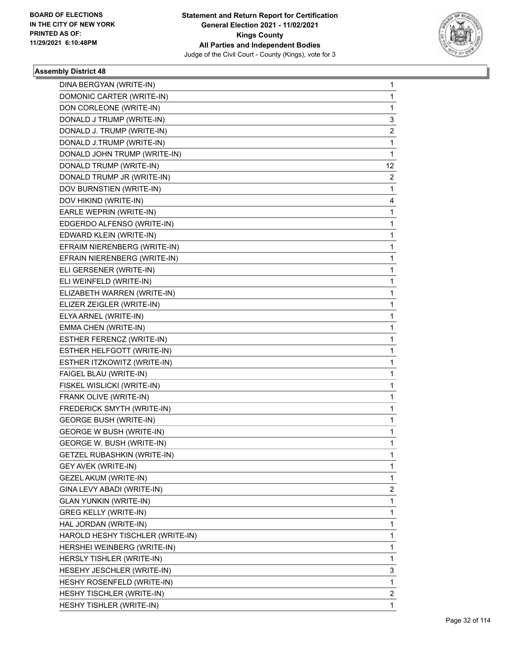

| DINA BERGYAN (WRITE-IN)            | 1              |
|------------------------------------|----------------|
| DOMONIC CARTER (WRITE-IN)          | 1              |
| DON CORLEONE (WRITE-IN)            | 1              |
| DONALD J TRUMP (WRITE-IN)          | 3              |
| DONALD J. TRUMP (WRITE-IN)         | 2              |
| DONALD J.TRUMP (WRITE-IN)          | 1              |
| DONALD JOHN TRUMP (WRITE-IN)       | 1              |
| DONALD TRUMP (WRITE-IN)            | 12             |
| DONALD TRUMP JR (WRITE-IN)         | $\overline{2}$ |
| DOV BURNSTIEN (WRITE-IN)           | 1              |
| DOV HIKIND (WRITE-IN)              | 4              |
| EARLE WEPRIN (WRITE-IN)            | 1              |
| EDGERDO ALFENSO (WRITE-IN)         | 1              |
| EDWARD KLEIN (WRITE-IN)            | 1              |
| EFRAIM NIERENBERG (WRITE-IN)       | 1              |
| EFRAIN NIERENBERG (WRITE-IN)       | 1              |
| ELI GERSENER (WRITE-IN)            | 1              |
| ELI WEINFELD (WRITE-IN)            | 1              |
| ELIZABETH WARREN (WRITE-IN)        | 1              |
| ELIZER ZEIGLER (WRITE-IN)          | 1              |
| ELYA ARNEL (WRITE-IN)              | 1              |
| EMMA CHEN (WRITE-IN)               | 1              |
| ESTHER FERENCZ (WRITE-IN)          | 1              |
| ESTHER HELFGOTT (WRITE-IN)         | 1              |
| ESTHER ITZKOWITZ (WRITE-IN)        | 1              |
| FAIGEL BLAU (WRITE-IN)             | 1              |
| FISKEL WISLICKI (WRITE-IN)         | 1              |
| FRANK OLIVE (WRITE-IN)             | 1              |
| FREDERICK SMYTH (WRITE-IN)         | 1              |
| <b>GEORGE BUSH (WRITE-IN)</b>      | 1              |
| <b>GEORGE W BUSH (WRITE-IN)</b>    | 1              |
| <b>GEORGE W. BUSH (WRITE-IN)</b>   | 1              |
| <b>GETZEL RUBASHKIN (WRITE-IN)</b> | 1              |
| <b>GEY AVEK (WRITE-IN)</b>         | 1              |
| GEZEL AKUM (WRITE-IN)              | 1              |
| GINA LEVY ABADI (WRITE-IN)         | 2              |
| <b>GLAN YUNKIN (WRITE-IN)</b>      | 1              |
| <b>GREG KELLY (WRITE-IN)</b>       | 1              |
| HAL JORDAN (WRITE-IN)              | 1              |
| HAROLD HESHY TISCHLER (WRITE-IN)   | 1              |
| HERSHEI WEINBERG (WRITE-IN)        | 1              |
| HERSLY TISHLER (WRITE-IN)          | 1              |
| HESEHY JESCHLER (WRITE-IN)         | 3              |
| HESHY ROSENFELD (WRITE-IN)         | 1              |
| HESHY TISCHLER (WRITE-IN)          | 2              |
| HESHY TISHLER (WRITE-IN)           | 1              |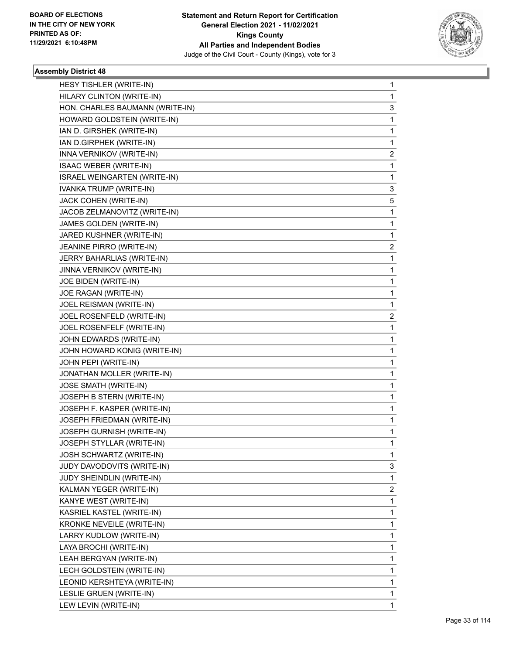

| HESY TISHLER (WRITE-IN)          | 1 |
|----------------------------------|---|
| HILARY CLINTON (WRITE-IN)        | 1 |
| HON. CHARLES BAUMANN (WRITE-IN)  | 3 |
| HOWARD GOLDSTEIN (WRITE-IN)      | 1 |
| IAN D. GIRSHEK (WRITE-IN)        | 1 |
| IAN D.GIRPHEK (WRITE-IN)         | 1 |
| INNA VERNIKOV (WRITE-IN)         | 2 |
| <b>ISAAC WEBER (WRITE-IN)</b>    | 1 |
| ISRAEL WEINGARTEN (WRITE-IN)     | 1 |
| IVANKA TRUMP (WRITE-IN)          | 3 |
| JACK COHEN (WRITE-IN)            | 5 |
| JACOB ZELMANOVITZ (WRITE-IN)     | 1 |
| JAMES GOLDEN (WRITE-IN)          | 1 |
| JARED KUSHNER (WRITE-IN)         | 1 |
| JEANINE PIRRO (WRITE-IN)         | 2 |
| JERRY BAHARLIAS (WRITE-IN)       | 1 |
| JINNA VERNIKOV (WRITE-IN)        | 1 |
| JOE BIDEN (WRITE-IN)             | 1 |
| JOE RAGAN (WRITE-IN)             | 1 |
| JOEL REISMAN (WRITE-IN)          | 1 |
| JOEL ROSENFELD (WRITE-IN)        | 2 |
| JOEL ROSENFELF (WRITE-IN)        | 1 |
| JOHN EDWARDS (WRITE-IN)          | 1 |
| JOHN HOWARD KONIG (WRITE-IN)     | 1 |
| JOHN PEPI (WRITE-IN)             | 1 |
| JONATHAN MOLLER (WRITE-IN)       | 1 |
| JOSE SMATH (WRITE-IN)            | 1 |
| JOSEPH B STERN (WRITE-IN)        | 1 |
| JOSEPH F. KASPER (WRITE-IN)      | 1 |
| JOSEPH FRIEDMAN (WRITE-IN)       | 1 |
| JOSEPH GURNISH (WRITE-IN)        | 1 |
| JOSEPH STYLLAR (WRITE-IN)        | 1 |
| JOSH SCHWARTZ (WRITE-IN)         | 1 |
| JUDY DAVODOVITS (WRITE-IN)       | 3 |
| JUDY SHEINDLIN (WRITE-IN)        | 1 |
| KALMAN YEGER (WRITE-IN)          | 2 |
| KANYE WEST (WRITE-IN)            | 1 |
| KASRIEL KASTEL (WRITE-IN)        | 1 |
| <b>KRONKE NEVEILE (WRITE-IN)</b> | 1 |
| LARRY KUDLOW (WRITE-IN)          | 1 |
| LAYA BROCHI (WRITE-IN)           | 1 |
| LEAH BERGYAN (WRITE-IN)          | 1 |
| LECH GOLDSTEIN (WRITE-IN)        | 1 |
| LEONID KERSHTEYA (WRITE-IN)      | 1 |
| LESLIE GRUEN (WRITE-IN)          | 1 |
| LEW LEVIN (WRITE-IN)             | 1 |
|                                  |   |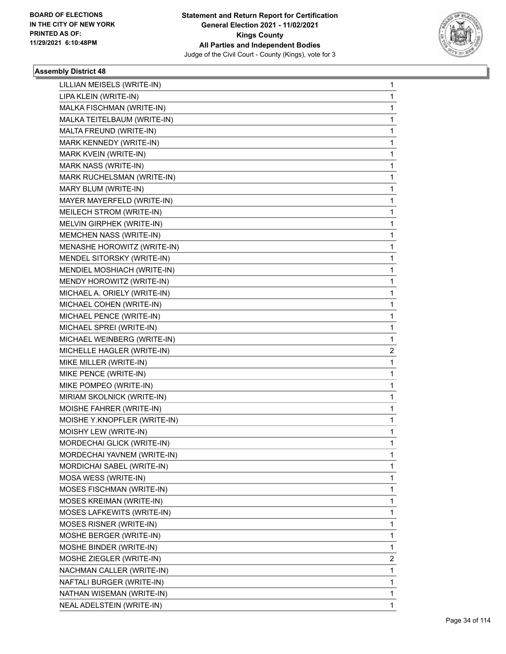

| LILLIAN MEISELS (WRITE-IN)   | 1 |
|------------------------------|---|
| LIPA KLEIN (WRITE-IN)        | 1 |
| MALKA FISCHMAN (WRITE-IN)    | 1 |
| MALKA TEITELBAUM (WRITE-IN)  | 1 |
| MALTA FREUND (WRITE-IN)      | 1 |
| MARK KENNEDY (WRITE-IN)      | 1 |
| MARK KVEIN (WRITE-IN)        | 1 |
| <b>MARK NASS (WRITE-IN)</b>  | 1 |
| MARK RUCHELSMAN (WRITE-IN)   | 1 |
| MARY BLUM (WRITE-IN)         | 1 |
| MAYER MAYERFELD (WRITE-IN)   | 1 |
| MEILECH STROM (WRITE-IN)     | 1 |
| MELVIN GIRPHEK (WRITE-IN)    | 1 |
| MEMCHEN NASS (WRITE-IN)      | 1 |
| MENASHE HOROWITZ (WRITE-IN)  | 1 |
| MENDEL SITORSKY (WRITE-IN)   | 1 |
| MENDIEL MOSHIACH (WRITE-IN)  | 1 |
| MENDY HOROWITZ (WRITE-IN)    | 1 |
| MICHAEL A. ORIELY (WRITE-IN) | 1 |
| MICHAEL COHEN (WRITE-IN)     | 1 |
| MICHAEL PENCE (WRITE-IN)     | 1 |
| MICHAEL SPREI (WRITE-IN)     | 1 |
| MICHAEL WEINBERG (WRITE-IN)  | 1 |
| MICHELLE HAGLER (WRITE-IN)   | 2 |
| MIKE MILLER (WRITE-IN)       | 1 |
| MIKE PENCE (WRITE-IN)        | 1 |
| MIKE POMPEO (WRITE-IN)       | 1 |
| MIRIAM SKOLNICK (WRITE-IN)   | 1 |
| MOISHE FAHRER (WRITE-IN)     | 1 |
| MOISHE Y.KNOPFLER (WRITE-IN) | 1 |
| MOISHY LEW (WRITE-IN)        | 1 |
| MORDECHAI GLICK (WRITE-IN)   | 1 |
| MORDECHAI YAVNEM (WRITE-IN)  | 1 |
| MORDICHAI SABEL (WRITE-IN)   | 1 |
| MOSA WESS (WRITE-IN)         | 1 |
| MOSES FISCHMAN (WRITE-IN)    | 1 |
| MOSES KREIMAN (WRITE-IN)     | 1 |
| MOSES LAFKEWITS (WRITE-IN)   | 1 |
| MOSES RISNER (WRITE-IN)      | 1 |
| MOSHE BERGER (WRITE-IN)      | 1 |
| MOSHE BINDER (WRITE-IN)      | 1 |
| MOSHE ZIEGLER (WRITE-IN)     | 2 |
| NACHMAN CALLER (WRITE-IN)    | 1 |
| NAFTALI BURGER (WRITE-IN)    | 1 |
| NATHAN WISEMAN (WRITE-IN)    | 1 |
| NEAL ADELSTEIN (WRITE-IN)    | 1 |
|                              |   |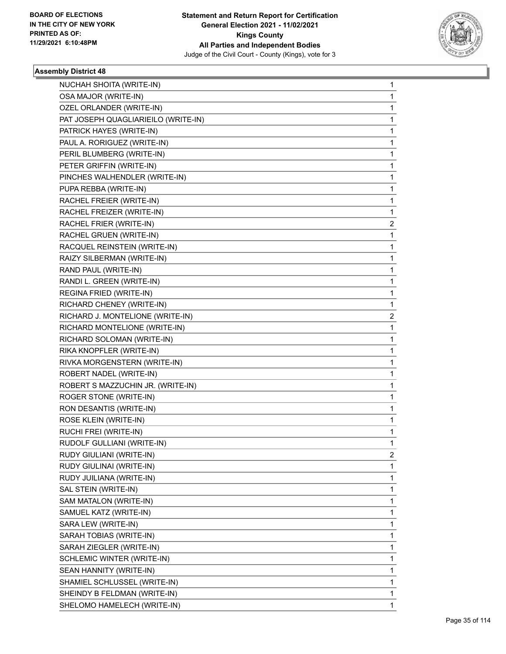

| NUCHAH SHOITA (WRITE-IN)            | 1 |
|-------------------------------------|---|
| OSA MAJOR (WRITE-IN)                | 1 |
| OZEL ORLANDER (WRITE-IN)            | 1 |
| PAT JOSEPH QUAGLIARIEILO (WRITE-IN) | 1 |
| PATRICK HAYES (WRITE-IN)            | 1 |
| PAUL A. RORIGUEZ (WRITE-IN)         | 1 |
| PERIL BLUMBERG (WRITE-IN)           | 1 |
| PETER GRIFFIN (WRITE-IN)            | 1 |
| PINCHES WALHENDLER (WRITE-IN)       | 1 |
| PUPA REBBA (WRITE-IN)               | 1 |
| RACHEL FREIER (WRITE-IN)            | 1 |
| RACHEL FREIZER (WRITE-IN)           | 1 |
| RACHEL FRIER (WRITE-IN)             | 2 |
| RACHEL GRUEN (WRITE-IN)             | 1 |
| RACQUEL REINSTEIN (WRITE-IN)        | 1 |
| RAIZY SILBERMAN (WRITE-IN)          | 1 |
| RAND PAUL (WRITE-IN)                | 1 |
| RANDI L. GREEN (WRITE-IN)           | 1 |
| REGINA FRIED (WRITE-IN)             | 1 |
| RICHARD CHENEY (WRITE-IN)           | 1 |
| RICHARD J. MONTELIONE (WRITE-IN)    | 2 |
| RICHARD MONTELIONE (WRITE-IN)       | 1 |
| RICHARD SOLOMAN (WRITE-IN)          | 1 |
| RIKA KNOPFLER (WRITE-IN)            | 1 |
| RIVKA MORGENSTERN (WRITE-IN)        | 1 |
| ROBERT NADEL (WRITE-IN)             | 1 |
| ROBERT S MAZZUCHIN JR. (WRITE-IN)   | 1 |
| ROGER STONE (WRITE-IN)              | 1 |
| RON DESANTIS (WRITE-IN)             | 1 |
| ROSE KLEIN (WRITE-IN)               | 1 |
| RUCHI FREI (WRITE-IN)               | 1 |
| RUDOLF GULLIANI (WRITE-IN)          | 1 |
| RUDY GIULIANI (WRITE-IN)            | 2 |
| RUDY GIULINAI (WRITE-IN)            | 1 |
| RUDY JUILIANA (WRITE-IN)            | 1 |
| SAL STEIN (WRITE-IN)                | 1 |
| SAM MATALON (WRITE-IN)              | 1 |
| SAMUEL KATZ (WRITE-IN)              | 1 |
| SARA LEW (WRITE-IN)                 | 1 |
| SARAH TOBIAS (WRITE-IN)             | 1 |
| SARAH ZIEGLER (WRITE-IN)            | 1 |
| SCHLEMIC WINTER (WRITE-IN)          | 1 |
| SEAN HANNITY (WRITE-IN)             | 1 |
| SHAMIEL SCHLUSSEL (WRITE-IN)        | 1 |
| SHEINDY B FELDMAN (WRITE-IN)        | 1 |
| SHELOMO HAMELECH (WRITE-IN)         | 1 |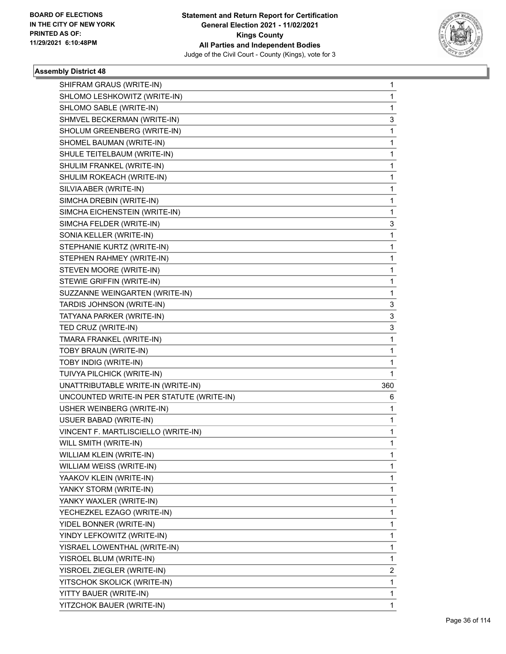

| SHIFRAM GRAUS (WRITE-IN)                  | 1              |
|-------------------------------------------|----------------|
| SHLOMO LESHKOWITZ (WRITE-IN)              | $\mathbf{1}$   |
| SHLOMO SABLE (WRITE-IN)                   | 1              |
| SHMVEL BECKERMAN (WRITE-IN)               | 3              |
| SHOLUM GREENBERG (WRITE-IN)               | 1              |
| SHOMEL BAUMAN (WRITE-IN)                  | 1              |
| SHULE TEITELBAUM (WRITE-IN)               | $\mathbf{1}$   |
| SHULIM FRANKEL (WRITE-IN)                 | 1              |
| SHULIM ROKEACH (WRITE-IN)                 | 1              |
| SILVIA ABER (WRITE-IN)                    | $\mathbf{1}$   |
| SIMCHA DREBIN (WRITE-IN)                  | 1              |
| SIMCHA EICHENSTEIN (WRITE-IN)             | 1              |
| SIMCHA FELDER (WRITE-IN)                  | 3              |
| SONIA KELLER (WRITE-IN)                   | $\mathbf{1}$   |
| STEPHANIE KURTZ (WRITE-IN)                | 1              |
| STEPHEN RAHMEY (WRITE-IN)                 | $\mathbf{1}$   |
| STEVEN MOORE (WRITE-IN)                   | 1              |
| STEWIE GRIFFIN (WRITE-IN)                 | 1              |
| SUZZANNE WEINGARTEN (WRITE-IN)            | $\mathbf{1}$   |
| TARDIS JOHNSON (WRITE-IN)                 | 3              |
| TATYANA PARKER (WRITE-IN)                 | 3              |
| TED CRUZ (WRITE-IN)                       | 3              |
| TMARA FRANKEL (WRITE-IN)                  | 1              |
| TOBY BRAUN (WRITE-IN)                     | 1              |
| TOBY INDIG (WRITE-IN)                     | $\mathbf{1}$   |
| TUIVYA PILCHICK (WRITE-IN)                | 1              |
| UNATTRIBUTABLE WRITE-IN (WRITE-IN)        | 360            |
| UNCOUNTED WRITE-IN PER STATUTE (WRITE-IN) | 6              |
| USHER WEINBERG (WRITE-IN)                 | 1              |
| USUER BABAD (WRITE-IN)                    | 1              |
| VINCENT F. MARTLISCIELLO (WRITE-IN)       | $\mathbf{1}$   |
| WILL SMITH (WRITE-IN)                     | 1              |
| WILLIAM KLEIN (WRITE-IN)                  | 1              |
| WILLIAM WEISS (WRITE-IN)                  | $\mathbf{1}$   |
| YAAKOV KLEIN (WRITE-IN)                   | $\mathbf{1}$   |
| YANKY STORM (WRITE-IN)                    | 1              |
| YANKY WAXLER (WRITE-IN)                   | $\mathbf{1}$   |
| YECHEZKEL EZAGO (WRITE-IN)                | 1              |
| YIDEL BONNER (WRITE-IN)                   | 1              |
| YINDY LEFKOWITZ (WRITE-IN)                | $\mathbf{1}$   |
| YISRAEL LOWENTHAL (WRITE-IN)              | $\mathbf{1}$   |
| YISROEL BLUM (WRITE-IN)                   | 1              |
| YISROEL ZIEGLER (WRITE-IN)                | $\overline{2}$ |
| YITSCHOK SKOLICK (WRITE-IN)               | $\mathbf{1}$   |
| YITTY BAUER (WRITE-IN)                    | 1              |
| YITZCHOK BAUER (WRITE-IN)                 | 1              |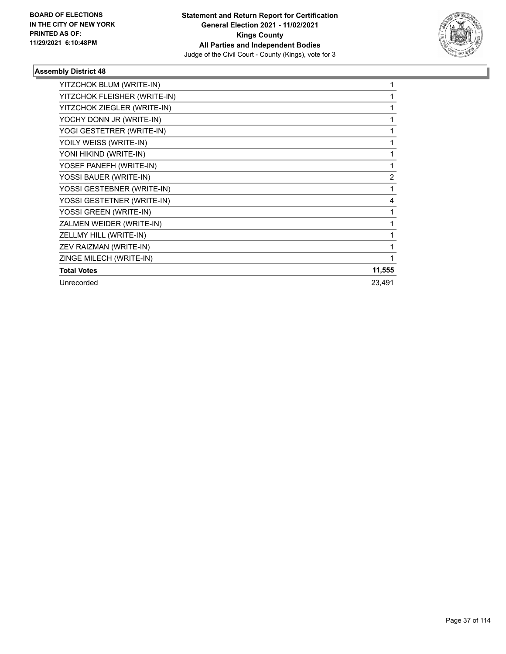

| YITZCHOK BLUM (WRITE-IN)     |                |
|------------------------------|----------------|
| YITZCHOK FLEISHER (WRITE-IN) |                |
| YITZCHOK ZIEGLER (WRITE-IN)  |                |
| YOCHY DONN JR (WRITE-IN)     |                |
| YOGI GESTETRER (WRITE-IN)    |                |
| YOILY WEISS (WRITE-IN)       |                |
| YONI HIKIND (WRITE-IN)       |                |
| YOSEF PANEFH (WRITE-IN)      | 1              |
| YOSSI BAUER (WRITE-IN)       | $\overline{2}$ |
| YOSSI GESTEBNER (WRITE-IN)   | 1              |
| YOSSI GESTETNER (WRITE-IN)   | 4              |
| YOSSI GREEN (WRITE-IN)       |                |
| ZALMEN WEIDER (WRITE-IN)     |                |
| ZELLMY HILL (WRITE-IN)       |                |
| ZEV RAIZMAN (WRITE-IN)       |                |
| ZINGE MILECH (WRITE-IN)      | 1              |
| <b>Total Votes</b>           | 11,555         |
| Unrecorded                   | 23,491         |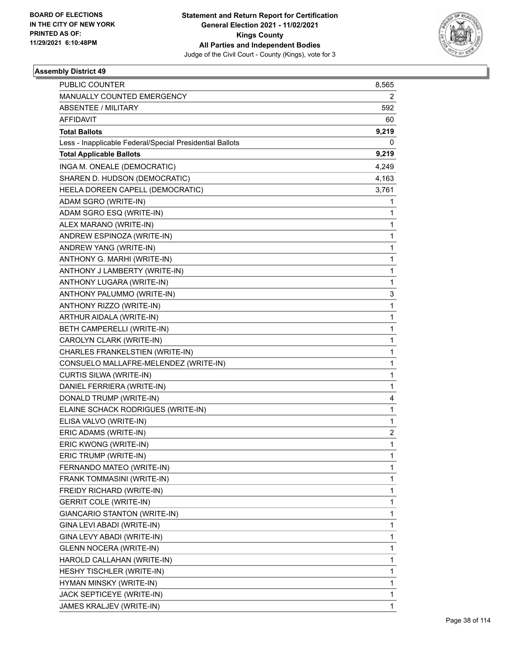

| PUBLIC COUNTER                                           | 8,565        |
|----------------------------------------------------------|--------------|
| MANUALLY COUNTED EMERGENCY                               | 2            |
| ABSENTEE / MILITARY                                      | 592          |
| AFFIDAVIT                                                | 60           |
| <b>Total Ballots</b>                                     | 9,219        |
| Less - Inapplicable Federal/Special Presidential Ballots | 0            |
| <b>Total Applicable Ballots</b>                          | 9,219        |
| INGA M. ONEALE (DEMOCRATIC)                              | 4,249        |
| SHAREN D. HUDSON (DEMOCRATIC)                            | 4,163        |
| HEELA DOREEN CAPELL (DEMOCRATIC)                         | 3,761        |
| ADAM SGRO (WRITE-IN)                                     | 1            |
| ADAM SGRO ESQ (WRITE-IN)                                 | 1            |
| ALEX MARANO (WRITE-IN)                                   | 1            |
| ANDREW ESPINOZA (WRITE-IN)                               | 1            |
| ANDREW YANG (WRITE-IN)                                   | 1            |
| ANTHONY G. MARHI (WRITE-IN)                              | 1            |
| ANTHONY J LAMBERTY (WRITE-IN)                            | 1            |
| ANTHONY LUGARA (WRITE-IN)                                | 1            |
| ANTHONY PALUMMO (WRITE-IN)                               | 3            |
| ANTHONY RIZZO (WRITE-IN)                                 | 1            |
| ARTHUR AIDALA (WRITE-IN)                                 | 1            |
| BETH CAMPERELLI (WRITE-IN)                               | 1            |
| CAROLYN CLARK (WRITE-IN)                                 | 1            |
| CHARLES FRANKELSTIEN (WRITE-IN)                          | 1            |
| CONSUELO MALLAFRE-MELENDEZ (WRITE-IN)                    | 1            |
| CURTIS SILWA (WRITE-IN)                                  | 1            |
| DANIEL FERRIERA (WRITE-IN)                               | 1            |
| DONALD TRUMP (WRITE-IN)                                  | 4            |
| ELAINE SCHACK RODRIGUES (WRITE-IN)                       | 1            |
| ELISA VALVO (WRITE-IN)                                   | $\mathbf{1}$ |
| ERIC ADAMS (WRITE-IN)                                    | 2            |
| ERIC KWONG (WRITE-IN)                                    | 1            |
| ERIC TRUMP (WRITE-IN)                                    | 1            |
| FERNANDO MATEO (WRITE-IN)                                | 1            |
| FRANK TOMMASINI (WRITE-IN)                               | 1            |
| FREIDY RICHARD (WRITE-IN)                                | 1            |
| <b>GERRIT COLE (WRITE-IN)</b>                            | 1            |
| GIANCARIO STANTON (WRITE-IN)                             | 1            |
| GINA LEVI ABADI (WRITE-IN)                               | 1            |
| GINA LEVY ABADI (WRITE-IN)                               | 1            |
| <b>GLENN NOCERA (WRITE-IN)</b>                           | 1            |
| HAROLD CALLAHAN (WRITE-IN)                               | 1            |
| HESHY TISCHLER (WRITE-IN)                                | 1            |
| HYMAN MINSKY (WRITE-IN)                                  | 1            |
| JACK SEPTICEYE (WRITE-IN)                                | 1            |
| JAMES KRALJEV (WRITE-IN)                                 | 1            |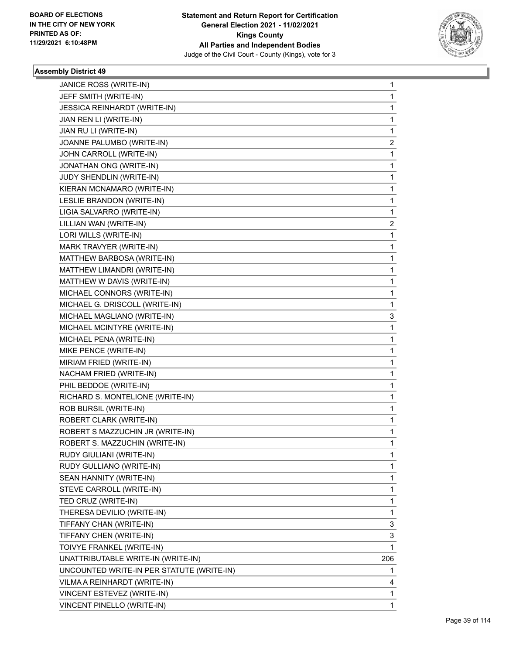

| JEFF SMITH (WRITE-IN)<br>1<br>JESSICA REINHARDT (WRITE-IN)<br>1<br>JIAN REN LI (WRITE-IN)<br>1<br>JIAN RU LI (WRITE-IN)<br>1<br>JOANNE PALUMBO (WRITE-IN)<br>2<br>JOHN CARROLL (WRITE-IN)<br>1<br>JONATHAN ONG (WRITE-IN)<br>1<br>JUDY SHENDLIN (WRITE-IN)<br>1<br>KIERAN MCNAMARO (WRITE-IN)<br>1<br>LESLIE BRANDON (WRITE-IN)<br>1<br>LIGIA SALVARRO (WRITE-IN)<br>1<br>LILLIAN WAN (WRITE-IN)<br>2<br>LORI WILLS (WRITE-IN)<br>1<br>MARK TRAVYER (WRITE-IN)<br>1<br>MATTHEW BARBOSA (WRITE-IN)<br>1<br>MATTHEW LIMANDRI (WRITE-IN)<br>1<br>MATTHEW W DAVIS (WRITE-IN)<br>1<br>MICHAEL CONNORS (WRITE-IN)<br>1<br>MICHAEL G. DRISCOLL (WRITE-IN)<br>1<br>MICHAEL MAGLIANO (WRITE-IN)<br>3<br>$\mathbf{1}$<br>MICHAEL MCINTYRE (WRITE-IN)<br>MICHAEL PENA (WRITE-IN)<br>1<br>MIKE PENCE (WRITE-IN)<br>1<br>MIRIAM FRIED (WRITE-IN)<br>1<br>NACHAM FRIED (WRITE-IN)<br>1<br>PHIL BEDDOE (WRITE-IN)<br>1<br>RICHARD S. MONTELIONE (WRITE-IN)<br>1<br>ROB BURSIL (WRITE-IN)<br>1<br>ROBERT CLARK (WRITE-IN)<br>1<br>ROBERT S MAZZUCHIN JR (WRITE-IN)<br>1<br>ROBERT S. MAZZUCHIN (WRITE-IN)<br>1<br>RUDY GIULIANI (WRITE-IN)<br>1<br>RUDY GULLIANO (WRITE-IN)<br>1<br>SEAN HANNITY (WRITE-IN)<br>1<br>1<br>STEVE CARROLL (WRITE-IN)<br>TED CRUZ (WRITE-IN)<br>1<br>THERESA DEVILIO (WRITE-IN)<br>1<br>TIFFANY CHAN (WRITE-IN)<br>3<br>TIFFANY CHEN (WRITE-IN)<br>3<br>TOIVYE FRANKEL (WRITE-IN)<br>1<br>UNATTRIBUTABLE WRITE-IN (WRITE-IN)<br>206<br>UNCOUNTED WRITE-IN PER STATUTE (WRITE-IN)<br>1<br>VILMA A REINHARDT (WRITE-IN)<br>4<br>VINCENT ESTEVEZ (WRITE-IN)<br>1 | JANICE ROSS (WRITE-IN)     | $\mathbf{1}$ |
|---------------------------------------------------------------------------------------------------------------------------------------------------------------------------------------------------------------------------------------------------------------------------------------------------------------------------------------------------------------------------------------------------------------------------------------------------------------------------------------------------------------------------------------------------------------------------------------------------------------------------------------------------------------------------------------------------------------------------------------------------------------------------------------------------------------------------------------------------------------------------------------------------------------------------------------------------------------------------------------------------------------------------------------------------------------------------------------------------------------------------------------------------------------------------------------------------------------------------------------------------------------------------------------------------------------------------------------------------------------------------------------------------------------------------------------------------------------------------------------------------------------------------------------------------------------------------|----------------------------|--------------|
|                                                                                                                                                                                                                                                                                                                                                                                                                                                                                                                                                                                                                                                                                                                                                                                                                                                                                                                                                                                                                                                                                                                                                                                                                                                                                                                                                                                                                                                                                                                                                                           |                            |              |
|                                                                                                                                                                                                                                                                                                                                                                                                                                                                                                                                                                                                                                                                                                                                                                                                                                                                                                                                                                                                                                                                                                                                                                                                                                                                                                                                                                                                                                                                                                                                                                           |                            |              |
|                                                                                                                                                                                                                                                                                                                                                                                                                                                                                                                                                                                                                                                                                                                                                                                                                                                                                                                                                                                                                                                                                                                                                                                                                                                                                                                                                                                                                                                                                                                                                                           |                            |              |
|                                                                                                                                                                                                                                                                                                                                                                                                                                                                                                                                                                                                                                                                                                                                                                                                                                                                                                                                                                                                                                                                                                                                                                                                                                                                                                                                                                                                                                                                                                                                                                           |                            |              |
|                                                                                                                                                                                                                                                                                                                                                                                                                                                                                                                                                                                                                                                                                                                                                                                                                                                                                                                                                                                                                                                                                                                                                                                                                                                                                                                                                                                                                                                                                                                                                                           |                            |              |
|                                                                                                                                                                                                                                                                                                                                                                                                                                                                                                                                                                                                                                                                                                                                                                                                                                                                                                                                                                                                                                                                                                                                                                                                                                                                                                                                                                                                                                                                                                                                                                           |                            |              |
|                                                                                                                                                                                                                                                                                                                                                                                                                                                                                                                                                                                                                                                                                                                                                                                                                                                                                                                                                                                                                                                                                                                                                                                                                                                                                                                                                                                                                                                                                                                                                                           |                            |              |
|                                                                                                                                                                                                                                                                                                                                                                                                                                                                                                                                                                                                                                                                                                                                                                                                                                                                                                                                                                                                                                                                                                                                                                                                                                                                                                                                                                                                                                                                                                                                                                           |                            |              |
|                                                                                                                                                                                                                                                                                                                                                                                                                                                                                                                                                                                                                                                                                                                                                                                                                                                                                                                                                                                                                                                                                                                                                                                                                                                                                                                                                                                                                                                                                                                                                                           |                            |              |
|                                                                                                                                                                                                                                                                                                                                                                                                                                                                                                                                                                                                                                                                                                                                                                                                                                                                                                                                                                                                                                                                                                                                                                                                                                                                                                                                                                                                                                                                                                                                                                           |                            |              |
|                                                                                                                                                                                                                                                                                                                                                                                                                                                                                                                                                                                                                                                                                                                                                                                                                                                                                                                                                                                                                                                                                                                                                                                                                                                                                                                                                                                                                                                                                                                                                                           |                            |              |
|                                                                                                                                                                                                                                                                                                                                                                                                                                                                                                                                                                                                                                                                                                                                                                                                                                                                                                                                                                                                                                                                                                                                                                                                                                                                                                                                                                                                                                                                                                                                                                           |                            |              |
|                                                                                                                                                                                                                                                                                                                                                                                                                                                                                                                                                                                                                                                                                                                                                                                                                                                                                                                                                                                                                                                                                                                                                                                                                                                                                                                                                                                                                                                                                                                                                                           |                            |              |
|                                                                                                                                                                                                                                                                                                                                                                                                                                                                                                                                                                                                                                                                                                                                                                                                                                                                                                                                                                                                                                                                                                                                                                                                                                                                                                                                                                                                                                                                                                                                                                           |                            |              |
|                                                                                                                                                                                                                                                                                                                                                                                                                                                                                                                                                                                                                                                                                                                                                                                                                                                                                                                                                                                                                                                                                                                                                                                                                                                                                                                                                                                                                                                                                                                                                                           |                            |              |
|                                                                                                                                                                                                                                                                                                                                                                                                                                                                                                                                                                                                                                                                                                                                                                                                                                                                                                                                                                                                                                                                                                                                                                                                                                                                                                                                                                                                                                                                                                                                                                           |                            |              |
|                                                                                                                                                                                                                                                                                                                                                                                                                                                                                                                                                                                                                                                                                                                                                                                                                                                                                                                                                                                                                                                                                                                                                                                                                                                                                                                                                                                                                                                                                                                                                                           |                            |              |
|                                                                                                                                                                                                                                                                                                                                                                                                                                                                                                                                                                                                                                                                                                                                                                                                                                                                                                                                                                                                                                                                                                                                                                                                                                                                                                                                                                                                                                                                                                                                                                           |                            |              |
|                                                                                                                                                                                                                                                                                                                                                                                                                                                                                                                                                                                                                                                                                                                                                                                                                                                                                                                                                                                                                                                                                                                                                                                                                                                                                                                                                                                                                                                                                                                                                                           |                            |              |
|                                                                                                                                                                                                                                                                                                                                                                                                                                                                                                                                                                                                                                                                                                                                                                                                                                                                                                                                                                                                                                                                                                                                                                                                                                                                                                                                                                                                                                                                                                                                                                           |                            |              |
|                                                                                                                                                                                                                                                                                                                                                                                                                                                                                                                                                                                                                                                                                                                                                                                                                                                                                                                                                                                                                                                                                                                                                                                                                                                                                                                                                                                                                                                                                                                                                                           |                            |              |
|                                                                                                                                                                                                                                                                                                                                                                                                                                                                                                                                                                                                                                                                                                                                                                                                                                                                                                                                                                                                                                                                                                                                                                                                                                                                                                                                                                                                                                                                                                                                                                           |                            |              |
|                                                                                                                                                                                                                                                                                                                                                                                                                                                                                                                                                                                                                                                                                                                                                                                                                                                                                                                                                                                                                                                                                                                                                                                                                                                                                                                                                                                                                                                                                                                                                                           |                            |              |
|                                                                                                                                                                                                                                                                                                                                                                                                                                                                                                                                                                                                                                                                                                                                                                                                                                                                                                                                                                                                                                                                                                                                                                                                                                                                                                                                                                                                                                                                                                                                                                           |                            |              |
|                                                                                                                                                                                                                                                                                                                                                                                                                                                                                                                                                                                                                                                                                                                                                                                                                                                                                                                                                                                                                                                                                                                                                                                                                                                                                                                                                                                                                                                                                                                                                                           |                            |              |
|                                                                                                                                                                                                                                                                                                                                                                                                                                                                                                                                                                                                                                                                                                                                                                                                                                                                                                                                                                                                                                                                                                                                                                                                                                                                                                                                                                                                                                                                                                                                                                           |                            |              |
|                                                                                                                                                                                                                                                                                                                                                                                                                                                                                                                                                                                                                                                                                                                                                                                                                                                                                                                                                                                                                                                                                                                                                                                                                                                                                                                                                                                                                                                                                                                                                                           |                            |              |
|                                                                                                                                                                                                                                                                                                                                                                                                                                                                                                                                                                                                                                                                                                                                                                                                                                                                                                                                                                                                                                                                                                                                                                                                                                                                                                                                                                                                                                                                                                                                                                           |                            |              |
|                                                                                                                                                                                                                                                                                                                                                                                                                                                                                                                                                                                                                                                                                                                                                                                                                                                                                                                                                                                                                                                                                                                                                                                                                                                                                                                                                                                                                                                                                                                                                                           |                            |              |
|                                                                                                                                                                                                                                                                                                                                                                                                                                                                                                                                                                                                                                                                                                                                                                                                                                                                                                                                                                                                                                                                                                                                                                                                                                                                                                                                                                                                                                                                                                                                                                           |                            |              |
|                                                                                                                                                                                                                                                                                                                                                                                                                                                                                                                                                                                                                                                                                                                                                                                                                                                                                                                                                                                                                                                                                                                                                                                                                                                                                                                                                                                                                                                                                                                                                                           |                            |              |
|                                                                                                                                                                                                                                                                                                                                                                                                                                                                                                                                                                                                                                                                                                                                                                                                                                                                                                                                                                                                                                                                                                                                                                                                                                                                                                                                                                                                                                                                                                                                                                           |                            |              |
|                                                                                                                                                                                                                                                                                                                                                                                                                                                                                                                                                                                                                                                                                                                                                                                                                                                                                                                                                                                                                                                                                                                                                                                                                                                                                                                                                                                                                                                                                                                                                                           |                            |              |
|                                                                                                                                                                                                                                                                                                                                                                                                                                                                                                                                                                                                                                                                                                                                                                                                                                                                                                                                                                                                                                                                                                                                                                                                                                                                                                                                                                                                                                                                                                                                                                           |                            |              |
|                                                                                                                                                                                                                                                                                                                                                                                                                                                                                                                                                                                                                                                                                                                                                                                                                                                                                                                                                                                                                                                                                                                                                                                                                                                                                                                                                                                                                                                                                                                                                                           |                            |              |
|                                                                                                                                                                                                                                                                                                                                                                                                                                                                                                                                                                                                                                                                                                                                                                                                                                                                                                                                                                                                                                                                                                                                                                                                                                                                                                                                                                                                                                                                                                                                                                           |                            |              |
|                                                                                                                                                                                                                                                                                                                                                                                                                                                                                                                                                                                                                                                                                                                                                                                                                                                                                                                                                                                                                                                                                                                                                                                                                                                                                                                                                                                                                                                                                                                                                                           |                            |              |
|                                                                                                                                                                                                                                                                                                                                                                                                                                                                                                                                                                                                                                                                                                                                                                                                                                                                                                                                                                                                                                                                                                                                                                                                                                                                                                                                                                                                                                                                                                                                                                           |                            |              |
|                                                                                                                                                                                                                                                                                                                                                                                                                                                                                                                                                                                                                                                                                                                                                                                                                                                                                                                                                                                                                                                                                                                                                                                                                                                                                                                                                                                                                                                                                                                                                                           |                            |              |
|                                                                                                                                                                                                                                                                                                                                                                                                                                                                                                                                                                                                                                                                                                                                                                                                                                                                                                                                                                                                                                                                                                                                                                                                                                                                                                                                                                                                                                                                                                                                                                           |                            |              |
|                                                                                                                                                                                                                                                                                                                                                                                                                                                                                                                                                                                                                                                                                                                                                                                                                                                                                                                                                                                                                                                                                                                                                                                                                                                                                                                                                                                                                                                                                                                                                                           |                            |              |
|                                                                                                                                                                                                                                                                                                                                                                                                                                                                                                                                                                                                                                                                                                                                                                                                                                                                                                                                                                                                                                                                                                                                                                                                                                                                                                                                                                                                                                                                                                                                                                           |                            |              |
|                                                                                                                                                                                                                                                                                                                                                                                                                                                                                                                                                                                                                                                                                                                                                                                                                                                                                                                                                                                                                                                                                                                                                                                                                                                                                                                                                                                                                                                                                                                                                                           |                            |              |
|                                                                                                                                                                                                                                                                                                                                                                                                                                                                                                                                                                                                                                                                                                                                                                                                                                                                                                                                                                                                                                                                                                                                                                                                                                                                                                                                                                                                                                                                                                                                                                           |                            |              |
|                                                                                                                                                                                                                                                                                                                                                                                                                                                                                                                                                                                                                                                                                                                                                                                                                                                                                                                                                                                                                                                                                                                                                                                                                                                                                                                                                                                                                                                                                                                                                                           | VINCENT PINELLO (WRITE-IN) | 1            |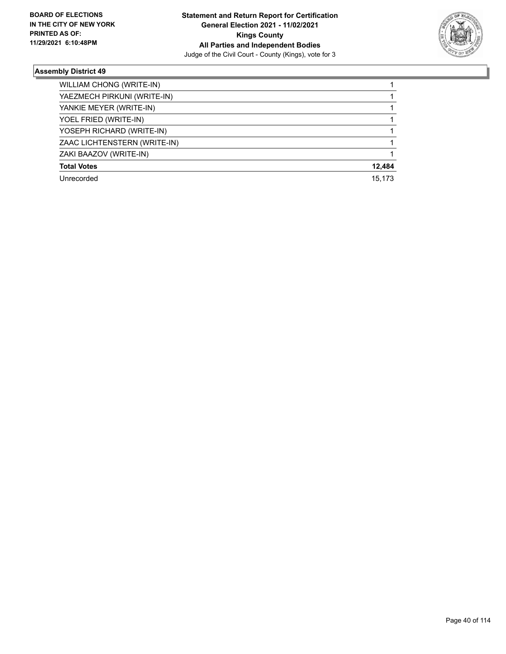

| WILLIAM CHONG (WRITE-IN)     |        |
|------------------------------|--------|
| YAEZMECH PIRKUNI (WRITE-IN)  |        |
| YANKIE MEYER (WRITE-IN)      |        |
| YOEL FRIED (WRITE-IN)        |        |
| YOSEPH RICHARD (WRITE-IN)    |        |
| ZAAC LICHTENSTERN (WRITE-IN) |        |
| ZAKI BAAZOV (WRITE-IN)       |        |
| <b>Total Votes</b>           | 12,484 |
| Unrecorded                   | 15.173 |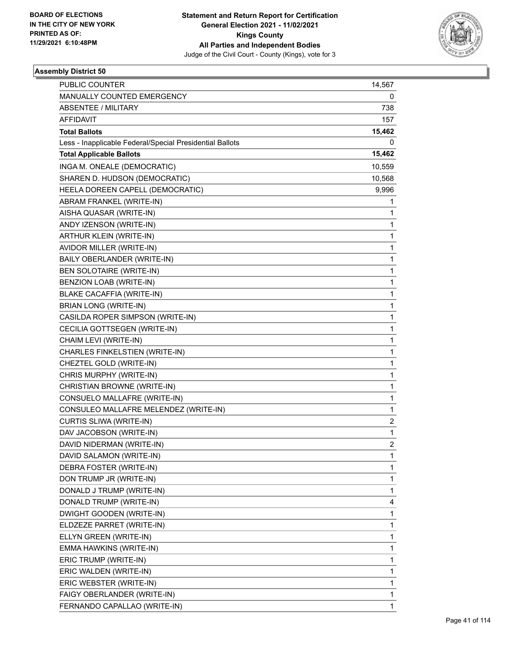

| <b>PUBLIC COUNTER</b>                                    | 14,567         |
|----------------------------------------------------------|----------------|
| MANUALLY COUNTED EMERGENCY                               | 0              |
| <b>ABSENTEE / MILITARY</b>                               | 738            |
| AFFIDAVIT                                                | 157            |
| <b>Total Ballots</b>                                     | 15,462         |
| Less - Inapplicable Federal/Special Presidential Ballots | 0              |
| <b>Total Applicable Ballots</b>                          | 15,462         |
| INGA M. ONEALE (DEMOCRATIC)                              | 10,559         |
| SHAREN D. HUDSON (DEMOCRATIC)                            | 10,568         |
| HEELA DOREEN CAPELL (DEMOCRATIC)                         | 9,996          |
| ABRAM FRANKEL (WRITE-IN)                                 | 1              |
| AISHA QUASAR (WRITE-IN)                                  | 1              |
| ANDY IZENSON (WRITE-IN)                                  | 1              |
| ARTHUR KLEIN (WRITE-IN)                                  | 1              |
| AVIDOR MILLER (WRITE-IN)                                 | 1              |
| BAILY OBERLANDER (WRITE-IN)                              | 1              |
| BEN SOLOTAIRE (WRITE-IN)                                 | 1              |
| BENZION LOAB (WRITE-IN)                                  | 1              |
| <b>BLAKE CACAFFIA (WRITE-IN)</b>                         | 1              |
| <b>BRIAN LONG (WRITE-IN)</b>                             | 1              |
| CASILDA ROPER SIMPSON (WRITE-IN)                         | 1              |
| CECILIA GOTTSEGEN (WRITE-IN)                             | 1              |
| CHAIM LEVI (WRITE-IN)                                    | 1              |
| CHARLES FINKELSTIEN (WRITE-IN)                           | 1              |
| CHEZTEL GOLD (WRITE-IN)                                  | 1              |
| CHRIS MURPHY (WRITE-IN)                                  | 1              |
| CHRISTIAN BROWNE (WRITE-IN)                              | 1              |
| CONSUELO MALLAFRE (WRITE-IN)                             | 1              |
| CONSULEO MALLAFRE MELENDEZ (WRITE-IN)                    | 1              |
| CURTIS SLIWA (WRITE-IN)                                  | 2              |
| DAV JACOBSON (WRITE-IN)                                  | 1              |
| DAVID NIDERMAN (WRITE-IN)                                | $\overline{c}$ |
| DAVID SALAMON (WRITE-IN)                                 | 1              |
| DEBRA FOSTER (WRITE-IN)                                  | 1              |
| DON TRUMP JR (WRITE-IN)                                  | 1              |
| DONALD J TRUMP (WRITE-IN)                                | 1              |
| DONALD TRUMP (WRITE-IN)                                  | 4              |
| DWIGHT GOODEN (WRITE-IN)                                 | 1              |
| ELDZEZE PARRET (WRITE-IN)                                | 1              |
| ELLYN GREEN (WRITE-IN)                                   | 1              |
| EMMA HAWKINS (WRITE-IN)                                  | 1              |
| ERIC TRUMP (WRITE-IN)                                    | 1              |
| ERIC WALDEN (WRITE-IN)                                   | 1              |
| ERIC WEBSTER (WRITE-IN)                                  | 1              |
| FAIGY OBERLANDER (WRITE-IN)                              | 1              |
| FERNANDO CAPALLAO (WRITE-IN)                             | 1              |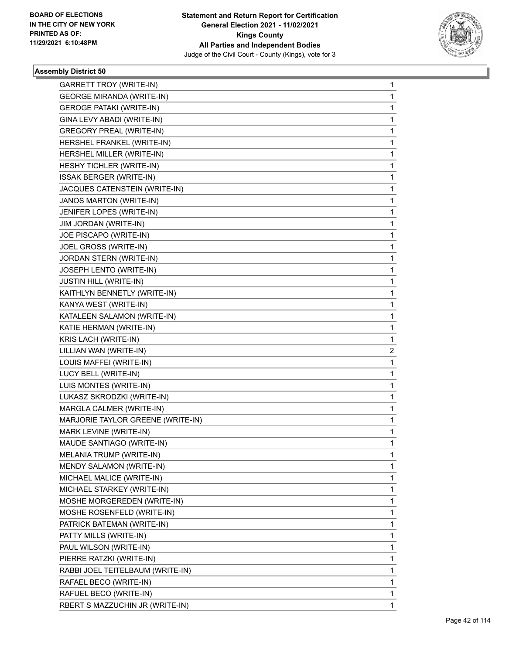

| GARRETT TROY (WRITE-IN)           | 1            |
|-----------------------------------|--------------|
| <b>GEORGE MIRANDA (WRITE-IN)</b>  | $\mathbf 1$  |
| <b>GEROGE PATAKI (WRITE-IN)</b>   | 1            |
| GINA LEVY ABADI (WRITE-IN)        | 1            |
| <b>GREGORY PREAL (WRITE-IN)</b>   | 1            |
| HERSHEL FRANKEL (WRITE-IN)        | 1            |
| HERSHEL MILLER (WRITE-IN)         | 1            |
| HESHY TICHLER (WRITE-IN)          | 1            |
| <b>ISSAK BERGER (WRITE-IN)</b>    | 1            |
| JACQUES CATENSTEIN (WRITE-IN)     | 1            |
| JANOS MARTON (WRITE-IN)           | 1            |
| JENIFER LOPES (WRITE-IN)          | 1            |
| JIM JORDAN (WRITE-IN)             | 1            |
| JOE PISCAPO (WRITE-IN)            | 1            |
| JOEL GROSS (WRITE-IN)             | 1            |
| JORDAN STERN (WRITE-IN)           | 1            |
| JOSEPH LENTO (WRITE-IN)           | 1            |
| <b>JUSTIN HILL (WRITE-IN)</b>     | 1            |
| KAITHLYN BENNETLY (WRITE-IN)      | 1            |
| KANYA WEST (WRITE-IN)             | 1            |
| KATALEEN SALAMON (WRITE-IN)       | 1            |
| KATIE HERMAN (WRITE-IN)           | 1            |
| KRIS LACH (WRITE-IN)              | 1            |
| LILLIAN WAN (WRITE-IN)            | 2            |
| LOUIS MAFFEI (WRITE-IN)           | 1            |
| LUCY BELL (WRITE-IN)              | 1            |
| LUIS MONTES (WRITE-IN)            | 1            |
| LUKASZ SKRODZKI (WRITE-IN)        | 1            |
| MARGLA CALMER (WRITE-IN)          | 1            |
| MARJORIE TAYLOR GREENE (WRITE-IN) | 1            |
| MARK LEVINE (WRITE-IN)            | 1            |
| MAUDE SANTIAGO (WRITE-IN)         | $\mathbf{1}$ |
| MELANIA TRUMP (WRITE-IN)          | 1            |
| MENDY SALAMON (WRITE-IN)          | 1            |
| MICHAEL MALICE (WRITE-IN)         | 1            |
| MICHAEL STARKEY (WRITE-IN)        | 1            |
| MOSHE MORGEREDEN (WRITE-IN)       | 1            |
| MOSHE ROSENFELD (WRITE-IN)        | 1            |
| PATRICK BATEMAN (WRITE-IN)        | 1            |
| PATTY MILLS (WRITE-IN)            | 1            |
| PAUL WILSON (WRITE-IN)            | 1            |
| PIERRE RATZKI (WRITE-IN)          | 1            |
| RABBI JOEL TEITELBAUM (WRITE-IN)  | 1            |
| RAFAEL BECO (WRITE-IN)            | 1            |
| RAFUEL BECO (WRITE-IN)            | 1            |
| RBERT S MAZZUCHIN JR (WRITE-IN)   | 1            |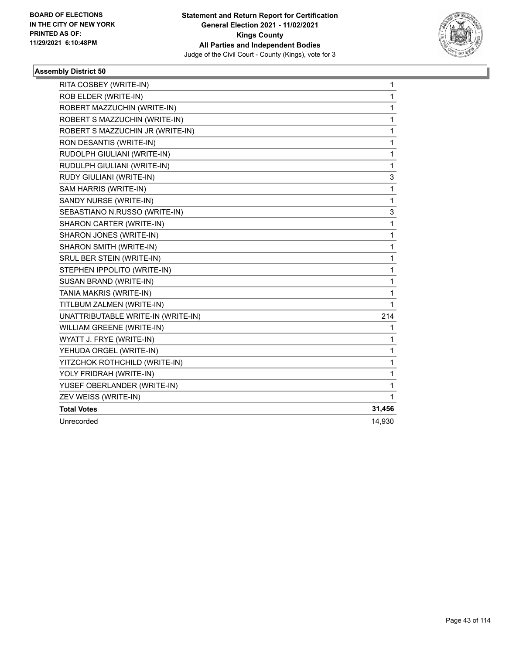

| RITA COSBEY (WRITE-IN)             | 1            |
|------------------------------------|--------------|
| ROB ELDER (WRITE-IN)               | $\mathbf{1}$ |
| ROBERT MAZZUCHIN (WRITE-IN)        | $\mathbf{1}$ |
| ROBERT S MAZZUCHIN (WRITE-IN)      | $\mathbf 1$  |
| ROBERT S MAZZUCHIN JR (WRITE-IN)   | 1            |
| RON DESANTIS (WRITE-IN)            | 1            |
| RUDOLPH GIULIANI (WRITE-IN)        | 1            |
| RUDULPH GIULIANI (WRITE-IN)        | 1            |
| RUDY GIULIANI (WRITE-IN)           | 3            |
| SAM HARRIS (WRITE-IN)              | 1            |
| SANDY NURSE (WRITE-IN)             | $\mathbf{1}$ |
| SEBASTIANO N.RUSSO (WRITE-IN)      | 3            |
| SHARON CARTER (WRITE-IN)           | 1            |
| SHARON JONES (WRITE-IN)            | 1            |
| SHARON SMITH (WRITE-IN)            | 1            |
| SRUL BER STEIN (WRITE-IN)          | 1            |
| STEPHEN IPPOLITO (WRITE-IN)        | 1            |
| SUSAN BRAND (WRITE-IN)             | 1            |
| TANIA MAKRIS (WRITE-IN)            | 1            |
| TITLBUM ZALMEN (WRITE-IN)          | 1            |
| UNATTRIBUTABLE WRITE-IN (WRITE-IN) | 214          |
| WILLIAM GREENE (WRITE-IN)          | 1            |
| WYATT J. FRYE (WRITE-IN)           | $\mathbf{1}$ |
| YEHUDA ORGEL (WRITE-IN)            | 1            |
| YITZCHOK ROTHCHILD (WRITE-IN)      | 1            |
| YOLY FRIDRAH (WRITE-IN)            | 1            |
| YUSEF OBERLANDER (WRITE-IN)        | 1            |
| ZEV WEISS (WRITE-IN)               | 1            |
| <b>Total Votes</b>                 | 31,456       |
| Unrecorded                         | 14,930       |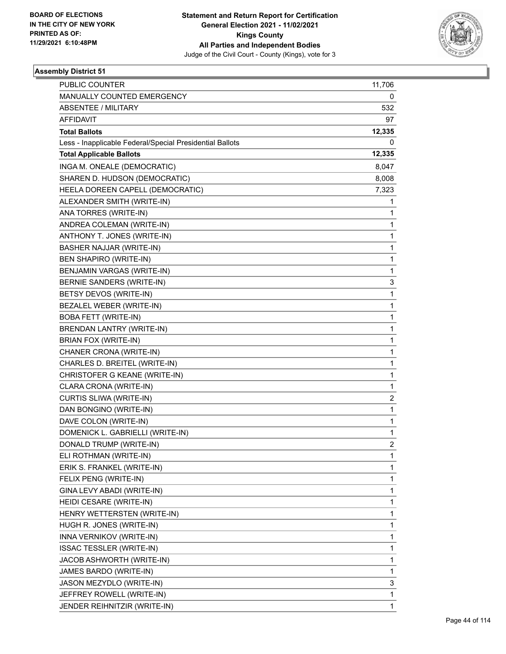

| <b>PUBLIC COUNTER</b>                                    | 11,706 |
|----------------------------------------------------------|--------|
| MANUALLY COUNTED EMERGENCY                               | 0      |
| ABSENTEE / MILITARY                                      | 532    |
| <b>AFFIDAVIT</b>                                         | 97     |
| <b>Total Ballots</b>                                     | 12,335 |
| Less - Inapplicable Federal/Special Presidential Ballots | 0      |
| <b>Total Applicable Ballots</b>                          | 12,335 |
| INGA M. ONEALE (DEMOCRATIC)                              | 8,047  |
| SHAREN D. HUDSON (DEMOCRATIC)                            | 8,008  |
| HEELA DOREEN CAPELL (DEMOCRATIC)                         | 7,323  |
| ALEXANDER SMITH (WRITE-IN)                               | 1      |
| ANA TORRES (WRITE-IN)                                    | 1      |
| ANDREA COLEMAN (WRITE-IN)                                | 1      |
| ANTHONY T. JONES (WRITE-IN)                              | 1      |
| BASHER NAJJAR (WRITE-IN)                                 | 1      |
| BEN SHAPIRO (WRITE-IN)                                   | 1      |
| BENJAMIN VARGAS (WRITE-IN)                               | 1      |
| BERNIE SANDERS (WRITE-IN)                                | 3      |
| BETSY DEVOS (WRITE-IN)                                   | 1      |
| BEZALEL WEBER (WRITE-IN)                                 | 1      |
| <b>BOBA FETT (WRITE-IN)</b>                              | 1      |
| <b>BRENDAN LANTRY (WRITE-IN)</b>                         | 1      |
| BRIAN FOX (WRITE-IN)                                     | 1      |
| CHANER CRONA (WRITE-IN)                                  | 1      |
| CHARLES D. BREITEL (WRITE-IN)                            | 1      |
| CHRISTOFER G KEANE (WRITE-IN)                            | 1      |
| CLARA CRONA (WRITE-IN)                                   | 1      |
| CURTIS SLIWA (WRITE-IN)                                  | 2      |
| DAN BONGINO (WRITE-IN)                                   | 1      |
| DAVE COLON (WRITE-IN)                                    | 1      |
| DOMENICK L. GABRIELLI (WRITE-IN)                         | 1      |
| DONALD TRUMP (WRITE-IN)                                  | 2      |
| ELI ROTHMAN (WRITE-IN)                                   | 1      |
| ERIK S. FRANKEL (WRITE-IN)                               | 1      |
| FELIX PENG (WRITE-IN)                                    | 1      |
| GINA LEVY ABADI (WRITE-IN)                               | 1      |
| HEIDI CESARE (WRITE-IN)                                  | 1      |
| HENRY WETTERSTEN (WRITE-IN)                              | 1      |
| HUGH R. JONES (WRITE-IN)                                 | 1      |
| INNA VERNIKOV (WRITE-IN)                                 | 1      |
| <b>ISSAC TESSLER (WRITE-IN)</b>                          | 1      |
| JACOB ASHWORTH (WRITE-IN)                                | 1      |
| JAMES BARDO (WRITE-IN)                                   | 1      |
| JASON MEZYDLO (WRITE-IN)                                 | 3      |
| JEFFREY ROWELL (WRITE-IN)                                | 1      |
| JENDER REIHNITZIR (WRITE-IN)                             | 1      |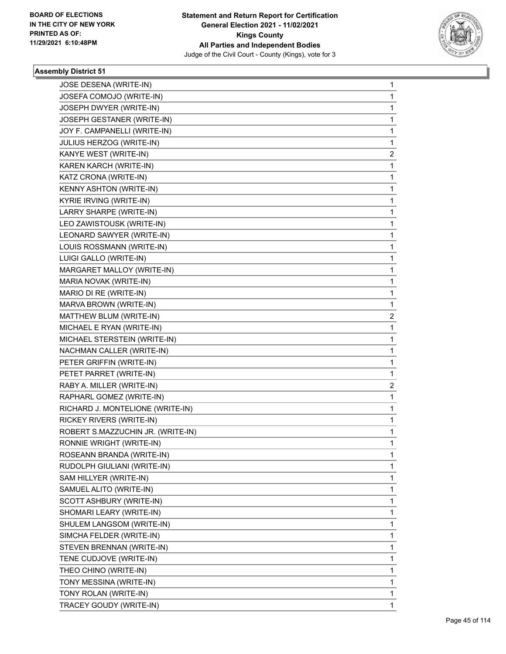

| JOSE DESENA (WRITE-IN)<br>JOSEFA COMOJO (WRITE-IN) | 1                       |
|----------------------------------------------------|-------------------------|
|                                                    |                         |
|                                                    | 1                       |
| JOSEPH DWYER (WRITE-IN)                            | 1                       |
| JOSEPH GESTANER (WRITE-IN)                         | 1                       |
| JOY F. CAMPANELLI (WRITE-IN)                       | 1                       |
| JULIUS HERZOG (WRITE-IN)                           | 1                       |
| KANYE WEST (WRITE-IN)                              | 2                       |
| KAREN KARCH (WRITE-IN)                             | 1                       |
| KATZ CRONA (WRITE-IN)                              | 1                       |
| KENNY ASHTON (WRITE-IN)                            | 1                       |
| KYRIE IRVING (WRITE-IN)                            | 1                       |
| LARRY SHARPE (WRITE-IN)                            | 1                       |
| LEO ZAWISTOUSK (WRITE-IN)                          | 1                       |
| LEONARD SAWYER (WRITE-IN)                          | 1                       |
| LOUIS ROSSMANN (WRITE-IN)                          | 1                       |
| LUIGI GALLO (WRITE-IN)                             | 1                       |
| MARGARET MALLOY (WRITE-IN)                         | 1                       |
| MARIA NOVAK (WRITE-IN)                             | 1                       |
| MARIO DI RE (WRITE-IN)                             | 1                       |
| MARVA BROWN (WRITE-IN)                             | 1                       |
| MATTHEW BLUM (WRITE-IN)                            | $\overline{\mathbf{c}}$ |
| MICHAEL E RYAN (WRITE-IN)                          | 1                       |
| MICHAEL STERSTEIN (WRITE-IN)                       | 1                       |
| NACHMAN CALLER (WRITE-IN)                          | 1                       |
| PETER GRIFFIN (WRITE-IN)                           | 1                       |
| PETET PARRET (WRITE-IN)                            | 1                       |
| RABY A. MILLER (WRITE-IN)                          | $\overline{\mathbf{c}}$ |
| RAPHARL GOMEZ (WRITE-IN)                           | 1                       |
| RICHARD J. MONTELIONE (WRITE-IN)                   | 1                       |
| RICKEY RIVERS (WRITE-IN)                           | 1                       |
| ROBERT S.MAZZUCHIN JR. (WRITE-IN)                  | 1                       |
| RONNIE WRIGHT (WRITE-IN)                           | 1                       |
| ROSEANN BRANDA (WRITE-IN)                          | 1                       |
| RUDOLPH GIULIANI (WRITE-IN)                        | 1                       |
| SAM HILLYER (WRITE-IN)                             | 1                       |
| SAMUEL ALITO (WRITE-IN)                            | 1                       |
| SCOTT ASHBURY (WRITE-IN)                           | 1                       |
| SHOMARI LEARY (WRITE-IN)                           | 1                       |
| SHULEM LANGSOM (WRITE-IN)                          | 1                       |
| SIMCHA FELDER (WRITE-IN)                           | 1                       |
| STEVEN BRENNAN (WRITE-IN)                          | 1                       |
| TENE CUDJOVE (WRITE-IN)                            | 1                       |
| THEO CHINO (WRITE-IN)                              | 1                       |
| TONY MESSINA (WRITE-IN)                            | 1                       |
| TONY ROLAN (WRITE-IN)                              | 1                       |
| TRACEY GOUDY (WRITE-IN)                            | 1                       |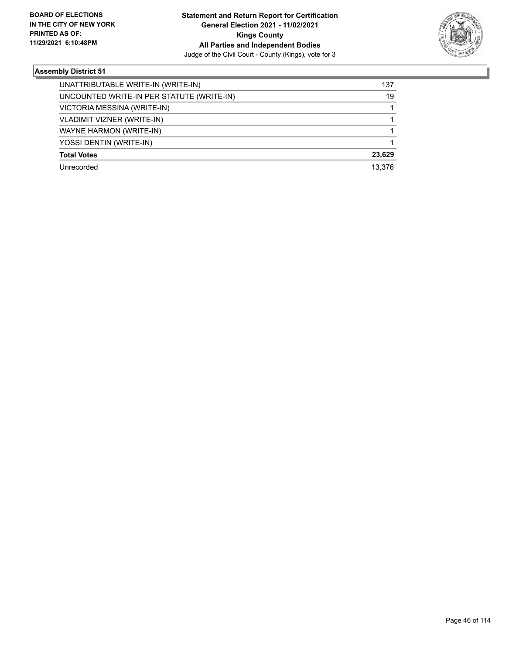

| UNATTRIBUTABLE WRITE-IN (WRITE-IN)        | 137    |
|-------------------------------------------|--------|
| UNCOUNTED WRITE-IN PER STATUTE (WRITE-IN) | 19     |
| VICTORIA MESSINA (WRITE-IN)               |        |
| <b>VLADIMIT VIZNER (WRITE-IN)</b>         |        |
| WAYNE HARMON (WRITE-IN)                   |        |
| YOSSI DENTIN (WRITE-IN)                   |        |
| <b>Total Votes</b>                        | 23.629 |
| Unrecorded                                | 13.376 |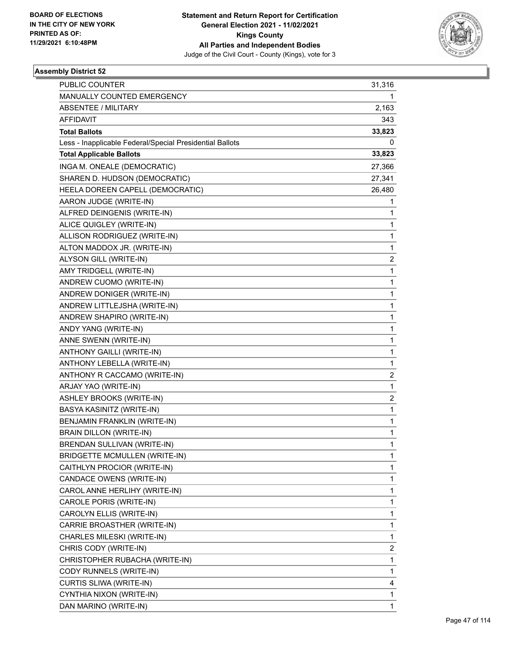

| PUBLIC COUNTER                                           | 31,316                  |
|----------------------------------------------------------|-------------------------|
| MANUALLY COUNTED EMERGENCY                               | 1                       |
| <b>ABSENTEE / MILITARY</b>                               | 2,163                   |
| <b>AFFIDAVIT</b>                                         | 343                     |
| <b>Total Ballots</b>                                     | 33,823                  |
| Less - Inapplicable Federal/Special Presidential Ballots | 0                       |
| <b>Total Applicable Ballots</b>                          | 33,823                  |
| INGA M. ONEALE (DEMOCRATIC)                              | 27,366                  |
| SHAREN D. HUDSON (DEMOCRATIC)                            | 27,341                  |
| HEELA DOREEN CAPELL (DEMOCRATIC)                         | 26,480                  |
| AARON JUDGE (WRITE-IN)                                   | 1                       |
| ALFRED DEINGENIS (WRITE-IN)                              | 1                       |
| ALICE QUIGLEY (WRITE-IN)                                 | 1                       |
| ALLISON RODRIGUEZ (WRITE-IN)                             | $\mathbf{1}$            |
| ALTON MADDOX JR. (WRITE-IN)                              | $\mathbf{1}$            |
| ALYSON GILL (WRITE-IN)                                   | 2                       |
| AMY TRIDGELL (WRITE-IN)                                  | $\mathbf{1}$            |
| ANDREW CUOMO (WRITE-IN)                                  | $\mathbf{1}$            |
| ANDREW DONIGER (WRITE-IN)                                | 1                       |
| ANDREW LITTLEJSHA (WRITE-IN)                             | $\mathbf{1}$            |
| ANDREW SHAPIRO (WRITE-IN)                                | $\mathbf{1}$            |
| ANDY YANG (WRITE-IN)                                     | 1                       |
| ANNE SWENN (WRITE-IN)                                    | $\mathbf{1}$            |
| ANTHONY GAILLI (WRITE-IN)                                | $\mathbf{1}$            |
| ANTHONY LEBELLA (WRITE-IN)                               | 1                       |
| ANTHONY R CACCAMO (WRITE-IN)                             | $\overline{2}$          |
| ARJAY YAO (WRITE-IN)                                     | $\mathbf{1}$            |
| ASHLEY BROOKS (WRITE-IN)                                 | 2                       |
| BASYA KASINITZ (WRITE-IN)                                | $\mathbf{1}$            |
| BENJAMIN FRANKLIN (WRITE-IN)                             | $\mathbf{1}$            |
| BRAIN DILLON (WRITE-IN)                                  | $\mathbf{1}$            |
| BRENDAN SULLIVAN (WRITE-IN)                              | $\mathbf{1}$            |
| <b>BRIDGETTE MCMULLEN (WRITE-IN)</b>                     | 1                       |
| CAITHLYN PROCIOR (WRITE-IN)                              | 1                       |
| CANDACE OWENS (WRITE-IN)                                 | $\mathbf{1}$            |
| CAROL ANNE HERLIHY (WRITE-IN)                            | 1                       |
| CAROLE PORIS (WRITE-IN)                                  | 1                       |
| CAROLYN ELLIS (WRITE-IN)                                 | 1                       |
| CARRIE BROASTHER (WRITE-IN)                              | 1                       |
| CHARLES MILESKI (WRITE-IN)                               | 1                       |
| CHRIS CODY (WRITE-IN)                                    | $\overline{\mathbf{c}}$ |
| CHRISTOPHER RUBACHA (WRITE-IN)                           | $\mathbf{1}$            |
| CODY RUNNELS (WRITE-IN)                                  | 1                       |
| CURTIS SLIWA (WRITE-IN)                                  | 4                       |
| CYNTHIA NIXON (WRITE-IN)                                 | 1                       |
| DAN MARINO (WRITE-IN)                                    | 1                       |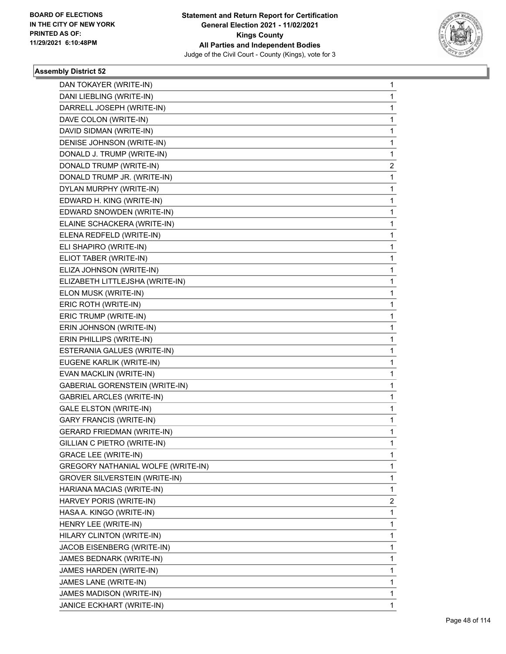

| DAN TOKAYER (WRITE-IN)                    | 1            |
|-------------------------------------------|--------------|
| DANI LIEBLING (WRITE-IN)                  | 1            |
| DARRELL JOSEPH (WRITE-IN)                 | 1            |
| DAVE COLON (WRITE-IN)                     | 1            |
| DAVID SIDMAN (WRITE-IN)                   | 1            |
| DENISE JOHNSON (WRITE-IN)                 | 1            |
| DONALD J. TRUMP (WRITE-IN)                | 1            |
| DONALD TRUMP (WRITE-IN)                   | 2            |
| DONALD TRUMP JR. (WRITE-IN)               | $\mathbf{1}$ |
| DYLAN MURPHY (WRITE-IN)                   | 1            |
| EDWARD H. KING (WRITE-IN)                 | 1            |
| EDWARD SNOWDEN (WRITE-IN)                 | 1            |
| ELAINE SCHACKERA (WRITE-IN)               | 1            |
| ELENA REDFELD (WRITE-IN)                  | 1            |
| ELI SHAPIRO (WRITE-IN)                    | 1            |
| ELIOT TABER (WRITE-IN)                    | 1            |
| ELIZA JOHNSON (WRITE-IN)                  | 1            |
| ELIZABETH LITTLEJSHA (WRITE-IN)           | 1            |
| ELON MUSK (WRITE-IN)                      | 1            |
| ERIC ROTH (WRITE-IN)                      | 1            |
| ERIC TRUMP (WRITE-IN)                     | 1            |
| ERIN JOHNSON (WRITE-IN)                   | 1            |
| ERIN PHILLIPS (WRITE-IN)                  | 1            |
| ESTERANIA GALUES (WRITE-IN)               | 1            |
| EUGENE KARLIK (WRITE-IN)                  | 1            |
| EVAN MACKLIN (WRITE-IN)                   | 1            |
| <b>GABERIAL GORENSTEIN (WRITE-IN)</b>     | 1            |
| <b>GABRIEL ARCLES (WRITE-IN)</b>          | 1            |
| <b>GALE ELSTON (WRITE-IN)</b>             | 1            |
| <b>GARY FRANCIS (WRITE-IN)</b>            | 1            |
| <b>GERARD FRIEDMAN (WRITE-IN)</b>         | 1            |
| GILLIAN C PIETRO (WRITE-IN)               | 1            |
| <b>GRACE LEE (WRITE-IN)</b>               | 1            |
| <b>GREGORY NATHANIAL WOLFE (WRITE-IN)</b> | 1            |
| <b>GROVER SILVERSTEIN (WRITE-IN)</b>      | 1            |
| HARIANA MACIAS (WRITE-IN)                 | 1            |
| HARVEY PORIS (WRITE-IN)                   | 2            |
| HASA A. KINGO (WRITE-IN)                  | 1            |
| HENRY LEE (WRITE-IN)                      | 1            |
| HILARY CLINTON (WRITE-IN)                 | 1            |
| JACOB EISENBERG (WRITE-IN)                | 1            |
| JAMES BEDNARK (WRITE-IN)                  | 1            |
| JAMES HARDEN (WRITE-IN)                   | 1            |
| JAMES LANE (WRITE-IN)                     | 1            |
| JAMES MADISON (WRITE-IN)                  | 1            |
| JANICE ECKHART (WRITE-IN)                 | 1            |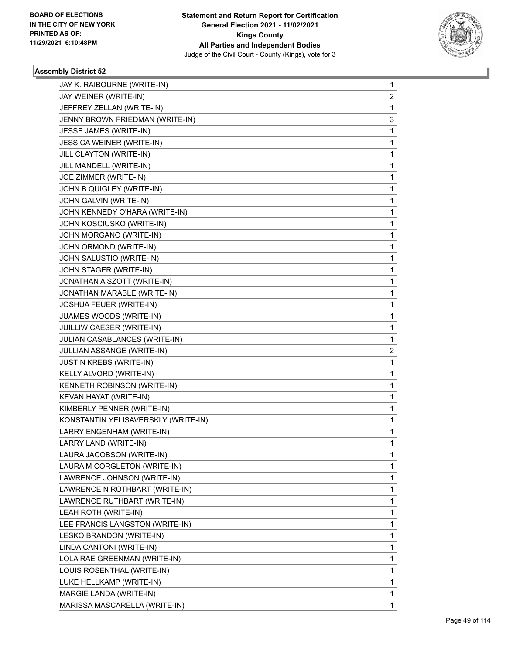

| JAY K. RAIBOURNE (WRITE-IN)                               | 1      |
|-----------------------------------------------------------|--------|
| JAY WEINER (WRITE-IN)                                     | 2<br>1 |
| JEFFREY ZELLAN (WRITE-IN)                                 |        |
| JENNY BROWN FRIEDMAN (WRITE-IN)<br>JESSE JAMES (WRITE-IN) | 3      |
|                                                           | 1      |
| <b>JESSICA WEINER (WRITE-IN)</b>                          | 1      |
| JILL CLAYTON (WRITE-IN)                                   | 1      |
| JILL MANDELL (WRITE-IN)                                   | 1      |
| JOE ZIMMER (WRITE-IN)<br>JOHN B QUIGLEY (WRITE-IN)        | 1      |
|                                                           | 1      |
| JOHN GALVIN (WRITE-IN)                                    | 1      |
| JOHN KENNEDY O'HARA (WRITE-IN)                            | 1      |
| JOHN KOSCIUSKO (WRITE-IN)<br>JOHN MORGANO (WRITE-IN)      | 1<br>1 |
| JOHN ORMOND (WRITE-IN)                                    | 1      |
|                                                           |        |
| JOHN SALUSTIO (WRITE-IN)<br>JOHN STAGER (WRITE-IN)        | 1      |
| JONATHAN A SZOTT (WRITE-IN)                               | 1      |
|                                                           | 1      |
| JONATHAN MARABLE (WRITE-IN)                               | 1      |
| JOSHUA FEUER (WRITE-IN)                                   | 1      |
| JUAMES WOODS (WRITE-IN)                                   | 1      |
| JUILLIW CAESER (WRITE-IN)                                 | 1      |
| JULIAN CASABLANCES (WRITE-IN)                             | 1      |
| JULLIAN ASSANGE (WRITE-IN)                                | 2      |
| JUSTIN KREBS (WRITE-IN)                                   | 1      |
| KELLY ALVORD (WRITE-IN)                                   | 1      |
| KENNETH ROBINSON (WRITE-IN)                               | 1      |
| KEVAN HAYAT (WRITE-IN)                                    | 1      |
| KIMBERLY PENNER (WRITE-IN)                                | 1      |
| KONSTANTIN YELISAVERSKLY (WRITE-IN)                       | 1      |
| LARRY ENGENHAM (WRITE-IN)                                 | 1      |
| LARRY LAND (WRITE-IN)                                     | 1      |
| LAURA JACOBSON (WRITE-IN)                                 | 1      |
| LAURA M CORGLETON (WRITE-IN)                              | 1      |
| LAWRENCE JOHNSON (WRITE-IN)                               | 1      |
| LAWRENCE N ROTHBART (WRITE-IN)                            | 1      |
| LAWRENCE RUTHBART (WRITE-IN)                              | 1      |
| LEAH ROTH (WRITE-IN)                                      | 1      |
| LEE FRANCIS LANGSTON (WRITE-IN)                           | 1      |
| LESKO BRANDON (WRITE-IN)                                  | 1      |
| LINDA CANTONI (WRITE-IN)                                  | 1      |
| LOLA RAE GREENMAN (WRITE-IN)                              | 1      |
| LOUIS ROSENTHAL (WRITE-IN)                                | 1      |
| LUKE HELLKAMP (WRITE-IN)                                  | 1      |
| MARGIE LANDA (WRITE-IN)                                   | 1      |
| MARISSA MASCARELLA (WRITE-IN)                             | 1      |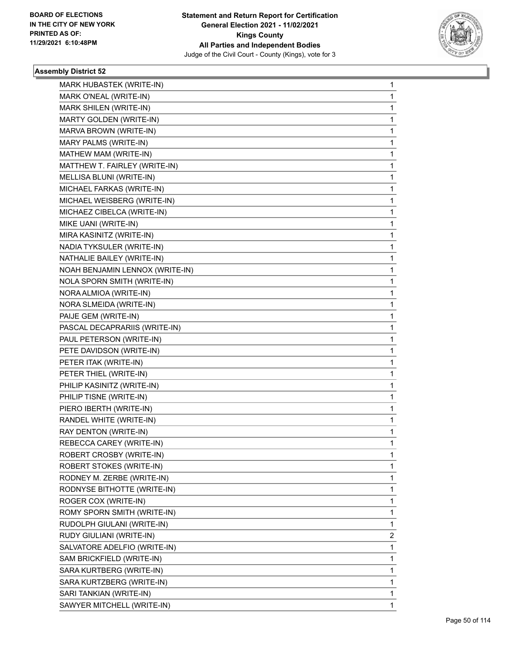

| MARK HUBASTEK (WRITE-IN)        | 1 |
|---------------------------------|---|
| MARK O'NEAL (WRITE-IN)          | 1 |
| MARK SHILEN (WRITE-IN)          | 1 |
| MARTY GOLDEN (WRITE-IN)         | 1 |
| MARVA BROWN (WRITE-IN)          | 1 |
| MARY PALMS (WRITE-IN)           | 1 |
| MATHEW MAM (WRITE-IN)           | 1 |
| MATTHEW T. FAIRLEY (WRITE-IN)   | 1 |
| MELLISA BLUNI (WRITE-IN)        | 1 |
| MICHAEL FARKAS (WRITE-IN)       | 1 |
| MICHAEL WEISBERG (WRITE-IN)     | 1 |
| MICHAEZ CIBELCA (WRITE-IN)      | 1 |
| MIKE UANI (WRITE-IN)            | 1 |
| MIRA KASINITZ (WRITE-IN)        | 1 |
| NADIA TYKSULER (WRITE-IN)       | 1 |
| NATHALIE BAILEY (WRITE-IN)      | 1 |
| NOAH BENJAMIN LENNOX (WRITE-IN) | 1 |
| NOLA SPORN SMITH (WRITE-IN)     | 1 |
| NORA ALMIOA (WRITE-IN)          | 1 |
| NORA SLMEIDA (WRITE-IN)         | 1 |
| PAIJE GEM (WRITE-IN)            | 1 |
| PASCAL DECAPRARIIS (WRITE-IN)   | 1 |
| PAUL PETERSON (WRITE-IN)        | 1 |
| PETE DAVIDSON (WRITE-IN)        | 1 |
| PETER ITAK (WRITE-IN)           | 1 |
| PETER THIEL (WRITE-IN)          | 1 |
| PHILIP KASINITZ (WRITE-IN)      | 1 |
| PHILIP TISNE (WRITE-IN)         | 1 |
| PIERO IBERTH (WRITE-IN)         | 1 |
| RANDEL WHITE (WRITE-IN)         | 1 |
| RAY DENTON (WRITE-IN)           | 1 |
| REBECCA CAREY (WRITE-IN)        | 1 |
| ROBERT CROSBY (WRITE-IN)        | 1 |
| <b>ROBERT STOKES (WRITE-IN)</b> | 1 |
| RODNEY M. ZERBE (WRITE-IN)      | 1 |
| RODNYSE BITHOTTE (WRITE-IN)     | 1 |
| ROGER COX (WRITE-IN)            | 1 |
| ROMY SPORN SMITH (WRITE-IN)     | 1 |
| RUDOLPH GIULANI (WRITE-IN)      | 1 |
| RUDY GIULIANI (WRITE-IN)        | 2 |
| SALVATORE ADELFIO (WRITE-IN)    | 1 |
| SAM BRICKFIELD (WRITE-IN)       | 1 |
| SARA KURTBERG (WRITE-IN)        | 1 |
| SARA KURTZBERG (WRITE-IN)       | 1 |
| SARI TANKIAN (WRITE-IN)         | 1 |
| SAWYER MITCHELL (WRITE-IN)      | 1 |
|                                 |   |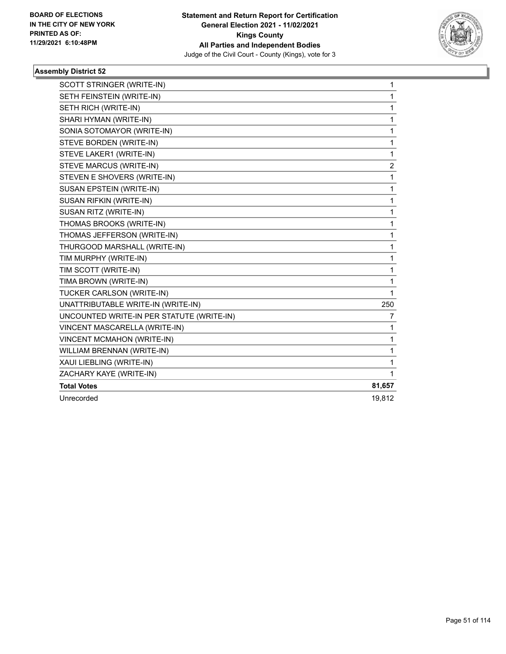

| SCOTT STRINGER (WRITE-IN)                 | 1      |
|-------------------------------------------|--------|
| SETH FEINSTEIN (WRITE-IN)                 | 1      |
| SETH RICH (WRITE-IN)                      | 1      |
| SHARI HYMAN (WRITE-IN)                    | 1      |
| SONIA SOTOMAYOR (WRITE-IN)                | 1      |
| STEVE BORDEN (WRITE-IN)                   | 1      |
| STEVE LAKER1 (WRITE-IN)                   | 1      |
| STEVE MARCUS (WRITE-IN)                   | 2      |
| STEVEN E SHOVERS (WRITE-IN)               | 1      |
| SUSAN EPSTEIN (WRITE-IN)                  | 1      |
| SUSAN RIFKIN (WRITE-IN)                   | 1      |
| SUSAN RITZ (WRITE-IN)                     | 1      |
| THOMAS BROOKS (WRITE-IN)                  | 1      |
| THOMAS JEFFERSON (WRITE-IN)               | 1      |
| THURGOOD MARSHALL (WRITE-IN)              | 1      |
| TIM MURPHY (WRITE-IN)                     | 1      |
| TIM SCOTT (WRITE-IN)                      | 1      |
| TIMA BROWN (WRITE-IN)                     | 1      |
| TUCKER CARLSON (WRITE-IN)                 | 1      |
| UNATTRIBUTABLE WRITE-IN (WRITE-IN)        | 250    |
| UNCOUNTED WRITE-IN PER STATUTE (WRITE-IN) | 7      |
| VINCENT MASCARELLA (WRITE-IN)             | 1      |
| VINCENT MCMAHON (WRITE-IN)                | 1      |
| WILLIAM BRENNAN (WRITE-IN)                | 1      |
| XAUI LIEBLING (WRITE-IN)                  | 1      |
| ZACHARY KAYE (WRITE-IN)                   | 1      |
| <b>Total Votes</b>                        | 81,657 |
| Unrecorded                                | 19,812 |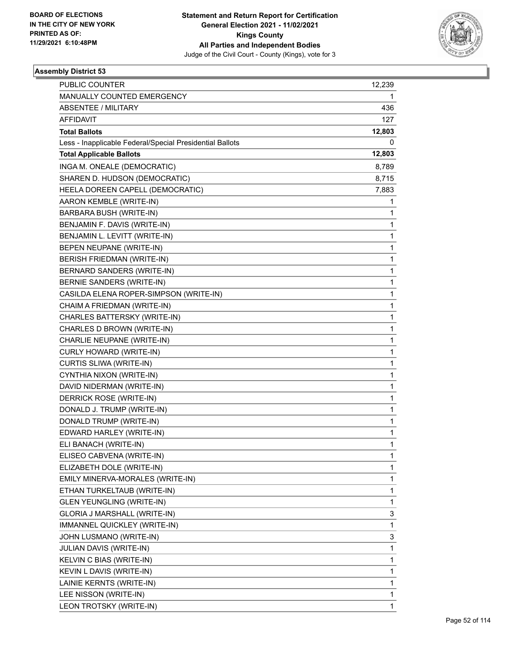

| PUBLIC COUNTER                                           | 12,239       |
|----------------------------------------------------------|--------------|
| MANUALLY COUNTED EMERGENCY                               | 1            |
| <b>ABSENTEE / MILITARY</b>                               | 436          |
| <b>AFFIDAVIT</b>                                         | 127          |
| <b>Total Ballots</b>                                     | 12,803       |
| Less - Inapplicable Federal/Special Presidential Ballots | 0            |
| <b>Total Applicable Ballots</b>                          | 12,803       |
| INGA M. ONEALE (DEMOCRATIC)                              | 8,789        |
| SHAREN D. HUDSON (DEMOCRATIC)                            | 8,715        |
| HEELA DOREEN CAPELL (DEMOCRATIC)                         | 7,883        |
| AARON KEMBLE (WRITE-IN)                                  | 1            |
| BARBARA BUSH (WRITE-IN)                                  | 1            |
| BENJAMIN F. DAVIS (WRITE-IN)                             | 1            |
| BENJAMIN L. LEVITT (WRITE-IN)                            | $\mathbf{1}$ |
| BEPEN NEUPANE (WRITE-IN)                                 | $\mathbf{1}$ |
| <b>BERISH FRIEDMAN (WRITE-IN)</b>                        | 1            |
| BERNARD SANDERS (WRITE-IN)                               | 1            |
| BERNIE SANDERS (WRITE-IN)                                | $\mathbf{1}$ |
| CASILDA ELENA ROPER-SIMPSON (WRITE-IN)                   | 1            |
| CHAIM A FRIEDMAN (WRITE-IN)                              | $\mathbf{1}$ |
| CHARLES BATTERSKY (WRITE-IN)                             | $\mathbf{1}$ |
| CHARLES D BROWN (WRITE-IN)                               | 1            |
| CHARLIE NEUPANE (WRITE-IN)                               | $\mathbf{1}$ |
| CURLY HOWARD (WRITE-IN)                                  | $\mathbf{1}$ |
| CURTIS SLIWA (WRITE-IN)                                  | 1            |
| CYNTHIA NIXON (WRITE-IN)                                 | $\mathbf{1}$ |
| DAVID NIDERMAN (WRITE-IN)                                | $\mathbf{1}$ |
| DERRICK ROSE (WRITE-IN)                                  | 1            |
| DONALD J. TRUMP (WRITE-IN)                               | $\mathbf{1}$ |
| DONALD TRUMP (WRITE-IN)                                  | $\mathbf{1}$ |
| EDWARD HARLEY (WRITE-IN)                                 | 1            |
| ELI BANACH (WRITE-IN)                                    | $\mathbf{1}$ |
| ELISEO CABVENA (WRITE-IN)                                | 1            |
| ELIZABETH DOLE (WRITE-IN)                                | 1            |
| EMILY MINERVA-MORALES (WRITE-IN)                         | $\mathbf{1}$ |
| ETHAN TURKELTAUB (WRITE-IN)                              | $\mathbf{1}$ |
| <b>GLEN YEUNGLING (WRITE-IN)</b>                         | 1            |
| GLORIA J MARSHALL (WRITE-IN)                             | 3            |
| IMMANNEL QUICKLEY (WRITE-IN)                             | $\mathbf{1}$ |
| JOHN LUSMANO (WRITE-IN)                                  | 3            |
| <b>JULIAN DAVIS (WRITE-IN)</b>                           | $\mathbf{1}$ |
| KELVIN C BIAS (WRITE-IN)                                 | $\mathbf{1}$ |
| KEVIN L DAVIS (WRITE-IN)                                 | 1            |
| LAINIE KERNTS (WRITE-IN)                                 | $\mathbf{1}$ |
| LEE NISSON (WRITE-IN)                                    | 1            |
| LEON TROTSKY (WRITE-IN)                                  | 1            |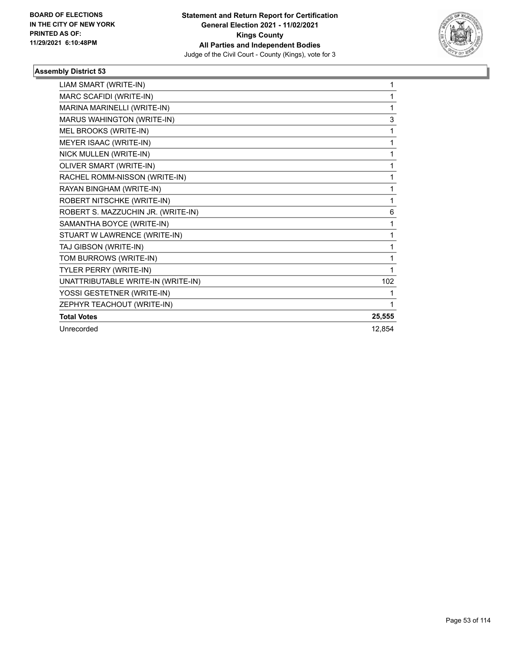

| LIAM SMART (WRITE-IN)              | 1      |
|------------------------------------|--------|
| MARC SCAFIDI (WRITE-IN)            | 1      |
| MARINA MARINELLI (WRITE-IN)        | 1      |
| MARUS WAHINGTON (WRITE-IN)         | 3      |
| MEL BROOKS (WRITE-IN)              | 1      |
| MEYER ISAAC (WRITE-IN)             | 1      |
| NICK MULLEN (WRITE-IN)             | 1      |
| OLIVER SMART (WRITE-IN)            | 1      |
| RACHEL ROMM-NISSON (WRITE-IN)      | 1      |
| RAYAN BINGHAM (WRITE-IN)           | 1      |
| ROBERT NITSCHKE (WRITE-IN)         | 1      |
| ROBERT S. MAZZUCHIN JR. (WRITE-IN) | 6      |
| SAMANTHA BOYCE (WRITE-IN)          | 1      |
| STUART W LAWRENCE (WRITE-IN)       | 1      |
| TAJ GIBSON (WRITE-IN)              | 1      |
| TOM BURROWS (WRITE-IN)             | 1      |
| <b>TYLER PERRY (WRITE-IN)</b>      | 1      |
| UNATTRIBUTABLE WRITE-IN (WRITE-IN) | 102    |
| YOSSI GESTETNER (WRITE-IN)         | 1      |
| ZEPHYR TEACHOUT (WRITE-IN)         | 1      |
| <b>Total Votes</b>                 | 25,555 |
| Unrecorded                         | 12,854 |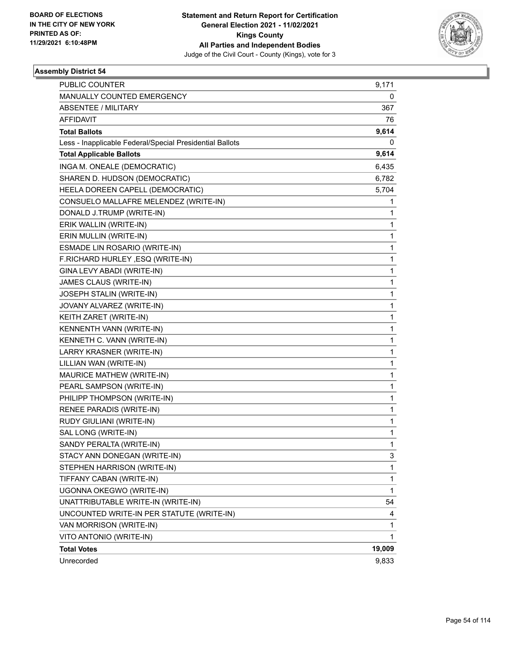

| PUBLIC COUNTER                                           | 9,171  |
|----------------------------------------------------------|--------|
| MANUALLY COUNTED EMERGENCY                               | 0      |
| <b>ABSENTEE / MILITARY</b>                               | 367    |
| AFFIDAVIT                                                | 76     |
| <b>Total Ballots</b>                                     | 9,614  |
| Less - Inapplicable Federal/Special Presidential Ballots | 0      |
| <b>Total Applicable Ballots</b>                          | 9,614  |
| INGA M. ONEALE (DEMOCRATIC)                              | 6,435  |
| SHAREN D. HUDSON (DEMOCRATIC)                            | 6,782  |
| HEELA DOREEN CAPELL (DEMOCRATIC)                         | 5,704  |
| CONSUELO MALLAFRE MELENDEZ (WRITE-IN)                    | 1      |
| DONALD J.TRUMP (WRITE-IN)                                | 1      |
| ERIK WALLIN (WRITE-IN)                                   | 1      |
| ERIN MULLIN (WRITE-IN)                                   | 1      |
| ESMADE LIN ROSARIO (WRITE-IN)                            | 1      |
| F.RICHARD HURLEY, ESQ (WRITE-IN)                         | 1      |
| GINA LEVY ABADI (WRITE-IN)                               | 1      |
| JAMES CLAUS (WRITE-IN)                                   | 1      |
| JOSEPH STALIN (WRITE-IN)                                 | 1      |
| JOVANY ALVAREZ (WRITE-IN)                                | 1      |
| KEITH ZARET (WRITE-IN)                                   | 1      |
| KENNENTH VANN (WRITE-IN)                                 | 1      |
| KENNETH C. VANN (WRITE-IN)                               | 1      |
| LARRY KRASNER (WRITE-IN)                                 | 1      |
| LILLIAN WAN (WRITE-IN)                                   | 1      |
| MAURICE MATHEW (WRITE-IN)                                | 1      |
| PEARL SAMPSON (WRITE-IN)                                 | 1      |
| PHILIPP THOMPSON (WRITE-IN)                              | 1      |
| RENEE PARADIS (WRITE-IN)                                 | 1      |
| RUDY GIULIANI (WRITE-IN)                                 | 1      |
| SAL LONG (WRITE-IN)                                      | 1      |
| SANDY PERALTA (WRITE-IN)                                 | 1      |
| STACY ANN DONEGAN (WRITE-IN)                             | 3      |
| STEPHEN HARRISON (WRITE-IN)                              | 1      |
| TIFFANY CABAN (WRITE-IN)                                 | 1      |
| UGONNA OKEGWO (WRITE-IN)                                 | 1      |
| UNATTRIBUTABLE WRITE-IN (WRITE-IN)                       | 54     |
| UNCOUNTED WRITE-IN PER STATUTE (WRITE-IN)                | 4      |
| VAN MORRISON (WRITE-IN)                                  | 1      |
| VITO ANTONIO (WRITE-IN)                                  | 1      |
| <b>Total Votes</b>                                       | 19,009 |
| Unrecorded                                               | 9,833  |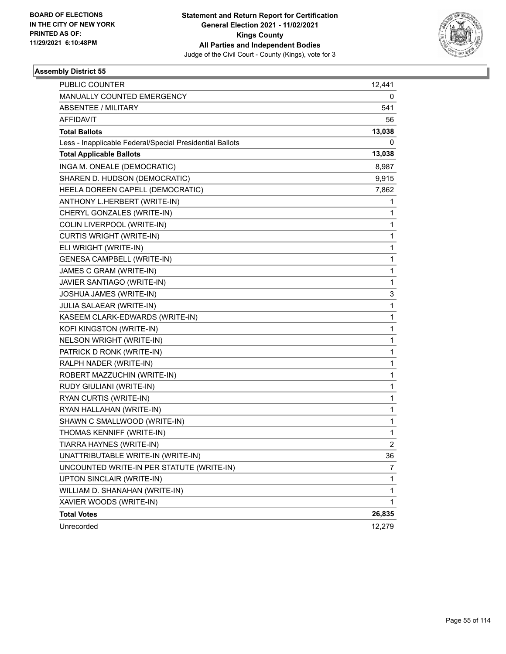

| PUBLIC COUNTER                                           | 12,441         |
|----------------------------------------------------------|----------------|
| MANUALLY COUNTED EMERGENCY                               | 0              |
| <b>ABSENTEE / MILITARY</b>                               | 541            |
| <b>AFFIDAVIT</b>                                         | 56             |
| <b>Total Ballots</b>                                     | 13,038         |
| Less - Inapplicable Federal/Special Presidential Ballots | 0              |
| <b>Total Applicable Ballots</b>                          | 13,038         |
| INGA M. ONEALE (DEMOCRATIC)                              | 8,987          |
| SHAREN D. HUDSON (DEMOCRATIC)                            | 9,915          |
| HEELA DOREEN CAPELL (DEMOCRATIC)                         | 7,862          |
| ANTHONY L.HERBERT (WRITE-IN)                             | 1              |
| CHERYL GONZALES (WRITE-IN)                               | 1              |
| COLIN LIVERPOOL (WRITE-IN)                               | 1              |
| <b>CURTIS WRIGHT (WRITE-IN)</b>                          | 1              |
| ELI WRIGHT (WRITE-IN)                                    | 1              |
| <b>GENESA CAMPBELL (WRITE-IN)</b>                        | 1              |
| JAMES C GRAM (WRITE-IN)                                  | 1              |
| JAVIER SANTIAGO (WRITE-IN)                               | 1              |
| JOSHUA JAMES (WRITE-IN)                                  | 3              |
| <b>JULIA SALAEAR (WRITE-IN)</b>                          | 1              |
| KASEEM CLARK-EDWARDS (WRITE-IN)                          | 1              |
| KOFI KINGSTON (WRITE-IN)                                 | 1              |
| NELSON WRIGHT (WRITE-IN)                                 | 1              |
| PATRICK D RONK (WRITE-IN)                                | 1              |
| RALPH NADER (WRITE-IN)                                   | 1              |
| ROBERT MAZZUCHIN (WRITE-IN)                              | 1              |
| RUDY GIULIANI (WRITE-IN)                                 | 1              |
| RYAN CURTIS (WRITE-IN)                                   | 1              |
| RYAN HALLAHAN (WRITE-IN)                                 | 1              |
| SHAWN C SMALLWOOD (WRITE-IN)                             | 1              |
| THOMAS KENNIFF (WRITE-IN)                                | 1              |
| TIARRA HAYNES (WRITE-IN)                                 | $\overline{2}$ |
| UNATTRIBUTABLE WRITE-IN (WRITE-IN)                       | 36             |
| UNCOUNTED WRITE-IN PER STATUTE (WRITE-IN)                | 7              |
| UPTON SINCLAIR (WRITE-IN)                                | 1              |
| WILLIAM D. SHANAHAN (WRITE-IN)                           | 1              |
| XAVIER WOODS (WRITE-IN)                                  | 1              |
| <b>Total Votes</b>                                       | 26,835         |
| Unrecorded                                               | 12,279         |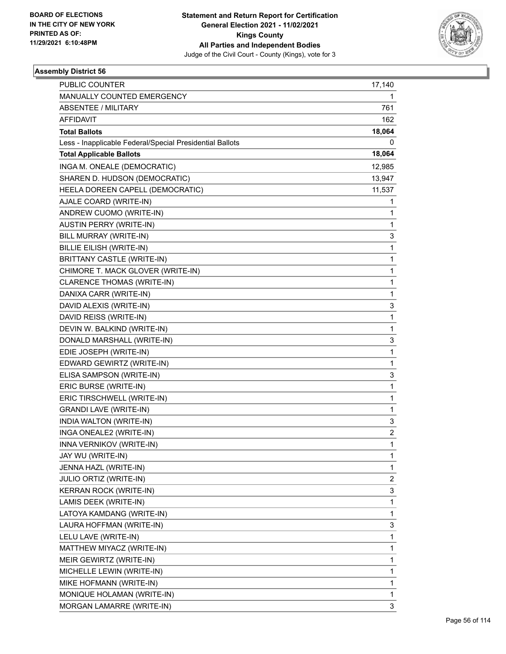

| <b>PUBLIC COUNTER</b>                                    | 17,140       |
|----------------------------------------------------------|--------------|
| MANUALLY COUNTED EMERGENCY                               | 1            |
| <b>ABSENTEE / MILITARY</b>                               | 761          |
| AFFIDAVIT                                                | 162          |
| <b>Total Ballots</b>                                     | 18,064       |
| Less - Inapplicable Federal/Special Presidential Ballots | 0            |
| <b>Total Applicable Ballots</b>                          | 18,064       |
| INGA M. ONEALE (DEMOCRATIC)                              | 12,985       |
| SHAREN D. HUDSON (DEMOCRATIC)                            | 13,947       |
| HEELA DOREEN CAPELL (DEMOCRATIC)                         | 11,537       |
| AJALE COARD (WRITE-IN)                                   | 1            |
| ANDREW CUOMO (WRITE-IN)                                  | 1            |
| <b>AUSTIN PERRY (WRITE-IN)</b>                           | 1            |
| BILL MURRAY (WRITE-IN)                                   | 3            |
| BILLIE EILISH (WRITE-IN)                                 | $\mathbf{1}$ |
| BRITTANY CASTLE (WRITE-IN)                               | 1            |
| CHIMORE T. MACK GLOVER (WRITE-IN)                        | 1            |
| CLARENCE THOMAS (WRITE-IN)                               | 1            |
| DANIXA CARR (WRITE-IN)                                   | 1            |
| DAVID ALEXIS (WRITE-IN)                                  | 3            |
| DAVID REISS (WRITE-IN)                                   | $\mathbf{1}$ |
| DEVIN W. BALKIND (WRITE-IN)                              | 1            |
| DONALD MARSHALL (WRITE-IN)                               | 3            |
| EDIE JOSEPH (WRITE-IN)                                   | $\mathbf{1}$ |
| EDWARD GEWIRTZ (WRITE-IN)                                | 1            |
| ELISA SAMPSON (WRITE-IN)                                 | 3            |
| ERIC BURSE (WRITE-IN)                                    | $\mathbf{1}$ |
| ERIC TIRSCHWELL (WRITE-IN)                               | 1            |
| <b>GRANDI LAVE (WRITE-IN)</b>                            | 1            |
| INDIA WALTON (WRITE-IN)                                  | 3            |
| INGA ONEALE2 (WRITE-IN)                                  | 2            |
| INNA VERNIKOV (WRITE-IN)                                 | 1            |
| JAY WU (WRITE-IN)                                        | 1            |
| JENNA HAZL (WRITE-IN)                                    | 1            |
| <b>JULIO ORTIZ (WRITE-IN)</b>                            | 2            |
| KERRAN ROCK (WRITE-IN)                                   | 3            |
| LAMIS DEEK (WRITE-IN)                                    | $\mathbf{1}$ |
| LATOYA KAMDANG (WRITE-IN)                                | 1            |
| LAURA HOFFMAN (WRITE-IN)                                 | 3            |
| LELU LAVE (WRITE-IN)                                     | 1            |
| MATTHEW MIYACZ (WRITE-IN)                                | $\mathbf{1}$ |
| MEIR GEWIRTZ (WRITE-IN)                                  | $\mathbf{1}$ |
| MICHELLE LEWIN (WRITE-IN)                                | 1            |
| MIKE HOFMANN (WRITE-IN)                                  | 1            |
| MONIQUE HOLAMAN (WRITE-IN)                               | 1            |
| MORGAN LAMARRE (WRITE-IN)                                | 3            |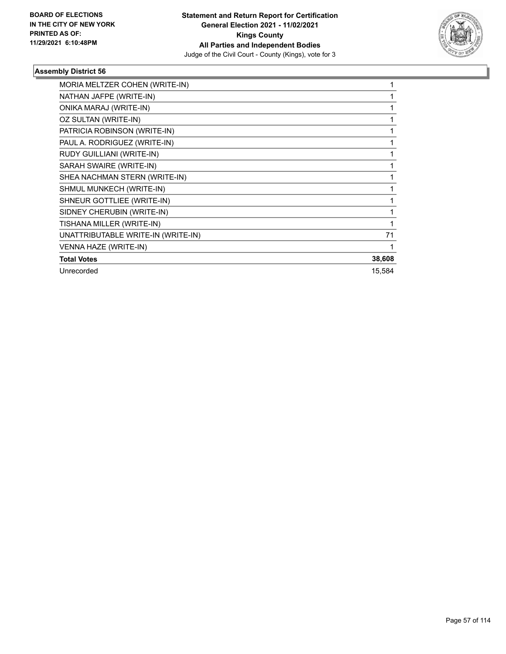

| MORIA MELTZER COHEN (WRITE-IN)     |        |
|------------------------------------|--------|
| NATHAN JAFPE (WRITE-IN)            |        |
| ONIKA MARAJ (WRITE-IN)             |        |
| OZ SULTAN (WRITE-IN)               |        |
| PATRICIA ROBINSON (WRITE-IN)       |        |
| PAUL A. RODRIGUEZ (WRITE-IN)       |        |
| RUDY GUILLIANI (WRITE-IN)          |        |
| SARAH SWAIRE (WRITE-IN)            |        |
| SHEA NACHMAN STERN (WRITE-IN)      |        |
| SHMUL MUNKECH (WRITE-IN)           |        |
| SHNEUR GOTTLIEE (WRITE-IN)         |        |
| SIDNEY CHERUBIN (WRITE-IN)         |        |
| TISHANA MILLER (WRITE-IN)          |        |
| UNATTRIBUTABLE WRITE-IN (WRITE-IN) | 71     |
| VENNA HAZE (WRITE-IN)              |        |
| <b>Total Votes</b>                 | 38,608 |
| Unrecorded                         | 15,584 |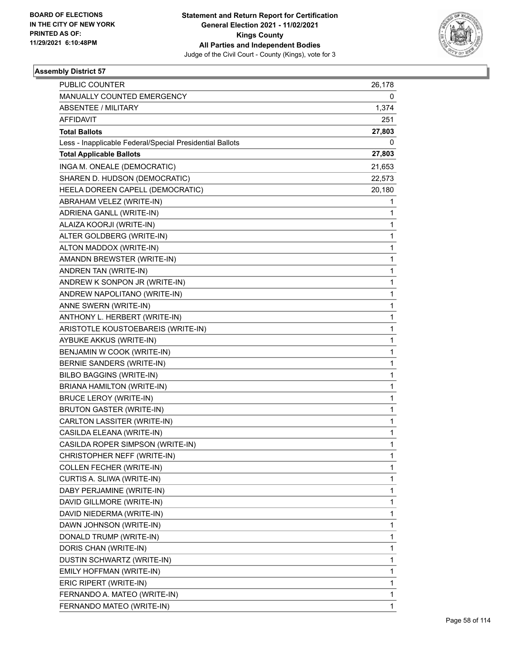

| <b>PUBLIC COUNTER</b>                                    | 26,178 |
|----------------------------------------------------------|--------|
| MANUALLY COUNTED EMERGENCY                               | 0      |
| <b>ABSENTEE / MILITARY</b>                               | 1,374  |
| AFFIDAVIT                                                | 251    |
| <b>Total Ballots</b>                                     | 27,803 |
| Less - Inapplicable Federal/Special Presidential Ballots | 0      |
| <b>Total Applicable Ballots</b>                          | 27,803 |
| INGA M. ONEALE (DEMOCRATIC)                              | 21,653 |
| SHAREN D. HUDSON (DEMOCRATIC)                            | 22,573 |
| HEELA DOREEN CAPELL (DEMOCRATIC)                         | 20,180 |
| ABRAHAM VELEZ (WRITE-IN)                                 | 1      |
| ADRIENA GANLL (WRITE-IN)                                 | 1      |
| ALAIZA KOORJI (WRITE-IN)                                 | 1      |
| ALTER GOLDBERG (WRITE-IN)                                | 1      |
| ALTON MADDOX (WRITE-IN)                                  | 1      |
| AMANDN BREWSTER (WRITE-IN)                               | 1      |
| ANDREN TAN (WRITE-IN)                                    | 1      |
| ANDREW K SONPON JR (WRITE-IN)                            | 1      |
| ANDREW NAPOLITANO (WRITE-IN)                             | 1      |
| ANNE SWERN (WRITE-IN)                                    | 1      |
| ANTHONY L. HERBERT (WRITE-IN)                            | 1      |
| ARISTOTLE KOUSTOEBAREIS (WRITE-IN)                       | 1      |
| AYBUKE AKKUS (WRITE-IN)                                  | 1      |
| BENJAMIN W COOK (WRITE-IN)                               | 1      |
| BERNIE SANDERS (WRITE-IN)                                | 1      |
| <b>BILBO BAGGINS (WRITE-IN)</b>                          | 1      |
| BRIANA HAMILTON (WRITE-IN)                               | 1      |
| <b>BRUCE LEROY (WRITE-IN)</b>                            | 1      |
| <b>BRUTON GASTER (WRITE-IN)</b>                          | 1      |
| CARLTON LASSITER (WRITE-IN)                              | 1      |
| CASILDA ELEANA (WRITE-IN)                                | 1      |
| CASILDA ROPER SIMPSON (WRITE-IN)                         | 1      |
| CHRISTOPHER NEFF (WRITE-IN)                              | 1      |
| COLLEN FECHER (WRITE-IN)                                 | 1      |
| CURTIS A. SLIWA (WRITE-IN)                               | 1      |
| DABY PERJAMINE (WRITE-IN)                                | 1      |
| DAVID GILLMORE (WRITE-IN)                                | 1      |
| DAVID NIEDERMA (WRITE-IN)                                | 1      |
| DAWN JOHNSON (WRITE-IN)                                  | 1      |
| DONALD TRUMP (WRITE-IN)                                  | 1      |
| DORIS CHAN (WRITE-IN)                                    | 1      |
| DUSTIN SCHWARTZ (WRITE-IN)                               | 1      |
| EMILY HOFFMAN (WRITE-IN)                                 | 1      |
| ERIC RIPERT (WRITE-IN)                                   | 1      |
| FERNANDO A. MATEO (WRITE-IN)                             | 1      |
| FERNANDO MATEO (WRITE-IN)                                | 1      |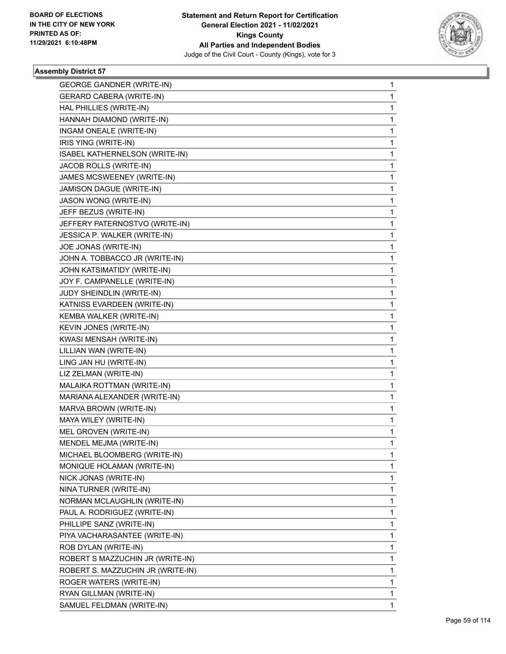

| <b>GEORGE GANDNER (WRITE-IN)</b>  | $\mathbf{1}$ |
|-----------------------------------|--------------|
| <b>GERARD CABERA (WRITE-IN)</b>   | 1            |
| HAL PHILLIES (WRITE-IN)           | 1            |
| HANNAH DIAMOND (WRITE-IN)         | 1            |
| INGAM ONEALE (WRITE-IN)           | 1            |
| IRIS YING (WRITE-IN)              | 1            |
| ISABEL KATHERNELSON (WRITE-IN)    | 1            |
| JACOB ROLLS (WRITE-IN)            | 1            |
| JAMES MCSWEENEY (WRITE-IN)        | 1            |
| JAMISON DAGUE (WRITE-IN)          | 1            |
| JASON WONG (WRITE-IN)             | 1            |
| JEFF BEZUS (WRITE-IN)             | 1            |
| JEFFERY PATERNOSTVO (WRITE-IN)    | 1            |
| JESSICA P. WALKER (WRITE-IN)      | 1            |
| JOE JONAS (WRITE-IN)              | 1            |
| JOHN A. TOBBACCO JR (WRITE-IN)    | 1            |
| JOHN KATSIMATIDY (WRITE-IN)       | 1            |
| JOY F. CAMPANELLE (WRITE-IN)      | 1            |
| JUDY SHEINDLIN (WRITE-IN)         | 1            |
| KATNISS EVARDEEN (WRITE-IN)       | 1            |
| KEMBA WALKER (WRITE-IN)           | 1            |
| KEVIN JONES (WRITE-IN)            | 1            |
| KWASI MENSAH (WRITE-IN)           | 1            |
| LILLIAN WAN (WRITE-IN)            | 1            |
| LING JAN HU (WRITE-IN)            | 1            |
| LIZ ZELMAN (WRITE-IN)             | 1            |
| MALAIKA ROTTMAN (WRITE-IN)        | 1            |
| MARIANA ALEXANDER (WRITE-IN)      | 1            |
| MARVA BROWN (WRITE-IN)            | 1            |
| MAYA WILEY (WRITE-IN)             | 1            |
| MEL GROVEN (WRITE-IN)             | $\mathbf{1}$ |
| MENDEL MEJMA (WRITE-IN)           | 1            |
| MICHAEL BLOOMBERG (WRITE-IN)      | 1            |
| MONIQUE HOLAMAN (WRITE-IN)        | 1            |
| NICK JONAS (WRITE-IN)             | 1            |
| NINA TURNER (WRITE-IN)            | 1            |
| NORMAN MCLAUGHLIN (WRITE-IN)      | 1            |
| PAUL A. RODRIGUEZ (WRITE-IN)      | 1            |
| PHILLIPE SANZ (WRITE-IN)          | 1            |
| PIYA VACHARASANTEE (WRITE-IN)     | 1            |
| ROB DYLAN (WRITE-IN)              | 1            |
| ROBERT S MAZZUCHIN JR (WRITE-IN)  | 1            |
| ROBERT S. MAZZUCHIN JR (WRITE-IN) | 1            |
| ROGER WATERS (WRITE-IN)           | 1            |
| RYAN GILLMAN (WRITE-IN)           | 1            |
| SAMUEL FELDMAN (WRITE-IN)         | 1            |
|                                   |              |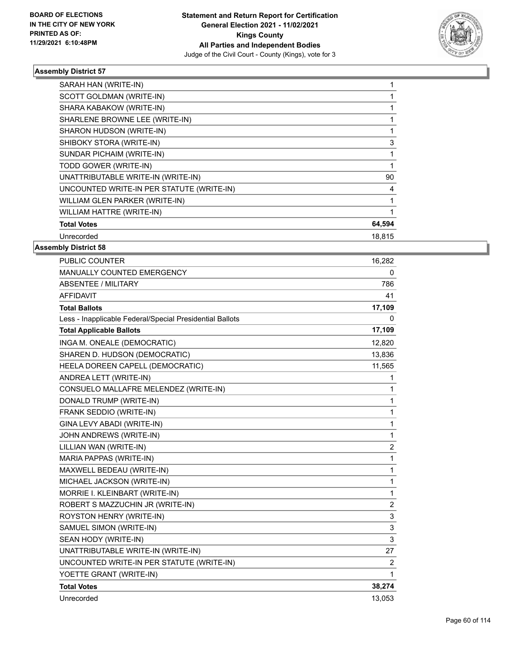

|                    | SARAH HAN (WRITE-IN)                      |        |
|--------------------|-------------------------------------------|--------|
|                    | SCOTT GOLDMAN (WRITE-IN)                  |        |
|                    | SHARA KABAKOW (WRITE-IN)                  |        |
|                    | SHARLENE BROWNE LEE (WRITE-IN)            |        |
|                    | SHARON HUDSON (WRITE-IN)                  |        |
|                    | SHIBOKY STORA (WRITE-IN)                  | 3      |
|                    | SUNDAR PICHAIM (WRITE-IN)                 |        |
|                    | TODD GOWER (WRITE-IN)                     |        |
|                    | UNATTRIBUTABLE WRITE-IN (WRITE-IN)        | 90     |
|                    | UNCOUNTED WRITE-IN PER STATUTE (WRITE-IN) | 4      |
|                    | WILLIAM GLEN PARKER (WRITE-IN)            |        |
|                    | WILLIAM HATTRE (WRITE-IN)                 |        |
| <b>Total Votes</b> |                                           | 64,594 |
| Unrecorded         |                                           | 18,815 |
|                    |                                           |        |

| PUBLIC COUNTER                                           | 16,282         |
|----------------------------------------------------------|----------------|
| MANUALLY COUNTED EMERGENCY                               | 0              |
| <b>ABSENTEE / MILITARY</b>                               | 786            |
| <b>AFFIDAVIT</b>                                         | 41             |
| <b>Total Ballots</b>                                     | 17,109         |
| Less - Inapplicable Federal/Special Presidential Ballots | 0              |
| <b>Total Applicable Ballots</b>                          | 17,109         |
| INGA M. ONEALE (DEMOCRATIC)                              | 12,820         |
| SHAREN D. HUDSON (DEMOCRATIC)                            | 13,836         |
| HEELA DOREEN CAPELL (DEMOCRATIC)                         | 11,565         |
| ANDREA LETT (WRITE-IN)                                   | 1              |
| CONSUELO MALLAFRE MELENDEZ (WRITE-IN)                    | 1              |
| DONALD TRUMP (WRITE-IN)                                  | $\mathbf{1}$   |
| FRANK SEDDIO (WRITE-IN)                                  | 1              |
| GINA LEVY ABADI (WRITE-IN)                               | $\mathbf{1}$   |
| JOHN ANDREWS (WRITE-IN)                                  | 1              |
| LILLIAN WAN (WRITE-IN)                                   | $\overline{2}$ |
| MARIA PAPPAS (WRITE-IN)                                  | $\mathbf{1}$   |
| MAXWELL BEDEAU (WRITE-IN)                                | $\mathbf{1}$   |
| MICHAEL JACKSON (WRITE-IN)                               | 1              |
| MORRIE I. KLEINBART (WRITE-IN)                           | $\mathbf{1}$   |
| ROBERT S MAZZUCHIN JR (WRITE-IN)                         | $\overline{2}$ |
| ROYSTON HENRY (WRITE-IN)                                 | 3              |
| SAMUEL SIMON (WRITE-IN)                                  | 3              |
| SEAN HODY (WRITE-IN)                                     | 3              |
| UNATTRIBUTABLE WRITE-IN (WRITE-IN)                       | 27             |
| UNCOUNTED WRITE-IN PER STATUTE (WRITE-IN)                | $\overline{2}$ |
| YOETTE GRANT (WRITE-IN)                                  | 1              |
| <b>Total Votes</b>                                       | 38,274         |
| Unrecorded                                               | 13,053         |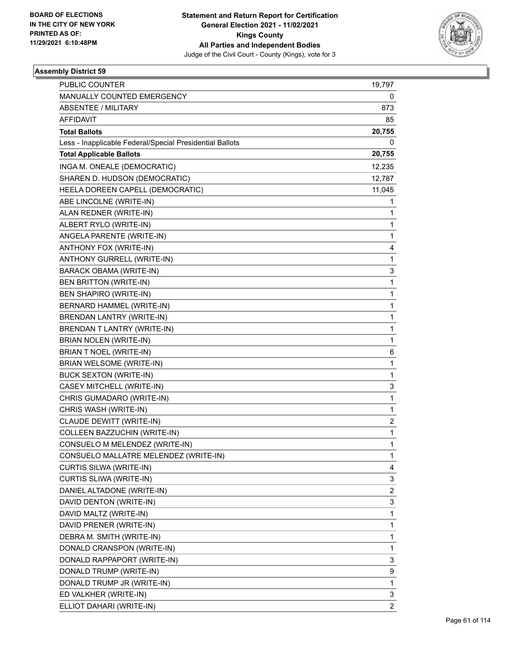

| <b>PUBLIC COUNTER</b>                                    | 19,797                  |
|----------------------------------------------------------|-------------------------|
| MANUALLY COUNTED EMERGENCY                               | 0                       |
| <b>ABSENTEE / MILITARY</b>                               | 873                     |
| AFFIDAVIT                                                | 85                      |
| <b>Total Ballots</b>                                     | 20,755                  |
| Less - Inapplicable Federal/Special Presidential Ballots | 0                       |
| <b>Total Applicable Ballots</b>                          | 20,755                  |
| INGA M. ONEALE (DEMOCRATIC)                              | 12,235                  |
| SHAREN D. HUDSON (DEMOCRATIC)                            | 12,787                  |
| HEELA DOREEN CAPELL (DEMOCRATIC)                         | 11,045                  |
| ABE LINCOLNE (WRITE-IN)                                  | 1                       |
| ALAN REDNER (WRITE-IN)                                   | 1                       |
| ALBERT RYLO (WRITE-IN)                                   | 1                       |
| ANGELA PARENTE (WRITE-IN)                                | 1                       |
| ANTHONY FOX (WRITE-IN)                                   | 4                       |
| ANTHONY GURRELL (WRITE-IN)                               | 1                       |
| <b>BARACK OBAMA (WRITE-IN)</b>                           | 3                       |
| BEN BRITTON (WRITE-IN)                                   | 1                       |
| BEN SHAPIRO (WRITE-IN)                                   | 1                       |
| BERNARD HAMMEL (WRITE-IN)                                | 1                       |
| BRENDAN LANTRY (WRITE-IN)                                | 1                       |
| BRENDAN T LANTRY (WRITE-IN)                              | 1                       |
| BRIAN NOLEN (WRITE-IN)                                   | 1                       |
| BRIAN T NOEL (WRITE-IN)                                  | 6                       |
| BRIAN WELSOME (WRITE-IN)                                 | 1                       |
| <b>BUCK SEXTON (WRITE-IN)</b>                            | 1                       |
| CASEY MITCHELL (WRITE-IN)                                | 3                       |
| CHRIS GUMADARO (WRITE-IN)                                | 1                       |
| CHRIS WASH (WRITE-IN)                                    | 1                       |
| CLAUDE DEWITT (WRITE-IN)                                 | $\overline{\mathbf{c}}$ |
| COLLEEN BAZZUCHIN (WRITE-IN)                             | 1                       |
| CONSUELO M MELENDEZ (WRITE-IN)                           | 1                       |
| CONSUELO MALLATRE MELENDEZ (WRITE-IN)                    | 1                       |
| CURTIS SILWA (WRITE-IN)                                  | 4                       |
| CURTIS SLIWA (WRITE-IN)                                  | 3                       |
| DANIEL ALTADONE (WRITE-IN)                               | $\overline{\mathbf{c}}$ |
| DAVID DENTON (WRITE-IN)                                  | 3                       |
| DAVID MALTZ (WRITE-IN)                                   | 1                       |
| DAVID PRENER (WRITE-IN)                                  | 1                       |
| DEBRA M. SMITH (WRITE-IN)                                | 1                       |
| DONALD CRANSPON (WRITE-IN)                               | 1                       |
| DONALD RAPPAPORT (WRITE-IN)                              | 3                       |
| DONALD TRUMP (WRITE-IN)                                  | 9                       |
| DONALD TRUMP JR (WRITE-IN)                               | 1                       |
| ED VALKHER (WRITE-IN)                                    | 3                       |
| ELLIOT DAHARI (WRITE-IN)                                 | $\overline{2}$          |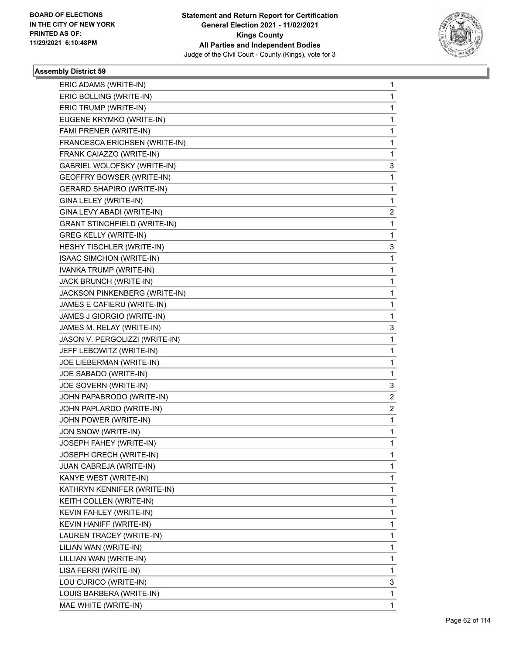

| ERIC ADAMS (WRITE-IN)<br>ERIC BOLLING (WRITE-IN) | $\mathbf{1}$<br>$\mathbf{1}$ |
|--------------------------------------------------|------------------------------|
| ERIC TRUMP (WRITE-IN)                            | 1                            |
| EUGENE KRYMKO (WRITE-IN)                         | 1                            |
| FAMI PRENER (WRITE-IN)                           | 1                            |
| FRANCESCA ERICHSEN (WRITE-IN)                    | 1                            |
| FRANK CAIAZZO (WRITE-IN)                         | 1                            |
| GABRIEL WOLOFSKY (WRITE-IN)                      | 3                            |
| GEOFFRY BOWSER (WRITE-IN)                        | 1                            |
| <b>GERARD SHAPIRO (WRITE-IN)</b>                 | 1                            |
| GINA LELEY (WRITE-IN)                            | $\mathbf{1}$                 |
| GINA LEVY ABADI (WRITE-IN)                       | 2                            |
| <b>GRANT STINCHFIELD (WRITE-IN)</b>              | $\mathbf 1$                  |
| <b>GREG KELLY (WRITE-IN)</b>                     | $\mathbf{1}$                 |
| HESHY TISCHLER (WRITE-IN)                        | 3                            |
| <b>ISAAC SIMCHON (WRITE-IN)</b>                  | 1                            |
| IVANKA TRUMP (WRITE-IN)                          | $\mathbf 1$                  |
| JACK BRUNCH (WRITE-IN)                           | 1                            |
|                                                  |                              |
| JACKSON PINKENBERG (WRITE-IN)                    | $\mathbf 1$<br>1             |
| JAMES E CAFIERU (WRITE-IN)                       |                              |
| JAMES J GIORGIO (WRITE-IN)                       | 1                            |
| JAMES M. RELAY (WRITE-IN)                        | 3                            |
| JASON V. PERGOLIZZI (WRITE-IN)                   | 1                            |
| JEFF LEBOWITZ (WRITE-IN)                         | 1                            |
| JOE LIEBERMAN (WRITE-IN)                         | $\mathbf 1$                  |
| JOE SABADO (WRITE-IN)                            | $\mathbf{1}$                 |
| JOE SOVERN (WRITE-IN)                            | 3                            |
| JOHN PAPABRODO (WRITE-IN)                        | 2                            |
| JOHN PAPLARDO (WRITE-IN)                         | 2                            |
| JOHN POWER (WRITE-IN)                            | 1                            |
| JON SNOW (WRITE-IN)                              | $\mathbf 1$                  |
| JOSEPH FAHEY (WRITE-IN)                          | $\mathbf 1$                  |
| JOSEPH GRECH (WRITE-IN)                          | 1                            |
| JUAN CABREJA (WRITE-IN)                          | 1                            |
| KANYE WEST (WRITE-IN)                            | 1                            |
| KATHRYN KENNIFER (WRITE-IN)                      | 1                            |
| KEITH COLLEN (WRITE-IN)                          | 1                            |
| KEVIN FAHLEY (WRITE-IN)                          | 1                            |
| KEVIN HANIFF (WRITE-IN)                          | 1                            |
| LAUREN TRACEY (WRITE-IN)                         | 1                            |
| LILIAN WAN (WRITE-IN)                            | 1                            |
| LILLIAN WAN (WRITE-IN)                           | 1                            |
| LISA FERRI (WRITE-IN)                            | 1                            |
| LOU CURICO (WRITE-IN)                            | 3                            |
| LOUIS BARBERA (WRITE-IN)                         | 1                            |
| MAE WHITE (WRITE-IN)                             | 1                            |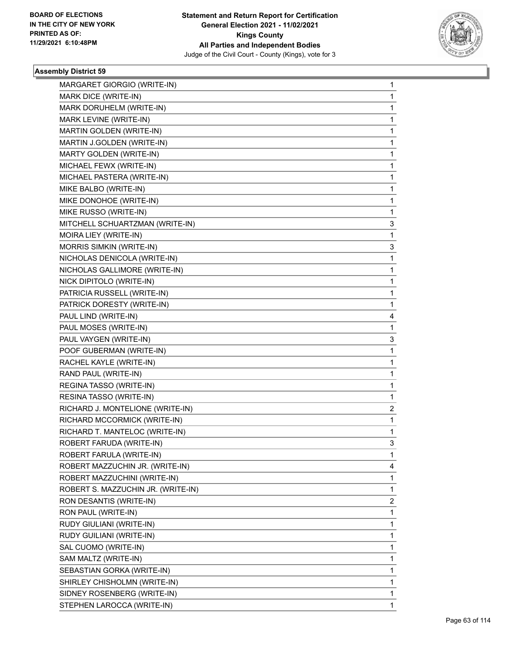

| MARGARET GIORGIO (WRITE-IN)        | 1           |
|------------------------------------|-------------|
| MARK DICE (WRITE-IN)               | 1           |
| MARK DORUHELM (WRITE-IN)           | 1           |
| MARK LEVINE (WRITE-IN)             | $\mathbf 1$ |
| MARTIN GOLDEN (WRITE-IN)           | 1           |
| MARTIN J.GOLDEN (WRITE-IN)         | 1           |
| MARTY GOLDEN (WRITE-IN)            | 1           |
| MICHAEL FEWX (WRITE-IN)            | 1           |
| MICHAEL PASTERA (WRITE-IN)         | 1           |
| MIKE BALBO (WRITE-IN)              | 1           |
| MIKE DONOHOE (WRITE-IN)            | 1           |
| MIKE RUSSO (WRITE-IN)              | 1           |
| MITCHELL SCHUARTZMAN (WRITE-IN)    | 3           |
| MOIRA LIEY (WRITE-IN)              | 1           |
| <b>MORRIS SIMKIN (WRITE-IN)</b>    | 3           |
| NICHOLAS DENICOLA (WRITE-IN)       | $\mathbf 1$ |
| NICHOLAS GALLIMORE (WRITE-IN)      | 1           |
| NICK DIPITOLO (WRITE-IN)           | 1           |
| PATRICIA RUSSELL (WRITE-IN)        | 1           |
| PATRICK DORESTY (WRITE-IN)         | 1           |
| PAUL LIND (WRITE-IN)               | 4           |
| PAUL MOSES (WRITE-IN)              | 1           |
| PAUL VAYGEN (WRITE-IN)             | 3           |
| POOF GUBERMAN (WRITE-IN)           | 1           |
| RACHEL KAYLE (WRITE-IN)            | 1           |
| RAND PAUL (WRITE-IN)               | 1           |
| REGINA TASSO (WRITE-IN)            | 1           |
| RESINA TASSO (WRITE-IN)            | 1           |
| RICHARD J. MONTELIONE (WRITE-IN)   | 2           |
| RICHARD MCCORMICK (WRITE-IN)       | 1           |
| RICHARD T. MANTELOC (WRITE-IN)     | 1           |
| ROBERT FARUDA (WRITE-IN)           | 3           |
| ROBERT FARULA (WRITE-IN)           | 1           |
| ROBERT MAZZUCHIN JR. (WRITE-IN)    | 4           |
| ROBERT MAZZUCHINI (WRITE-IN)       | 1           |
| ROBERT S. MAZZUCHIN JR. (WRITE-IN) | 1           |
| RON DESANTIS (WRITE-IN)            | 2           |
| RON PAUL (WRITE-IN)                | 1           |
| RUDY GIULIANI (WRITE-IN)           | 1           |
| RUDY GUILIANI (WRITE-IN)           | 1           |
| SAL CUOMO (WRITE-IN)               | 1           |
| SAM MALTZ (WRITE-IN)               | 1           |
| SEBASTIAN GORKA (WRITE-IN)         | 1           |
| SHIRLEY CHISHOLMN (WRITE-IN)       | 1           |
| SIDNEY ROSENBERG (WRITE-IN)        | 1           |
| STEPHEN LAROCCA (WRITE-IN)         | 1           |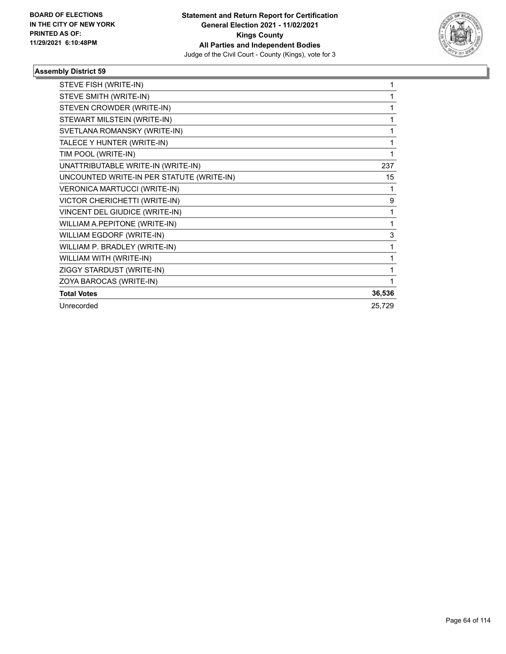

| STEVE FISH (WRITE-IN)                     |        |
|-------------------------------------------|--------|
| STEVE SMITH (WRITE-IN)                    |        |
| STEVEN CROWDER (WRITE-IN)                 | 1      |
| STEWART MILSTEIN (WRITE-IN)               | 1      |
| SVETLANA ROMANSKY (WRITE-IN)              | 1      |
| TALECE Y HUNTER (WRITE-IN)                | 1      |
| TIM POOL (WRITE-IN)                       | 1      |
| UNATTRIBUTABLE WRITE-IN (WRITE-IN)        | 237    |
| UNCOUNTED WRITE-IN PER STATUTE (WRITE-IN) | 15     |
| VERONICA MARTUCCI (WRITE-IN)              | 1      |
| VICTOR CHERICHETTI (WRITE-IN)             | 9      |
| VINCENT DEL GIUDICE (WRITE-IN)            |        |
| WILLIAM A.PEPITONE (WRITE-IN)             | 1      |
| WILLIAM EGDORF (WRITE-IN)                 | 3      |
| WILLIAM P. BRADLEY (WRITE-IN)             | 1      |
| WILLIAM WITH (WRITE-IN)                   | 1      |
| ZIGGY STARDUST (WRITE-IN)                 | 1      |
| ZOYA BAROCAS (WRITE-IN)                   |        |
| <b>Total Votes</b>                        | 36,536 |
| Unrecorded                                | 25,729 |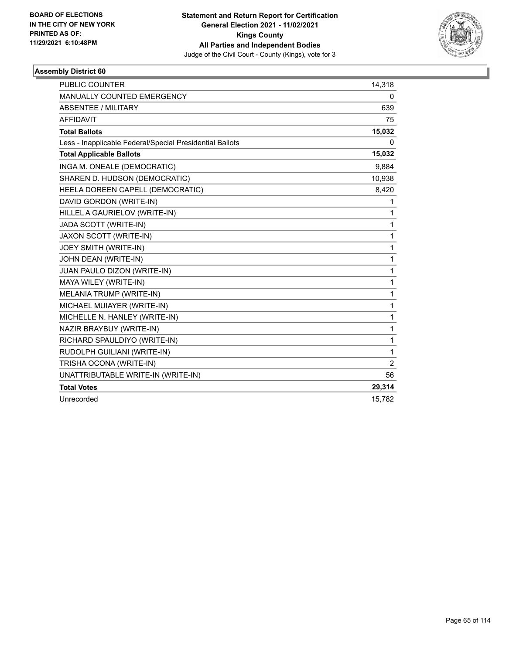

| <b>PUBLIC COUNTER</b>                                    | 14,318 |
|----------------------------------------------------------|--------|
| <b>MANUALLY COUNTED EMERGENCY</b>                        | 0      |
| <b>ABSENTEE / MILITARY</b>                               | 639    |
| <b>AFFIDAVIT</b>                                         | 75     |
| <b>Total Ballots</b>                                     | 15,032 |
| Less - Inapplicable Federal/Special Presidential Ballots | 0      |
| <b>Total Applicable Ballots</b>                          | 15,032 |
| INGA M. ONEALE (DEMOCRATIC)                              | 9,884  |
| SHAREN D. HUDSON (DEMOCRATIC)                            | 10,938 |
| HEELA DOREEN CAPELL (DEMOCRATIC)                         | 8,420  |
| DAVID GORDON (WRITE-IN)                                  | 1      |
| HILLEL A GAURIELOV (WRITE-IN)                            | 1      |
| JADA SCOTT (WRITE-IN)                                    | 1      |
| JAXON SCOTT (WRITE-IN)                                   | 1      |
| JOEY SMITH (WRITE-IN)                                    | 1      |
| JOHN DEAN (WRITE-IN)                                     | 1      |
| JUAN PAULO DIZON (WRITE-IN)                              | 1      |
| MAYA WILEY (WRITE-IN)                                    | 1      |
| MELANIA TRUMP (WRITE-IN)                                 | 1      |
| MICHAEL MUIAYER (WRITE-IN)                               | 1      |
| MICHELLE N. HANLEY (WRITE-IN)                            | 1      |
| NAZIR BRAYBUY (WRITE-IN)                                 | 1      |
| RICHARD SPAULDIYO (WRITE-IN)                             | 1      |
| RUDOLPH GUILIANI (WRITE-IN)                              | 1      |
| TRISHA OCONA (WRITE-IN)                                  | 2      |
| UNATTRIBUTABLE WRITE-IN (WRITE-IN)                       | 56     |
| <b>Total Votes</b>                                       | 29,314 |
| Unrecorded                                               | 15,782 |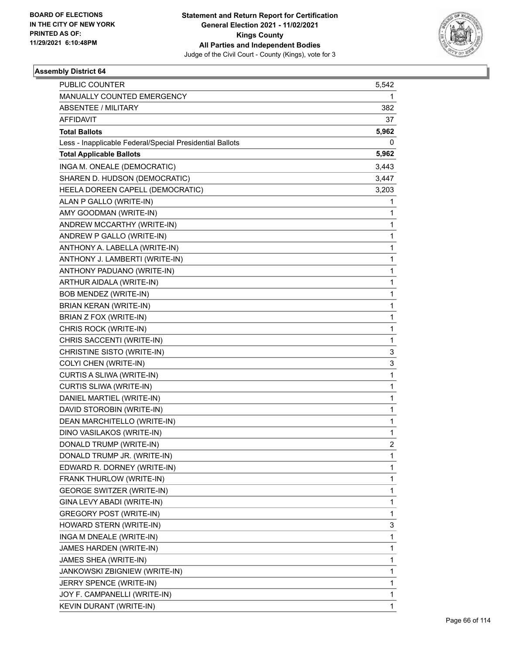

| PUBLIC COUNTER                                           | 5,542          |
|----------------------------------------------------------|----------------|
| MANUALLY COUNTED EMERGENCY                               | 1              |
| <b>ABSENTEE / MILITARY</b>                               | 382            |
| AFFIDAVIT                                                | 37             |
| <b>Total Ballots</b>                                     | 5,962          |
| Less - Inapplicable Federal/Special Presidential Ballots | 0              |
| <b>Total Applicable Ballots</b>                          | 5,962          |
| INGA M. ONEALE (DEMOCRATIC)                              | 3,443          |
| SHAREN D. HUDSON (DEMOCRATIC)                            | 3,447          |
| HEELA DOREEN CAPELL (DEMOCRATIC)                         | 3,203          |
| ALAN P GALLO (WRITE-IN)                                  | 1              |
| AMY GOODMAN (WRITE-IN)                                   | 1              |
| ANDREW MCCARTHY (WRITE-IN)                               | 1              |
| ANDREW P GALLO (WRITE-IN)                                | 1              |
| ANTHONY A. LABELLA (WRITE-IN)                            | 1              |
| ANTHONY J. LAMBERTI (WRITE-IN)                           | 1              |
| ANTHONY PADUANO (WRITE-IN)                               | 1              |
| ARTHUR AIDALA (WRITE-IN)                                 | 1              |
| <b>BOB MENDEZ (WRITE-IN)</b>                             | 1              |
| <b>BRIAN KERAN (WRITE-IN)</b>                            | 1              |
| BRIAN Z FOX (WRITE-IN)                                   | 1              |
| CHRIS ROCK (WRITE-IN)                                    | 1              |
| CHRIS SACCENTI (WRITE-IN)                                | 1              |
| CHRISTINE SISTO (WRITE-IN)                               | 3              |
| COLYI CHEN (WRITE-IN)                                    | 3              |
| CURTIS A SLIWA (WRITE-IN)                                | 1              |
| CURTIS SLIWA (WRITE-IN)                                  | 1              |
| DANIEL MARTIEL (WRITE-IN)                                | 1              |
| DAVID STOROBIN (WRITE-IN)                                | 1              |
| DEAN MARCHITELLO (WRITE-IN)                              | 1              |
| DINO VASILAKOS (WRITE-IN)                                | 1              |
| DONALD TRUMP (WRITE-IN)                                  | $\overline{c}$ |
| DONALD TRUMP JR. (WRITE-IN)                              | 1              |
| EDWARD R. DORNEY (WRITE-IN)                              | 1              |
| FRANK THURLOW (WRITE-IN)                                 | 1              |
| <b>GEORGE SWITZER (WRITE-IN)</b>                         | 1              |
| GINA LEVY ABADI (WRITE-IN)                               | 1              |
| GREGORY POST (WRITE-IN)                                  | 1              |
| HOWARD STERN (WRITE-IN)                                  | 3              |
| INGA M DNEALE (WRITE-IN)                                 | 1              |
| JAMES HARDEN (WRITE-IN)                                  | 1              |
| JAMES SHEA (WRITE-IN)                                    | 1              |
| JANKOWSKI ZBIGNIEW (WRITE-IN)                            | 1              |
| JERRY SPENCE (WRITE-IN)                                  | 1              |
| JOY F. CAMPANELLI (WRITE-IN)                             | 1              |
| KEVIN DURANT (WRITE-IN)                                  | 1              |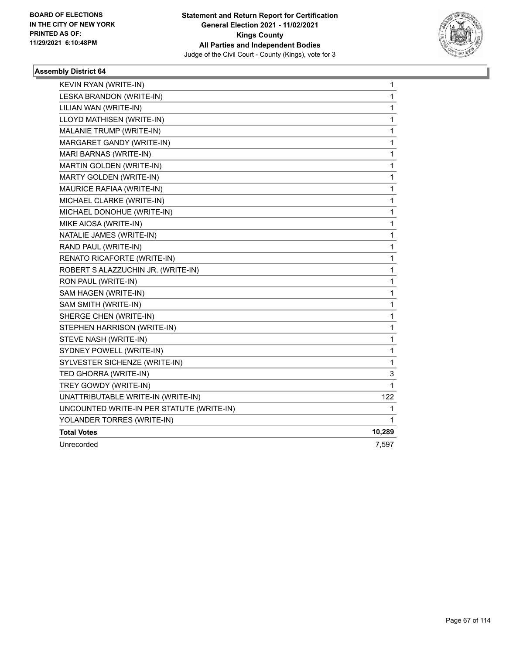

| KEVIN RYAN (WRITE-IN)                     | 1      |
|-------------------------------------------|--------|
| LESKA BRANDON (WRITE-IN)                  | 1      |
| LILIAN WAN (WRITE-IN)                     | 1      |
| LLOYD MATHISEN (WRITE-IN)                 | 1      |
| MALANIE TRUMP (WRITE-IN)                  | 1      |
| MARGARET GANDY (WRITE-IN)                 | 1      |
| MARI BARNAS (WRITE-IN)                    | 1      |
| MARTIN GOLDEN (WRITE-IN)                  | 1      |
| MARTY GOLDEN (WRITE-IN)                   | 1      |
| MAURICE RAFIAA (WRITE-IN)                 | 1      |
| MICHAEL CLARKE (WRITE-IN)                 | 1      |
| MICHAEL DONOHUE (WRITE-IN)                | 1      |
| MIKE AIOSA (WRITE-IN)                     | 1      |
| NATALIE JAMES (WRITE-IN)                  | 1      |
| RAND PAUL (WRITE-IN)                      | 1      |
| RENATO RICAFORTE (WRITE-IN)               | 1      |
| ROBERT S ALAZZUCHIN JR. (WRITE-IN)        | 1      |
| RON PAUL (WRITE-IN)                       | 1      |
| SAM HAGEN (WRITE-IN)                      | 1      |
| SAM SMITH (WRITE-IN)                      | 1      |
| SHERGE CHEN (WRITE-IN)                    | 1      |
| STEPHEN HARRISON (WRITE-IN)               | 1      |
| STEVE NASH (WRITE-IN)                     | 1      |
| SYDNEY POWELL (WRITE-IN)                  | 1      |
| SYLVESTER SICHENZE (WRITE-IN)             | 1      |
| TED GHORRA (WRITE-IN)                     | 3      |
| TREY GOWDY (WRITE-IN)                     | 1      |
| UNATTRIBUTABLE WRITE-IN (WRITE-IN)        | 122    |
| UNCOUNTED WRITE-IN PER STATUTE (WRITE-IN) | 1      |
| YOLANDER TORRES (WRITE-IN)                | 1      |
| <b>Total Votes</b>                        | 10,289 |
| Unrecorded                                | 7,597  |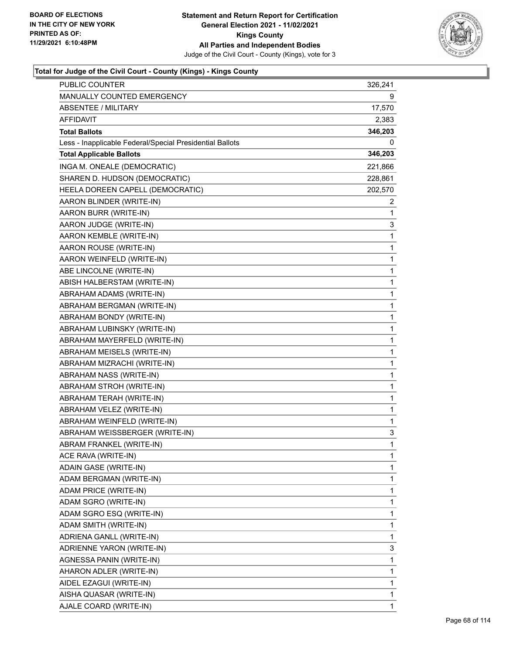

| <b>PUBLIC COUNTER</b>                                    | 326,241      |
|----------------------------------------------------------|--------------|
| MANUALLY COUNTED EMERGENCY                               | 9            |
| <b>ABSENTEE / MILITARY</b>                               | 17,570       |
| AFFIDAVIT                                                | 2,383        |
| <b>Total Ballots</b>                                     | 346,203      |
| Less - Inapplicable Federal/Special Presidential Ballots | 0            |
| <b>Total Applicable Ballots</b>                          | 346,203      |
| INGA M. ONEALE (DEMOCRATIC)                              | 221,866      |
| SHAREN D. HUDSON (DEMOCRATIC)                            | 228,861      |
| HEELA DOREEN CAPELL (DEMOCRATIC)                         | 202,570      |
| AARON BLINDER (WRITE-IN)                                 | 2            |
| AARON BURR (WRITE-IN)                                    | 1            |
| AARON JUDGE (WRITE-IN)                                   | 3            |
| AARON KEMBLE (WRITE-IN)                                  | 1            |
| AARON ROUSE (WRITE-IN)                                   | 1            |
| AARON WEINFELD (WRITE-IN)                                | 1            |
| ABE LINCOLNE (WRITE-IN)                                  | 1            |
| ABISH HALBERSTAM (WRITE-IN)                              | 1            |
| ABRAHAM ADAMS (WRITE-IN)                                 | 1            |
| ABRAHAM BERGMAN (WRITE-IN)                               | 1            |
| ABRAHAM BONDY (WRITE-IN)                                 | 1            |
| ABRAHAM LUBINSKY (WRITE-IN)                              | 1            |
| ABRAHAM MAYERFELD (WRITE-IN)                             | 1            |
| ABRAHAM MEISELS (WRITE-IN)                               | 1            |
| ABRAHAM MIZRACHI (WRITE-IN)                              | 1            |
| ABRAHAM NASS (WRITE-IN)                                  | 1            |
| ABRAHAM STROH (WRITE-IN)                                 | 1            |
| ABRAHAM TERAH (WRITE-IN)                                 | 1            |
| ABRAHAM VELEZ (WRITE-IN)                                 | 1            |
| ABRAHAM WEINFELD (WRITE-IN)                              | 1            |
| ABRAHAM WEISSBERGER (WRITE-IN)                           | 3            |
| ABRAM FRANKEL (WRITE-IN)                                 | $\mathbf{1}$ |
| ACE RAVA (WRITE-IN)                                      | 1            |
| ADAIN GASE (WRITE-IN)                                    | 1            |
| ADAM BERGMAN (WRITE-IN)                                  | 1            |
| ADAM PRICE (WRITE-IN)                                    | 1            |
| ADAM SGRO (WRITE-IN)                                     | 1            |
| ADAM SGRO ESQ (WRITE-IN)                                 | 1            |
| ADAM SMITH (WRITE-IN)                                    | 1            |
| ADRIENA GANLL (WRITE-IN)                                 | 1            |
| ADRIENNE YARON (WRITE-IN)                                | 3            |
| AGNESSA PANIN (WRITE-IN)                                 | 1            |
| AHARON ADLER (WRITE-IN)                                  | 1            |
| AIDEL EZAGUI (WRITE-IN)                                  | 1            |
| AISHA QUASAR (WRITE-IN)                                  | 1            |
| AJALE COARD (WRITE-IN)                                   | 1            |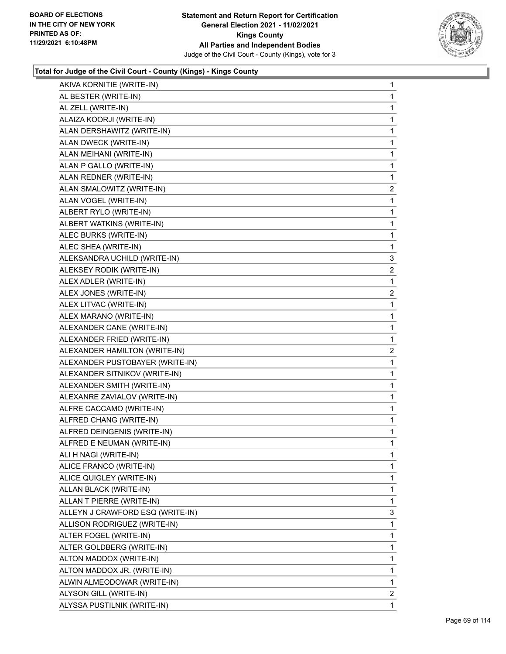

| AKIVA KORNITIE (WRITE-IN)        | 1              |
|----------------------------------|----------------|
| AL BESTER (WRITE-IN)             | 1              |
| AL ZELL (WRITE-IN)               | 1              |
| ALAIZA KOORJI (WRITE-IN)         | 1              |
| ALAN DERSHAWITZ (WRITE-IN)       | 1              |
| ALAN DWECK (WRITE-IN)            | 1              |
| ALAN MEIHANI (WRITE-IN)          | 1              |
| ALAN P GALLO (WRITE-IN)          | 1              |
| ALAN REDNER (WRITE-IN)           | 1              |
| ALAN SMALOWITZ (WRITE-IN)        | $\overline{a}$ |
| ALAN VOGEL (WRITE-IN)            | 1              |
| ALBERT RYLO (WRITE-IN)           | 1              |
| ALBERT WATKINS (WRITE-IN)        | 1              |
| ALEC BURKS (WRITE-IN)            | 1              |
| ALEC SHEA (WRITE-IN)             | 1              |
| ALEKSANDRA UCHILD (WRITE-IN)     | 3              |
| ALEKSEY RODIK (WRITE-IN)         | 2              |
| ALEX ADLER (WRITE-IN)            | 1              |
| ALEX JONES (WRITE-IN)            | $\overline{c}$ |
| ALEX LITVAC (WRITE-IN)           | 1              |
| ALEX MARANO (WRITE-IN)           | 1              |
| ALEXANDER CANE (WRITE-IN)        | 1              |
| ALEXANDER FRIED (WRITE-IN)       | 1              |
| ALEXANDER HAMILTON (WRITE-IN)    | 2              |
| ALEXANDER PUSTOBAYER (WRITE-IN)  | 1              |
| ALEXANDER SITNIKOV (WRITE-IN)    | 1              |
| ALEXANDER SMITH (WRITE-IN)       | 1              |
| ALEXANRE ZAVIALOV (WRITE-IN)     | 1              |
| ALFRE CACCAMO (WRITE-IN)         | $\mathbf{1}$   |
| ALFRED CHANG (WRITE-IN)          | 1              |
| ALFRED DEINGENIS (WRITE-IN)      | 1              |
| ALFRED E NEUMAN (WRITE-IN)       | 1              |
| ALI H NAGI (WRITE-IN)            | 1              |
| ALICE FRANCO (WRITE-IN)          | 1              |
| ALICE QUIGLEY (WRITE-IN)         | 1              |
| ALLAN BLACK (WRITE-IN)           | 1              |
| ALLAN T PIERRE (WRITE-IN)        | 1              |
| ALLEYN J CRAWFORD ESQ (WRITE-IN) | 3              |
| ALLISON RODRIGUEZ (WRITE-IN)     | 1              |
| ALTER FOGEL (WRITE-IN)           | 1              |
| ALTER GOLDBERG (WRITE-IN)        | 1              |
| ALTON MADDOX (WRITE-IN)          | 1              |
| ALTON MADDOX JR. (WRITE-IN)      | 1              |
| ALWIN ALMEODOWAR (WRITE-IN)      | 1              |
| ALYSON GILL (WRITE-IN)           | $\overline{2}$ |
| ALYSSA PUSTILNIK (WRITE-IN)      |                |
|                                  | 1              |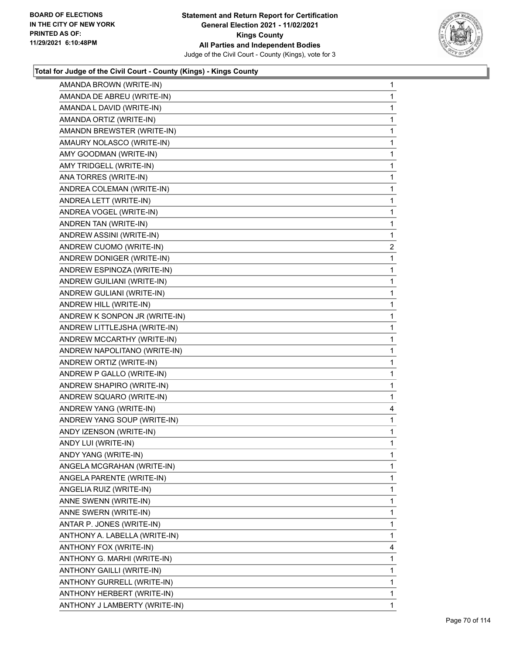

| AMANDA BROWN (WRITE-IN)       | 1              |
|-------------------------------|----------------|
| AMANDA DE ABREU (WRITE-IN)    | 1              |
| AMANDA L DAVID (WRITE-IN)     | 1              |
| AMANDA ORTIZ (WRITE-IN)       | 1              |
| AMANDN BREWSTER (WRITE-IN)    | 1              |
| AMAURY NOLASCO (WRITE-IN)     | 1              |
| AMY GOODMAN (WRITE-IN)        | 1              |
| AMY TRIDGELL (WRITE-IN)       | 1              |
| ANA TORRES (WRITE-IN)         | 1              |
| ANDREA COLEMAN (WRITE-IN)     | 1              |
| ANDREA LETT (WRITE-IN)        | 1              |
| ANDREA VOGEL (WRITE-IN)       | 1              |
| ANDREN TAN (WRITE-IN)         | 1              |
| ANDREW ASSINI (WRITE-IN)      | 1              |
| ANDREW CUOMO (WRITE-IN)       | $\overline{c}$ |
| ANDREW DONIGER (WRITE-IN)     | 1              |
| ANDREW ESPINOZA (WRITE-IN)    | 1              |
| ANDREW GUILIANI (WRITE-IN)    | 1              |
| ANDREW GULIANI (WRITE-IN)     | 1              |
| ANDREW HILL (WRITE-IN)        | 1              |
| ANDREW K SONPON JR (WRITE-IN) | 1              |
| ANDREW LITTLEJSHA (WRITE-IN)  | 1              |
| ANDREW MCCARTHY (WRITE-IN)    | 1              |
| ANDREW NAPOLITANO (WRITE-IN)  | 1              |
| ANDREW ORTIZ (WRITE-IN)       | 1              |
| ANDREW P GALLO (WRITE-IN)     | 1              |
| ANDREW SHAPIRO (WRITE-IN)     | 1              |
| ANDREW SQUARO (WRITE-IN)      | 1              |
| ANDREW YANG (WRITE-IN)        | 4              |
| ANDREW YANG SOUP (WRITE-IN)   | 1              |
| ANDY IZENSON (WRITE-IN)       | 1              |
| ANDY LUI (WRITE-IN)           | 1              |
| ANDY YANG (WRITE-IN)          | 1              |
| ANGELA MCGRAHAN (WRITE-IN)    | 1              |
| ANGELA PARENTE (WRITE-IN)     | 1              |
| ANGELIA RUIZ (WRITE-IN)       | 1              |
| ANNE SWENN (WRITE-IN)         | 1              |
| ANNE SWERN (WRITE-IN)         | 1              |
| ANTAR P. JONES (WRITE-IN)     | 1              |
| ANTHONY A. LABELLA (WRITE-IN) | 1              |
| ANTHONY FOX (WRITE-IN)        | 4              |
| ANTHONY G. MARHI (WRITE-IN)   | 1              |
| ANTHONY GAILLI (WRITE-IN)     | 1              |
| ANTHONY GURRELL (WRITE-IN)    | 1              |
| ANTHONY HERBERT (WRITE-IN)    | 1              |
| ANTHONY J LAMBERTY (WRITE-IN) | 1              |
|                               |                |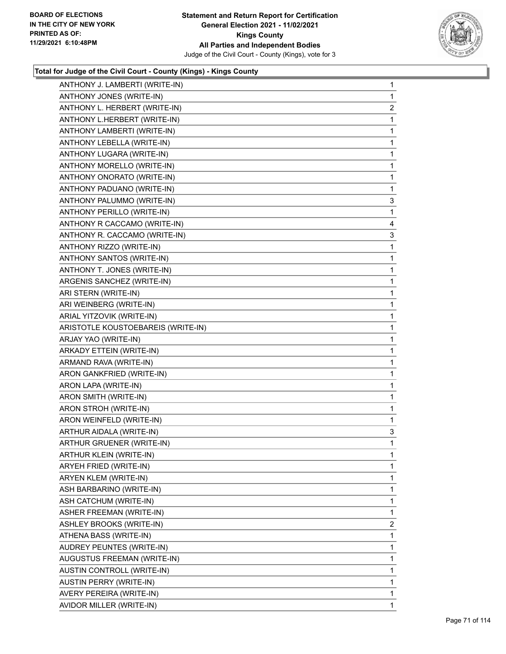

| ANTHONY J. LAMBERTI (WRITE-IN)     | 1              |
|------------------------------------|----------------|
| ANTHONY JONES (WRITE-IN)           | 1              |
| ANTHONY L. HERBERT (WRITE-IN)      | $\overline{2}$ |
| ANTHONY L.HERBERT (WRITE-IN)       | 1              |
| ANTHONY LAMBERTI (WRITE-IN)        | 1              |
| ANTHONY LEBELLA (WRITE-IN)         | 1              |
| ANTHONY LUGARA (WRITE-IN)          | 1              |
| ANTHONY MORELLO (WRITE-IN)         | 1              |
| ANTHONY ONORATO (WRITE-IN)         | 1              |
| ANTHONY PADUANO (WRITE-IN)         | 1              |
| ANTHONY PALUMMO (WRITE-IN)         | 3              |
| ANTHONY PERILLO (WRITE-IN)         | 1              |
| ANTHONY R CACCAMO (WRITE-IN)       | 4              |
| ANTHONY R. CACCAMO (WRITE-IN)      | 3              |
| ANTHONY RIZZO (WRITE-IN)           | 1              |
| ANTHONY SANTOS (WRITE-IN)          | 1              |
| ANTHONY T. JONES (WRITE-IN)        | 1              |
| ARGENIS SANCHEZ (WRITE-IN)         | 1              |
| ARI STERN (WRITE-IN)               | 1              |
| ARI WEINBERG (WRITE-IN)            | 1              |
| ARIAL YITZOVIK (WRITE-IN)          | 1              |
| ARISTOTLE KOUSTOEBAREIS (WRITE-IN) | 1              |
| ARJAY YAO (WRITE-IN)               | 1              |
| ARKADY ETTEIN (WRITE-IN)           | 1              |
| ARMAND RAVA (WRITE-IN)             | 1              |
| ARON GANKFRIED (WRITE-IN)          | 1              |
| ARON LAPA (WRITE-IN)               | 1              |
| ARON SMITH (WRITE-IN)              | 1              |
| ARON STROH (WRITE-IN)              | 1              |
| ARON WEINFELD (WRITE-IN)           | 1              |
| ARTHUR AIDALA (WRITE-IN)           | 3              |
| ARTHUR GRUENER (WRITE-IN)          | 1              |
| ARTHUR KLEIN (WRITE-IN)            | 1              |
| ARYEH FRIED (WRITE-IN)             | 1              |
| ARYEN KLEM (WRITE-IN)              | 1              |
| ASH BARBARINO (WRITE-IN)           | 1              |
| ASH CATCHUM (WRITE-IN)             | 1              |
| ASHER FREEMAN (WRITE-IN)           | 1              |
| ASHLEY BROOKS (WRITE-IN)           | $\overline{2}$ |
| ATHENA BASS (WRITE-IN)             | 1              |
| AUDREY PEUNTES (WRITE-IN)          | 1              |
| AUGUSTUS FREEMAN (WRITE-IN)        | 1              |
| AUSTIN CONTROLL (WRITE-IN)         | 1              |
| <b>AUSTIN PERRY (WRITE-IN)</b>     | 1              |
| AVERY PEREIRA (WRITE-IN)           | 1              |
| AVIDOR MILLER (WRITE-IN)           | 1              |
|                                    |                |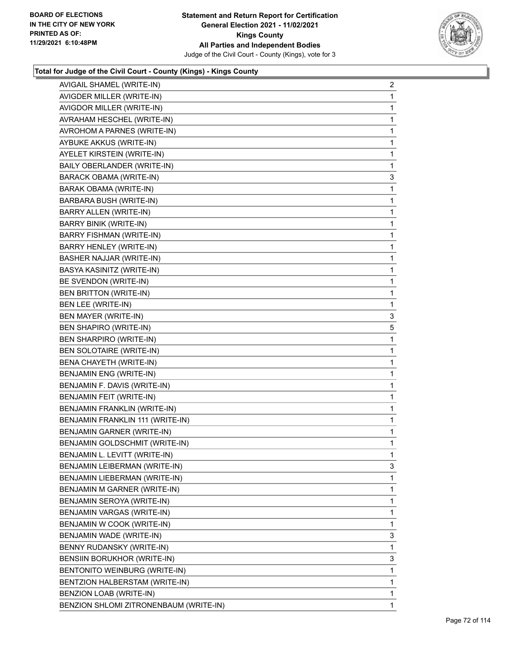

| AVIGAIL SHAMEL (WRITE-IN)              | 2            |
|----------------------------------------|--------------|
| AVIGDER MILLER (WRITE-IN)              | 1            |
| AVIGDOR MILLER (WRITE-IN)              | 1            |
| AVRAHAM HESCHEL (WRITE-IN)             | 1            |
| AVROHOM A PARNES (WRITE-IN)            | $\mathbf{1}$ |
| AYBUKE AKKUS (WRITE-IN)                | 1            |
| AYELET KIRSTEIN (WRITE-IN)             | 1            |
| BAILY OBERLANDER (WRITE-IN)            | 1            |
| <b>BARACK OBAMA (WRITE-IN)</b>         | 3            |
| <b>BARAK OBAMA (WRITE-IN)</b>          | 1            |
| BARBARA BUSH (WRITE-IN)                | $\mathbf{1}$ |
| BARRY ALLEN (WRITE-IN)                 | 1            |
| <b>BARRY BINIK (WRITE-IN)</b>          | 1            |
| BARRY FISHMAN (WRITE-IN)               | $\mathbf{1}$ |
| BARRY HENLEY (WRITE-IN)                | 1            |
| <b>BASHER NAJJAR (WRITE-IN)</b>        | 1            |
| BASYA KASINITZ (WRITE-IN)              | $\mathbf{1}$ |
| BE SVENDON (WRITE-IN)                  | 1            |
| BEN BRITTON (WRITE-IN)                 | 1            |
| BEN LEE (WRITE-IN)                     | 1            |
| BEN MAYER (WRITE-IN)                   | 3            |
| BEN SHAPIRO (WRITE-IN)                 | 5            |
| BEN SHARPIRO (WRITE-IN)                | $\mathbf 1$  |
| <b>BEN SOLOTAIRE (WRITE-IN)</b>        | 1            |
| BENA CHAYETH (WRITE-IN)                | 1            |
| BENJAMIN ENG (WRITE-IN)                | $\mathbf{1}$ |
| BENJAMIN F. DAVIS (WRITE-IN)           | 1            |
| BENJAMIN FEIT (WRITE-IN)               | 1            |
| BENJAMIN FRANKLIN (WRITE-IN)           | $\mathbf{1}$ |
| BENJAMIN FRANKLIN 111 (WRITE-IN)       | 1            |
| <b>BENJAMIN GARNER (WRITE-IN)</b>      | 1            |
| BENJAMIN GOLDSCHMIT (WRITE-IN)         | $\mathbf{1}$ |
| BENJAMIN L. LEVITT (WRITE-IN)          | 1            |
| BENJAMIN LEIBERMAN (WRITE-IN)          | 3            |
| BENJAMIN LIEBERMAN (WRITE-IN)          | 1            |
| BENJAMIN M GARNER (WRITE-IN)           | $\mathbf 1$  |
| BENJAMIN SEROYA (WRITE-IN)             | 1            |
| BENJAMIN VARGAS (WRITE-IN)             | 1            |
| BENJAMIN W COOK (WRITE-IN)             | 1            |
| BENJAMIN WADE (WRITE-IN)               | 3            |
| BENNY RUDANSKY (WRITE-IN)              | 1            |
| BENSIIN BORUKHOR (WRITE-IN)            | 3            |
| BENTONITO WEINBURG (WRITE-IN)          | 1            |
| BENTZION HALBERSTAM (WRITE-IN)         | 1            |
| BENZION LOAB (WRITE-IN)                | 1            |
| BENZION SHLOMI ZITRONENBAUM (WRITE-IN) | $\mathbf{1}$ |
|                                        |              |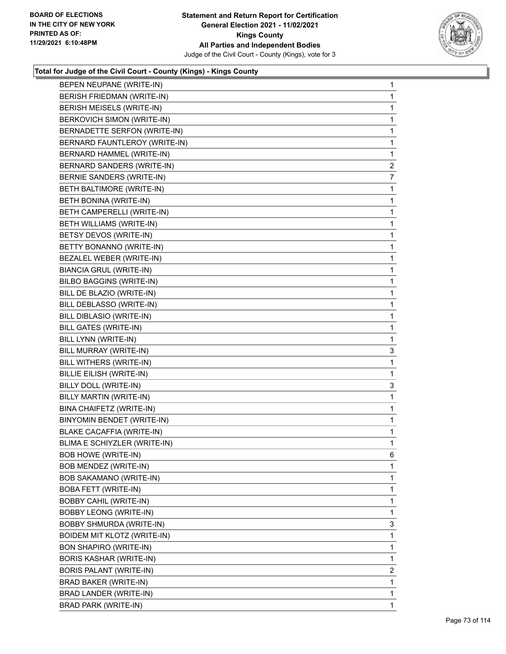

| BEPEN NEUPANE (WRITE-IN)         | 1              |
|----------------------------------|----------------|
| BERISH FRIEDMAN (WRITE-IN)       | 1              |
| BERISH MEISELS (WRITE-IN)        | 1              |
| BERKOVICH SIMON (WRITE-IN)       | 1              |
| BERNADETTE SERFON (WRITE-IN)     | 1              |
| BERNARD FAUNTLEROY (WRITE-IN)    | 1              |
| BERNARD HAMMEL (WRITE-IN)        | 1              |
| BERNARD SANDERS (WRITE-IN)       | $\overline{2}$ |
| BERNIE SANDERS (WRITE-IN)        | 7              |
| BETH BALTIMORE (WRITE-IN)        | 1              |
| BETH BONINA (WRITE-IN)           | 1              |
| BETH CAMPERELLI (WRITE-IN)       | 1              |
| BETH WILLIAMS (WRITE-IN)         | 1              |
| BETSY DEVOS (WRITE-IN)           | 1              |
| BETTY BONANNO (WRITE-IN)         | 1              |
| BEZALEL WEBER (WRITE-IN)         | 1              |
| <b>BIANCIA GRUL (WRITE-IN)</b>   | 1              |
| BILBO BAGGINS (WRITE-IN)         | 1              |
| BILL DE BLAZIO (WRITE-IN)        | 1              |
| BILL DEBLASSO (WRITE-IN)         | 1              |
| BILL DIBLASIO (WRITE-IN)         | 1              |
| <b>BILL GATES (WRITE-IN)</b>     | 1              |
| BILL LYNN (WRITE-IN)             | 1              |
| BILL MURRAY (WRITE-IN)           | 3              |
| BILL WITHERS (WRITE-IN)          | 1              |
| BILLIE EILISH (WRITE-IN)         | 1              |
| BILLY DOLL (WRITE-IN)            | 3              |
| BILLY MARTIN (WRITE-IN)          | 1              |
| BINA CHAIFETZ (WRITE-IN)         | $\mathbf{1}$   |
| BINYOMIN BENDET (WRITE-IN)       | 1              |
| <b>BLAKE CACAFFIA (WRITE-IN)</b> | 1              |
| BLIMA E SCHIYZLER (WRITE-IN)     | 1              |
| BOB HOWE (WRITE-IN)              | 6              |
| BOB MENDEZ (WRITE-IN)            | 1              |
| <b>BOB SAKAMANO (WRITE-IN)</b>   | 1              |
| <b>BOBA FETT (WRITE-IN)</b>      | 1              |
| BOBBY CAHIL (WRITE-IN)           | 1              |
| <b>BOBBY LEONG (WRITE-IN)</b>    | 1              |
| BOBBY SHMURDA (WRITE-IN)         | 3              |
| BOIDEM MIT KLOTZ (WRITE-IN)      | 1              |
| <b>BON SHAPIRO (WRITE-IN)</b>    | 1              |
| <b>BORIS KASHAR (WRITE-IN)</b>   | 1              |
| BORIS PALANT (WRITE-IN)          | $\overline{2}$ |
| BRAD BAKER (WRITE-IN)            | 1              |
| BRAD LANDER (WRITE-IN)           | 1              |
| <b>BRAD PARK (WRITE-IN)</b>      | 1              |
|                                  |                |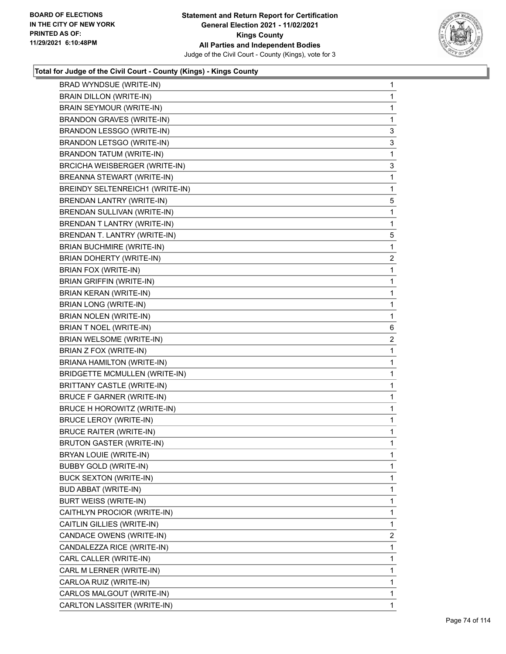

| BRAD WYNDSUE (WRITE-IN)              | 1              |
|--------------------------------------|----------------|
| BRAIN DILLON (WRITE-IN)              | 1              |
| BRAIN SEYMOUR (WRITE-IN)             | $\mathbf{1}$   |
| <b>BRANDON GRAVES (WRITE-IN)</b>     | 1              |
| BRANDON LESSGO (WRITE-IN)            | 3              |
| BRANDON LETSGO (WRITE-IN)            | 3              |
| <b>BRANDON TATUM (WRITE-IN)</b>      | 1              |
| BRCICHA WEISBERGER (WRITE-IN)        | 3              |
| BREANNA STEWART (WRITE-IN)           | $\mathbf{1}$   |
| BREINDY SELTENREICH1 (WRITE-IN)      | 1              |
| <b>BRENDAN LANTRY (WRITE-IN)</b>     | 5              |
| BRENDAN SULLIVAN (WRITE-IN)          | $\mathbf{1}$   |
| BRENDAN T LANTRY (WRITE-IN)          | 1              |
| BRENDAN T. LANTRY (WRITE-IN)         | 5              |
| <b>BRIAN BUCHMIRE (WRITE-IN)</b>     | $\mathbf{1}$   |
| BRIAN DOHERTY (WRITE-IN)             | 2              |
| BRIAN FOX (WRITE-IN)                 | 1              |
| <b>BRIAN GRIFFIN (WRITE-IN)</b>      | $\mathbf{1}$   |
| BRIAN KERAN (WRITE-IN)               | 1              |
| <b>BRIAN LONG (WRITE-IN)</b>         | 1              |
| BRIAN NOLEN (WRITE-IN)               | $\mathbf{1}$   |
| BRIAN T NOEL (WRITE-IN)              | 6              |
| BRIAN WELSOME (WRITE-IN)             | 2              |
| BRIAN Z FOX (WRITE-IN)               | 1              |
| BRIANA HAMILTON (WRITE-IN)           | 1              |
| <b>BRIDGETTE MCMULLEN (WRITE-IN)</b> | 1              |
| BRITTANY CASTLE (WRITE-IN)           | $\mathbf{1}$   |
| <b>BRUCE F GARNER (WRITE-IN)</b>     | 1              |
| BRUCE H HOROWITZ (WRITE-IN)          | 1              |
| <b>BRUCE LEROY (WRITE-IN)</b>        | 1              |
| <b>BRUCE RAITER (WRITE-IN)</b>       | 1              |
| <b>BRUTON GASTER (WRITE-IN)</b>      | 1              |
| BRYAN LOUIE (WRITE-IN)               | 1              |
| <b>BUBBY GOLD (WRITE-IN)</b>         | 1              |
| <b>BUCK SEXTON (WRITE-IN)</b>        | 1              |
| <b>BUD ABBAT (WRITE-IN)</b>          | $\mathbf 1$    |
|                                      | 1              |
| <b>BURT WEISS (WRITE-IN)</b>         | 1              |
| CAITHLYN PROCIOR (WRITE-IN)          |                |
| CAITLIN GILLIES (WRITE-IN)           | $\mathbf 1$    |
| CANDACE OWENS (WRITE-IN)             | $\overline{2}$ |
| CANDALEZZA RICE (WRITE-IN)           | 1              |
| CARL CALLER (WRITE-IN)               | $\mathbf 1$    |
| CARL M LERNER (WRITE-IN)             | 1              |
| CARLOA RUIZ (WRITE-IN)               | 1              |
| CARLOS MALGOUT (WRITE-IN)            | $\mathbf 1$    |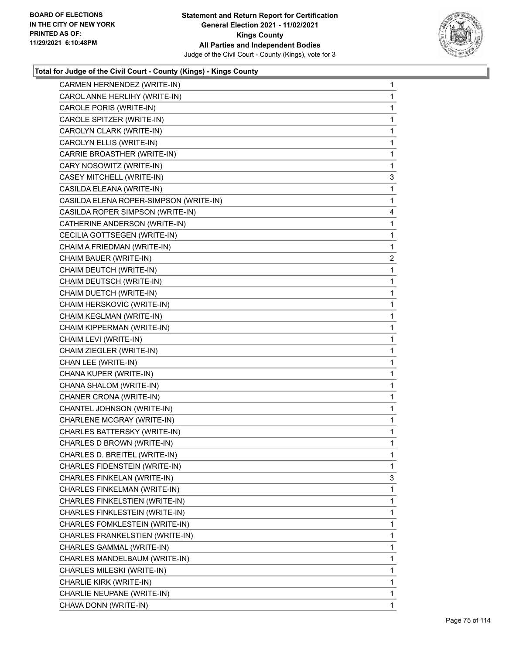

| CARMEN HERNENDEZ (WRITE-IN)            | $\mathbf{1}$   |
|----------------------------------------|----------------|
| CAROL ANNE HERLIHY (WRITE-IN)          | 1              |
| CAROLE PORIS (WRITE-IN)                | 1              |
| CAROLE SPITZER (WRITE-IN)              | $\mathbf 1$    |
| CAROLYN CLARK (WRITE-IN)               | 1              |
| CAROLYN ELLIS (WRITE-IN)               | 1              |
| CARRIE BROASTHER (WRITE-IN)            | $\mathbf{1}$   |
| CARY NOSOWITZ (WRITE-IN)               | 1              |
| CASEY MITCHELL (WRITE-IN)              | 3              |
| CASILDA ELEANA (WRITE-IN)              | $\mathbf{1}$   |
| CASILDA ELENA ROPER-SIMPSON (WRITE-IN) | 1              |
| CASILDA ROPER SIMPSON (WRITE-IN)       | 4              |
| CATHERINE ANDERSON (WRITE-IN)          | $\mathbf{1}$   |
| CECILIA GOTTSEGEN (WRITE-IN)           | $\mathbf{1}$   |
| CHAIM A FRIEDMAN (WRITE-IN)            | 1              |
| CHAIM BAUER (WRITE-IN)                 | $\overline{c}$ |
| CHAIM DEUTCH (WRITE-IN)                | 1              |
| CHAIM DEUTSCH (WRITE-IN)               | 1              |
| CHAIM DUETCH (WRITE-IN)                | $\mathbf{1}$   |
| CHAIM HERSKOVIC (WRITE-IN)             | $\mathbf{1}$   |
| CHAIM KEGLMAN (WRITE-IN)               | 1              |
| CHAIM KIPPERMAN (WRITE-IN)             | $\mathbf 1$    |
| CHAIM LEVI (WRITE-IN)                  | 1              |
| CHAIM ZIEGLER (WRITE-IN)               | 1              |
| CHAN LEE (WRITE-IN)                    | $\mathbf{1}$   |
| CHANA KUPER (WRITE-IN)                 | 1              |
| CHANA SHALOM (WRITE-IN)                | 1              |
| CHANER CRONA (WRITE-IN)                | $\mathbf{1}$   |
| CHANTEL JOHNSON (WRITE-IN)             | 1              |
| CHARLENE MCGRAY (WRITE-IN)             | 1              |
| CHARLES BATTERSKY (WRITE-IN)           | $\mathbf{1}$   |
| CHARLES D BROWN (WRITE-IN)             | 1              |
| CHARLES D. BREITEL (WRITE-IN)          | 1              |
| CHARLES FIDENSTEIN (WRITE-IN)          | 1              |
| CHARLES FINKELAN (WRITE-IN)            | 3              |
| CHARLES FINKELMAN (WRITE-IN)           | 1              |
| CHARLES FINKELSTIEN (WRITE-IN)         | 1              |
| CHARLES FINKLESTEIN (WRITE-IN)         | 1              |
| CHARLES FOMKLESTEIN (WRITE-IN)         | 1              |
| CHARLES FRANKELSTIEN (WRITE-IN)        | 1              |
| CHARLES GAMMAL (WRITE-IN)              | 1              |
| CHARLES MANDELBAUM (WRITE-IN)          | 1              |
| CHARLES MILESKI (WRITE-IN)             | 1              |
| CHARLIE KIRK (WRITE-IN)                | 1              |
| CHARLIE NEUPANE (WRITE-IN)             | 1              |
| CHAVA DONN (WRITE-IN)                  | 1              |
|                                        |                |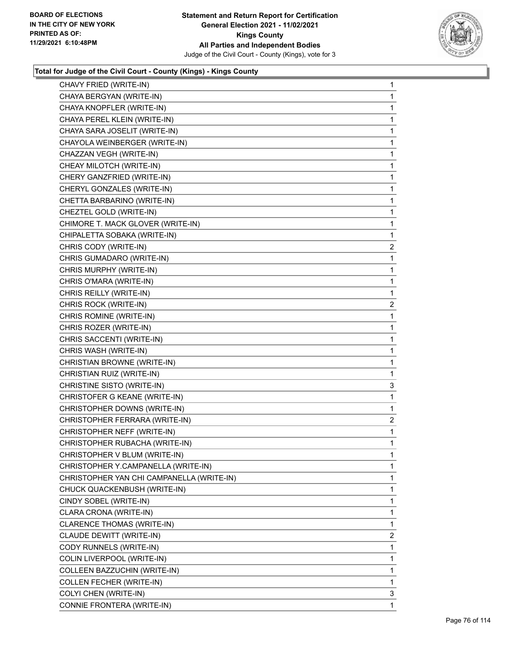

| CHAVY FRIED (WRITE-IN)                    | 1              |
|-------------------------------------------|----------------|
| CHAYA BERGYAN (WRITE-IN)                  | $\mathbf 1$    |
| CHAYA KNOPFLER (WRITE-IN)                 | $\mathbf{1}$   |
| CHAYA PEREL KLEIN (WRITE-IN)              | $\mathbf{1}$   |
| CHAYA SARA JOSELIT (WRITE-IN)             | $\mathbf{1}$   |
| CHAYOLA WEINBERGER (WRITE-IN)             | 1              |
| CHAZZAN VEGH (WRITE-IN)                   | 1              |
| CHEAY MILOTCH (WRITE-IN)                  | 1              |
| CHERY GANZFRIED (WRITE-IN)                | $\mathbf{1}$   |
| CHERYL GONZALES (WRITE-IN)                | 1              |
| CHETTA BARBARINO (WRITE-IN)               | 1              |
| CHEZTEL GOLD (WRITE-IN)                   | 1              |
| CHIMORE T. MACK GLOVER (WRITE-IN)         | 1              |
| CHIPALETTA SOBAKA (WRITE-IN)              | 1              |
| CHRIS CODY (WRITE-IN)                     | $\overline{c}$ |
| CHRIS GUMADARO (WRITE-IN)                 | 1              |
| CHRIS MURPHY (WRITE-IN)                   | 1              |
| CHRIS O'MARA (WRITE-IN)                   | 1              |
| CHRIS REILLY (WRITE-IN)                   | 1              |
| CHRIS ROCK (WRITE-IN)                     | 2              |
| CHRIS ROMINE (WRITE-IN)                   | $\mathbf{1}$   |
| CHRIS ROZER (WRITE-IN)                    | $\mathbf 1$    |
| CHRIS SACCENTI (WRITE-IN)                 | 1              |
| CHRIS WASH (WRITE-IN)                     | 1              |
| CHRISTIAN BROWNE (WRITE-IN)               | 1              |
| CHRISTIAN RUIZ (WRITE-IN)                 | 1              |
| CHRISTINE SISTO (WRITE-IN)                | 3              |
| CHRISTOFER G KEANE (WRITE-IN)             | 1              |
| CHRISTOPHER DOWNS (WRITE-IN)              | 1              |
| CHRISTOPHER FERRARA (WRITE-IN)            | $\overline{c}$ |
| CHRISTOPHER NEFF (WRITE-IN)               | $\mathbf 1$    |
| CHRISTOPHER RUBACHA (WRITE-IN)            | 1              |
| CHRISTOPHER V BLUM (WRITE-IN)             | 1              |
| CHRISTOPHER Y.CAMPANELLA (WRITE-IN)       | 1              |
| CHRISTOPHER YAN CHI CAMPANELLA (WRITE-IN) | 1              |
| CHUCK QUACKENBUSH (WRITE-IN)              | $\mathbf{1}$   |
| CINDY SOBEL (WRITE-IN)                    | 1              |
| CLARA CRONA (WRITE-IN)                    | 1              |
| CLARENCE THOMAS (WRITE-IN)                | 1              |
| CLAUDE DEWITT (WRITE-IN)                  | $\overline{2}$ |
| CODY RUNNELS (WRITE-IN)                   | 1              |
| COLIN LIVERPOOL (WRITE-IN)                | 1              |
| COLLEEN BAZZUCHIN (WRITE-IN)              | 1              |
| COLLEN FECHER (WRITE-IN)                  | 1              |
| COLYI CHEN (WRITE-IN)                     | 3              |
| CONNIE FRONTERA (WRITE-IN)                | 1              |
|                                           |                |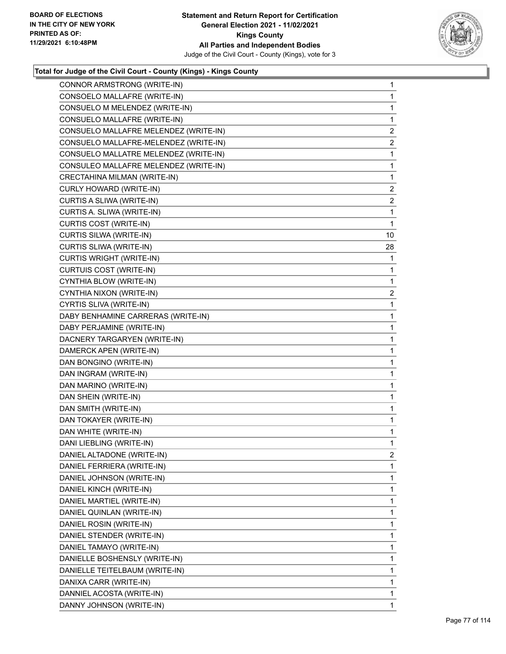

| CONNOR ARMSTRONG (WRITE-IN)           | 1              |
|---------------------------------------|----------------|
| CONSOELO MALLAFRE (WRITE-IN)          | $\mathbf{1}$   |
| CONSUELO M MELENDEZ (WRITE-IN)        | 1              |
| CONSUELO MALLAFRE (WRITE-IN)          | 1              |
| CONSUELO MALLAFRE MELENDEZ (WRITE-IN) | $\overline{c}$ |
| CONSUELO MALLAFRE-MELENDEZ (WRITE-IN) | $\overline{2}$ |
| CONSUELO MALLATRE MELENDEZ (WRITE-IN) | 1              |
| CONSULEO MALLAFRE MELENDEZ (WRITE-IN) | $\mathbf{1}$   |
| CRECTAHINA MILMAN (WRITE-IN)          | 1              |
| CURLY HOWARD (WRITE-IN)               | 2              |
| CURTIS A SLIWA (WRITE-IN)             | $\overline{c}$ |
| CURTIS A. SLIWA (WRITE-IN)            | 1              |
| <b>CURTIS COST (WRITE-IN)</b>         | 1              |
| CURTIS SILWA (WRITE-IN)               | 10             |
| CURTIS SLIWA (WRITE-IN)               | 28             |
| <b>CURTIS WRIGHT (WRITE-IN)</b>       | 1              |
| CURTUIS COST (WRITE-IN)               | 1              |
| CYNTHIA BLOW (WRITE-IN)               | 1              |
| CYNTHIA NIXON (WRITE-IN)              | $\mathbf{2}$   |
| CYRTIS SLIVA (WRITE-IN)               | $\mathbf{1}$   |
| DABY BENHAMINE CARRERAS (WRITE-IN)    | 1              |
| DABY PERJAMINE (WRITE-IN)             | 1              |
| DACNERY TARGARYEN (WRITE-IN)          | 1              |
| DAMERCK APEN (WRITE-IN)               | 1              |
| DAN BONGINO (WRITE-IN)                | 1              |
| DAN INGRAM (WRITE-IN)                 | $\mathbf{1}$   |
| DAN MARINO (WRITE-IN)                 | 1              |
| DAN SHEIN (WRITE-IN)                  | 1              |
| DAN SMITH (WRITE-IN)                  | 1              |
| DAN TOKAYER (WRITE-IN)                | 1              |
| DAN WHITE (WRITE-IN)                  | 1              |
| DANI LIEBLING (WRITE-IN)              | $\mathbf{1}$   |
| DANIEL ALTADONE (WRITE-IN)            | 2              |
| DANIEL FERRIERA (WRITE-IN)            | 1              |
| DANIEL JOHNSON (WRITE-IN)             | 1              |
| DANIEL KINCH (WRITE-IN)               | 1              |
| DANIEL MARTIEL (WRITE-IN)             | 1              |
| DANIEL QUINLAN (WRITE-IN)             | 1              |
| DANIEL ROSIN (WRITE-IN)               | 1              |
| DANIEL STENDER (WRITE-IN)             | 1              |
| DANIEL TAMAYO (WRITE-IN)              | 1              |
| DANIELLE BOSHENSLY (WRITE-IN)         | 1              |
| DANIELLE TEITELBAUM (WRITE-IN)        | 1              |
| DANIXA CARR (WRITE-IN)                | 1              |
| DANNIEL ACOSTA (WRITE-IN)             | 1              |
| DANNY JOHNSON (WRITE-IN)              | 1              |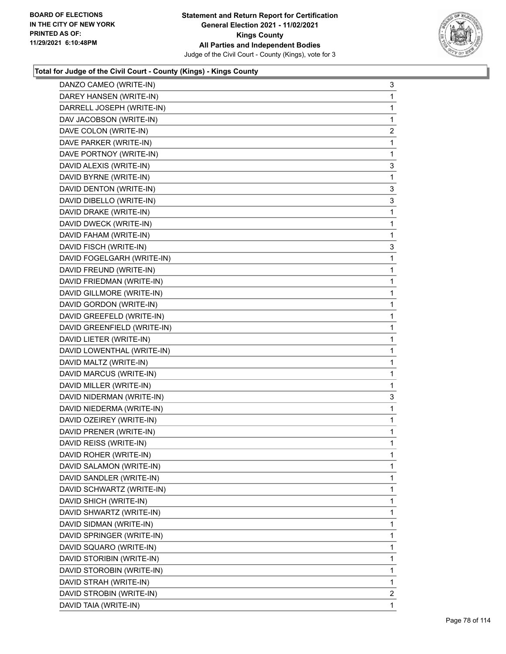

| DANZO CAMEO (WRITE-IN)      | 3              |
|-----------------------------|----------------|
| DAREY HANSEN (WRITE-IN)     | 1              |
| DARRELL JOSEPH (WRITE-IN)   | 1              |
| DAV JACOBSON (WRITE-IN)     | 1              |
| DAVE COLON (WRITE-IN)       | 2              |
| DAVE PARKER (WRITE-IN)      | 1              |
| DAVE PORTNOY (WRITE-IN)     | 1              |
| DAVID ALEXIS (WRITE-IN)     | 3              |
| DAVID BYRNE (WRITE-IN)      | 1              |
| DAVID DENTON (WRITE-IN)     | 3              |
| DAVID DIBELLO (WRITE-IN)    | 3              |
| DAVID DRAKE (WRITE-IN)      | 1              |
| DAVID DWECK (WRITE-IN)      | 1              |
| DAVID FAHAM (WRITE-IN)      | 1              |
| DAVID FISCH (WRITE-IN)      | 3              |
| DAVID FOGELGARH (WRITE-IN)  | 1              |
| DAVID FREUND (WRITE-IN)     | 1              |
| DAVID FRIEDMAN (WRITE-IN)   | 1              |
| DAVID GILLMORE (WRITE-IN)   | 1              |
| DAVID GORDON (WRITE-IN)     | 1              |
| DAVID GREEFELD (WRITE-IN)   | 1              |
| DAVID GREENFIELD (WRITE-IN) | 1              |
| DAVID LIETER (WRITE-IN)     | 1              |
| DAVID LOWENTHAL (WRITE-IN)  | 1              |
| DAVID MALTZ (WRITE-IN)      | 1              |
| DAVID MARCUS (WRITE-IN)     | 1              |
| DAVID MILLER (WRITE-IN)     | 1              |
| DAVID NIDERMAN (WRITE-IN)   | 3              |
| DAVID NIEDERMA (WRITE-IN)   | 1              |
| DAVID OZEIREY (WRITE-IN)    | 1              |
| DAVID PRENER (WRITE-IN)     | 1              |
| DAVID REISS (WRITE-IN)      | 1              |
| DAVID ROHER (WRITE-IN)      | 1              |
| DAVID SALAMON (WRITE-IN)    | 1              |
| DAVID SANDLER (WRITE-IN)    | 1              |
| DAVID SCHWARTZ (WRITE-IN)   | 1              |
| DAVID SHICH (WRITE-IN)      | 1              |
| DAVID SHWARTZ (WRITE-IN)    | 1              |
| DAVID SIDMAN (WRITE-IN)     | 1              |
| DAVID SPRINGER (WRITE-IN)   | 1              |
| DAVID SQUARO (WRITE-IN)     | 1              |
| DAVID STORIBIN (WRITE-IN)   | 1              |
| DAVID STOROBIN (WRITE-IN)   | 1              |
| DAVID STRAH (WRITE-IN)      | 1              |
| DAVID STROBIN (WRITE-IN)    | $\overline{2}$ |
| DAVID TAIA (WRITE-IN)       | 1              |
|                             |                |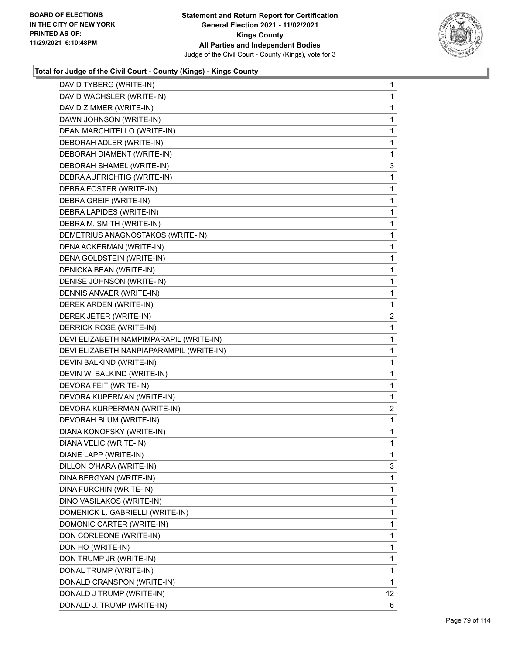

| DAVID TYBERG (WRITE-IN)                  | 1                       |
|------------------------------------------|-------------------------|
| DAVID WACHSLER (WRITE-IN)                | $\mathbf 1$             |
| DAVID ZIMMER (WRITE-IN)                  | $\mathbf 1$             |
| DAWN JOHNSON (WRITE-IN)                  | $\mathbf{1}$            |
| DEAN MARCHITELLO (WRITE-IN)              | 1                       |
| DEBORAH ADLER (WRITE-IN)                 | 1                       |
| DEBORAH DIAMENT (WRITE-IN)               | 1                       |
| DEBORAH SHAMEL (WRITE-IN)                | 3                       |
| DEBRA AUFRICHTIG (WRITE-IN)              | $\mathbf 1$             |
| DEBRA FOSTER (WRITE-IN)                  | 1                       |
| DEBRA GREIF (WRITE-IN)                   | 1                       |
| DEBRA LAPIDES (WRITE-IN)                 | 1                       |
| DEBRA M. SMITH (WRITE-IN)                | 1                       |
| DEMETRIUS ANAGNOSTAKOS (WRITE-IN)        | 1                       |
| DENA ACKERMAN (WRITE-IN)                 | 1                       |
| DENA GOLDSTEIN (WRITE-IN)                | 1                       |
| DENICKA BEAN (WRITE-IN)                  | 1                       |
| DENISE JOHNSON (WRITE-IN)                | 1                       |
| DENNIS ANVAER (WRITE-IN)                 | 1                       |
| DEREK ARDEN (WRITE-IN)                   | 1                       |
| DEREK JETER (WRITE-IN)                   | $\overline{\mathbf{c}}$ |
| DERRICK ROSE (WRITE-IN)                  | 1                       |
| DEVI ELIZABETH NAMPIMPARAPIL (WRITE-IN)  | 1                       |
| DEVI ELIZABETH NANPIAPARAMPIL (WRITE-IN) | 1                       |
| DEVIN BALKIND (WRITE-IN)                 | 1                       |
| DEVIN W. BALKIND (WRITE-IN)              | 1                       |
| DEVORA FEIT (WRITE-IN)                   | 1                       |
| DEVORA KUPERMAN (WRITE-IN)               | 1                       |
| DEVORA KURPERMAN (WRITE-IN)              | 2                       |
| DEVORAH BLUM (WRITE-IN)                  | 1                       |
| DIANA KONOFSKY (WRITE-IN)                | 1                       |
| DIANA VELIC (WRITE-IN)                   | 1                       |
| DIANE LAPP (WRITE-IN)                    | 1                       |
| DILLON O'HARA (WRITE-IN)                 | 3                       |
| DINA BERGYAN (WRITE-IN)                  | 1                       |
| DINA FURCHIN (WRITE-IN)                  | $\mathbf 1$             |
| DINO VASILAKOS (WRITE-IN)                | 1                       |
| DOMENICK L. GABRIELLI (WRITE-IN)         | 1                       |
| DOMONIC CARTER (WRITE-IN)                | 1                       |
| DON CORLEONE (WRITE-IN)                  | 1                       |
| DON HO (WRITE-IN)                        | 1                       |
| DON TRUMP JR (WRITE-IN)                  | $\mathbf 1$             |
| DONAL TRUMP (WRITE-IN)                   | 1                       |
| DONALD CRANSPON (WRITE-IN)               | 1                       |
| DONALD J TRUMP (WRITE-IN)                | 12 <sub>2</sub>         |
| DONALD J. TRUMP (WRITE-IN)               | 6                       |
|                                          |                         |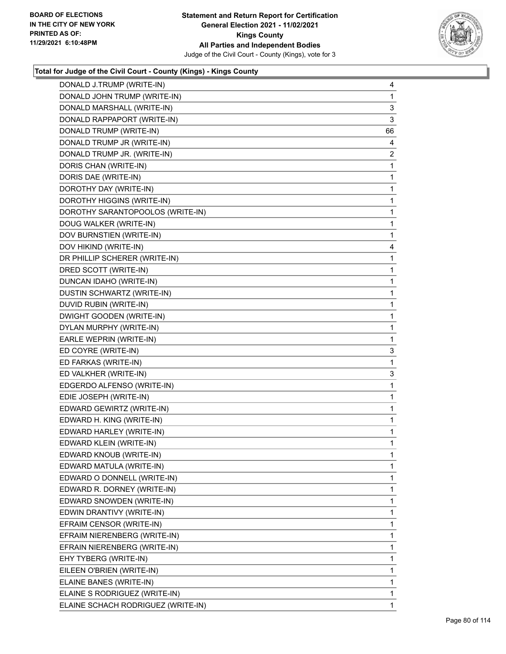

| DONALD J.TRUMP (WRITE-IN)          | 4  |
|------------------------------------|----|
| DONALD JOHN TRUMP (WRITE-IN)       | 1  |
| DONALD MARSHALL (WRITE-IN)         | 3  |
| DONALD RAPPAPORT (WRITE-IN)        | 3  |
| DONALD TRUMP (WRITE-IN)            | 66 |
| DONALD TRUMP JR (WRITE-IN)         | 4  |
| DONALD TRUMP JR. (WRITE-IN)        | 2  |
| DORIS CHAN (WRITE-IN)              | 1  |
| DORIS DAE (WRITE-IN)               | 1  |
| DOROTHY DAY (WRITE-IN)             | 1  |
| DOROTHY HIGGINS (WRITE-IN)         | 1  |
| DOROTHY SARANTOPOOLOS (WRITE-IN)   | 1  |
| DOUG WALKER (WRITE-IN)             | 1  |
| DOV BURNSTIEN (WRITE-IN)           | 1  |
| DOV HIKIND (WRITE-IN)              | 4  |
| DR PHILLIP SCHERER (WRITE-IN)      | 1  |
| DRED SCOTT (WRITE-IN)              | 1  |
| DUNCAN IDAHO (WRITE-IN)            | 1  |
| DUSTIN SCHWARTZ (WRITE-IN)         | 1  |
| DUVID RUBIN (WRITE-IN)             | 1  |
| DWIGHT GOODEN (WRITE-IN)           | 1  |
| DYLAN MURPHY (WRITE-IN)            | 1  |
| EARLE WEPRIN (WRITE-IN)            | 1  |
| ED COYRE (WRITE-IN)                | 3  |
| ED FARKAS (WRITE-IN)               | 1  |
| ED VALKHER (WRITE-IN)              | 3  |
| EDGERDO ALFENSO (WRITE-IN)         | 1  |
| EDIE JOSEPH (WRITE-IN)             | 1  |
| EDWARD GEWIRTZ (WRITE-IN)          | 1  |
| EDWARD H. KING (WRITE-IN)          | 1  |
| EDWARD HARLEY (WRITE-IN)           | 1  |
| EDWARD KLEIN (WRITE-IN)            | 1  |
| EDWARD KNOUB (WRITE-IN)            | 1  |
| EDWARD MATULA (WRITE-IN)           | 1  |
| EDWARD O DONNELL (WRITE-IN)        | 1  |
| EDWARD R. DORNEY (WRITE-IN)        | 1  |
| EDWARD SNOWDEN (WRITE-IN)          | 1  |
| EDWIN DRANTIVY (WRITE-IN)          | 1  |
| EFRAIM CENSOR (WRITE-IN)           | 1  |
| EFRAIM NIERENBERG (WRITE-IN)       | 1  |
| EFRAIN NIERENBERG (WRITE-IN)       | 1  |
| EHY TYBERG (WRITE-IN)              | 1  |
| EILEEN O'BRIEN (WRITE-IN)          | 1  |
| ELAINE BANES (WRITE-IN)            | 1  |
| ELAINE S RODRIGUEZ (WRITE-IN)      | 1  |
| ELAINE SCHACH RODRIGUEZ (WRITE-IN) | 1  |
|                                    |    |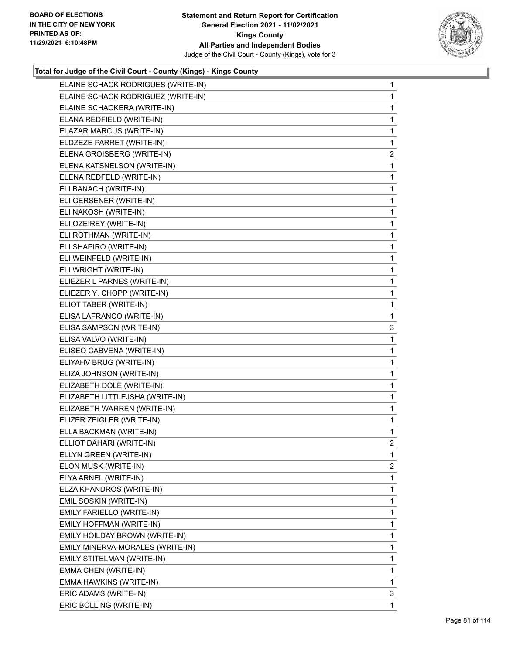

| ELAINE SCHACK RODRIGUES (WRITE-IN) | $\mathbf{1}$   |
|------------------------------------|----------------|
| ELAINE SCHACK RODRIGUEZ (WRITE-IN) | 1              |
| ELAINE SCHACKERA (WRITE-IN)        | 1              |
| ELANA REDFIELD (WRITE-IN)          | 1              |
| ELAZAR MARCUS (WRITE-IN)           | 1              |
| ELDZEZE PARRET (WRITE-IN)          | 1              |
| ELENA GROISBERG (WRITE-IN)         | 2              |
| ELENA KATSNELSON (WRITE-IN)        | 1              |
| ELENA REDFELD (WRITE-IN)           | 1              |
| ELI BANACH (WRITE-IN)              | 1              |
| ELI GERSENER (WRITE-IN)            | 1              |
| ELI NAKOSH (WRITE-IN)              | 1              |
| ELI OZEIREY (WRITE-IN)             | 1              |
| ELI ROTHMAN (WRITE-IN)             | 1              |
| ELI SHAPIRO (WRITE-IN)             | 1              |
| ELI WEINFELD (WRITE-IN)            | 1              |
| ELI WRIGHT (WRITE-IN)              | 1              |
| ELIEZER L PARNES (WRITE-IN)        | 1              |
| ELIEZER Y. CHOPP (WRITE-IN)        | 1              |
| ELIOT TABER (WRITE-IN)             | 1              |
| ELISA LAFRANCO (WRITE-IN)          | 1              |
| ELISA SAMPSON (WRITE-IN)           | 3              |
| ELISA VALVO (WRITE-IN)             | 1              |
| ELISEO CABVENA (WRITE-IN)          | 1              |
| ELIYAHV BRUG (WRITE-IN)            | 1              |
| ELIZA JOHNSON (WRITE-IN)           | 1              |
| ELIZABETH DOLE (WRITE-IN)          | 1              |
| ELIZABETH LITTLEJSHA (WRITE-IN)    | 1              |
| ELIZABETH WARREN (WRITE-IN)        | 1              |
| ELIZER ZEIGLER (WRITE-IN)          | $\mathbf{1}$   |
| ELLA BACKMAN (WRITE-IN)            | 1              |
| ELLIOT DAHARI (WRITE-IN)           | $\overline{2}$ |
| ELLYN GREEN (WRITE-IN)             | 1              |
| ELON MUSK (WRITE-IN)               | 2              |
| ELYA ARNEL (WRITE-IN)              | 1              |
| ELZA KHANDROS (WRITE-IN)           | 1              |
| EMIL SOSKIN (WRITE-IN)             | 1              |
| EMILY FARIELLO (WRITE-IN)          | 1              |
| EMILY HOFFMAN (WRITE-IN)           | 1              |
| EMILY HOILDAY BROWN (WRITE-IN)     | 1              |
| EMILY MINERVA-MORALES (WRITE-IN)   | 1              |
| EMILY STITELMAN (WRITE-IN)         | 1              |
| EMMA CHEN (WRITE-IN)               | 1              |
| EMMA HAWKINS (WRITE-IN)            | 1              |
| ERIC ADAMS (WRITE-IN)              | 3              |
| ERIC BOLLING (WRITE-IN)            | 1              |
|                                    |                |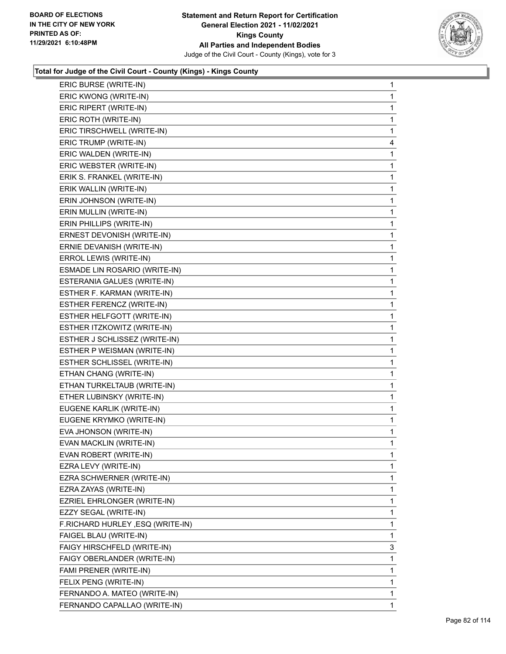

| ERIC BURSE (WRITE-IN)            | 1            |
|----------------------------------|--------------|
| ERIC KWONG (WRITE-IN)            | 1            |
| ERIC RIPERT (WRITE-IN)           | 1            |
| ERIC ROTH (WRITE-IN)             | 1            |
| ERIC TIRSCHWELL (WRITE-IN)       | 1            |
| ERIC TRUMP (WRITE-IN)            | 4            |
| ERIC WALDEN (WRITE-IN)           | 1            |
| ERIC WEBSTER (WRITE-IN)          | 1            |
| ERIK S. FRANKEL (WRITE-IN)       | 1            |
| ERIK WALLIN (WRITE-IN)           | 1            |
| ERIN JOHNSON (WRITE-IN)          | 1            |
| ERIN MULLIN (WRITE-IN)           | 1            |
| ERIN PHILLIPS (WRITE-IN)         | 1            |
| ERNEST DEVONISH (WRITE-IN)       | $\mathbf{1}$ |
| ERNIE DEVANISH (WRITE-IN)        | 1            |
| ERROL LEWIS (WRITE-IN)           | 1            |
| ESMADE LIN ROSARIO (WRITE-IN)    | 1            |
| ESTERANIA GALUES (WRITE-IN)      | 1            |
| ESTHER F. KARMAN (WRITE-IN)      | 1            |
| ESTHER FERENCZ (WRITE-IN)        | $\mathbf{1}$ |
| ESTHER HELFGOTT (WRITE-IN)       | 1            |
| ESTHER ITZKOWITZ (WRITE-IN)      | 1            |
| ESTHER J SCHLISSEZ (WRITE-IN)    | 1            |
| ESTHER P WEISMAN (WRITE-IN)      | 1            |
| ESTHER SCHLISSEL (WRITE-IN)      | 1            |
| ETHAN CHANG (WRITE-IN)           | $\mathbf{1}$ |
| ETHAN TURKELTAUB (WRITE-IN)      | 1            |
| ETHER LUBINSKY (WRITE-IN)        | 1            |
| EUGENE KARLIK (WRITE-IN)         | 1            |
| EUGENE KRYMKO (WRITE-IN)         | 1            |
| EVA JHONSON (WRITE-IN)           | 1            |
| EVAN MACKLIN (WRITE-IN)          | 1            |
| EVAN ROBERT (WRITE-IN)           | 1            |
| EZRA LEVY (WRITE-IN)             | 1            |
| EZRA SCHWERNER (WRITE-IN)        | 1            |
| EZRA ZAYAS (WRITE-IN)            | 1            |
| EZRIEL EHRLONGER (WRITE-IN)      | 1            |
| EZZY SEGAL (WRITE-IN)            | 1            |
| F.RICHARD HURLEY, ESQ (WRITE-IN) | 1            |
| FAIGEL BLAU (WRITE-IN)           | 1            |
| FAIGY HIRSCHFELD (WRITE-IN)      | 3            |
| FAIGY OBERLANDER (WRITE-IN)      | 1            |
| FAMI PRENER (WRITE-IN)           | 1            |
| FELIX PENG (WRITE-IN)            | 1            |
| FERNANDO A. MATEO (WRITE-IN)     | 1            |
| FERNANDO CAPALLAO (WRITE-IN)     | $\mathbf{1}$ |
|                                  |              |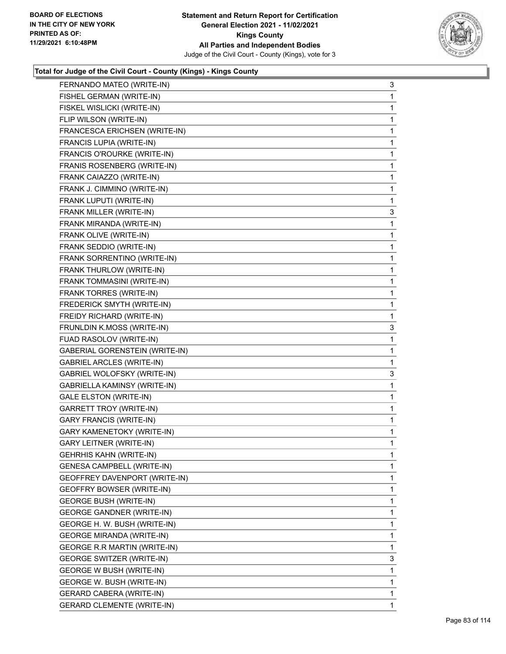

| FERNANDO MATEO (WRITE-IN)             | 3            |
|---------------------------------------|--------------|
| FISHEL GERMAN (WRITE-IN)              | 1            |
| FISKEL WISLICKI (WRITE-IN)            | 1            |
| FLIP WILSON (WRITE-IN)                | 1            |
| FRANCESCA ERICHSEN (WRITE-IN)         | 1            |
| FRANCIS LUPIA (WRITE-IN)              | 1            |
| FRANCIS O'ROURKE (WRITE-IN)           | 1            |
| FRANIS ROSENBERG (WRITE-IN)           | 1            |
| FRANK CAIAZZO (WRITE-IN)              | 1            |
| FRANK J. CIMMINO (WRITE-IN)           | 1            |
| FRANK LUPUTI (WRITE-IN)               | 1            |
| FRANK MILLER (WRITE-IN)               | 3            |
| FRANK MIRANDA (WRITE-IN)              | 1            |
| FRANK OLIVE (WRITE-IN)                | 1            |
| FRANK SEDDIO (WRITE-IN)               | 1            |
| FRANK SORRENTINO (WRITE-IN)           | 1            |
| FRANK THURLOW (WRITE-IN)              | 1            |
| FRANK TOMMASINI (WRITE-IN)            | 1            |
| FRANK TORRES (WRITE-IN)               | 1            |
| FREDERICK SMYTH (WRITE-IN)            | 1            |
| FREIDY RICHARD (WRITE-IN)             | 1            |
| FRUNLDIN K.MOSS (WRITE-IN)            | 3            |
| FUAD RASOLOV (WRITE-IN)               | 1            |
| <b>GABERIAL GORENSTEIN (WRITE-IN)</b> | 1            |
| <b>GABRIEL ARCLES (WRITE-IN)</b>      | 1            |
| GABRIEL WOLOFSKY (WRITE-IN)           | 3            |
| GABRIELLA KAMINSY (WRITE-IN)          | 1            |
| <b>GALE ELSTON (WRITE-IN)</b>         | 1            |
| GARRETT TROY (WRITE-IN)               | 1            |
| <b>GARY FRANCIS (WRITE-IN)</b>        | 1            |
| GARY KAMENETOKY (WRITE-IN)            | 1            |
| <b>GARY LEITNER (WRITE-IN)</b>        | 1            |
| GEHRHIS KAHN (WRITE-IN)               | 1            |
| <b>GENESA CAMPBELL (WRITE-IN)</b>     | 1            |
| GEOFFREY DAVENPORT (WRITE-IN)         | 1            |
| <b>GEOFFRY BOWSER (WRITE-IN)</b>      | 1            |
| GEORGE BUSH (WRITE-IN)                | 1            |
| <b>GEORGE GANDNER (WRITE-IN)</b>      | 1            |
| GEORGE H. W. BUSH (WRITE-IN)          | 1            |
| GEORGE MIRANDA (WRITE-IN)             | 1            |
| <b>GEORGE R.R MARTIN (WRITE-IN)</b>   | 1            |
| <b>GEORGE SWITZER (WRITE-IN)</b>      | 3            |
| <b>GEORGE W BUSH (WRITE-IN)</b>       | 1            |
| GEORGE W. BUSH (WRITE-IN)             | 1            |
| GERARD CABERA (WRITE-IN)              | 1            |
| <b>GERARD CLEMENTE (WRITE-IN)</b>     | $\mathbf{1}$ |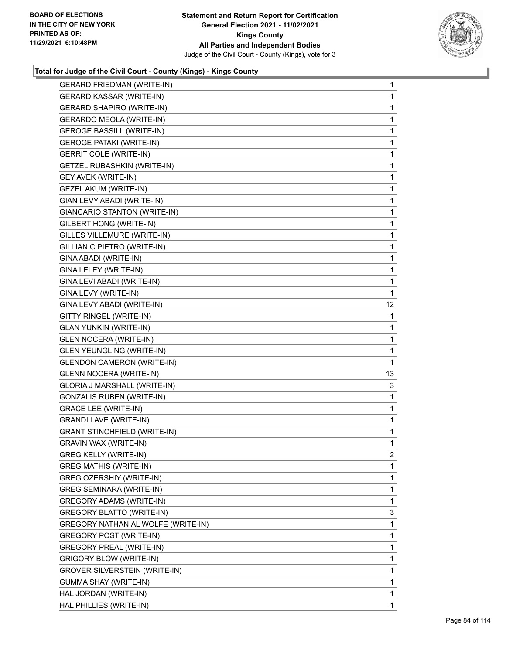

| <b>GERARD FRIEDMAN (WRITE-IN)</b>    | $\mathbf{1}$ |
|--------------------------------------|--------------|
| <b>GERARD KASSAR (WRITE-IN)</b>      | 1            |
| <b>GERARD SHAPIRO (WRITE-IN)</b>     | 1            |
| <b>GERARDO MEOLA (WRITE-IN)</b>      | 1            |
| <b>GEROGE BASSILL (WRITE-IN)</b>     | 1            |
| <b>GEROGE PATAKI (WRITE-IN)</b>      | 1            |
| <b>GERRIT COLE (WRITE-IN)</b>        | 1            |
| <b>GETZEL RUBASHKIN (WRITE-IN)</b>   | 1            |
| <b>GEY AVEK (WRITE-IN)</b>           | 1            |
| <b>GEZEL AKUM (WRITE-IN)</b>         | 1            |
| GIAN LEVY ABADI (WRITE-IN)           | 1            |
| GIANCARIO STANTON (WRITE-IN)         | 1            |
| GILBERT HONG (WRITE-IN)              | 1            |
| GILLES VILLEMURE (WRITE-IN)          | 1            |
| GILLIAN C PIETRO (WRITE-IN)          | 1            |
| GINA ABADI (WRITE-IN)                | 1            |
| GINA LELEY (WRITE-IN)                | 1            |
| GINA LEVI ABADI (WRITE-IN)           | 1            |
| GINA LEVY (WRITE-IN)                 | 1            |
| GINA LEVY ABADI (WRITE-IN)           | 12           |
| GITTY RINGEL (WRITE-IN)              | 1            |
| <b>GLAN YUNKIN (WRITE-IN)</b>        | 1            |
| <b>GLEN NOCERA (WRITE-IN)</b>        | 1            |
| <b>GLEN YEUNGLING (WRITE-IN)</b>     | 1            |
| <b>GLENDON CAMERON (WRITE-IN)</b>    | 1            |
| <b>GLENN NOCERA (WRITE-IN)</b>       | 13           |
| GLORIA J MARSHALL (WRITE-IN)         | 3            |
| <b>GONZALIS RUBEN (WRITE-IN)</b>     | 1            |
| <b>GRACE LEE (WRITE-IN)</b>          | 1            |
| <b>GRANDI LAVE (WRITE-IN)</b>        | 1            |
| <b>GRANT STINCHFIELD (WRITE-IN)</b>  | 1            |
| GRAVIN WAX (WRITE-IN)                | 1            |
| GREG KELLY (WRITE-IN)                | 2            |
| <b>GREG MATHIS (WRITE-IN)</b>        | 1            |
| <b>GREG OZERSHIY (WRITE-IN)</b>      | 1            |
| GREG SEMINARA (WRITE-IN)             | 1            |
| GREGORY ADAMS (WRITE-IN)             | 1            |
| GREGORY BLATTO (WRITE-IN)            | 3            |
| GREGORY NATHANIAL WOLFE (WRITE-IN)   | 1            |
| <b>GREGORY POST (WRITE-IN)</b>       | 1            |
| <b>GREGORY PREAL (WRITE-IN)</b>      | 1            |
| <b>GRIGORY BLOW (WRITE-IN)</b>       | 1            |
| <b>GROVER SILVERSTEIN (WRITE-IN)</b> | 1            |
| GUMMA SHAY (WRITE-IN)                | 1            |
| HAL JORDAN (WRITE-IN)                | 1            |
| HAL PHILLIES (WRITE-IN)              | 1            |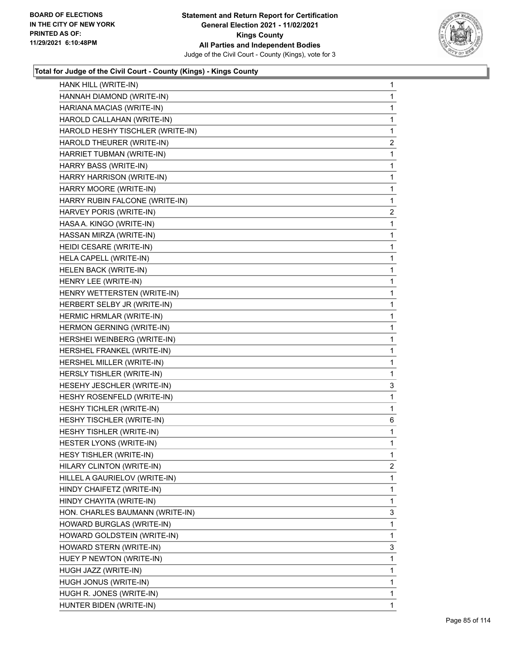

| HANK HILL (WRITE-IN)             | 1              |
|----------------------------------|----------------|
| HANNAH DIAMOND (WRITE-IN)        | $\mathbf 1$    |
| HARIANA MACIAS (WRITE-IN)        | $\mathbf{1}$   |
| HAROLD CALLAHAN (WRITE-IN)       | 1              |
| HAROLD HESHY TISCHLER (WRITE-IN) | 1              |
| HAROLD THEURER (WRITE-IN)        | 2              |
| HARRIET TUBMAN (WRITE-IN)        | $\mathbf{1}$   |
| HARRY BASS (WRITE-IN)            | 1              |
| HARRY HARRISON (WRITE-IN)        | $\mathbf{1}$   |
| HARRY MOORE (WRITE-IN)           | 1              |
| HARRY RUBIN FALCONE (WRITE-IN)   | 1              |
| HARVEY PORIS (WRITE-IN)          | 2              |
| HASA A. KINGO (WRITE-IN)         | $\mathbf{1}$   |
| HASSAN MIRZA (WRITE-IN)          | 1              |
| HEIDI CESARE (WRITE-IN)          | $\mathbf{1}$   |
| HELA CAPELL (WRITE-IN)           | $\mathbf{1}$   |
| HELEN BACK (WRITE-IN)            | 1              |
| HENRY LEE (WRITE-IN)             | $\mathbf{1}$   |
| HENRY WETTERSTEN (WRITE-IN)      | $\mathbf{1}$   |
| HERBERT SELBY JR (WRITE-IN)      | 1              |
| HERMIC HRMLAR (WRITE-IN)         | $\mathbf{1}$   |
| HERMON GERNING (WRITE-IN)        | $\mathbf{1}$   |
| HERSHEI WEINBERG (WRITE-IN)      | 1              |
| HERSHEL FRANKEL (WRITE-IN)       | $\mathbf{1}$   |
| HERSHEL MILLER (WRITE-IN)        | $\mathbf{1}$   |
| HERSLY TISHLER (WRITE-IN)        | 1              |
| HESEHY JESCHLER (WRITE-IN)       | 3              |
| HESHY ROSENFELD (WRITE-IN)       | 1              |
| HESHY TICHLER (WRITE-IN)         | 1              |
| HESHY TISCHLER (WRITE-IN)        | 6              |
| HESHY TISHLER (WRITE-IN)         | 1              |
| HESTER LYONS (WRITE-IN)          | 1              |
| HESY TISHLER (WRITE-IN)          | 1              |
| HILARY CLINTON (WRITE-IN)        | $\overline{a}$ |
| HILLEL A GAURIELOV (WRITE-IN)    | 1              |
| HINDY CHAIFETZ (WRITE-IN)        | 1              |
| HINDY CHAYITA (WRITE-IN)         | 1              |
| HON. CHARLES BAUMANN (WRITE-IN)  | 3              |
| HOWARD BURGLAS (WRITE-IN)        | 1              |
| HOWARD GOLDSTEIN (WRITE-IN)      | $\mathbf{1}$   |
| HOWARD STERN (WRITE-IN)          | 3              |
| HUEY P NEWTON (WRITE-IN)         | 1              |
| HUGH JAZZ (WRITE-IN)             | 1              |
| HUGH JONUS (WRITE-IN)            | 1              |
| HUGH R. JONES (WRITE-IN)         | $\mathbf{1}$   |
| HUNTER BIDEN (WRITE-IN)          | $\mathbf{1}$   |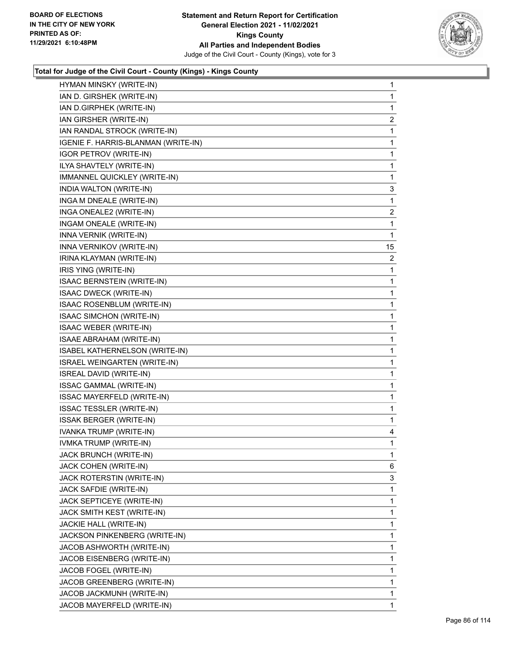

| HYMAN MINSKY (WRITE-IN)             | 1              |
|-------------------------------------|----------------|
| IAN D. GIRSHEK (WRITE-IN)           | 1              |
| IAN D.GIRPHEK (WRITE-IN)            | 1              |
| IAN GIRSHER (WRITE-IN)              | $\overline{2}$ |
| IAN RANDAL STROCK (WRITE-IN)        | 1              |
| IGENIE F. HARRIS-BLANMAN (WRITE-IN) | 1              |
| <b>IGOR PETROV (WRITE-IN)</b>       | 1              |
| ILYA SHAVTELY (WRITE-IN)            | 1              |
| IMMANNEL QUICKLEY (WRITE-IN)        | 1              |
| INDIA WALTON (WRITE-IN)             | 3              |
| INGA M DNEALE (WRITE-IN)            | 1              |
| INGA ONEALE2 (WRITE-IN)             | $\overline{2}$ |
| INGAM ONEALE (WRITE-IN)             | 1              |
| INNA VERNIK (WRITE-IN)              | 1              |
| INNA VERNIKOV (WRITE-IN)            | 15             |
| IRINA KLAYMAN (WRITE-IN)            | $\overline{2}$ |
| IRIS YING (WRITE-IN)                | 1              |
| ISAAC BERNSTEIN (WRITE-IN)          | 1              |
| ISAAC DWECK (WRITE-IN)              | 1              |
| ISAAC ROSENBLUM (WRITE-IN)          | 1              |
| <b>ISAAC SIMCHON (WRITE-IN)</b>     | 1              |
| ISAAC WEBER (WRITE-IN)              | 1              |
| ISAAE ABRAHAM (WRITE-IN)            | 1              |
| ISABEL KATHERNELSON (WRITE-IN)      | 1              |
| ISRAEL WEINGARTEN (WRITE-IN)        | 1              |
| ISREAL DAVID (WRITE-IN)             | 1              |
| ISSAC GAMMAL (WRITE-IN)             | 1              |
| ISSAC MAYERFELD (WRITE-IN)          | 1              |
| <b>ISSAC TESSLER (WRITE-IN)</b>     | 1              |
| <b>ISSAK BERGER (WRITE-IN)</b>      | 1              |
| IVANKA TRUMP (WRITE-IN)             | 4              |
| IVMKA TRUMP (WRITE-IN)              | $\mathbf{1}$   |
| JACK BRUNCH (WRITE-IN)              | 1              |
| JACK COHEN (WRITE-IN)               | 6              |
| JACK ROTERSTIN (WRITE-IN)           | 3              |
| JACK SAFDIE (WRITE-IN)              | 1              |
| JACK SEPTICEYE (WRITE-IN)           | 1              |
| JACK SMITH KEST (WRITE-IN)          | 1              |
| JACKIE HALL (WRITE-IN)              | 1              |
| JACKSON PINKENBERG (WRITE-IN)       | 1              |
| JACOB ASHWORTH (WRITE-IN)           | 1              |
| JACOB EISENBERG (WRITE-IN)          | 1              |
| JACOB FOGEL (WRITE-IN)              | 1              |
| JACOB GREENBERG (WRITE-IN)          | 1              |
| JACOB JACKMUNH (WRITE-IN)           | 1              |
| JACOB MAYERFELD (WRITE-IN)          | 1.             |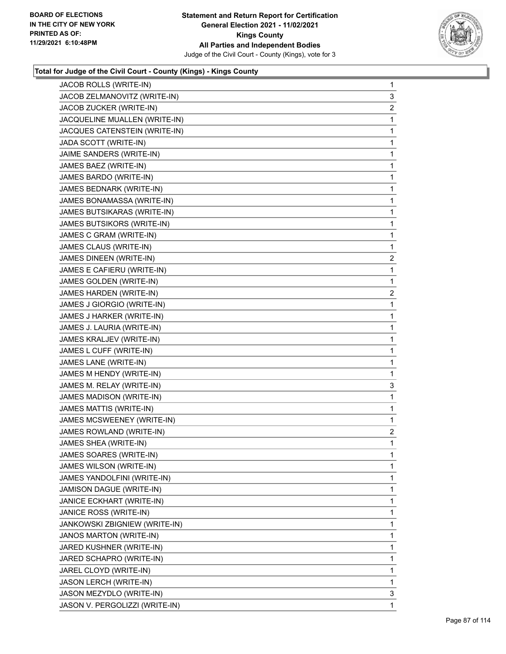

| JACOB ROLLS (WRITE-IN)          | $\mathbf{1}$   |
|---------------------------------|----------------|
| JACOB ZELMANOVITZ (WRITE-IN)    | 3              |
| JACOB ZUCKER (WRITE-IN)         | $\overline{2}$ |
| JACQUELINE MUALLEN (WRITE-IN)   | 1              |
| JACQUES CATENSTEIN (WRITE-IN)   | 1              |
| JADA SCOTT (WRITE-IN)           | 1              |
| JAIME SANDERS (WRITE-IN)        | 1              |
| JAMES BAEZ (WRITE-IN)           | 1              |
| JAMES BARDO (WRITE-IN)          | 1              |
| JAMES BEDNARK (WRITE-IN)        | 1              |
| JAMES BONAMASSA (WRITE-IN)      | 1              |
| JAMES BUTSIKARAS (WRITE-IN)     | 1              |
| JAMES BUTSIKORS (WRITE-IN)      | 1              |
| JAMES C GRAM (WRITE-IN)         | 1              |
| JAMES CLAUS (WRITE-IN)          | 1              |
| JAMES DINEEN (WRITE-IN)         | $\overline{c}$ |
| JAMES E CAFIERU (WRITE-IN)      | 1              |
| JAMES GOLDEN (WRITE-IN)         | 1              |
| <b>JAMES HARDEN (WRITE-IN)</b>  | $\overline{a}$ |
| JAMES J GIORGIO (WRITE-IN)      | 1              |
| JAMES J HARKER (WRITE-IN)       | 1              |
| JAMES J. LAURIA (WRITE-IN)      | 1              |
| JAMES KRALJEV (WRITE-IN)        | 1              |
| JAMES L CUFF (WRITE-IN)         | 1              |
| JAMES LANE (WRITE-IN)           | 1              |
| JAMES M HENDY (WRITE-IN)        | 1              |
| JAMES M. RELAY (WRITE-IN)       | 3              |
| JAMES MADISON (WRITE-IN)        | 1              |
| JAMES MATTIS (WRITE-IN)         | 1              |
| JAMES MCSWEENEY (WRITE-IN)      | 1              |
| <b>JAMES ROWLAND (WRITE-IN)</b> | $\overline{2}$ |
| JAMES SHEA (WRITE-IN)           | 1              |
| JAMES SOARES (WRITE-IN)         | 1              |
| JAMES WILSON (WRITE-IN)         | 1              |
| JAMES YANDOLFINI (WRITE-IN)     | 1              |
| JAMISON DAGUE (WRITE-IN)        | 1              |
| JANICE ECKHART (WRITE-IN)       | 1              |
| JANICE ROSS (WRITE-IN)          | 1              |
| JANKOWSKI ZBIGNIEW (WRITE-IN)   | 1              |
| JANOS MARTON (WRITE-IN)         | 1              |
| JARED KUSHNER (WRITE-IN)        | 1              |
| JARED SCHAPRO (WRITE-IN)        | 1              |
| JAREL CLOYD (WRITE-IN)          | 1              |
| JASON LERCH (WRITE-IN)          | 1              |
| JASON MEZYDLO (WRITE-IN)        | 3              |
| JASON V. PERGOLIZZI (WRITE-IN)  | 1              |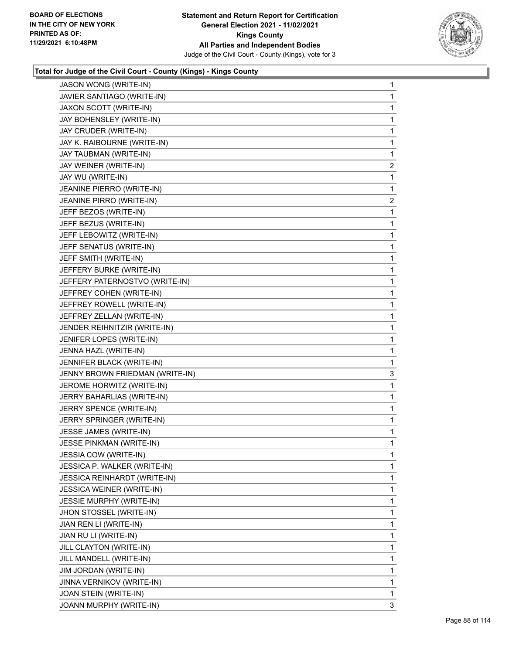

| JASON WONG (WRITE-IN)            | 1 |
|----------------------------------|---|
| JAVIER SANTIAGO (WRITE-IN)       | 1 |
| JAXON SCOTT (WRITE-IN)           | 1 |
| JAY BOHENSLEY (WRITE-IN)         | 1 |
| JAY CRUDER (WRITE-IN)            | 1 |
| JAY K. RAIBOURNE (WRITE-IN)      | 1 |
| JAY TAUBMAN (WRITE-IN)           | 1 |
| JAY WEINER (WRITE-IN)            | 2 |
| JAY WU (WRITE-IN)                | 1 |
| JEANINE PIERRO (WRITE-IN)        | 1 |
| JEANINE PIRRO (WRITE-IN)         | 2 |
| JEFF BEZOS (WRITE-IN)            | 1 |
| JEFF BEZUS (WRITE-IN)            | 1 |
| JEFF LEBOWITZ (WRITE-IN)         | 1 |
| JEFF SENATUS (WRITE-IN)          | 1 |
| JEFF SMITH (WRITE-IN)            | 1 |
| JEFFERY BURKE (WRITE-IN)         | 1 |
| JEFFERY PATERNOSTVO (WRITE-IN)   | 1 |
| JEFFREY COHEN (WRITE-IN)         | 1 |
| JEFFREY ROWELL (WRITE-IN)        | 1 |
| JEFFREY ZELLAN (WRITE-IN)        | 1 |
| JENDER REIHNITZIR (WRITE-IN)     | 1 |
| JENIFER LOPES (WRITE-IN)         | 1 |
| JENNA HAZL (WRITE-IN)            | 1 |
| JENNIFER BLACK (WRITE-IN)        | 1 |
| JENNY BROWN FRIEDMAN (WRITE-IN)  | 3 |
| JEROME HORWITZ (WRITE-IN)        | 1 |
| JERRY BAHARLIAS (WRITE-IN)       | 1 |
| JERRY SPENCE (WRITE-IN)          | 1 |
| JERRY SPRINGER (WRITE-IN)        | 1 |
| JESSE JAMES (WRITE-IN)           | 1 |
| JESSE PINKMAN (WRITE-IN)         | 1 |
| <b>JESSIA COW (WRITE-IN)</b>     | 1 |
| JESSICA P. WALKER (WRITE-IN)     | 1 |
| JESSICA REINHARDT (WRITE-IN)     | 1 |
| <b>JESSICA WEINER (WRITE-IN)</b> | 1 |
| <b>JESSIE MURPHY (WRITE-IN)</b>  | 1 |
| JHON STOSSEL (WRITE-IN)          | 1 |
| JIAN REN LI (WRITE-IN)           | 1 |
| JIAN RU LI (WRITE-IN)            | 1 |
| JILL CLAYTON (WRITE-IN)          | 1 |
| JILL MANDELL (WRITE-IN)          | 1 |
| JIM JORDAN (WRITE-IN)            | 1 |
| JINNA VERNIKOV (WRITE-IN)        | 1 |
| JOAN STEIN (WRITE-IN)            | 1 |
| JOANN MURPHY (WRITE-IN)          | 3 |
|                                  |   |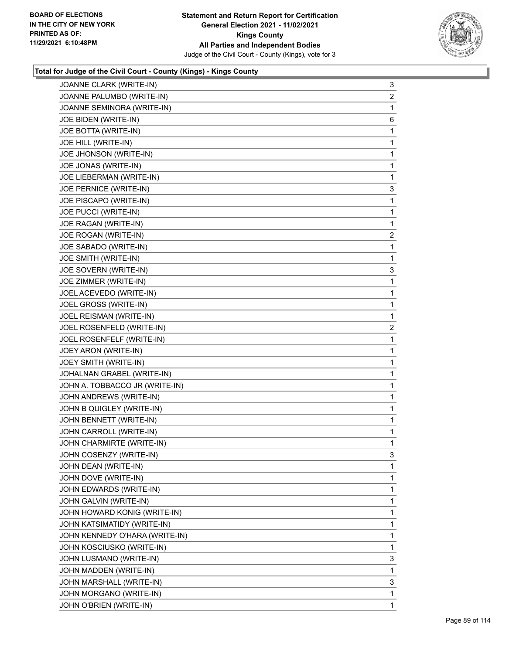

| JOANNE CLARK (WRITE-IN)        | 3              |
|--------------------------------|----------------|
| JOANNE PALUMBO (WRITE-IN)      | 2              |
| JOANNE SEMINORA (WRITE-IN)     | 1              |
| JOE BIDEN (WRITE-IN)           | 6              |
| JOE BOTTA (WRITE-IN)           | 1              |
| JOE HILL (WRITE-IN)            | 1              |
| JOE JHONSON (WRITE-IN)         | 1              |
| JOE JONAS (WRITE-IN)           | 1              |
| JOE LIEBERMAN (WRITE-IN)       | 1              |
| JOE PERNICE (WRITE-IN)         | 3              |
| JOE PISCAPO (WRITE-IN)         | 1              |
| JOE PUCCI (WRITE-IN)           | 1              |
| JOE RAGAN (WRITE-IN)           | 1              |
| JOE ROGAN (WRITE-IN)           | 2              |
| JOE SABADO (WRITE-IN)          | 1              |
| JOE SMITH (WRITE-IN)           | 1              |
| JOE SOVERN (WRITE-IN)          | 3              |
| JOE ZIMMER (WRITE-IN)          | 1              |
| JOEL ACEVEDO (WRITE-IN)        | 1              |
| JOEL GROSS (WRITE-IN)          | 1              |
| JOEL REISMAN (WRITE-IN)        | 1              |
| JOEL ROSENFELD (WRITE-IN)      | $\overline{c}$ |
| JOEL ROSENFELF (WRITE-IN)      | 1              |
| JOEY ARON (WRITE-IN)           | 1              |
| JOEY SMITH (WRITE-IN)          | 1              |
| JOHALNAN GRABEL (WRITE-IN)     | 1              |
| JOHN A. TOBBACCO JR (WRITE-IN) | 1              |
| JOHN ANDREWS (WRITE-IN)        | 1              |
| JOHN B QUIGLEY (WRITE-IN)      | 1              |
| JOHN BENNETT (WRITE-IN)        | 1              |
| JOHN CARROLL (WRITE-IN)        | 1              |
| JOHN CHARMIRTE (WRITE-IN)      | 1              |
| JOHN COSENZY (WRITE-IN)        | 3              |
| JOHN DEAN (WRITE-IN)           | 1              |
| JOHN DOVE (WRITE-IN)           | 1              |
| JOHN EDWARDS (WRITE-IN)        | 1              |
| JOHN GALVIN (WRITE-IN)         | 1              |
| JOHN HOWARD KONIG (WRITE-IN)   | 1              |
| JOHN KATSIMATIDY (WRITE-IN)    | 1              |
| JOHN KENNEDY O'HARA (WRITE-IN) | 1              |
| JOHN KOSCIUSKO (WRITE-IN)      | 1              |
| JOHN LUSMANO (WRITE-IN)        | 3              |
| JOHN MADDEN (WRITE-IN)         | 1              |
| JOHN MARSHALL (WRITE-IN)       | 3              |
| JOHN MORGANO (WRITE-IN)        | 1              |
| JOHN O'BRIEN (WRITE-IN)        | $\mathbf{1}$   |
|                                |                |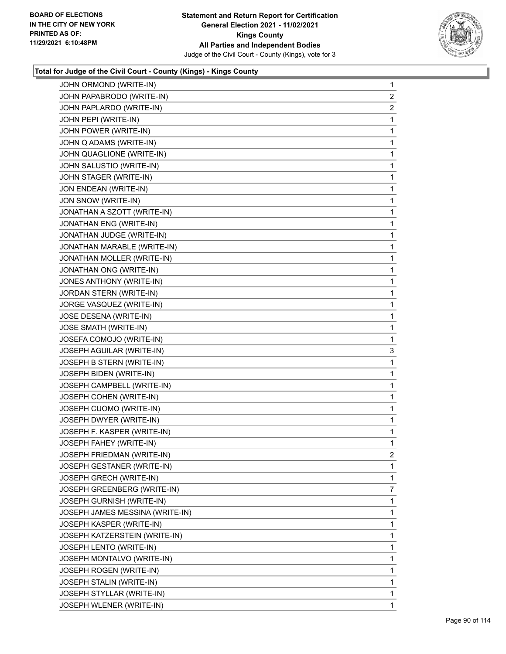![](_page_89_Picture_2.jpeg)

| JOHN ORMOND (WRITE-IN)          | $\mathbf{1}$   |
|---------------------------------|----------------|
| JOHN PAPABRODO (WRITE-IN)       | 2              |
| JOHN PAPLARDO (WRITE-IN)        | $\overline{a}$ |
| JOHN PEPI (WRITE-IN)            | 1              |
| JOHN POWER (WRITE-IN)           | 1              |
| JOHN Q ADAMS (WRITE-IN)         | 1              |
| JOHN QUAGLIONE (WRITE-IN)       | 1              |
| JOHN SALUSTIO (WRITE-IN)        | 1              |
| JOHN STAGER (WRITE-IN)          | 1              |
| JON ENDEAN (WRITE-IN)           | 1              |
| JON SNOW (WRITE-IN)             | 1              |
| JONATHAN A SZOTT (WRITE-IN)     | 1              |
| JONATHAN ENG (WRITE-IN)         | 1              |
| JONATHAN JUDGE (WRITE-IN)       | 1              |
| JONATHAN MARABLE (WRITE-IN)     | 1              |
| JONATHAN MOLLER (WRITE-IN)      | 1              |
| JONATHAN ONG (WRITE-IN)         | 1              |
| JONES ANTHONY (WRITE-IN)        | 1              |
| JORDAN STERN (WRITE-IN)         | 1              |
| JORGE VASQUEZ (WRITE-IN)        | 1              |
| JOSE DESENA (WRITE-IN)          | 1              |
| JOSE SMATH (WRITE-IN)           | 1              |
| JOSEFA COMOJO (WRITE-IN)        | 1              |
| JOSEPH AGUILAR (WRITE-IN)       | 3              |
| JOSEPH B STERN (WRITE-IN)       | 1              |
| JOSEPH BIDEN (WRITE-IN)         | 1              |
| JOSEPH CAMPBELL (WRITE-IN)      | 1              |
| JOSEPH COHEN (WRITE-IN)         | 1              |
| JOSEPH CUOMO (WRITE-IN)         | 1              |
| JOSEPH DWYER (WRITE-IN)         | 1              |
| JOSEPH F. KASPER (WRITE-IN)     | 1              |
| JOSEPH FAHEY (WRITE-IN)         | 1              |
| JOSEPH FRIEDMAN (WRITE-IN)      | 2              |
| JOSEPH GESTANER (WRITE-IN)      | 1              |
| JOSEPH GRECH (WRITE-IN)         | 1              |
| JOSEPH GREENBERG (WRITE-IN)     | $\overline{7}$ |
| JOSEPH GURNISH (WRITE-IN)       | 1              |
| JOSEPH JAMES MESSINA (WRITE-IN) | 1              |
| JOSEPH KASPER (WRITE-IN)        | 1              |
| JOSEPH KATZERSTEIN (WRITE-IN)   | 1              |
| JOSEPH LENTO (WRITE-IN)         | 1              |
| JOSEPH MONTALVO (WRITE-IN)      | 1              |
| JOSEPH ROGEN (WRITE-IN)         | 1              |
| JOSEPH STALIN (WRITE-IN)        | 1              |
| JOSEPH STYLLAR (WRITE-IN)       | 1              |
| JOSEPH WLENER (WRITE-IN)        | $\mathbf{1}$   |
|                                 |                |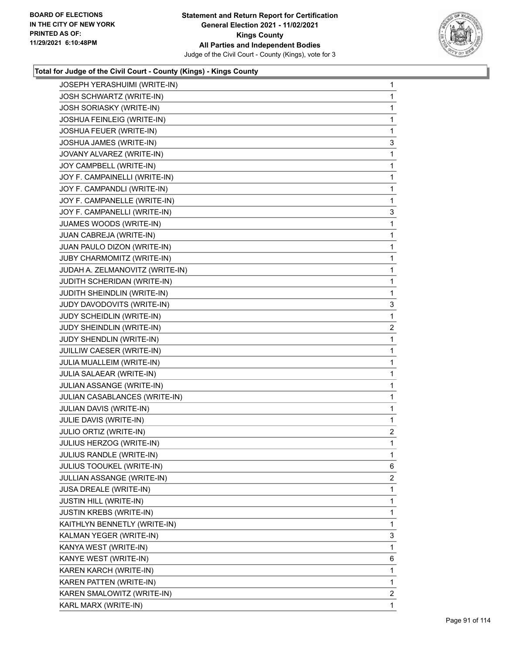![](_page_90_Picture_2.jpeg)

| JOSEPH YERASHUIMI (WRITE-IN)     | $\mathbf{1}$            |
|----------------------------------|-------------------------|
| <b>JOSH SCHWARTZ (WRITE-IN)</b>  | $\mathbf{1}$            |
| <b>JOSH SORIASKY (WRITE-IN)</b>  | 1                       |
| JOSHUA FEINLEIG (WRITE-IN)       | $\mathbf{1}$            |
| JOSHUA FEUER (WRITE-IN)          | $\mathbf{1}$            |
| JOSHUA JAMES (WRITE-IN)          | 3                       |
| JOVANY ALVAREZ (WRITE-IN)        | 1                       |
| JOY CAMPBELL (WRITE-IN)          | $\mathbf{1}$            |
| JOY F. CAMPAINELLI (WRITE-IN)    | 1                       |
| JOY F. CAMPANDLI (WRITE-IN)      | $\mathbf{1}$            |
| JOY F. CAMPANELLE (WRITE-IN)     | $\mathbf{1}$            |
| JOY F. CAMPANELLI (WRITE-IN)     | 3                       |
| JUAMES WOODS (WRITE-IN)          | 1                       |
| JUAN CABREJA (WRITE-IN)          | $\mathbf{1}$            |
| JUAN PAULO DIZON (WRITE-IN)      | 1                       |
| JUBY CHARMOMITZ (WRITE-IN)       | $\mathbf{1}$            |
| JUDAH A. ZELMANOVITZ (WRITE-IN)  | $\mathbf{1}$            |
| JUDITH SCHERIDAN (WRITE-IN)      | 1                       |
| JUDITH SHEINDLIN (WRITE-IN)      | 1                       |
| JUDY DAVODOVITS (WRITE-IN)       | 3                       |
| JUDY SCHEIDLIN (WRITE-IN)        | 1                       |
| JUDY SHEINDLIN (WRITE-IN)        | $\overline{\mathbf{c}}$ |
| JUDY SHENDLIN (WRITE-IN)         | $\mathbf{1}$            |
| JUILLIW CAESER (WRITE-IN)        | 1                       |
| JULIA MUALLEIM (WRITE-IN)        | 1                       |
| JULIA SALAEAR (WRITE-IN)         | $\mathbf{1}$            |
| JULIAN ASSANGE (WRITE-IN)        | 1                       |
| JULIAN CASABLANCES (WRITE-IN)    | $\mathbf{1}$            |
| JULIAN DAVIS (WRITE-IN)          | $\mathbf{1}$            |
| JULIE DAVIS (WRITE-IN)           | $\mathbf{1}$            |
| JULIO ORTIZ (WRITE-IN)           | $\overline{2}$          |
| JULIUS HERZOG (WRITE-IN)         | $\mathbf{1}$            |
| JULIUS RANDLE (WRITE-IN)         | 1                       |
| <b>JULIUS TOOUKEL (WRITE-IN)</b> | 6                       |
| JULLIAN ASSANGE (WRITE-IN)       | 2                       |
| JUSA DREALE (WRITE-IN)           | 1                       |
| <b>JUSTIN HILL (WRITE-IN)</b>    | 1                       |
| <b>JUSTIN KREBS (WRITE-IN)</b>   | 1                       |
| KAITHLYN BENNETLY (WRITE-IN)     | 1                       |
| KALMAN YEGER (WRITE-IN)          | 3                       |
| KANYA WEST (WRITE-IN)            | 1                       |
| KANYE WEST (WRITE-IN)            | 6                       |
| KAREN KARCH (WRITE-IN)           | 1                       |
| KAREN PATTEN (WRITE-IN)          | 1                       |
| KAREN SMALOWITZ (WRITE-IN)       | $\overline{2}$          |
| KARL MARX (WRITE-IN)             | 1                       |
|                                  |                         |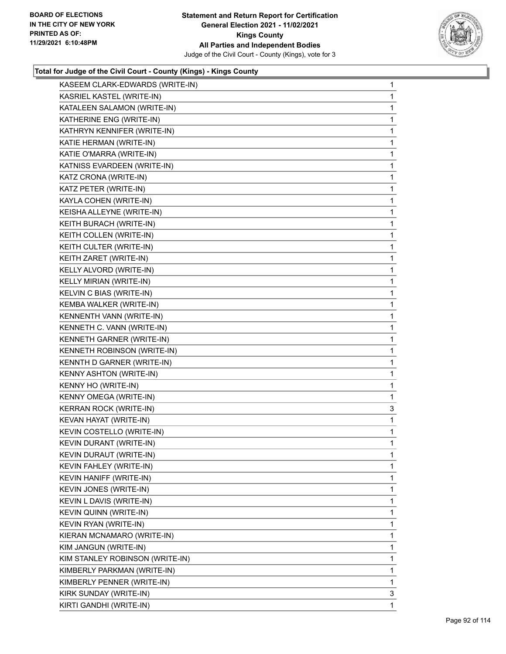![](_page_91_Picture_2.jpeg)

| KASEEM CLARK-EDWARDS (WRITE-IN) | 1            |
|---------------------------------|--------------|
| KASRIEL KASTEL (WRITE-IN)       | 1            |
| KATALEEN SALAMON (WRITE-IN)     | 1            |
| KATHERINE ENG (WRITE-IN)        | 1            |
| KATHRYN KENNIFER (WRITE-IN)     | 1            |
| KATIE HERMAN (WRITE-IN)         | 1            |
| KATIE O'MARRA (WRITE-IN)        | $\mathbf{1}$ |
| KATNISS EVARDEEN (WRITE-IN)     | 1            |
| KATZ CRONA (WRITE-IN)           | 1            |
| KATZ PETER (WRITE-IN)           | 1            |
| KAYLA COHEN (WRITE-IN)          | 1            |
| KEISHA ALLEYNE (WRITE-IN)       | 1            |
| KEITH BURACH (WRITE-IN)         | $\mathbf{1}$ |
| KEITH COLLEN (WRITE-IN)         | 1            |
| KEITH CULTER (WRITE-IN)         | 1            |
| KEITH ZARET (WRITE-IN)          | 1            |
| KELLY ALVORD (WRITE-IN)         | 1            |
| KELLY MIRIAN (WRITE-IN)         | 1            |
| KELVIN C BIAS (WRITE-IN)        | $\mathbf{1}$ |
| KEMBA WALKER (WRITE-IN)         | 1            |
| KENNENTH VANN (WRITE-IN)        | 1            |
| KENNETH C. VANN (WRITE-IN)      | 1            |
| KENNETH GARNER (WRITE-IN)       | 1            |
| KENNETH ROBINSON (WRITE-IN)     | 1            |
| KENNTH D GARNER (WRITE-IN)      | $\mathbf{1}$ |
| KENNY ASHTON (WRITE-IN)         | 1            |
| KENNY HO (WRITE-IN)             | 1            |
| KENNY OMEGA (WRITE-IN)          | 1            |
| KERRAN ROCK (WRITE-IN)          | 3            |
| KEVAN HAYAT (WRITE-IN)          | 1            |
| KEVIN COSTELLO (WRITE-IN)       | 1            |
| KEVIN DURANT (WRITE-IN)         | 1            |
| <b>KEVIN DURAUT (WRITE-IN)</b>  | 1            |
| KEVIN FAHLEY (WRITE-IN)         | 1            |
| KEVIN HANIFF (WRITE-IN)         | 1            |
| KEVIN JONES (WRITE-IN)          | 1            |
| KEVIN L DAVIS (WRITE-IN)        | 1            |
| KEVIN QUINN (WRITE-IN)          | 1            |
| KEVIN RYAN (WRITE-IN)           | 1            |
| KIERAN MCNAMARO (WRITE-IN)      | 1            |
| KIM JANGUN (WRITE-IN)           | 1            |
| KIM STANLEY ROBINSON (WRITE-IN) | 1            |
| KIMBERLY PARKMAN (WRITE-IN)     | 1            |
| KIMBERLY PENNER (WRITE-IN)      | 1            |
| KIRK SUNDAY (WRITE-IN)          |              |
|                                 | 3            |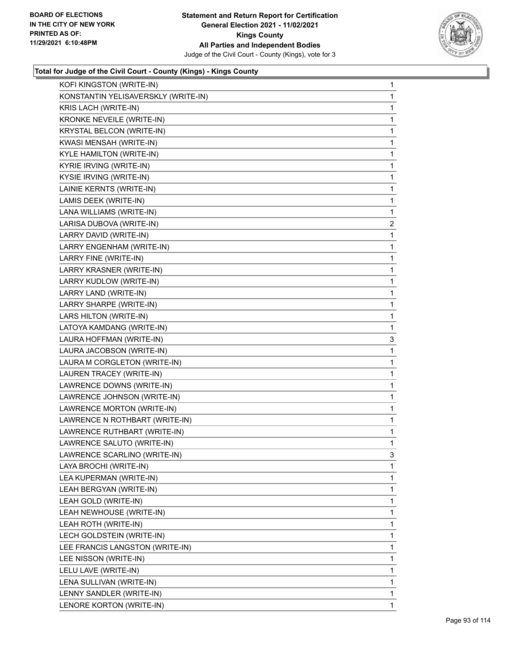![](_page_92_Picture_2.jpeg)

| KONSTANTIN YELISAVERSKLY (WRITE-IN)<br>KRIS LACH (WRITE-IN) |                |
|-------------------------------------------------------------|----------------|
|                                                             | 1              |
|                                                             | 1              |
| <b>KRONKE NEVEILE (WRITE-IN)</b>                            | 1              |
| KRYSTAL BELCON (WRITE-IN)                                   | 1              |
| KWASI MENSAH (WRITE-IN)                                     | 1              |
| KYLE HAMILTON (WRITE-IN)                                    | 1              |
| KYRIE IRVING (WRITE-IN)                                     | 1              |
| KYSIE IRVING (WRITE-IN)                                     | 1              |
| LAINIE KERNTS (WRITE-IN)                                    | 1              |
| LAMIS DEEK (WRITE-IN)                                       | 1              |
| LANA WILLIAMS (WRITE-IN)                                    | 1              |
| LARISA DUBOVA (WRITE-IN)                                    | $\overline{2}$ |
| LARRY DAVID (WRITE-IN)                                      | 1              |
| LARRY ENGENHAM (WRITE-IN)                                   | 1              |
| LARRY FINE (WRITE-IN)                                       | 1              |
| LARRY KRASNER (WRITE-IN)                                    | 1              |
| LARRY KUDLOW (WRITE-IN)                                     | 1              |
| LARRY LAND (WRITE-IN)                                       | 1              |
| LARRY SHARPE (WRITE-IN)                                     | 1              |
| LARS HILTON (WRITE-IN)                                      | 1              |
| LATOYA KAMDANG (WRITE-IN)                                   | 1              |
| LAURA HOFFMAN (WRITE-IN)                                    | 3              |
| LAURA JACOBSON (WRITE-IN)                                   | 1              |
| LAURA M CORGLETON (WRITE-IN)                                | 1              |
|                                                             |                |
| LAUREN TRACEY (WRITE-IN)                                    | 1              |
| LAWRENCE DOWNS (WRITE-IN)                                   | 1              |
| LAWRENCE JOHNSON (WRITE-IN)                                 | 1              |
| LAWRENCE MORTON (WRITE-IN)                                  | 1              |
| LAWRENCE N ROTHBART (WRITE-IN)                              | 1              |
| LAWRENCE RUTHBART (WRITE-IN)                                | 1              |
| LAWRENCE SALUTO (WRITE-IN)                                  | 1              |
| LAWRENCE SCARLINO (WRITE-IN)                                | 3              |
| LAYA BROCHI (WRITE-IN)                                      | 1              |
| LEA KUPERMAN (WRITE-IN)                                     | 1              |
| LEAH BERGYAN (WRITE-IN)                                     | 1              |
| LEAH GOLD (WRITE-IN)                                        | 1              |
| LEAH NEWHOUSE (WRITE-IN)                                    | 1              |
| LEAH ROTH (WRITE-IN)                                        | 1              |
| LECH GOLDSTEIN (WRITE-IN)                                   | 1              |
| LEE FRANCIS LANGSTON (WRITE-IN)                             | 1              |
| LEE NISSON (WRITE-IN)                                       | 1              |
| LELU LAVE (WRITE-IN)                                        | 1              |
| LENA SULLIVAN (WRITE-IN)                                    | 1              |
| LENNY SANDLER (WRITE-IN)                                    | 1              |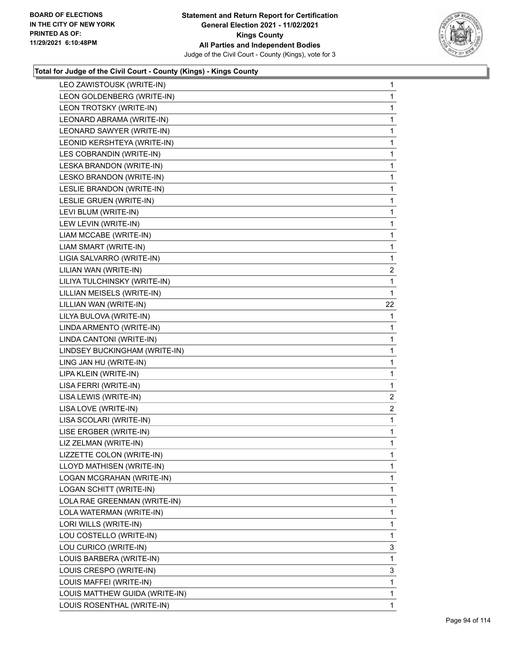![](_page_93_Picture_2.jpeg)

| LEO ZAWISTOUSK (WRITE-IN)      | $\mathbf 1$    |
|--------------------------------|----------------|
| LEON GOLDENBERG (WRITE-IN)     | $\mathbf{1}$   |
| LEON TROTSKY (WRITE-IN)        | $\mathbf 1$    |
| LEONARD ABRAMA (WRITE-IN)      | 1              |
| LEONARD SAWYER (WRITE-IN)      | $\mathbf 1$    |
| LEONID KERSHTEYA (WRITE-IN)    | 1              |
| LES COBRANDIN (WRITE-IN)       | 1              |
| LESKA BRANDON (WRITE-IN)       | $\mathbf{1}$   |
| LESKO BRANDON (WRITE-IN)       | $\mathbf 1$    |
| LESLIE BRANDON (WRITE-IN)      | 1              |
| LESLIE GRUEN (WRITE-IN)        | $\mathbf{1}$   |
| LEVI BLUM (WRITE-IN)           | 1              |
| LEW LEVIN (WRITE-IN)           | 1              |
| LIAM MCCABE (WRITE-IN)         | $\mathbf{1}$   |
| LIAM SMART (WRITE-IN)          | $\mathbf 1$    |
| LIGIA SALVARRO (WRITE-IN)      | $\mathbf 1$    |
| LILIAN WAN (WRITE-IN)          | 2              |
| LILIYA TULCHINSKY (WRITE-IN)   | 1              |
| LILLIAN MEISELS (WRITE-IN)     | $\mathbf{1}$   |
| LILLIAN WAN (WRITE-IN)         | 22             |
| LILYA BULOVA (WRITE-IN)        | 1              |
| LINDA ARMENTO (WRITE-IN)       | 1              |
| LINDA CANTONI (WRITE-IN)       | $\mathbf{1}$   |
| LINDSEY BUCKINGHAM (WRITE-IN)  | 1              |
| LING JAN HU (WRITE-IN)         | 1              |
| LIPA KLEIN (WRITE-IN)          | $\mathbf{1}$   |
| LISA FERRI (WRITE-IN)          | $\mathbf 1$    |
| LISA LEWIS (WRITE-IN)          | $\overline{2}$ |
| LISA LOVE (WRITE-IN)           | 2              |
| LISA SCOLARI (WRITE-IN)        | 1              |
| LISE ERGBER (WRITE-IN)         | 1              |
| LIZ ZELMAN (WRITE-IN)          | $\mathbf{1}$   |
| LIZZETTE COLON (WRITE-IN)      | 1              |
| LLOYD MATHISEN (WRITE-IN)      | 1              |
| LOGAN MCGRAHAN (WRITE-IN)      | 1              |
| LOGAN SCHITT (WRITE-IN)        | 1              |
| LOLA RAE GREENMAN (WRITE-IN)   | 1              |
| LOLA WATERMAN (WRITE-IN)       | 1              |
| LORI WILLS (WRITE-IN)          | 1              |
| LOU COSTELLO (WRITE-IN)        | $\mathbf{1}$   |
| LOU CURICO (WRITE-IN)          | 3              |
| LOUIS BARBERA (WRITE-IN)       | 1              |
| LOUIS CRESPO (WRITE-IN)        | 3              |
| LOUIS MAFFEI (WRITE-IN)        | $\mathbf{1}$   |
| LOUIS MATTHEW GUIDA (WRITE-IN) | 1              |
| LOUIS ROSENTHAL (WRITE-IN)     | $\mathbf{1}$   |
|                                |                |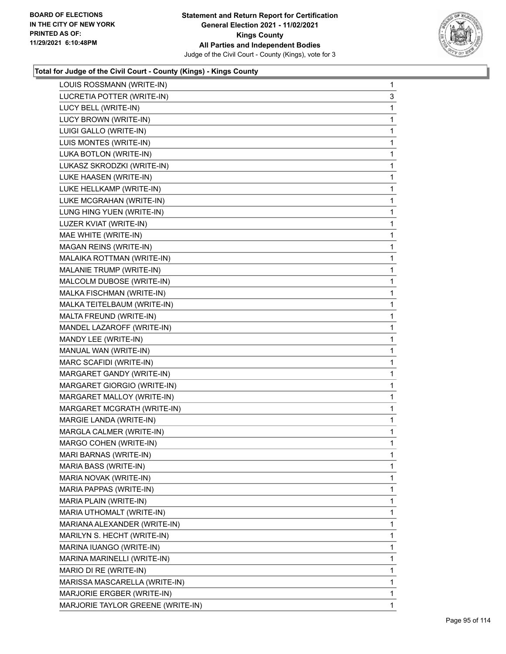![](_page_94_Picture_2.jpeg)

| LOUIS ROSSMANN (WRITE-IN)         | $\mathbf{1}$ |
|-----------------------------------|--------------|
| LUCRETIA POTTER (WRITE-IN)        | 3            |
| LUCY BELL (WRITE-IN)              | 1            |
| LUCY BROWN (WRITE-IN)             | 1            |
| LUIGI GALLO (WRITE-IN)            | 1            |
| LUIS MONTES (WRITE-IN)            | 1            |
| LUKA BOTLON (WRITE-IN)            | 1            |
| LUKASZ SKRODZKI (WRITE-IN)        | 1            |
| LUKE HAASEN (WRITE-IN)            | 1            |
| LUKE HELLKAMP (WRITE-IN)          | 1            |
| LUKE MCGRAHAN (WRITE-IN)          | 1            |
| LUNG HING YUEN (WRITE-IN)         | 1            |
| LUZER KVIAT (WRITE-IN)            | 1            |
| MAE WHITE (WRITE-IN)              | 1            |
| MAGAN REINS (WRITE-IN)            | 1            |
| MALAIKA ROTTMAN (WRITE-IN)        | 1            |
| MALANIE TRUMP (WRITE-IN)          | 1            |
| MALCOLM DUBOSE (WRITE-IN)         | 1            |
| MALKA FISCHMAN (WRITE-IN)         | 1            |
| MALKA TEITELBAUM (WRITE-IN)       | 1            |
| MALTA FREUND (WRITE-IN)           | $\mathbf{1}$ |
| MANDEL LAZAROFF (WRITE-IN)        | 1            |
| MANDY LEE (WRITE-IN)              | 1            |
| MANUAL WAN (WRITE-IN)             | $\mathbf{1}$ |
| MARC SCAFIDI (WRITE-IN)           | 1            |
| MARGARET GANDY (WRITE-IN)         | 1            |
| MARGARET GIORGIO (WRITE-IN)       | $\mathbf{1}$ |
| MARGARET MALLOY (WRITE-IN)        | 1            |
| MARGARET MCGRATH (WRITE-IN)       | 1            |
| MARGIE LANDA (WRITE-IN)           | $\mathbf{1}$ |
| MARGLA CALMER (WRITE-IN)          | 1            |
| MARGO COHEN (WRITE-IN)            | 1            |
| MARI BARNAS (WRITE-IN)            | 1            |
| MARIA BASS (WRITE-IN)             | 1            |
| MARIA NOVAK (WRITE-IN)            | 1            |
| MARIA PAPPAS (WRITE-IN)           | 1            |
| MARIA PLAIN (WRITE-IN)            | 1            |
| MARIA UTHOMALT (WRITE-IN)         | 1            |
| MARIANA ALEXANDER (WRITE-IN)      | 1            |
| MARILYN S. HECHT (WRITE-IN)       | 1            |
| MARINA IUANGO (WRITE-IN)          | 1            |
| MARINA MARINELLI (WRITE-IN)       | 1            |
| MARIO DI RE (WRITE-IN)            | 1            |
| MARISSA MASCARELLA (WRITE-IN)     | 1            |
| MARJORIE ERGBER (WRITE-IN)        | 1            |
| MARJORIE TAYLOR GREENE (WRITE-IN) | 1            |
|                                   |              |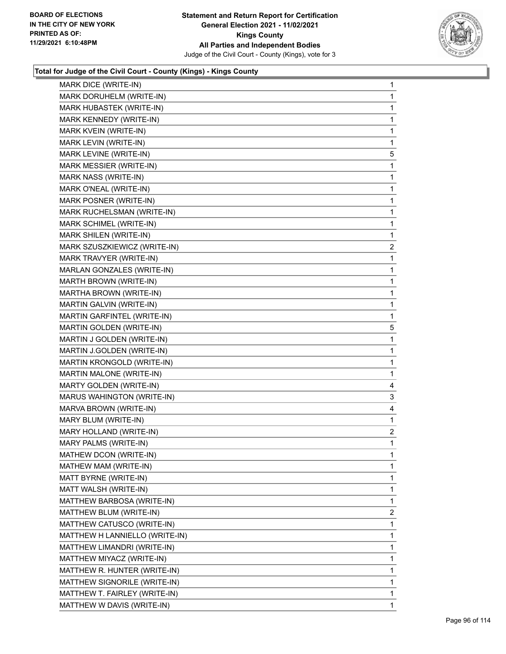![](_page_95_Picture_2.jpeg)

| MARK DICE (WRITE-IN)           | $\mathbf{1}$   |
|--------------------------------|----------------|
| MARK DORUHELM (WRITE-IN)       | 1              |
| MARK HUBASTEK (WRITE-IN)       | 1              |
| MARK KENNEDY (WRITE-IN)        | 1              |
| MARK KVEIN (WRITE-IN)          | 1              |
| MARK LEVIN (WRITE-IN)          | 1              |
| MARK LEVINE (WRITE-IN)         | 5              |
| MARK MESSIER (WRITE-IN)        | 1              |
| MARK NASS (WRITE-IN)           | 1              |
| MARK O'NEAL (WRITE-IN)         | 1              |
| MARK POSNER (WRITE-IN)         | 1              |
| MARK RUCHELSMAN (WRITE-IN)     | 1              |
| MARK SCHIMEL (WRITE-IN)        | 1              |
| MARK SHILEN (WRITE-IN)         | 1              |
| MARK SZUSZKIEWICZ (WRITE-IN)   | 2              |
| MARK TRAVYER (WRITE-IN)        | 1              |
| MARLAN GONZALES (WRITE-IN)     | 1              |
| MARTH BROWN (WRITE-IN)         | 1              |
| MARTHA BROWN (WRITE-IN)        | 1              |
| MARTIN GALVIN (WRITE-IN)       | 1              |
| MARTIN GARFINTEL (WRITE-IN)    | 1              |
| MARTIN GOLDEN (WRITE-IN)       | 5              |
| MARTIN J GOLDEN (WRITE-IN)     | 1              |
| MARTIN J.GOLDEN (WRITE-IN)     | 1              |
| MARTIN KRONGOLD (WRITE-IN)     | 1              |
| MARTIN MALONE (WRITE-IN)       | 1              |
| MARTY GOLDEN (WRITE-IN)        | 4              |
| MARUS WAHINGTON (WRITE-IN)     | 3              |
| MARVA BROWN (WRITE-IN)         | 4              |
| MARY BLUM (WRITE-IN)           | 1              |
| MARY HOLLAND (WRITE-IN)        | 2              |
| MARY PALMS (WRITE-IN)          | 1              |
| MATHEW DCON (WRITE-IN)         | 1              |
| MATHEW MAM (WRITE-IN)          | 1              |
| MATT BYRNE (WRITE-IN)          | 1              |
| MATT WALSH (WRITE-IN)          | 1              |
| MATTHEW BARBOSA (WRITE-IN)     | 1              |
| MATTHEW BLUM (WRITE-IN)        | $\overline{2}$ |
| MATTHEW CATUSCO (WRITE-IN)     | 1              |
| MATTHEW H LANNIELLO (WRITE-IN) | 1              |
| MATTHEW LIMANDRI (WRITE-IN)    | 1              |
| MATTHEW MIYACZ (WRITE-IN)      | 1              |
| MATTHEW R. HUNTER (WRITE-IN)   | 1              |
| MATTHEW SIGNORILE (WRITE-IN)   | 1              |
| MATTHEW T. FAIRLEY (WRITE-IN)  | 1              |
| MATTHEW W DAVIS (WRITE-IN)     | $\mathbf{1}$   |
|                                |                |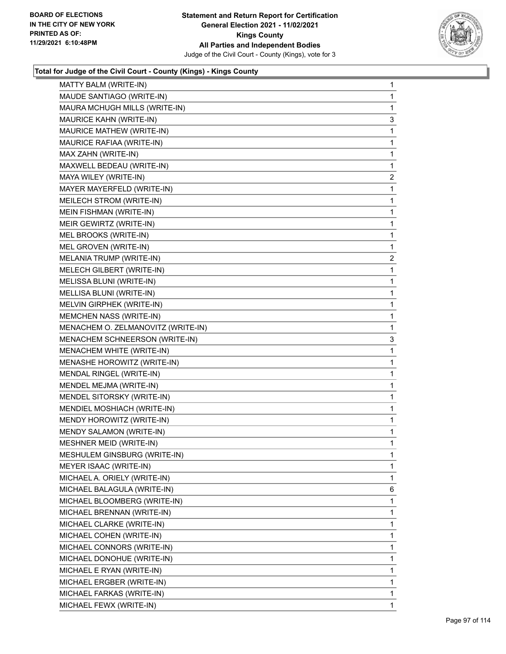![](_page_96_Picture_2.jpeg)

| MATTY BALM (WRITE-IN)              | $\mathbf{1}$   |
|------------------------------------|----------------|
| MAUDE SANTIAGO (WRITE-IN)          | 1              |
| MAURA MCHUGH MILLS (WRITE-IN)      | 1              |
| MAURICE KAHN (WRITE-IN)            | 3              |
| MAURICE MATHEW (WRITE-IN)          | 1              |
| MAURICE RAFIAA (WRITE-IN)          | 1              |
| MAX ZAHN (WRITE-IN)                | 1              |
| MAXWELL BEDEAU (WRITE-IN)          | 1              |
| MAYA WILEY (WRITE-IN)              | 2              |
| MAYER MAYERFELD (WRITE-IN)         | 1              |
| MEILECH STROM (WRITE-IN)           | 1              |
| MEIN FISHMAN (WRITE-IN)            | 1              |
| MEIR GEWIRTZ (WRITE-IN)            | 1              |
| MEL BROOKS (WRITE-IN)              | 1              |
| MEL GROVEN (WRITE-IN)              | 1              |
| MELANIA TRUMP (WRITE-IN)           | $\overline{2}$ |
| MELECH GILBERT (WRITE-IN)          | 1              |
| MELISSA BLUNI (WRITE-IN)           | 1              |
| MELLISA BLUNI (WRITE-IN)           | 1              |
| MELVIN GIRPHEK (WRITE-IN)          | 1              |
| MEMCHEN NASS (WRITE-IN)            | 1              |
| MENACHEM O. ZELMANOVITZ (WRITE-IN) | 1              |
| MENACHEM SCHNEERSON (WRITE-IN)     | 3              |
| MENACHEM WHITE (WRITE-IN)          | 1              |
| MENASHE HOROWITZ (WRITE-IN)        | 1              |
| MENDAL RINGEL (WRITE-IN)           | 1              |
| MENDEL MEJMA (WRITE-IN)            | 1              |
| MENDEL SITORSKY (WRITE-IN)         | 1              |
| MENDIEL MOSHIACH (WRITE-IN)        | 1              |
| MENDY HOROWITZ (WRITE-IN)          | 1              |
| MENDY SALAMON (WRITE-IN)           | 1              |
| <b>MESHNER MEID (WRITE-IN)</b>     | 1              |
| MESHULEM GINSBURG (WRITE-IN)       | 1              |
| MEYER ISAAC (WRITE-IN)             | 1              |
| MICHAEL A. ORIELY (WRITE-IN)       | 1              |
| MICHAEL BALAGULA (WRITE-IN)        | 6              |
| MICHAEL BLOOMBERG (WRITE-IN)       | 1              |
| MICHAEL BRENNAN (WRITE-IN)         | 1              |
| MICHAEL CLARKE (WRITE-IN)          | 1              |
| MICHAEL COHEN (WRITE-IN)           | 1              |
| MICHAEL CONNORS (WRITE-IN)         | 1              |
| MICHAEL DONOHUE (WRITE-IN)         | 1              |
| MICHAEL E RYAN (WRITE-IN)          | 1              |
| MICHAEL ERGBER (WRITE-IN)          | 1              |
| MICHAEL FARKAS (WRITE-IN)          | 1              |
| MICHAEL FEWX (WRITE-IN)            | 1              |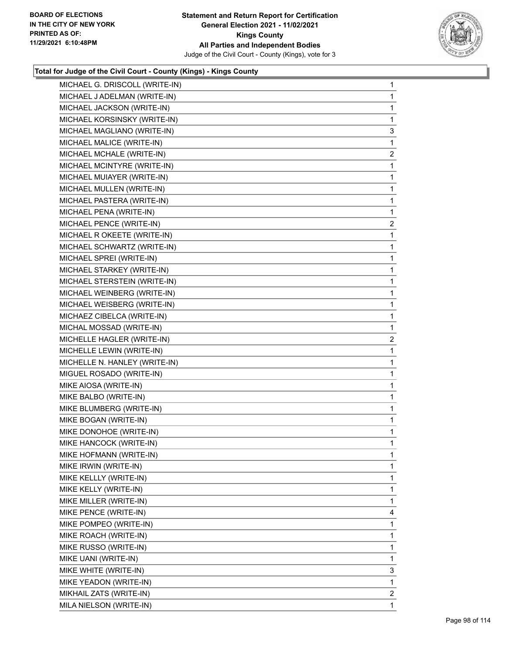![](_page_97_Picture_2.jpeg)

| MICHAEL G. DRISCOLL (WRITE-IN) | 1              |
|--------------------------------|----------------|
| MICHAEL J ADELMAN (WRITE-IN)   | 1              |
| MICHAEL JACKSON (WRITE-IN)     | 1              |
| MICHAEL KORSINSKY (WRITE-IN)   | $\mathbf 1$    |
| MICHAEL MAGLIANO (WRITE-IN)    | 3              |
| MICHAEL MALICE (WRITE-IN)      | 1              |
| MICHAEL MCHALE (WRITE-IN)      | $\overline{2}$ |
| MICHAEL MCINTYRE (WRITE-IN)    | 1              |
| MICHAEL MUIAYER (WRITE-IN)     | 1              |
| MICHAEL MULLEN (WRITE-IN)      | $\mathbf{1}$   |
| MICHAEL PASTERA (WRITE-IN)     | 1              |
| MICHAEL PENA (WRITE-IN)        | 1              |
| MICHAEL PENCE (WRITE-IN)       | $\overline{a}$ |
| MICHAEL R OKEETE (WRITE-IN)    | 1              |
| MICHAEL SCHWARTZ (WRITE-IN)    | 1              |
| MICHAEL SPREI (WRITE-IN)       | $\mathbf{1}$   |
| MICHAEL STARKEY (WRITE-IN)     | 1              |
| MICHAEL STERSTEIN (WRITE-IN)   | 1              |
| MICHAEL WEINBERG (WRITE-IN)    | $\mathbf{1}$   |
| MICHAEL WEISBERG (WRITE-IN)    | 1              |
| MICHAEZ CIBELCA (WRITE-IN)     | 1              |
| MICHAL MOSSAD (WRITE-IN)       | 1              |
| MICHELLE HAGLER (WRITE-IN)     | $\overline{a}$ |
| MICHELLE LEWIN (WRITE-IN)      | 1              |
| MICHELLE N. HANLEY (WRITE-IN)  | $\mathbf{1}$   |
| MIGUEL ROSADO (WRITE-IN)       | 1              |
| MIKE AIOSA (WRITE-IN)          | $\mathbf{1}$   |
| MIKE BALBO (WRITE-IN)          | $\mathbf{1}$   |
| MIKE BLUMBERG (WRITE-IN)       | 1              |
| MIKE BOGAN (WRITE-IN)          | 1              |
| MIKE DONOHOE (WRITE-IN)        | $\mathbf{1}$   |
| MIKE HANCOCK (WRITE-IN)        | 1              |
| MIKE HOFMANN (WRITE-IN)        | 1              |
| MIKE IRWIN (WRITE-IN)          | 1              |
| MIKE KELLLY (WRITE-IN)         | 1              |
| MIKE KELLY (WRITE-IN)          | 1              |
| MIKE MILLER (WRITE-IN)         | 1              |
| MIKE PENCE (WRITE-IN)          | 4              |
| MIKE POMPEO (WRITE-IN)         | 1              |
| MIKE ROACH (WRITE-IN)          | 1              |
| MIKE RUSSO (WRITE-IN)          | 1              |
| MIKE UANI (WRITE-IN)           | 1              |
| MIKE WHITE (WRITE-IN)          | 3              |
| MIKE YEADON (WRITE-IN)         | 1              |
| MIKHAIL ZATS (WRITE-IN)        | 2              |
| MILA NIELSON (WRITE-IN)        | 1              |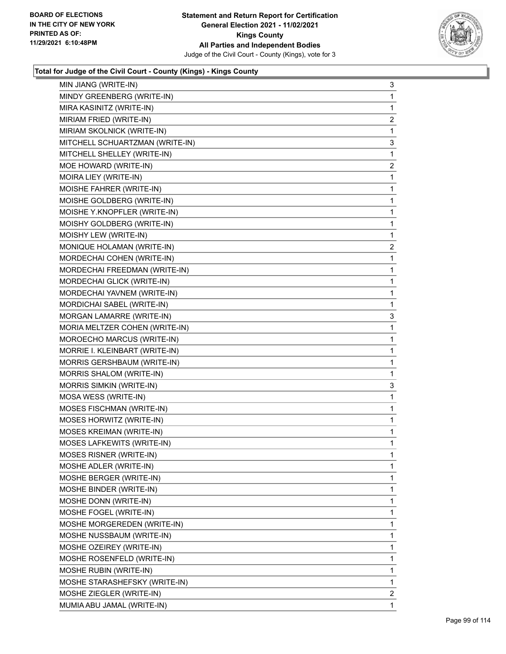![](_page_98_Picture_2.jpeg)

| MIN JIANG (WRITE-IN)            | 3              |
|---------------------------------|----------------|
| MINDY GREENBERG (WRITE-IN)      | 1              |
| MIRA KASINITZ (WRITE-IN)        | 1              |
| MIRIAM FRIED (WRITE-IN)         | $\overline{c}$ |
| MIRIAM SKOLNICK (WRITE-IN)      | 1              |
| MITCHELL SCHUARTZMAN (WRITE-IN) | 3              |
| MITCHELL SHELLEY (WRITE-IN)     | 1              |
| MOE HOWARD (WRITE-IN)           | 2              |
| MOIRA LIEY (WRITE-IN)           | 1              |
| MOISHE FAHRER (WRITE-IN)        | 1              |
| MOISHE GOLDBERG (WRITE-IN)      | 1              |
| MOISHE Y.KNOPFLER (WRITE-IN)    | 1              |
| MOISHY GOLDBERG (WRITE-IN)      | 1              |
| MOISHY LEW (WRITE-IN)           | 1              |
| MONIQUE HOLAMAN (WRITE-IN)      | 2              |
| MORDECHAI COHEN (WRITE-IN)      | 1              |
| MORDECHAI FREEDMAN (WRITE-IN)   | 1              |
| MORDECHAI GLICK (WRITE-IN)      | 1              |
| MORDECHAI YAVNEM (WRITE-IN)     | 1              |
| MORDICHAI SABEL (WRITE-IN)      | 1              |
| MORGAN LAMARRE (WRITE-IN)       | 3              |
| MORIA MELTZER COHEN (WRITE-IN)  | 1              |
| MOROECHO MARCUS (WRITE-IN)      | 1              |
| MORRIE I. KLEINBART (WRITE-IN)  | 1              |
| MORRIS GERSHBAUM (WRITE-IN)     | 1              |
| MORRIS SHALOM (WRITE-IN)        | 1              |
| MORRIS SIMKIN (WRITE-IN)        | 3              |
| MOSA WESS (WRITE-IN)            | 1              |
| MOSES FISCHMAN (WRITE-IN)       | 1              |
| MOSES HORWITZ (WRITE-IN)        | 1              |
| <b>MOSES KREIMAN (WRITE-IN)</b> | 1              |
| MOSES LAFKEWITS (WRITE-IN)      | 1              |
| MOSES RISNER (WRITE-IN)         | 1              |
| MOSHE ADLER (WRITE-IN)          | 1              |
| MOSHE BERGER (WRITE-IN)         | 1              |
| MOSHE BINDER (WRITE-IN)         | 1              |
| MOSHE DONN (WRITE-IN)           | 1              |
| MOSHE FOGEL (WRITE-IN)          | 1              |
| MOSHE MORGEREDEN (WRITE-IN)     | 1              |
| MOSHE NUSSBAUM (WRITE-IN)       | 1              |
| MOSHE OZEIREY (WRITE-IN)        | 1              |
| MOSHE ROSENFELD (WRITE-IN)      | 1              |
| MOSHE RUBIN (WRITE-IN)          | 1              |
| MOSHE STARASHEFSKY (WRITE-IN)   | 1              |
| MOSHE ZIEGLER (WRITE-IN)        | 2              |
| MUMIA ABU JAMAL (WRITE-IN)      | 1              |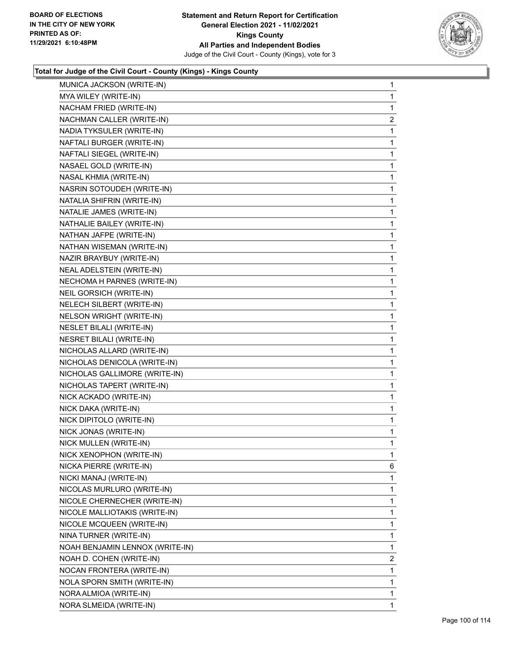![](_page_99_Picture_2.jpeg)

| MUNICA JACKSON (WRITE-IN)       | 1              |
|---------------------------------|----------------|
| MYA WILEY (WRITE-IN)            | 1              |
| NACHAM FRIED (WRITE-IN)         | 1              |
| NACHMAN CALLER (WRITE-IN)       | $\overline{a}$ |
| NADIA TYKSULER (WRITE-IN)       | 1              |
| NAFTALI BURGER (WRITE-IN)       | 1              |
| NAFTALI SIEGEL (WRITE-IN)       | 1              |
| NASAEL GOLD (WRITE-IN)          | 1              |
| NASAL KHMIA (WRITE-IN)          | 1              |
| NASRIN SOTOUDEH (WRITE-IN)      | 1              |
| NATALIA SHIFRIN (WRITE-IN)      | 1              |
| NATALIE JAMES (WRITE-IN)        | 1              |
| NATHALIE BAILEY (WRITE-IN)      | 1              |
| NATHAN JAFPE (WRITE-IN)         | 1              |
| NATHAN WISEMAN (WRITE-IN)       | 1              |
| NAZIR BRAYBUY (WRITE-IN)        | 1              |
| NEAL ADELSTEIN (WRITE-IN)       | 1              |
| NECHOMA H PARNES (WRITE-IN)     | 1              |
| NEIL GORSICH (WRITE-IN)         | 1              |
| NELECH SILBERT (WRITE-IN)       | 1              |
| NELSON WRIGHT (WRITE-IN)        | 1              |
| <b>NESLET BILALI (WRITE-IN)</b> | 1              |
| NESRET BILALI (WRITE-IN)        | 1              |
| NICHOLAS ALLARD (WRITE-IN)      | 1              |
| NICHOLAS DENICOLA (WRITE-IN)    | 1              |
| NICHOLAS GALLIMORE (WRITE-IN)   | 1              |
| NICHOLAS TAPERT (WRITE-IN)      | 1              |
| NICK ACKADO (WRITE-IN)          | 1              |
| NICK DAKA (WRITE-IN)            | $\mathbf{1}$   |
| NICK DIPITOLO (WRITE-IN)        | 1              |
| NICK JONAS (WRITE-IN)           | 1              |
| NICK MULLEN (WRITE-IN)          | 1              |
| NICK XENOPHON (WRITE-IN)        | 1              |
| NICKA PIERRE (WRITE-IN)         | 6              |
| NICKI MANAJ (WRITE-IN)          | 1              |
| NICOLAS MURLURO (WRITE-IN)      | 1              |
| NICOLE CHERNECHER (WRITE-IN)    | 1              |
| NICOLE MALLIOTAKIS (WRITE-IN)   | 1              |
| NICOLE MCQUEEN (WRITE-IN)       | 1              |
| NINA TURNER (WRITE-IN)          | 1              |
| NOAH BENJAMIN LENNOX (WRITE-IN) | 1              |
| NOAH D. COHEN (WRITE-IN)        | $\overline{2}$ |
| NOCAN FRONTERA (WRITE-IN)       | 1              |
| NOLA SPORN SMITH (WRITE-IN)     | 1              |
| NORA ALMIOA (WRITE-IN)          | 1              |
| NORA SLMEIDA (WRITE-IN)         | 1              |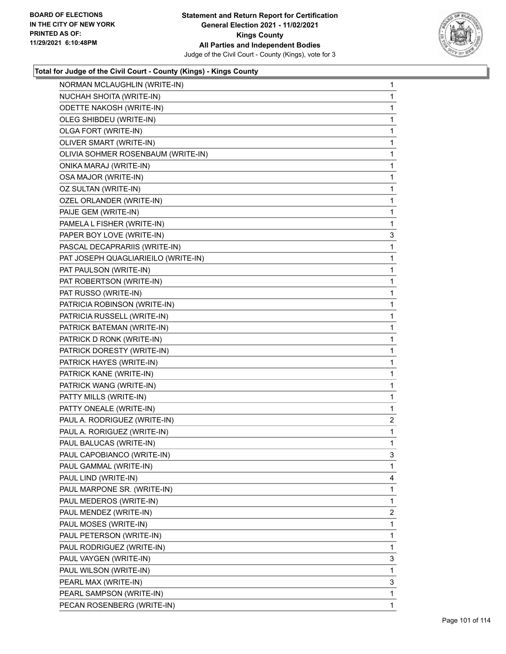![](_page_100_Picture_2.jpeg)

| NORMAN MCLAUGHLIN (WRITE-IN)        | 1 |
|-------------------------------------|---|
| NUCHAH SHOITA (WRITE-IN)            | 1 |
| <b>ODETTE NAKOSH (WRITE-IN)</b>     | 1 |
| OLEG SHIBDEU (WRITE-IN)             | 1 |
| OLGA FORT (WRITE-IN)                | 1 |
| OLIVER SMART (WRITE-IN)             | 1 |
| OLIVIA SOHMER ROSENBAUM (WRITE-IN)  | 1 |
| ONIKA MARAJ (WRITE-IN)              | 1 |
| OSA MAJOR (WRITE-IN)                | 1 |
| OZ SULTAN (WRITE-IN)                | 1 |
| OZEL ORLANDER (WRITE-IN)            | 1 |
| PAIJE GEM (WRITE-IN)                | 1 |
| PAMELA L FISHER (WRITE-IN)          | 1 |
| PAPER BOY LOVE (WRITE-IN)           | 3 |
| PASCAL DECAPRARIIS (WRITE-IN)       | 1 |
| PAT JOSEPH QUAGLIARIEILO (WRITE-IN) | 1 |
| PAT PAULSON (WRITE-IN)              | 1 |
| PAT ROBERTSON (WRITE-IN)            | 1 |
| PAT RUSSO (WRITE-IN)                | 1 |
| PATRICIA ROBINSON (WRITE-IN)        | 1 |
| PATRICIA RUSSELL (WRITE-IN)         | 1 |
| PATRICK BATEMAN (WRITE-IN)          | 1 |
| PATRICK D RONK (WRITE-IN)           | 1 |
| PATRICK DORESTY (WRITE-IN)          | 1 |
| PATRICK HAYES (WRITE-IN)            | 1 |
| PATRICK KANE (WRITE-IN)             | 1 |
| PATRICK WANG (WRITE-IN)             | 1 |
| PATTY MILLS (WRITE-IN)              | 1 |
| PATTY ONEALE (WRITE-IN)             | 1 |
| PAUL A. RODRIGUEZ (WRITE-IN)        | 2 |
| PAUL A. RORIGUEZ (WRITE-IN)         | 1 |
| PAUL BALUCAS (WRITE-IN)             | 1 |
| PAUL CAPOBIANCO (WRITE-IN)          | 3 |
| PAUL GAMMAL (WRITE-IN)              | 1 |
| PAUL LIND (WRITE-IN)                | 4 |
| PAUL MARPONE SR. (WRITE-IN)         | 1 |
| PAUL MEDEROS (WRITE-IN)             | 1 |
| PAUL MENDEZ (WRITE-IN)              | 2 |
| PAUL MOSES (WRITE-IN)               | 1 |
| PAUL PETERSON (WRITE-IN)            | 1 |
| PAUL RODRIGUEZ (WRITE-IN)           | 1 |
| PAUL VAYGEN (WRITE-IN)              | 3 |
| PAUL WILSON (WRITE-IN)              | 1 |
| PEARL MAX (WRITE-IN)                | 3 |
| PEARL SAMPSON (WRITE-IN)            | 1 |
| PECAN ROSENBERG (WRITE-IN)          | 1 |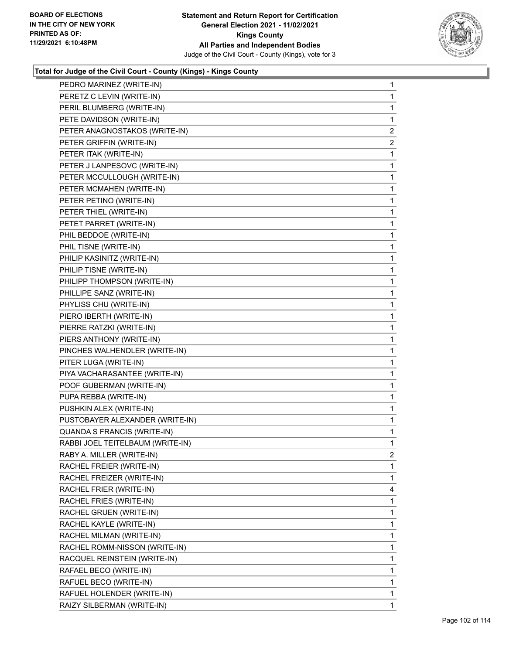![](_page_101_Picture_2.jpeg)

| PEDRO MARINEZ (WRITE-IN)         | 1              |
|----------------------------------|----------------|
| PERETZ C LEVIN (WRITE-IN)        | 1              |
| PERIL BLUMBERG (WRITE-IN)        | 1              |
| PETE DAVIDSON (WRITE-IN)         | 1              |
| PETER ANAGNOSTAKOS (WRITE-IN)    | $\overline{2}$ |
| PETER GRIFFIN (WRITE-IN)         | 2              |
| PETER ITAK (WRITE-IN)            | 1              |
| PETER J LANPESOVC (WRITE-IN)     | 1              |
| PETER MCCULLOUGH (WRITE-IN)      | 1              |
| PETER MCMAHEN (WRITE-IN)         | 1              |
| PETER PETINO (WRITE-IN)          | 1              |
| PETER THIEL (WRITE-IN)           | 1              |
| PETET PARRET (WRITE-IN)          | 1              |
| PHIL BEDDOE (WRITE-IN)           | 1              |
| PHIL TISNE (WRITE-IN)            | 1              |
| PHILIP KASINITZ (WRITE-IN)       | 1              |
| PHILIP TISNE (WRITE-IN)          | 1              |
| PHILIPP THOMPSON (WRITE-IN)      | 1              |
| PHILLIPE SANZ (WRITE-IN)         | 1              |
| PHYLISS CHU (WRITE-IN)           | 1              |
| PIERO IBERTH (WRITE-IN)          | 1              |
| PIERRE RATZKI (WRITE-IN)         | 1              |
| PIERS ANTHONY (WRITE-IN)         | 1              |
| PINCHES WALHENDLER (WRITE-IN)    | 1              |
| PITER LUGA (WRITE-IN)            | 1              |
| PIYA VACHARASANTEE (WRITE-IN)    | 1              |
| POOF GUBERMAN (WRITE-IN)         | 1              |
| PUPA REBBA (WRITE-IN)            | 1              |
| PUSHKIN ALEX (WRITE-IN)          | 1              |
| PUSTOBAYER ALEXANDER (WRITE-IN)  | 1              |
| QUANDA S FRANCIS (WRITE-IN)      | 1              |
| RABBI JOEL TEITELBAUM (WRITE-IN) | 1              |
| RABY A. MILLER (WRITE-IN)        | $\overline{2}$ |
| RACHEL FREIER (WRITE-IN)         | 1              |
| RACHEL FREIZER (WRITE-IN)        | 1              |
| RACHEL FRIER (WRITE-IN)          | 4              |
| RACHEL FRIES (WRITE-IN)          | 1              |
| RACHEL GRUEN (WRITE-IN)          | 1              |
| RACHEL KAYLE (WRITE-IN)          | 1              |
| RACHEL MILMAN (WRITE-IN)         | 1              |
| RACHEL ROMM-NISSON (WRITE-IN)    | 1              |
| RACQUEL REINSTEIN (WRITE-IN)     | 1              |
| RAFAEL BECO (WRITE-IN)           | 1              |
| RAFUEL BECO (WRITE-IN)           | 1              |
| RAFUEL HOLENDER (WRITE-IN)       | 1              |
| RAIZY SILBERMAN (WRITE-IN)       | 1              |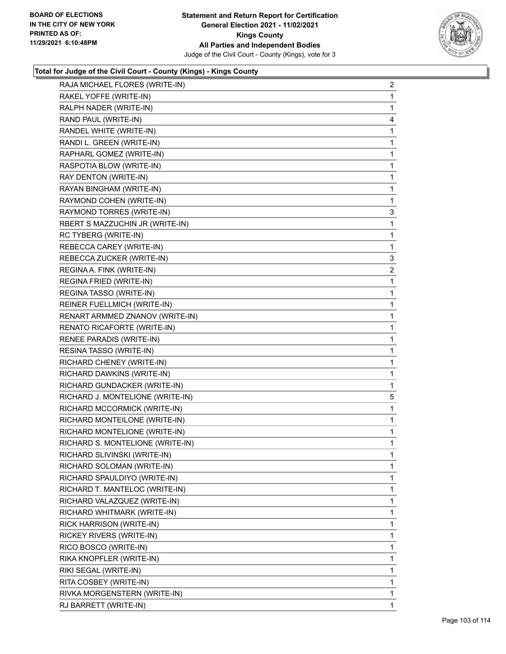![](_page_102_Picture_2.jpeg)

| RAJA MICHAEL FLORES (WRITE-IN)   | $\overline{c}$ |
|----------------------------------|----------------|
| RAKEL YOFFE (WRITE-IN)           | $\mathbf{1}$   |
| RALPH NADER (WRITE-IN)           | $\mathbf{1}$   |
| RAND PAUL (WRITE-IN)             | 4              |
| RANDEL WHITE (WRITE-IN)          | 1              |
| RANDI L. GREEN (WRITE-IN)        | 1              |
| RAPHARL GOMEZ (WRITE-IN)         | 1              |
| RASPOTIA BLOW (WRITE-IN)         | $\mathbf 1$    |
| RAY DENTON (WRITE-IN)            | 1              |
| RAYAN BINGHAM (WRITE-IN)         | $\mathbf 1$    |
| RAYMOND COHEN (WRITE-IN)         | 1              |
| RAYMOND TORRES (WRITE-IN)        | 3              |
| RBERT S MAZZUCHIN JR (WRITE-IN)  | 1              |
| RC TYBERG (WRITE-IN)             | 1              |
| REBECCA CAREY (WRITE-IN)         | $\mathbf{1}$   |
| REBECCA ZUCKER (WRITE-IN)        | 3              |
| REGINA A. FINK (WRITE-IN)        | 2              |
| REGINA FRIED (WRITE-IN)          | 1              |
| REGINA TASSO (WRITE-IN)          | 1              |
| REINER FUELLMICH (WRITE-IN)      | $\mathbf 1$    |
| RENART ARMMED ZNANOV (WRITE-IN)  | 1              |
| RENATO RICAFORTE (WRITE-IN)      | $\mathbf{1}$   |
| RENEE PARADIS (WRITE-IN)         | 1              |
| RESINA TASSO (WRITE-IN)          | 1              |
| RICHARD CHENEY (WRITE-IN)        | 1              |
| RICHARD DAWKINS (WRITE-IN)       | 1              |
| RICHARD GUNDACKER (WRITE-IN)     | $\mathbf{1}$   |
| RICHARD J. MONTELIONE (WRITE-IN) | 5              |
| RICHARD MCCORMICK (WRITE-IN)     | 1              |
| RICHARD MONTEILONE (WRITE-IN)    | $\mathbf{1}$   |
| RICHARD MONTELIONE (WRITE-IN)    | 1              |
| RICHARD S. MONTELIONE (WRITE-IN) | 1              |
| RICHARD SLIVINSKI (WRITE-IN)     | 1              |
| RICHARD SOLOMAN (WRITE-IN)       | 1              |
| RICHARD SPAULDIYO (WRITE-IN)     | 1              |
| RICHARD T. MANTELOC (WRITE-IN)   | 1              |
| RICHARD VALAZQUEZ (WRITE-IN)     | 1              |
| RICHARD WHITMARK (WRITE-IN)      | 1              |
| RICK HARRISON (WRITE-IN)         | 1              |
| RICKEY RIVERS (WRITE-IN)         | 1              |
| RICO BOSCO (WRITE-IN)            | 1              |
| RIKA KNOPFLER (WRITE-IN)         | 1              |
| RIKI SEGAL (WRITE-IN)            | 1              |
| RITA COSBEY (WRITE-IN)           | 1              |
| RIVKA MORGENSTERN (WRITE-IN)     | 1              |
| RJ BARRETT (WRITE-IN)            | 1              |
|                                  |                |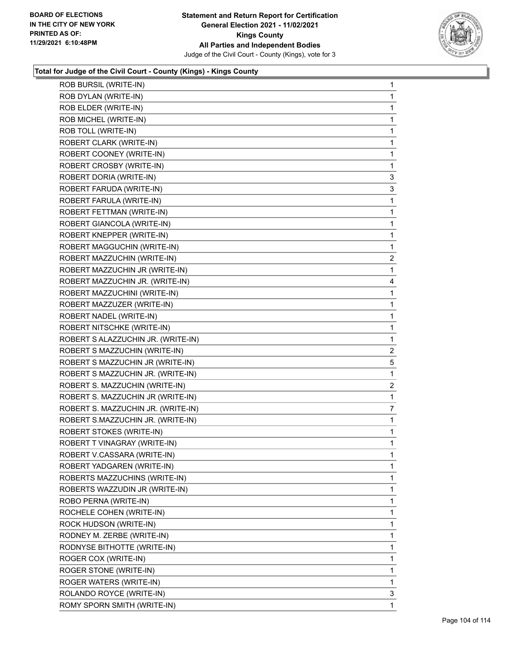![](_page_103_Picture_2.jpeg)

| ROB BURSIL (WRITE-IN)              | $\mathbf{1}$ |
|------------------------------------|--------------|
| ROB DYLAN (WRITE-IN)               | $\mathbf{1}$ |
| ROB ELDER (WRITE-IN)               | $\mathbf{1}$ |
| ROB MICHEL (WRITE-IN)              | $\mathbf{1}$ |
| ROB TOLL (WRITE-IN)                | $\mathbf{1}$ |
| ROBERT CLARK (WRITE-IN)            | $\mathbf{1}$ |
| ROBERT COONEY (WRITE-IN)           | $\mathbf{1}$ |
| ROBERT CROSBY (WRITE-IN)           | $\mathbf{1}$ |
| ROBERT DORIA (WRITE-IN)            | 3            |
| ROBERT FARUDA (WRITE-IN)           | 3            |
| ROBERT FARULA (WRITE-IN)           | 1            |
| ROBERT FETTMAN (WRITE-IN)          | $\mathbf{1}$ |
| ROBERT GIANCOLA (WRITE-IN)         | $\mathbf{1}$ |
| ROBERT KNEPPER (WRITE-IN)          | $\mathbf{1}$ |
| ROBERT MAGGUCHIN (WRITE-IN)        | $\mathbf{1}$ |
| ROBERT MAZZUCHIN (WRITE-IN)        | 2            |
| ROBERT MAZZUCHIN JR (WRITE-IN)     | $\mathbf{1}$ |
| ROBERT MAZZUCHIN JR. (WRITE-IN)    | 4            |
| ROBERT MAZZUCHINI (WRITE-IN)       | $\mathbf{1}$ |
| ROBERT MAZZUZER (WRITE-IN)         | $\mathbf{1}$ |
| ROBERT NADEL (WRITE-IN)            | $\mathbf{1}$ |
| ROBERT NITSCHKE (WRITE-IN)         | $\mathbf{1}$ |
| ROBERT S ALAZZUCHIN JR. (WRITE-IN) | $\mathbf{1}$ |
| ROBERT S MAZZUCHIN (WRITE-IN)      | 2            |
| ROBERT S MAZZUCHIN JR (WRITE-IN)   | 5            |
| ROBERT S MAZZUCHIN JR. (WRITE-IN)  | 1            |
| ROBERT S. MAZZUCHIN (WRITE-IN)     | 2            |
| ROBERT S. MAZZUCHIN JR (WRITE-IN)  | $\mathbf{1}$ |
| ROBERT S. MAZZUCHIN JR. (WRITE-IN) | 7            |
| ROBERT S.MAZZUCHIN JR. (WRITE-IN)  | $\mathbf{1}$ |
| <b>ROBERT STOKES (WRITE-IN)</b>    | $\mathbf{1}$ |
| ROBERT T VINAGRAY (WRITE-IN)       | $\mathbf{1}$ |
| ROBERT V.CASSARA (WRITE-IN)        | 1            |
| ROBERT YADGAREN (WRITE-IN)         | $\mathbf 1$  |
| ROBERTS MAZZUCHINS (WRITE-IN)      | 1            |
| ROBERTS WAZZUDIN JR (WRITE-IN)     | 1            |
| ROBO PERNA (WRITE-IN)              | 1            |
| ROCHELE COHEN (WRITE-IN)           | 1            |
| ROCK HUDSON (WRITE-IN)             | 1            |
| RODNEY M. ZERBE (WRITE-IN)         | 1            |
| RODNYSE BITHOTTE (WRITE-IN)        | 1            |
| ROGER COX (WRITE-IN)               | 1            |
| ROGER STONE (WRITE-IN)             | 1            |
| ROGER WATERS (WRITE-IN)            | 1            |
| ROLANDO ROYCE (WRITE-IN)           | 3            |
| ROMY SPORN SMITH (WRITE-IN)        | 1            |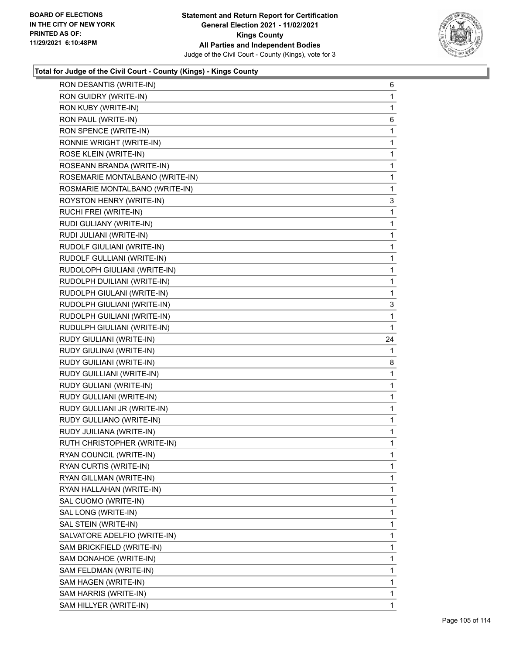![](_page_104_Picture_2.jpeg)

| RON DESANTIS (WRITE-IN)         | 6            |
|---------------------------------|--------------|
| RON GUIDRY (WRITE-IN)           | 1            |
| RON KUBY (WRITE-IN)             | 1            |
| RON PAUL (WRITE-IN)             | 6            |
| RON SPENCE (WRITE-IN)           | 1            |
| RONNIE WRIGHT (WRITE-IN)        | 1            |
| ROSE KLEIN (WRITE-IN)           | 1            |
| ROSEANN BRANDA (WRITE-IN)       | 1            |
| ROSEMARIE MONTALBANO (WRITE-IN) | 1            |
| ROSMARIE MONTALBANO (WRITE-IN)  | 1            |
| ROYSTON HENRY (WRITE-IN)        | 3            |
| RUCHI FREI (WRITE-IN)           | 1            |
| RUDI GULIANY (WRITE-IN)         | 1            |
| RUDI JULIANI (WRITE-IN)         | 1            |
| RUDOLF GIULIANI (WRITE-IN)      | 1            |
| RUDOLF GULLIANI (WRITE-IN)      | 1            |
| RUDOLOPH GIULIANI (WRITE-IN)    | 1            |
| RUDOLPH DUILIANI (WRITE-IN)     | 1            |
| RUDOLPH GIULANI (WRITE-IN)      | 1            |
| RUDOLPH GIULIANI (WRITE-IN)     | 3            |
| RUDOLPH GUILIANI (WRITE-IN)     | 1            |
| RUDULPH GIULIANI (WRITE-IN)     | 1            |
| RUDY GIULIANI (WRITE-IN)        | 24           |
| RUDY GIULINAI (WRITE-IN)        | 1            |
| RUDY GUILIANI (WRITE-IN)        | 8            |
| RUDY GUILLIANI (WRITE-IN)       | 1            |
| RUDY GULIANI (WRITE-IN)         | 1            |
| RUDY GULLIANI (WRITE-IN)        | 1            |
| RUDY GULLIANI JR (WRITE-IN)     | 1            |
| RUDY GULLIANO (WRITE-IN)        | 1            |
| RUDY JUILIANA (WRITE-IN)        | 1            |
| RUTH CHRISTOPHER (WRITE-IN)     | 1            |
| RYAN COUNCIL (WRITE-IN)         | 1            |
| RYAN CURTIS (WRITE-IN)          | $\mathbf{1}$ |
| RYAN GILLMAN (WRITE-IN)         | 1            |
| RYAN HALLAHAN (WRITE-IN)        | 1            |
| SAL CUOMO (WRITE-IN)            | 1            |
| SAL LONG (WRITE-IN)             | 1            |
| SAL STEIN (WRITE-IN)            | 1            |
| SALVATORE ADELFIO (WRITE-IN)    | 1            |
| SAM BRICKFIELD (WRITE-IN)       | 1            |
| SAM DONAHOE (WRITE-IN)          | 1            |
| SAM FELDMAN (WRITE-IN)          | 1            |
| SAM HAGEN (WRITE-IN)            | 1            |
| SAM HARRIS (WRITE-IN)           |              |
|                                 | 1            |
| SAM HILLYER (WRITE-IN)          | $\mathbf{1}$ |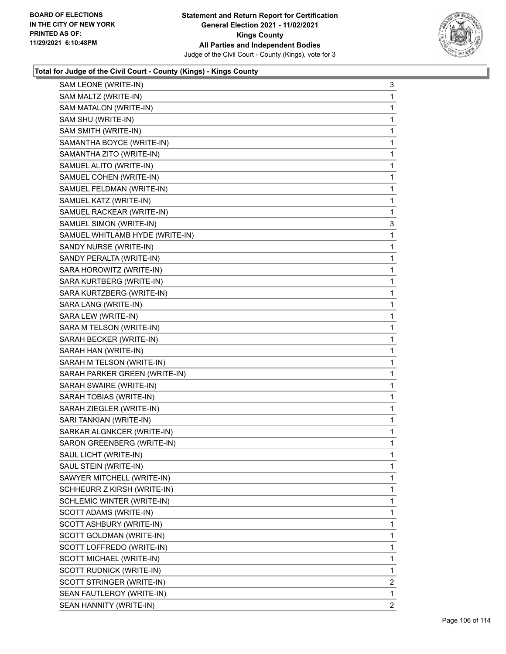![](_page_105_Picture_2.jpeg)

| SAM LEONE (WRITE-IN)            | 3              |
|---------------------------------|----------------|
| SAM MALTZ (WRITE-IN)            | 1              |
| SAM MATALON (WRITE-IN)          | 1              |
| SAM SHU (WRITE-IN)              | 1              |
| SAM SMITH (WRITE-IN)            | 1              |
| SAMANTHA BOYCE (WRITE-IN)       | 1              |
| SAMANTHA ZITO (WRITE-IN)        | 1              |
| SAMUEL ALITO (WRITE-IN)         | 1              |
| SAMUEL COHEN (WRITE-IN)         | 1              |
| SAMUEL FELDMAN (WRITE-IN)       | 1              |
| SAMUEL KATZ (WRITE-IN)          | 1              |
| SAMUEL RACKEAR (WRITE-IN)       | 1              |
| SAMUEL SIMON (WRITE-IN)         | 3              |
| SAMUEL WHITLAMB HYDE (WRITE-IN) | 1              |
| SANDY NURSE (WRITE-IN)          | 1              |
| SANDY PERALTA (WRITE-IN)        | 1              |
| SARA HOROWITZ (WRITE-IN)        | 1              |
| SARA KURTBERG (WRITE-IN)        | 1              |
| SARA KURTZBERG (WRITE-IN)       | 1              |
| SARA LANG (WRITE-IN)            | 1              |
| SARA LEW (WRITE-IN)             | 1              |
| SARA M TELSON (WRITE-IN)        | 1              |
| SARAH BECKER (WRITE-IN)         | 1              |
| SARAH HAN (WRITE-IN)            | 1              |
| SARAH M TELSON (WRITE-IN)       | 1              |
| SARAH PARKER GREEN (WRITE-IN)   | 1              |
| SARAH SWAIRE (WRITE-IN)         | 1              |
| SARAH TOBIAS (WRITE-IN)         | 1              |
| SARAH ZIEGLER (WRITE-IN)        | 1              |
| SARI TANKIAN (WRITE-IN)         | 1              |
| SARKAR ALGNKCER (WRITE-IN)      | 1              |
| SARON GREENBERG (WRITE-IN)      | 1              |
| SAUL LICHT (WRITE-IN)           | 1              |
| SAUL STEIN (WRITE-IN)           | 1              |
| SAWYER MITCHELL (WRITE-IN)      | 1              |
| SCHHEURR Z KIRSH (WRITE-IN)     | 1              |
| SCHLEMIC WINTER (WRITE-IN)      | 1              |
| SCOTT ADAMS (WRITE-IN)          | 1              |
| SCOTT ASHBURY (WRITE-IN)        | 1              |
| SCOTT GOLDMAN (WRITE-IN)        | 1              |
| SCOTT LOFFREDO (WRITE-IN)       | 1              |
| SCOTT MICHAEL (WRITE-IN)        | 1              |
| SCOTT RUDNICK (WRITE-IN)        | 1              |
| SCOTT STRINGER (WRITE-IN)       | $\overline{2}$ |
| SEAN FAUTLEROY (WRITE-IN)       | 1              |
| SEAN HANNITY (WRITE-IN)         | 2              |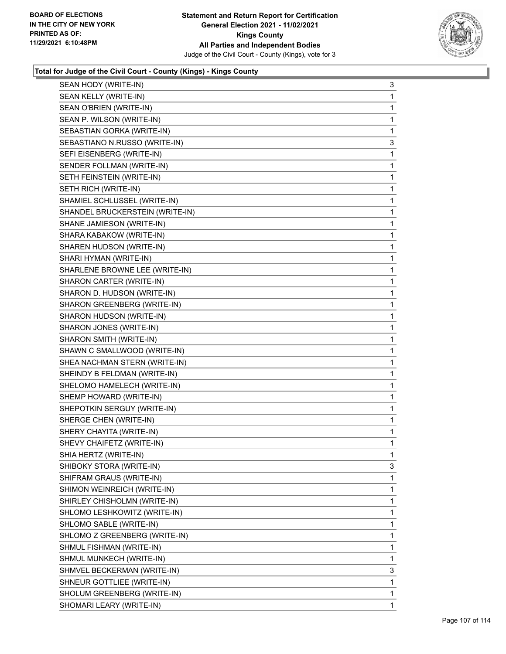![](_page_106_Picture_2.jpeg)

| SEAN HODY (WRITE-IN)            | 3            |
|---------------------------------|--------------|
| SEAN KELLY (WRITE-IN)           | 1            |
| SEAN O'BRIEN (WRITE-IN)         | 1            |
| SEAN P. WILSON (WRITE-IN)       | 1            |
| SEBASTIAN GORKA (WRITE-IN)      | $\mathbf 1$  |
| SEBASTIANO N.RUSSO (WRITE-IN)   | 3            |
| SEFI EISENBERG (WRITE-IN)       | 1            |
| SENDER FOLLMAN (WRITE-IN)       | 1            |
| SETH FEINSTEIN (WRITE-IN)       | 1            |
| SETH RICH (WRITE-IN)            | 1            |
| SHAMIEL SCHLUSSEL (WRITE-IN)    | $\mathbf 1$  |
| SHANDEL BRUCKERSTEIN (WRITE-IN) | 1            |
| SHANE JAMIESON (WRITE-IN)       | 1            |
| SHARA KABAKOW (WRITE-IN)        | 1            |
| SHAREN HUDSON (WRITE-IN)        | 1            |
| SHARI HYMAN (WRITE-IN)          | 1            |
| SHARLENE BROWNE LEE (WRITE-IN)  | $\mathbf 1$  |
| SHARON CARTER (WRITE-IN)        | 1            |
| SHARON D. HUDSON (WRITE-IN)     | 1            |
| SHARON GREENBERG (WRITE-IN)     | 1            |
| SHARON HUDSON (WRITE-IN)        | 1            |
| SHARON JONES (WRITE-IN)         | 1            |
| SHARON SMITH (WRITE-IN)         | $\mathbf 1$  |
| SHAWN C SMALLWOOD (WRITE-IN)    | 1            |
| SHEA NACHMAN STERN (WRITE-IN)   | 1            |
| SHEINDY B FELDMAN (WRITE-IN)    | 1            |
| SHELOMO HAMELECH (WRITE-IN)     | 1            |
| SHEMP HOWARD (WRITE-IN)         | 1            |
| SHEPOTKIN SERGUY (WRITE-IN)     | $\mathbf 1$  |
| SHERGE CHEN (WRITE-IN)          | 1            |
| SHERY CHAYITA (WRITE-IN)        | 1            |
| SHEVY CHAIFETZ (WRITE-IN)       | $\mathbf{1}$ |
| SHIA HERTZ (WRITE-IN)           | 1            |
| SHIBOKY STORA (WRITE-IN)        | 3            |
| SHIFRAM GRAUS (WRITE-IN)        | 1            |
| SHIMON WEINREICH (WRITE-IN)     | 1            |
| SHIRLEY CHISHOLMN (WRITE-IN)    | 1            |
| SHLOMO LESHKOWITZ (WRITE-IN)    | 1            |
| SHLOMO SABLE (WRITE-IN)         | 1            |
| SHLOMO Z GREENBERG (WRITE-IN)   | 1            |
| SHMUL FISHMAN (WRITE-IN)        | 1            |
| SHMUL MUNKECH (WRITE-IN)        | 1            |
| SHMVEL BECKERMAN (WRITE-IN)     | 3            |
| SHNEUR GOTTLIEE (WRITE-IN)      | $\mathbf{1}$ |
| SHOLUM GREENBERG (WRITE-IN)     | 1            |
| SHOMARI LEARY (WRITE-IN)        | 1            |
|                                 |              |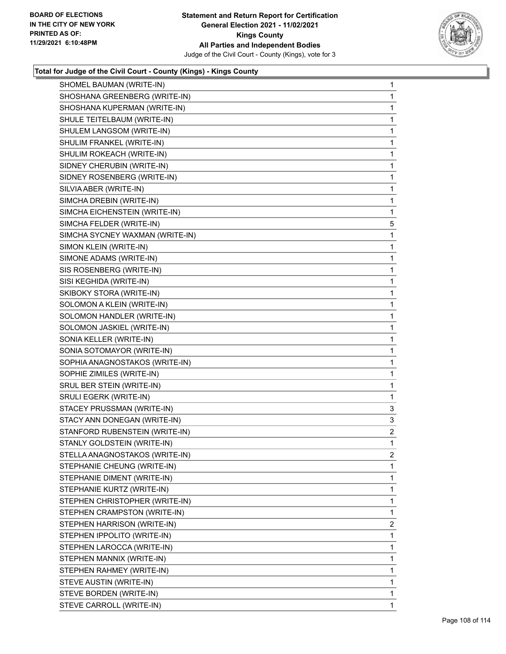![](_page_107_Picture_2.jpeg)

| SHOMEL BAUMAN (WRITE-IN)        | 1            |
|---------------------------------|--------------|
| SHOSHANA GREENBERG (WRITE-IN)   | $\mathbf{1}$ |
| SHOSHANA KUPERMAN (WRITE-IN)    | 1            |
| SHULE TEITELBAUM (WRITE-IN)     | $\mathbf 1$  |
| SHULEM LANGSOM (WRITE-IN)       | 1            |
| SHULIM FRANKEL (WRITE-IN)       | 1            |
| SHULIM ROKEACH (WRITE-IN)       | 1            |
| SIDNEY CHERUBIN (WRITE-IN)      | $\mathbf{1}$ |
| SIDNEY ROSENBERG (WRITE-IN)     | 1            |
| SILVIA ABER (WRITE-IN)          | $\mathbf{1}$ |
| SIMCHA DREBIN (WRITE-IN)        | 1            |
| SIMCHA EICHENSTEIN (WRITE-IN)   | 1            |
| SIMCHA FELDER (WRITE-IN)        | 5            |
| SIMCHA SYCNEY WAXMAN (WRITE-IN) | $\mathbf{1}$ |
| SIMON KLEIN (WRITE-IN)          | 1            |
| SIMONE ADAMS (WRITE-IN)         | $\mathbf{1}$ |
| SIS ROSENBERG (WRITE-IN)        | 1            |
| SISI KEGHIDA (WRITE-IN)         | 1            |
| SKIBOKY STORA (WRITE-IN)        | 1            |
| SOLOMON A KLEIN (WRITE-IN)      | $\mathbf{1}$ |
| SOLOMON HANDLER (WRITE-IN)      | 1            |
| SOLOMON JASKIEL (WRITE-IN)      | $\mathbf{1}$ |
| SONIA KELLER (WRITE-IN)         | 1            |
| SONIA SOTOMAYOR (WRITE-IN)      | $\mathbf{1}$ |
| SOPHIA ANAGNOSTAKOS (WRITE-IN)  | $\mathbf{1}$ |
| SOPHIE ZIMILES (WRITE-IN)       | 1            |
| SRUL BER STEIN (WRITE-IN)       | 1            |
| SRULI EGERK (WRITE-IN)          | 1            |
| STACEY PRUSSMAN (WRITE-IN)      | 3            |
| STACY ANN DONEGAN (WRITE-IN)    | 3            |
| STANFORD RUBENSTEIN (WRITE-IN)  | 2            |
| STANLY GOLDSTEIN (WRITE-IN)     | 1            |
| STELLA ANAGNOSTAKOS (WRITE-IN)  | 2            |
| STEPHANIE CHEUNG (WRITE-IN)     | 1            |
| STEPHANIE DIMENT (WRITE-IN)     | 1            |
| STEPHANIE KURTZ (WRITE-IN)      | 1            |
| STEPHEN CHRISTOPHER (WRITE-IN)  | 1            |
| STEPHEN CRAMPSTON (WRITE-IN)    | 1            |
| STEPHEN HARRISON (WRITE-IN)     | 2            |
| STEPHEN IPPOLITO (WRITE-IN)     | $\mathbf 1$  |
| STEPHEN LAROCCA (WRITE-IN)      | 1            |
| STEPHEN MANNIX (WRITE-IN)       | $\mathbf{1}$ |
| STEPHEN RAHMEY (WRITE-IN)       | 1            |
| STEVE AUSTIN (WRITE-IN)         | 1            |
| STEVE BORDEN (WRITE-IN)         | 1            |
| STEVE CARROLL (WRITE-IN)        | 1            |
|                                 |              |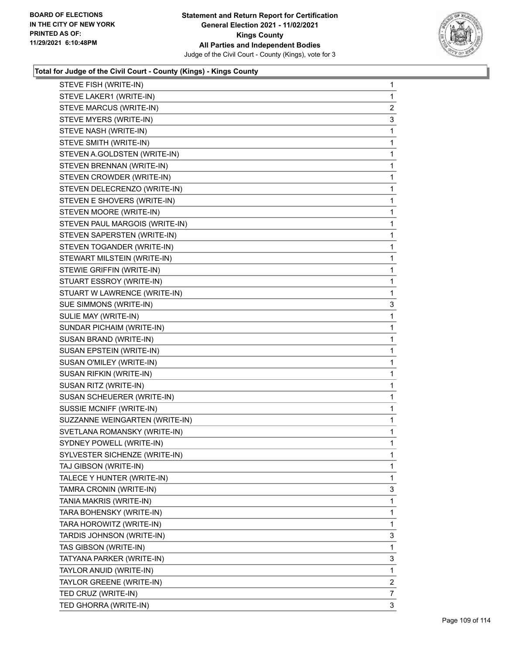

| STEVE FISH (WRITE-IN)          | 1              |
|--------------------------------|----------------|
| STEVE LAKER1 (WRITE-IN)        | 1              |
| STEVE MARCUS (WRITE-IN)        | $\overline{c}$ |
| STEVE MYERS (WRITE-IN)         | 3              |
| STEVE NASH (WRITE-IN)          | 1              |
| STEVE SMITH (WRITE-IN)         | 1              |
| STEVEN A.GOLDSTEN (WRITE-IN)   | 1              |
| STEVEN BRENNAN (WRITE-IN)      | 1              |
| STEVEN CROWDER (WRITE-IN)      | 1              |
| STEVEN DELECRENZO (WRITE-IN)   | 1              |
| STEVEN E SHOVERS (WRITE-IN)    | 1              |
| STEVEN MOORE (WRITE-IN)        | 1              |
| STEVEN PAUL MARGOIS (WRITE-IN) | 1              |
| STEVEN SAPERSTEN (WRITE-IN)    | 1              |
| STEVEN TOGANDER (WRITE-IN)     | 1              |
| STEWART MILSTEIN (WRITE-IN)    | 1              |
| STEWIE GRIFFIN (WRITE-IN)      | 1              |
| STUART ESSROY (WRITE-IN)       | 1              |
| STUART W LAWRENCE (WRITE-IN)   | 1              |
| SUE SIMMONS (WRITE-IN)         | 3              |
| SULIE MAY (WRITE-IN)           | 1              |
| SUNDAR PICHAIM (WRITE-IN)      | 1              |
| SUSAN BRAND (WRITE-IN)         | 1              |
| SUSAN EPSTEIN (WRITE-IN)       | 1              |
| SUSAN O'MILEY (WRITE-IN)       | 1              |
| SUSAN RIFKIN (WRITE-IN)        | 1              |
| SUSAN RITZ (WRITE-IN)          | 1              |
| SUSAN SCHEUERER (WRITE-IN)     | 1              |
| SUSSIE MCNIFF (WRITE-IN)       | 1              |
| SUZZANNE WEINGARTEN (WRITE-IN) | 1              |
| SVETLANA ROMANSKY (WRITE-IN)   | 1              |
| SYDNEY POWELL (WRITE-IN)       | 1              |
| SYLVESTER SICHENZE (WRITE-IN)  | 1              |
| TAJ GIBSON (WRITE-IN)          | 1              |
| TALECE Y HUNTER (WRITE-IN)     | 1              |
| TAMRA CRONIN (WRITE-IN)        | 3              |
| TANIA MAKRIS (WRITE-IN)        | 1              |
| TARA BOHENSKY (WRITE-IN)       | 1              |
| TARA HOROWITZ (WRITE-IN)       | 1              |
| TARDIS JOHNSON (WRITE-IN)      | 3              |
| TAS GIBSON (WRITE-IN)          | 1              |
| TATYANA PARKER (WRITE-IN)      | 3              |
| TAYLOR ANUID (WRITE-IN)        | 1              |
| TAYLOR GREENE (WRITE-IN)       | $\overline{2}$ |
| TED CRUZ (WRITE-IN)            | 7              |
| TED GHORRA (WRITE-IN)          | 3              |
|                                |                |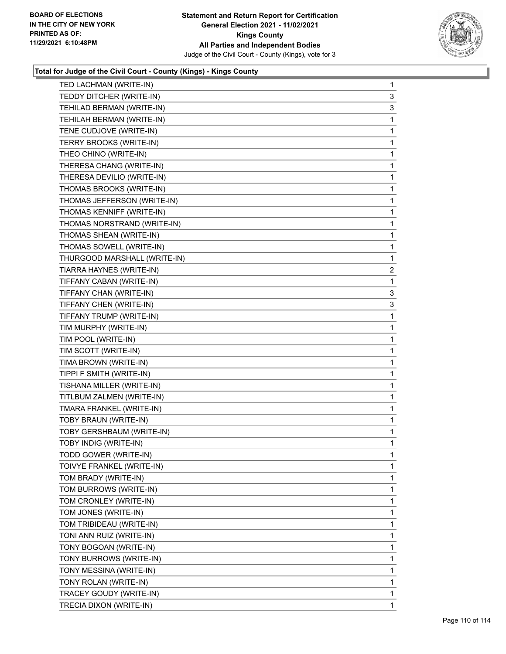

| TED LACHMAN (WRITE-IN)       | $\mathbf{1}$   |
|------------------------------|----------------|
| TEDDY DITCHER (WRITE-IN)     | 3              |
| TEHILAD BERMAN (WRITE-IN)    | 3              |
| TEHILAH BERMAN (WRITE-IN)    | 1              |
| TENE CUDJOVE (WRITE-IN)      | 1              |
| TERRY BROOKS (WRITE-IN)      | 1              |
| THEO CHINO (WRITE-IN)        | 1              |
| THERESA CHANG (WRITE-IN)     | 1              |
| THERESA DEVILIO (WRITE-IN)   | 1              |
| THOMAS BROOKS (WRITE-IN)     | 1              |
| THOMAS JEFFERSON (WRITE-IN)  | 1              |
| THOMAS KENNIFF (WRITE-IN)    | 1              |
| THOMAS NORSTRAND (WRITE-IN)  | 1              |
| THOMAS SHEAN (WRITE-IN)      | 1              |
| THOMAS SOWELL (WRITE-IN)     | 1              |
| THURGOOD MARSHALL (WRITE-IN) | 1              |
| TIARRA HAYNES (WRITE-IN)     | $\overline{2}$ |
| TIFFANY CABAN (WRITE-IN)     | 1              |
| TIFFANY CHAN (WRITE-IN)      | 3              |
| TIFFANY CHEN (WRITE-IN)      | 3              |
| TIFFANY TRUMP (WRITE-IN)     | 1              |
| TIM MURPHY (WRITE-IN)        | 1              |
| TIM POOL (WRITE-IN)          | 1              |
| TIM SCOTT (WRITE-IN)         | 1              |
| TIMA BROWN (WRITE-IN)        | 1              |
| TIPPI F SMITH (WRITE-IN)     | 1              |
| TISHANA MILLER (WRITE-IN)    | 1              |
| TITLBUM ZALMEN (WRITE-IN)    | 1              |
| TMARA FRANKEL (WRITE-IN)     | 1              |
| TOBY BRAUN (WRITE-IN)        | $\mathbf{1}$   |
| TOBY GERSHBAUM (WRITE-IN)    | 1              |
| TOBY INDIG (WRITE-IN)        | 1              |
|                              | 1              |
| TODD GOWER (WRITE-IN)        |                |
| TOIVYE FRANKEL (WRITE-IN)    | 1              |
| TOM BRADY (WRITE-IN)         | 1              |
| TOM BURROWS (WRITE-IN)       | 1              |
| TOM CRONLEY (WRITE-IN)       | 1              |
| TOM JONES (WRITE-IN)         | 1              |
| TOM TRIBIDEAU (WRITE-IN)     | 1              |
| TONI ANN RUIZ (WRITE-IN)     | 1              |
| TONY BOGOAN (WRITE-IN)       | 1              |
| TONY BURROWS (WRITE-IN)      | 1              |
| TONY MESSINA (WRITE-IN)      | 1              |
| TONY ROLAN (WRITE-IN)        | 1              |
| TRACEY GOUDY (WRITE-IN)      | 1              |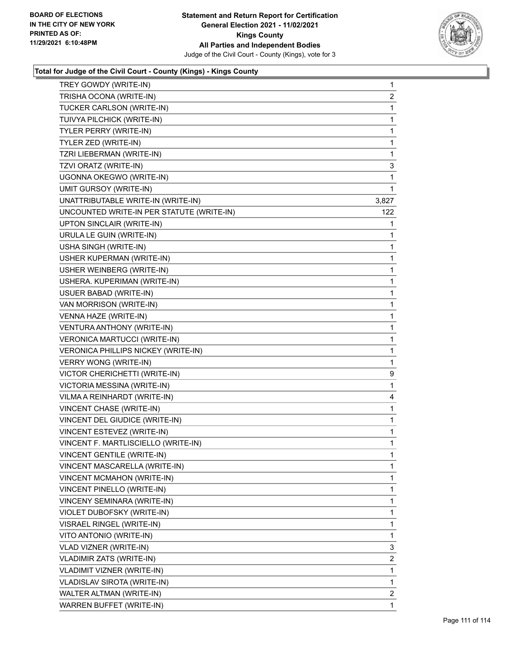

| TREY GOWDY (WRITE-IN)                     | 1              |
|-------------------------------------------|----------------|
| TRISHA OCONA (WRITE-IN)                   | $\mathbf{2}$   |
| TUCKER CARLSON (WRITE-IN)                 | $\mathbf{1}$   |
| TUIVYA PILCHICK (WRITE-IN)                | $\mathbf{1}$   |
| <b>TYLER PERRY (WRITE-IN)</b>             | 1              |
| TYLER ZED (WRITE-IN)                      | 1              |
| TZRI LIEBERMAN (WRITE-IN)                 | 1              |
| TZVI ORATZ (WRITE-IN)                     | 3              |
| UGONNA OKEGWO (WRITE-IN)                  | 1              |
| <b>UMIT GURSOY (WRITE-IN)</b>             | 1              |
| UNATTRIBUTABLE WRITE-IN (WRITE-IN)        | 3,827          |
| UNCOUNTED WRITE-IN PER STATUTE (WRITE-IN) | 122            |
| UPTON SINCLAIR (WRITE-IN)                 | 1              |
| URULA LE GUIN (WRITE-IN)                  | 1              |
| USHA SINGH (WRITE-IN)                     | 1              |
| USHER KUPERMAN (WRITE-IN)                 | 1              |
| USHER WEINBERG (WRITE-IN)                 | 1              |
| USHERA. KUPERIMAN (WRITE-IN)              | 1              |
| USUER BABAD (WRITE-IN)                    | 1              |
| VAN MORRISON (WRITE-IN)                   | 1              |
| VENNA HAZE (WRITE-IN)                     | $\mathbf{1}$   |
| VENTURA ANTHONY (WRITE-IN)                | 1              |
| VERONICA MARTUCCI (WRITE-IN)              | 1              |
| VERONICA PHILLIPS NICKEY (WRITE-IN)       | 1              |
| <b>VERRY WONG (WRITE-IN)</b>              | 1              |
| VICTOR CHERICHETTI (WRITE-IN)             | 9              |
| VICTORIA MESSINA (WRITE-IN)               | 1              |
| VILMA A REINHARDT (WRITE-IN)              | 4              |
| VINCENT CHASE (WRITE-IN)                  | $\mathbf{1}$   |
| VINCENT DEL GIUDICE (WRITE-IN)            | 1              |
| VINCENT ESTEVEZ (WRITE-IN)                | 1              |
| VINCENT F. MARTLISCIELLO (WRITE-IN)       | 1              |
| VINCENT GENTILE (WRITE-IN)                | 1              |
| VINCENT MASCARELLA (WRITE-IN)             | 1              |
| VINCENT MCMAHON (WRITE-IN)                | 1              |
| VINCENT PINELLO (WRITE-IN)                | $\mathbf 1$    |
| VINCENY SEMINARA (WRITE-IN)               | 1              |
| VIOLET DUBOFSKY (WRITE-IN)                | 1              |
| VISRAEL RINGEL (WRITE-IN)                 | $\mathbf 1$    |
| VITO ANTONIO (WRITE-IN)                   | 1              |
| VLAD VIZNER (WRITE-IN)                    | 3              |
| VLADIMIR ZATS (WRITE-IN)                  | $\overline{2}$ |
| VLADIMIT VIZNER (WRITE-IN)                | 1              |
| <b>VLADISLAV SIROTA (WRITE-IN)</b>        | 1              |
| WALTER ALTMAN (WRITE-IN)                  | $\overline{2}$ |
| WARREN BUFFET (WRITE-IN)                  | 1              |
|                                           |                |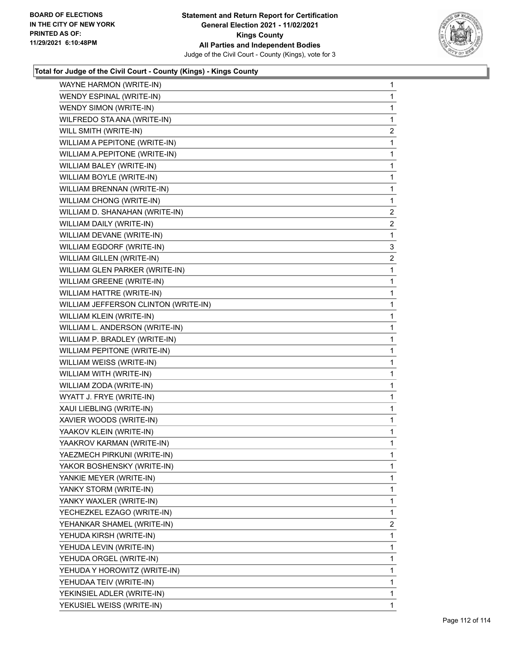

| WAYNE HARMON (WRITE-IN)              | $\mathbf{1}$   |
|--------------------------------------|----------------|
| WENDY ESPINAL (WRITE-IN)             | $\mathbf{1}$   |
| WENDY SIMON (WRITE-IN)               | $\mathbf{1}$   |
| WILFREDO STA ANA (WRITE-IN)          | $\mathbf{1}$   |
| WILL SMITH (WRITE-IN)                | $\overline{c}$ |
| WILLIAM A PEPITONE (WRITE-IN)        | $\mathbf{1}$   |
| WILLIAM A.PEPITONE (WRITE-IN)        | $\mathbf{1}$   |
| WILLIAM BALEY (WRITE-IN)             | $\mathbf{1}$   |
| WILLIAM BOYLE (WRITE-IN)             | $\mathbf{1}$   |
| WILLIAM BRENNAN (WRITE-IN)           | $\mathbf{1}$   |
| WILLIAM CHONG (WRITE-IN)             | $\mathbf{1}$   |
| WILLIAM D. SHANAHAN (WRITE-IN)       | $\overline{2}$ |
| WILLIAM DAILY (WRITE-IN)             | $\overline{a}$ |
| WILLIAM DEVANE (WRITE-IN)            | 1              |
| WILLIAM EGDORF (WRITE-IN)            | 3              |
| WILLIAM GILLEN (WRITE-IN)            | $\overline{a}$ |
| WILLIAM GLEN PARKER (WRITE-IN)       | $\mathbf{1}$   |
| WILLIAM GREENE (WRITE-IN)            | $\mathbf{1}$   |
| WILLIAM HATTRE (WRITE-IN)            | $\mathbf{1}$   |
| WILLIAM JEFFERSON CLINTON (WRITE-IN) | $\mathbf{1}$   |
| WILLIAM KLEIN (WRITE-IN)             | $\mathbf{1}$   |
| WILLIAM L. ANDERSON (WRITE-IN)       | $\mathbf{1}$   |
| WILLIAM P. BRADLEY (WRITE-IN)        | $\mathbf{1}$   |
| WILLIAM PEPITONE (WRITE-IN)          | $\mathbf{1}$   |
| WILLIAM WEISS (WRITE-IN)             | $\mathbf{1}$   |
| WILLIAM WITH (WRITE-IN)              | $\mathbf{1}$   |
| WILLIAM ZODA (WRITE-IN)              | $\mathbf{1}$   |
| WYATT J. FRYE (WRITE-IN)             | $\mathbf{1}$   |
| XAUI LIEBLING (WRITE-IN)             | $\mathbf 1$    |
| XAVIER WOODS (WRITE-IN)              | $\mathbf{1}$   |
| YAAKOV KLEIN (WRITE-IN)              | $\mathbf{1}$   |
| YAAKROV KARMAN (WRITE-IN)            | $\mathbf{1}$   |
| YAEZMECH PIRKUNI (WRITE-IN)          | 1              |
| YAKOR BOSHENSKY (WRITE-IN)           | 1              |
| YANKIE MEYER (WRITE-IN)              | 1              |
| YANKY STORM (WRITE-IN)               | 1              |
| YANKY WAXLER (WRITE-IN)              | 1              |
| YECHEZKEL EZAGO (WRITE-IN)           | 1              |
| YEHANKAR SHAMEL (WRITE-IN)           | $\overline{2}$ |
| YEHUDA KIRSH (WRITE-IN)              | 1              |
| YEHUDA LEVIN (WRITE-IN)              | 1              |
| YEHUDA ORGEL (WRITE-IN)              | 1              |
| YEHUDA Y HOROWITZ (WRITE-IN)         | 1              |
| YEHUDAA TEIV (WRITE-IN)              | 1              |
| YEKINSIEL ADLER (WRITE-IN)           | 1              |
| YEKUSIEL WEISS (WRITE-IN)            | 1              |
|                                      |                |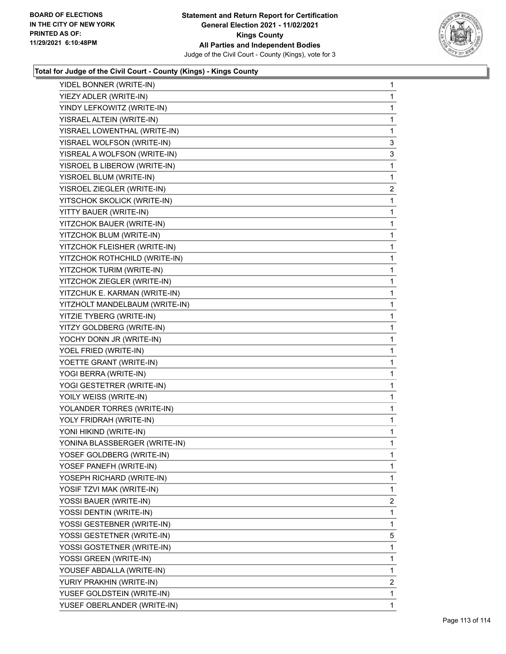

| YIDEL BONNER (WRITE-IN)        | 1            |
|--------------------------------|--------------|
| YIEZY ADLER (WRITE-IN)         | $\mathbf 1$  |
| YINDY LEFKOWITZ (WRITE-IN)     | $\mathbf{1}$ |
| YISRAEL ALTEIN (WRITE-IN)      | 1            |
| YISRAEL LOWENTHAL (WRITE-IN)   | 1            |
| YISRAEL WOLFSON (WRITE-IN)     | 3            |
| YISREAL A WOLFSON (WRITE-IN)   | 3            |
| YISROEL B LIBEROW (WRITE-IN)   | 1            |
| YISROEL BLUM (WRITE-IN)        | 1            |
| YISROEL ZIEGLER (WRITE-IN)     | 2            |
| YITSCHOK SKOLICK (WRITE-IN)    | 1            |
| YITTY BAUER (WRITE-IN)         | 1            |
| YITZCHOK BAUER (WRITE-IN)      | 1            |
| YITZCHOK BLUM (WRITE-IN)       | 1            |
| YITZCHOK FLEISHER (WRITE-IN)   | $\mathbf 1$  |
| YITZCHOK ROTHCHILD (WRITE-IN)  | 1            |
| YITZCHOK TURIM (WRITE-IN)      | $\mathbf{1}$ |
| YITZCHOK ZIEGLER (WRITE-IN)    | 1            |
| YITZCHUK E. KARMAN (WRITE-IN)  | 1            |
| YITZHOLT MANDELBAUM (WRITE-IN) | 1            |
| YITZIE TYBERG (WRITE-IN)       | $\mathbf{1}$ |
| YITZY GOLDBERG (WRITE-IN)      | 1            |
| YOCHY DONN JR (WRITE-IN)       | $\mathbf{1}$ |
| YOEL FRIED (WRITE-IN)          | 1            |
| YOETTE GRANT (WRITE-IN)        | 1            |
| YOGI BERRA (WRITE-IN)          | 1            |
| YOGI GESTETRER (WRITE-IN)      | $\mathbf{1}$ |
| YOILY WEISS (WRITE-IN)         | 1            |
| YOLANDER TORRES (WRITE-IN)     | 1            |
| YOLY FRIDRAH (WRITE-IN)        | 1            |
| YONI HIKIND (WRITE-IN)         | 1            |
| YONINA BLASSBERGER (WRITE-IN)  | 1            |
| YOSEF GOLDBERG (WRITE-IN)      | 1            |
| YOSEF PANEFH (WRITE-IN)        | 1            |
| YOSEPH RICHARD (WRITE-IN)      | 1            |
| YOSIF TZVI MAK (WRITE-IN)      | $\mathbf{1}$ |
| YOSSI BAUER (WRITE-IN)         | 2            |
| YOSSI DENTIN (WRITE-IN)        | 1            |
| YOSSI GESTEBNER (WRITE-IN)     | 1            |
| YOSSI GESTETNER (WRITE-IN)     | 5            |
| YOSSI GOSTETNER (WRITE-IN)     | 1            |
| YOSSI GREEN (WRITE-IN)         | $\mathbf{1}$ |
| YOUSEF ABDALLA (WRITE-IN)      | 1            |
| YURIY PRAKHIN (WRITE-IN)       | 2            |
| YUSEF GOLDSTEIN (WRITE-IN)     | 1            |
| YUSEF OBERLANDER (WRITE-IN)    | 1            |